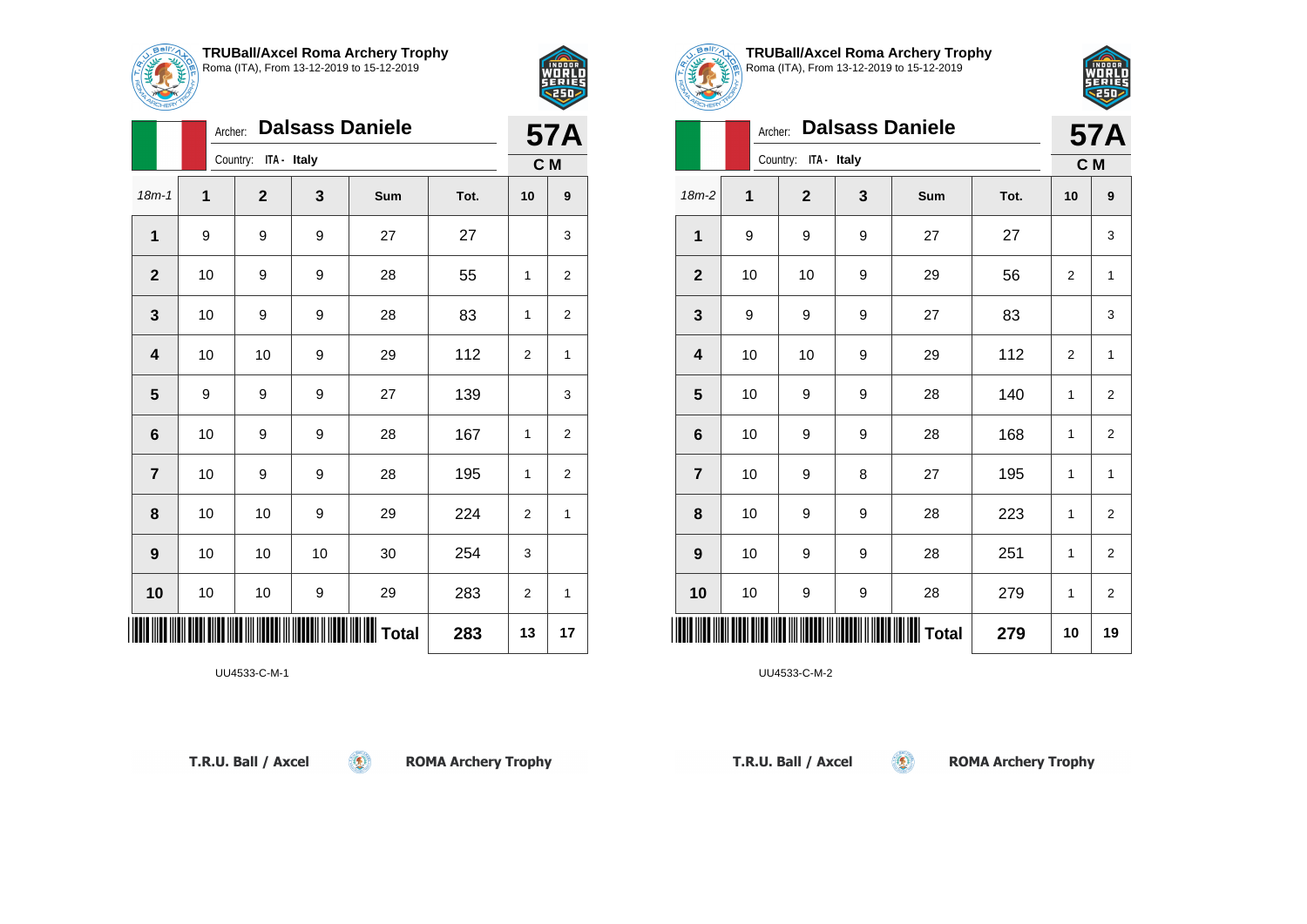

Archer: **Dalsass Daniele**

18m-1 **1 2 3 Sum Tot. 10 9**

**1** | 9 | 9 | 9 | 27 | 27 | 3

**2** | 10 | 9 | 9 | 28 | 55 | 1 | 2

**3** | 10 | 9 | 9 | 28 | 83 | 1 | 2

**4** | 10 | 10 | 9 | 29 | 112 | 2 | 1

**5** | 9 | 9 | 9 | 27 | 139 | | 3

**6** | 10 | 9 | 9 | 28 | 167 | 1 | 2

**7** | 10 | 9 | 9 | 28 | 195 | 1 | 2

**8** | 10 | 10 | 9 | 29 | 224 | 2 | 1

**10** | 10 | 10 | 9 | 29 | 283 | 2 | 1

 $\circledcirc$ 

**9** | 10 | 10 | 30 | 254 | 3

Country: **ITA - Italy**



**57A C M**

| <b>TRUBall/Axcel Roma Archery Trophy</b>  |
|-------------------------------------------|
| Roma (ITA), From 13-12-2019 to 15-12-2019 |



| <b>ARCHERY</b> |    |                      |                  |              |      |                |                |  |  |
|----------------|----|----------------------|------------------|--------------|------|----------------|----------------|--|--|
|                |    | <b>57A</b>           |                  |              |      |                |                |  |  |
|                |    | Country: ITA - Italy |                  |              |      |                |                |  |  |
| $18m-2$        | 1  | $\mathbf{2}$         | 3                | Sum          | Tot. | 10             | 9              |  |  |
| 1              | 9  | 9                    | $\boldsymbol{9}$ | 27           | 27   |                | 3              |  |  |
| $\overline{2}$ | 10 | 10                   | $\boldsymbol{9}$ | 29           | 56   | $\overline{2}$ | 1              |  |  |
| $\mathbf{3}$   | 9  | 9                    | $\boldsymbol{9}$ | 27           | 83   |                | 3              |  |  |
| 4              | 10 | 10                   | 9                | 29           | 112  | $\overline{2}$ | $\mathbf{1}$   |  |  |
| 5              | 10 | 9                    | $\boldsymbol{9}$ | 28           | 140  | 1              | $\overline{2}$ |  |  |
| $6\phantom{1}$ | 10 | 9                    | $\boldsymbol{9}$ | 28           | 168  | 1              | $\overline{2}$ |  |  |
| $\overline{7}$ | 10 | 9                    | 8                | 27           | 195  | 1              | $\mathbf{1}$   |  |  |
| 8              | 10 | 9                    | 9                | 28           | 223  | 1              | $\overline{2}$ |  |  |
| 9              | 10 | 9                    | $\boldsymbol{9}$ | 28           | 251  | 1              | $\overline{2}$ |  |  |
| 10             | 10 | 9                    | $\boldsymbol{9}$ | 28           | 279  | 1              | $\overline{2}$ |  |  |
|                |    |                      |                  | <b>Total</b> | 279  | 10             | 19             |  |  |

 $\circledcirc$ 

UU4533-C-M-2

T.R.U. Ball / Axcel

\*UU453-C-M-1\*UU453-C-M-1\*UU453-C-M-1\*UU453-C-M-1\*UU453-C-M-1\*UU453-C-M-1\*UU453-C-M-1\*UU453-C-M-1\*UU453-C-M-1\*U

UU4533-C-M-1

**ROMA Archery Trophy** 

**Total 283 13 17**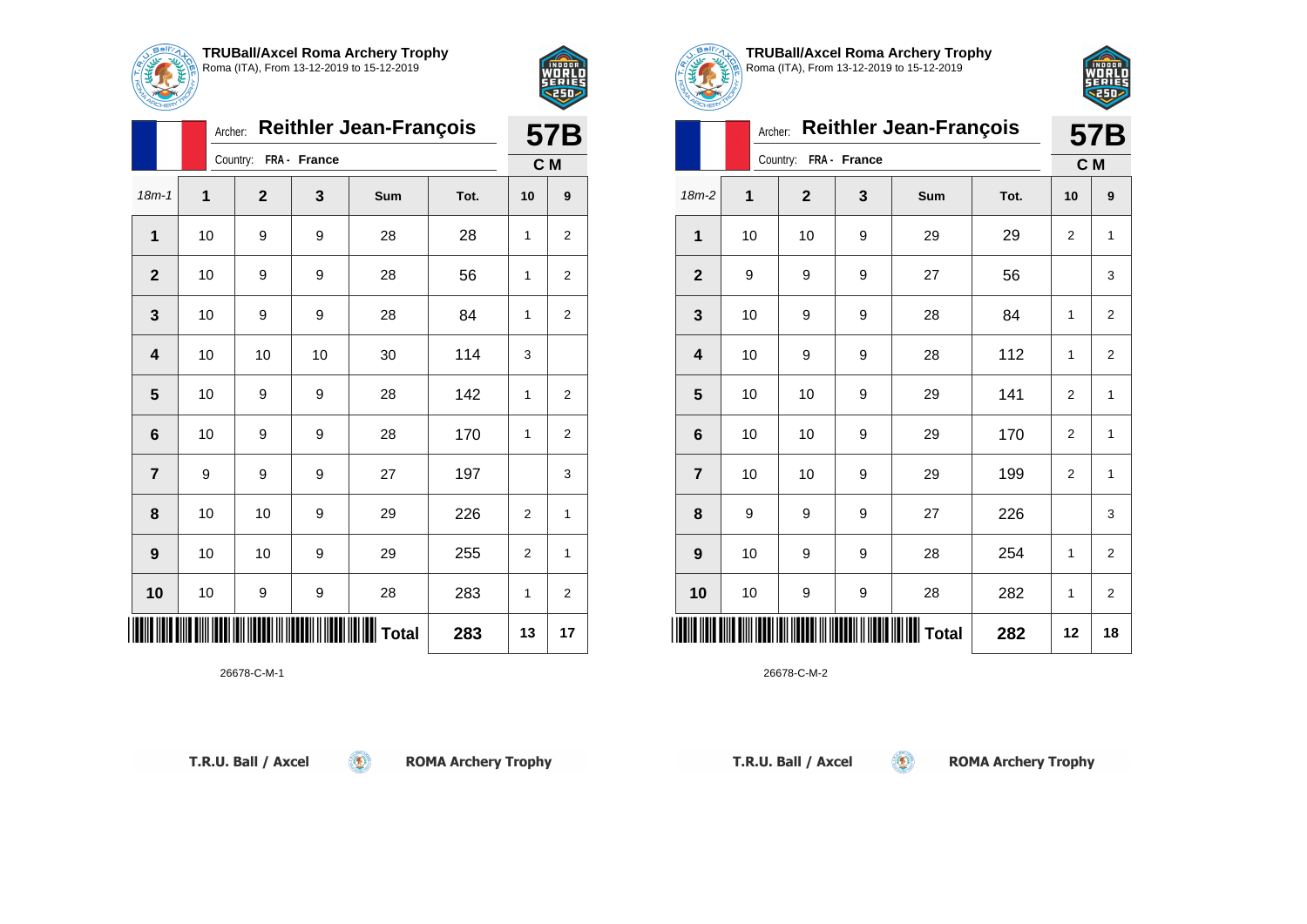

Country: **FRA - France**

Archer: **Reithler Jean-François**

18m-1 **1 2 3 Sum Tot. 10 9**

**1** | 10 | 9 | 9 | 28 | 28 | 1 | 2

**2** | 10 | 9 | 9 | 28 | 56 | 1 | 2

**3** | 10 | 9 | 9 | 28 | 84 | 1 | 2

**5** | 10 | 9 | 9 | 28 | 142 | 1 | 2

**6** | 10 | 9 | 9 | 28 | 170 | 1 | 2

**7** | 9 | 9 | 9 | 27 | 197 | | 3

**8** | 10 | 10 | 9 | 29 | 226 | 2 | 1

**9** | 10 | 10 | 9 | 29 | 255 | 2 | 1

**10** | 10 | 9 | 9 | 28 | 283 | 1 | 2

 $\circledcirc$ 

**4** | 10 | 10 | 10 | 30 | 114 | 3



**57B C M**

| <b>TRUBall/Axcel Roma Archery Trophy</b>  |
|-------------------------------------------|
| Roma (ITA), From 13-12-2019 to 15-12-2019 |



|                | Archer: |                          | 57B |              |      |                |                |  |
|----------------|---------|--------------------------|-----|--------------|------|----------------|----------------|--|
|                |         | FRA - France<br>Country: |     |              |      |                |                |  |
| $18m-2$        | 1       | $\overline{2}$           | 3   | Sum          | Tot. | 10             | 9              |  |
| $\overline{1}$ | 10      | 10                       | 9   | 29           | 29   | $\overline{2}$ | 1              |  |
| $\overline{2}$ | 9       | 9                        | 9   | 27           | 56   |                | 3              |  |
| 3              | 10      | 9                        | 9   | 28           | 84   | 1              | $\overline{2}$ |  |
| 4              | 10      | 9                        | 9   | 28           | 112  | 1              | $\overline{2}$ |  |
| $5\phantom{1}$ | 10      | 10                       | 9   | 29           | 141  | $\overline{2}$ | 1              |  |
| 6              | 10      | 10                       | 9   | 29           | 170  | $\overline{2}$ | 1              |  |
| $\overline{7}$ | 10      | 10                       | 9   | 29           | 199  | $\overline{2}$ | 1              |  |
| 8              | 9       | 9                        | 9   | 27           | 226  |                | 3              |  |
| 9              | 10      | 9                        | 9   | 28           | 254  | 1              | $\overline{2}$ |  |
| 10             | 10      | 9                        | 9   | 28           | 282  | 1              | $\overline{2}$ |  |
|                |         |                          |     | <b>Total</b> | 282  | 12             | 18             |  |

 $\circledcirc$ 

26678-C-M-2

\*26678-C-M-1\*

26678-C-M-1

T.R.U. Ball / Axcel

**ROMA Archery Trophy** 

**Total 283 13 17**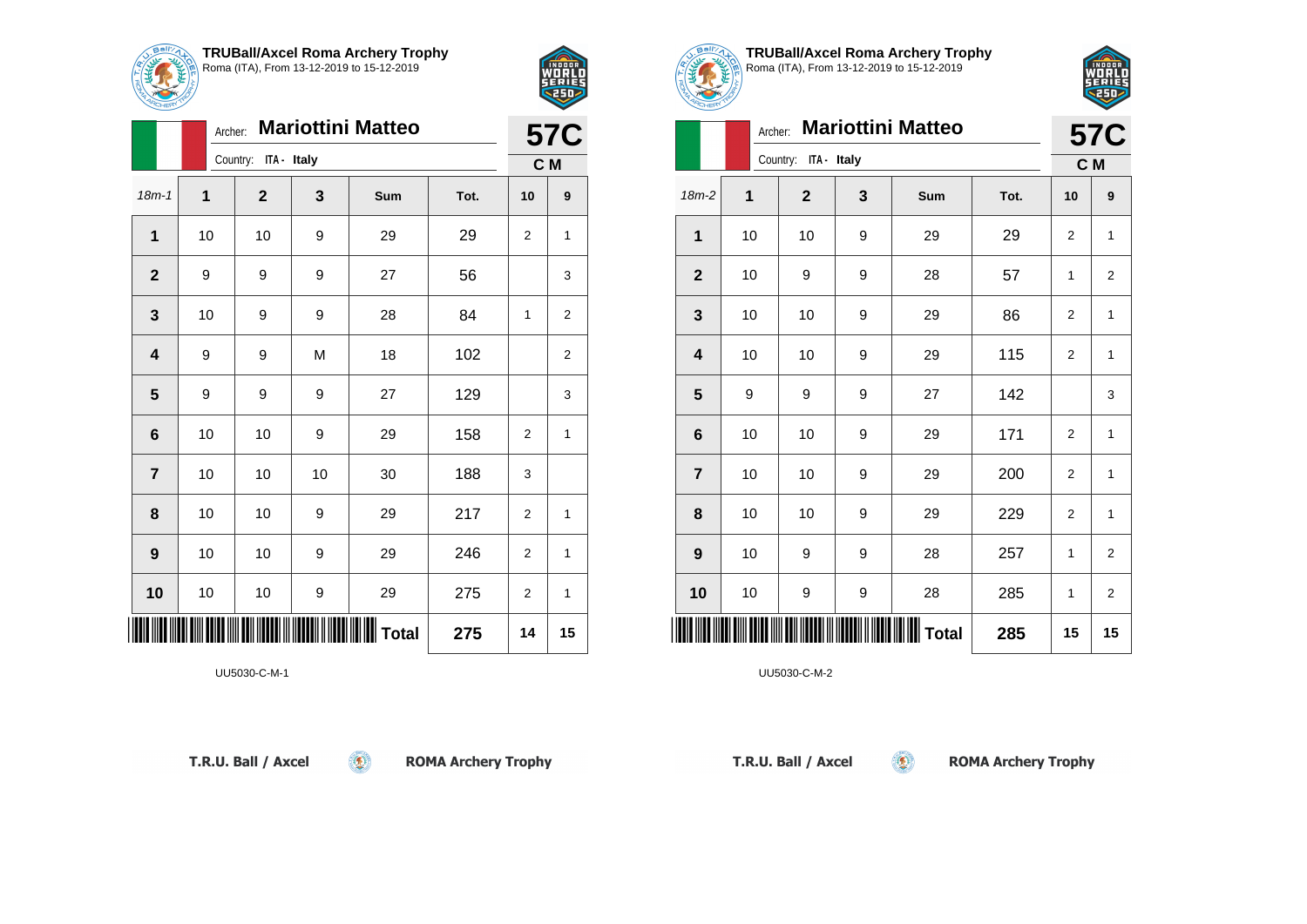

Archer: **Mariottini Matteo**

18m-1 **1 2 3 Sum Tot. 10 9**

**1** | 10 | 10 | 9 | 29 | 29 | 2 | 1

**2** | 9 | 9 | 9 | 27 | 56 | | 3

**3** | 10 | 9 | 9 | 28 | 84 | 1 | 2

**4** | 9 | 9 | M | 18 | 102 | | 2

**5** | 9 | 9 | 9 | 27 | 129 | | 3

**6** | 10 | 10 | 9 | 29 | 158 | 2 | 1

**8** | 10 | 10 | 9 | 29 | 217 | 2 | 1

**9** | 10 | 10 | 9 | 29 | 246 | 2 | 1

**10** | 10 | 10 | 9 | 29 | 275 | 2 | 1

**7** | 10 | 10 | 10 | 30 | 188 | 3

Country: **ITA - Italy**



**57C C M**

| TRUBall/Axcel Roma Archery Trophy<br>Roma (ITA), From 13-12-2019 to 15-12-2019 |
|--------------------------------------------------------------------------------|
|                                                                                |
|                                                                                |

|                         |                      | <b>57C</b>  |   |              |      |                |                  |
|-------------------------|----------------------|-------------|---|--------------|------|----------------|------------------|
|                         | Country: ITA - Italy | C M         |   |              |      |                |                  |
| $18m-2$                 | $\mathbf 1$          | $\mathbf 2$ | 3 | Sum          | Tot. | 10             | $\boldsymbol{9}$ |
| 1                       | 10                   | 10          | 9 | 29           | 29   | $\overline{2}$ | 1                |
| $\mathbf{2}$            | 10                   | 9           | 9 | 28           | 57   | 1              | 2                |
| $\mathbf 3$             | 10                   | 10          | 9 | 29           | 86   | 2              | 1                |
| 4                       | 10                   | 10          | 9 | 29           | 115  | $\overline{2}$ | $\mathbf{1}$     |
| $5\phantom{1}$          | 9                    | 9           | 9 | 27           | 142  |                | 3                |
| 6                       | 10                   | 10          | 9 | 29           | 171  | 2              | 1                |
| $\overline{\mathbf{r}}$ | 10                   | 10          | 9 | 29           | 200  | $\overline{2}$ | 1                |
| 8                       | 10                   | 10          | 9 | 29           | 229  | 2              | $\mathbf{1}$     |
| $\boldsymbol{9}$        | 10                   | 9           | 9 | 28           | 257  | 1              | $\overline{2}$   |
| 10                      | 10                   | 9           | 9 | 28           | 285  | 1              | $\overline{2}$   |
|                         |                      |             |   | <b>Total</b> | 285  | 15             | 15               |

 $\circledcirc$ 

UU5030-C-M-2

| T.R.U. Ball / Axcel |  |  |  |
|---------------------|--|--|--|
|---------------------|--|--|--|

\*UU5030-C-M-1\*UU50-C-M-1\*UU50-C-M-1\*UU50-C-M-1\*UU50-C-M-1\*UU50-C-M-1\*UU50-C-M-1\*UU50-C-M-1\*UU50-C-M-

UU5030-C-M-1

**ROMA Archery Trophy** 

**Total 275 14 15**

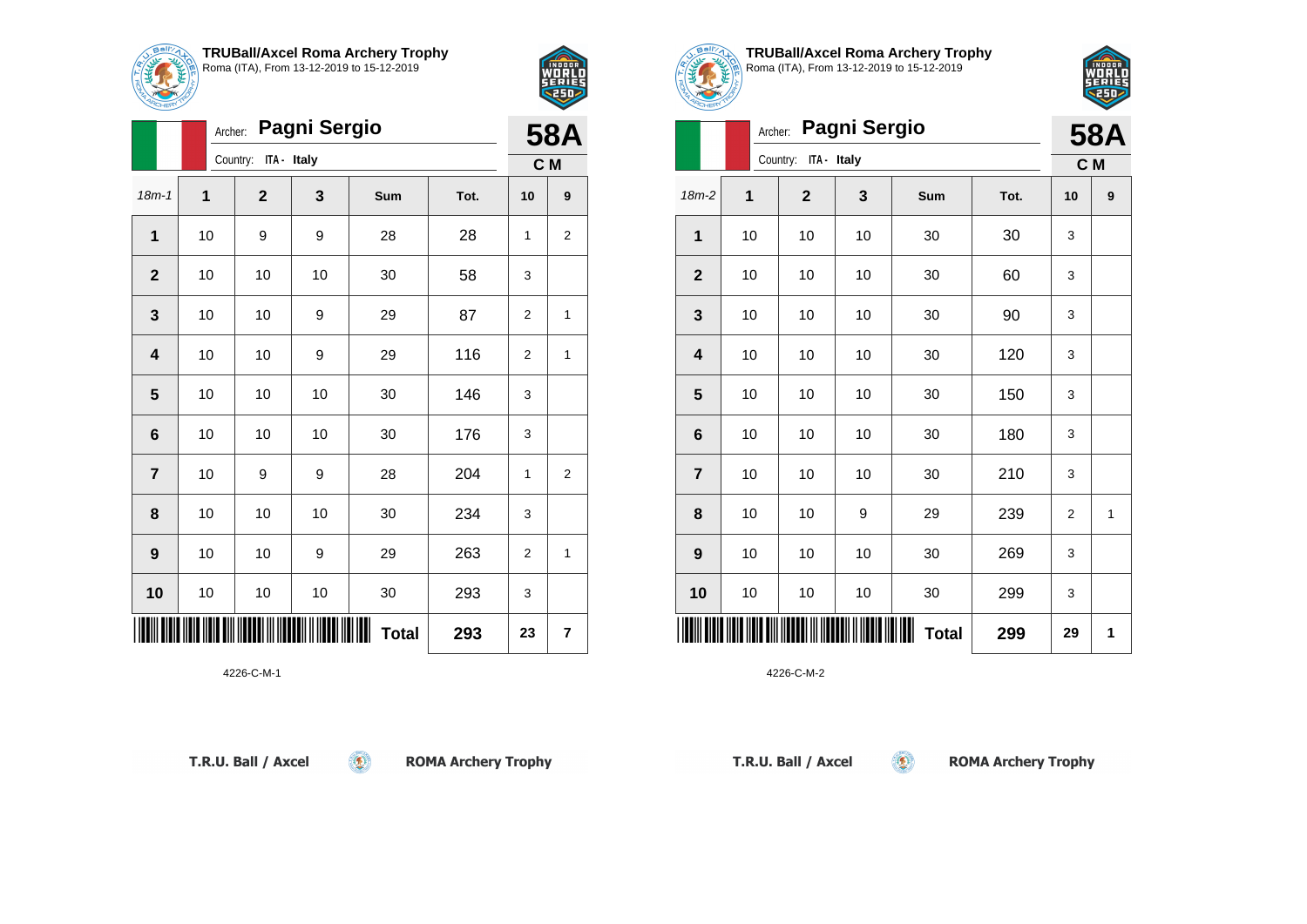



| <b>MOHERY</b>           |                |                      |                     |              |      |                |                         |  |  |
|-------------------------|----------------|----------------------|---------------------|--------------|------|----------------|-------------------------|--|--|
|                         | Archer:        |                      | <b>Pagni Sergio</b> |              |      |                | <b>58A</b>              |  |  |
|                         |                | Country: ITA - Italy |                     |              |      |                |                         |  |  |
| $18m - 1$               | $\overline{1}$ | $\overline{2}$       | $\mathbf{3}$        | Sum          | Tot. | 10             | 9                       |  |  |
| 1                       | 10             | 9                    | 9                   | 28           | 28   | 1              | $\overline{\mathbf{c}}$ |  |  |
| $\mathbf{2}$            | 10             | 10                   | 10                  | 30           | 58   | 3              |                         |  |  |
| $\mathbf{3}$            | 10             | 10                   | 9                   | 29           | 87   | 2              | 1                       |  |  |
| $\overline{\mathbf{4}}$ | 10             | 10                   | 9                   | 29           | 116  | $\overline{2}$ | 1                       |  |  |
| $5\phantom{1}$          | 10             | 10                   | 10                  | 30           | 146  | 3              |                         |  |  |
| $\bf 6$                 | 10             | 10                   | 10                  | 30           | 176  | 3              |                         |  |  |
| $\overline{7}$          | 10             | 9                    | 9                   | 28           | 204  | 1              | 2                       |  |  |
| 8                       | 10             | 10                   | 10                  | 30           | 234  | 3              |                         |  |  |
| 9                       | 10             | 10                   | 9                   | 29           | 263  | 2              | 1                       |  |  |
| 10                      | 10             | 10                   | 10                  | 30           | 293  | 3              |                         |  |  |
|                         |                |                      |                     | <b>Total</b> | 293  | 23             | 7                       |  |  |

 $\circledcirc$ 





**ROMA Archery Trophy** 





|                         |             | Archer: Pagni Sergio |    |              |      |                | <b>58A</b> |
|-------------------------|-------------|----------------------|----|--------------|------|----------------|------------|
|                         | Country:    | C M                  |    |              |      |                |            |
| 18m-2                   | $\mathbf 1$ | $\overline{2}$       | 3  | Sum          | Tot. | 10             | 9          |
| 1                       | 10          | 10                   | 10 | 30           | 30   | 3              |            |
| $\mathbf{2}$            | 10          | 10                   | 10 | 30           | 60   | 3              |            |
| $\mathbf{3}$            | 10          | 10                   | 10 | 30           | 90   | 3              |            |
| $\overline{\mathbf{4}}$ | 10          | 10                   | 10 | 30           | 120  | 3              |            |
| 5                       | 10          | 10                   | 10 | 30           | 150  | 3              |            |
| $6\phantom{1}6$         | 10          | 10                   | 10 | 30           | 180  | 3              |            |
| $\overline{7}$          | 10          | 10                   | 10 | 30           | 210  | 3              |            |
| 8                       | 10          | 10                   | 9  | 29           | 239  | $\overline{2}$ | 1          |
| 9                       | 10          | 10                   | 10 | 30           | 269  | 3              |            |
| 10                      | 10          | 10                   | 10 | 30           | 299  | 3              |            |
|                         |             |                      |    | <b>Total</b> | 299  | 29             | 1          |

 $(\mathbf{C})$ 

**TRUBall/Axcel Roma Archery Trophy** Roma (ITA), From 13-12-2019 to 15-12-2019

4226-C-M-2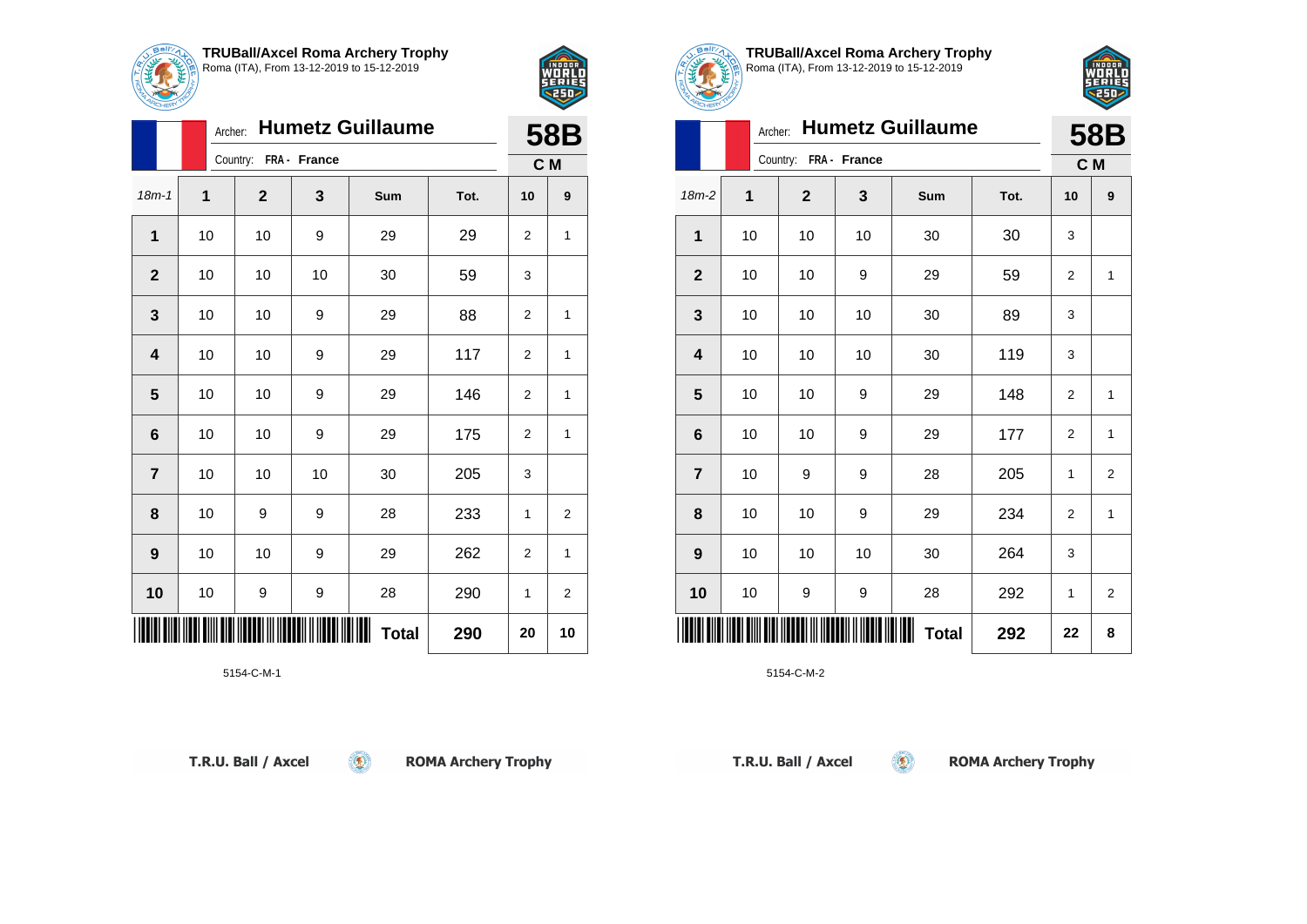



|                         | Archer:             |                          | 58B |     |      |                |              |  |
|-------------------------|---------------------|--------------------------|-----|-----|------|----------------|--------------|--|
|                         |                     | Country:<br>FRA - France |     |     |      |                |              |  |
| $18m - 1$               | 1                   | $\mathbf{2}$             | 3   | Sum | Tot. | 10             | 9            |  |
| 1                       | 10                  | 10                       | 9   | 29  | 29   | $\overline{2}$ | $\mathbf{1}$ |  |
| $\mathbf{2}$            | 10                  | 10                       | 10  | 30  | 59   | 3              |              |  |
| $\mathbf 3$             | 10                  | 10                       | 9   | 29  | 88   | 2              | 1            |  |
| $\overline{\mathbf{4}}$ | 10                  | 10                       | 9   | 29  | 117  | $\overline{2}$ | $\mathbf{1}$ |  |
| 5                       | 10                  | 10                       | 9   | 29  | 146  | 2              | $\mathbf{1}$ |  |
| $6\phantom{1}6$         | 10                  | 10                       | 9   | 29  | 175  | $\overline{2}$ | 1            |  |
| $\overline{7}$          | 10                  | 10                       | 10  | 30  | 205  | 3              |              |  |
| 8                       | 10                  | 9                        | 9   | 28  | 233  | 1              | 2            |  |
| $\boldsymbol{9}$        | 10                  | 10                       | 9   | 29  | 262  | 2              | 1            |  |
| 10                      | 10                  | 9                        | 9   | 28  | 290  | 1              | 2            |  |
|                         | <b>Total</b><br>290 |                          |     |     |      |                |              |  |

 $\left( 9\right)$ 

5154-C-M-1

T.R.U. Ball / Axcel

**ROMA Archery Trophy** 





|                | Archer: |                          | 58B |              |      |                |                |  |
|----------------|---------|--------------------------|-----|--------------|------|----------------|----------------|--|
|                |         | FRA - France<br>Country: |     |              |      |                |                |  |
| $18m-2$        | 1       | $\mathbf 2$              | 3   | Sum          | Tot. | 10             | 9              |  |
| 1              | 10      | 10                       | 10  | 30           | 30   | 3              |                |  |
| $\mathbf{2}$   | 10      | 10                       | 9   | 29           | 59   | $\overline{2}$ | $\mathbf{1}$   |  |
| $\mathbf{3}$   | 10      | 10                       | 10  | 30           | 89   | 3              |                |  |
| 4              | 10      | 10                       | 10  | 30           | 119  | 3              |                |  |
| 5              | 10      | 10                       | 9   | 29           | 148  | 2              | 1              |  |
| 6              | 10      | 10                       | 9   | 29           | 177  | $\overline{2}$ | $\mathbf{1}$   |  |
| $\overline{7}$ | 10      | 9                        | 9   | 28           | 205  | 1              | $\overline{2}$ |  |
| 8              | 10      | 10                       | 9   | 29           | 234  | $\overline{2}$ | $\mathbf{1}$   |  |
| 9              | 10      | 10                       | 10  | 30           | 264  | 3              |                |  |
| 10             | 10      | 9                        | 9   | 28           | 292  | 1              | $\mathbf 2$    |  |
|                |         |                          |     | <b>Total</b> | 292  | 22             | 8              |  |

 $\left( 5\right)$ 

**TRUBall/Axcel Roma Archery Trophy** Roma (ITA), From 13-12-2019 to 15-12-2019

5154-C-M-2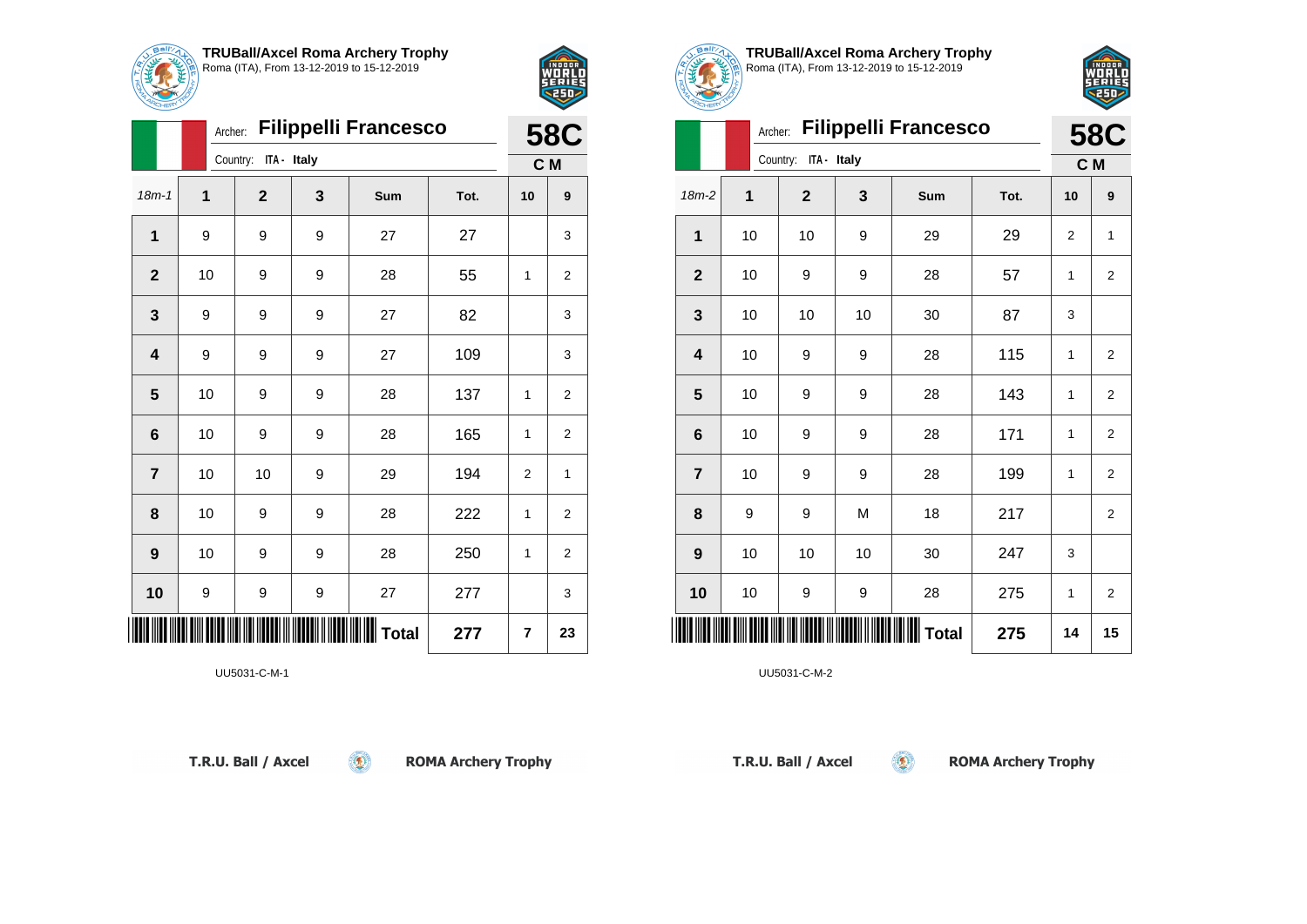



|                | Archer: |                      |   | <b>Filippelli Francesco</b> |      |                | <b>58C</b>       |
|----------------|---------|----------------------|---|-----------------------------|------|----------------|------------------|
|                |         | Country: ITA - Italy |   |                             |      |                | C M              |
| $18m - 1$      | 1       | $\mathbf{2}$         | 3 | Sum                         | Tot. | 10             | $\boldsymbol{9}$ |
| $\mathbf 1$    | 9       | 9                    | 9 | 27                          | 27   |                | 3                |
| $\overline{2}$ | 10      | 9                    | 9 | 28                          | 55   | 1              | $\overline{2}$   |
| 3              | 9       | 9                    | 9 | 27                          | 82   |                | 3                |
| 4              | 9       | 9                    | 9 | 27                          | 109  |                | 3                |
| 5              | 10      | 9                    | 9 | 28                          | 137  | 1              | $\overline{2}$   |
| 6              | 10      | 9                    | 9 | 28                          | 165  | 1              | $\overline{2}$   |
| $\overline{7}$ | 10      | 10                   | 9 | 29                          | 194  | $\overline{2}$ | 1                |
| 8              | 10      | 9                    | 9 | 28                          | 222  | 1              | $\overline{2}$   |
| 9              | 10      | 9                    | 9 | 28                          | 250  | 1              | $\overline{2}$   |
| 10             | 9       | 9                    | 9 | 27                          | 277  |                | 3                |
|                |         |                      |   | <b>   </b>         Total    | 277  | $\overline{7}$ | 23               |

 $\circledcirc$ 

UU5031-C-M-1



2 S I

|                  | Archer: |                         |    | <b>Filippelli Francesco</b> |      |                | <b>58C</b>              |
|------------------|---------|-------------------------|----|-----------------------------|------|----------------|-------------------------|
|                  |         | Country:<br>ITA - Italy |    |                             |      |                |                         |
| 18m-2            | 1       | $\mathbf{2}$            | 3  | Sum                         | Tot. | 10             | 9                       |
| 1                | 10      | 10                      | 9  | 29                          | 29   | $\overline{2}$ | 1                       |
| $\overline{2}$   | 10      | 9                       | 9  | 28                          | 57   | 1              | $\mathbf 2$             |
| 3                | 10      | 10                      | 10 | 30                          | 87   | 3              |                         |
| 4                | 10      | 9                       | 9  | 28                          | 115  | 1              | $\overline{2}$          |
| 5                | 10      | 9                       | 9  | 28                          | 143  | 1              | $\overline{\mathbf{c}}$ |
| 6                | 10      | 9                       | 9  | 28                          | 171  | 1              | $\overline{2}$          |
| $\overline{7}$   | 10      | 9                       | 9  | 28                          | 199  | 1              | $\overline{2}$          |
| 8                | 9       | 9                       | M  | 18                          | 217  |                | $\overline{2}$          |
| $\boldsymbol{9}$ | 10      | 10                      | 10 | 30                          | 247  | 3              |                         |
| 10               | 10      | 9                       | 9  | 28                          | 275  | 1              | $\overline{2}$          |
| Ⅲ                |         |                         |    | Total                       | 275  | 14             | 15                      |

 $\left( 5\right)$ 

UU5031-C-M-2

T.R.U. Ball / Axcel

**ROMA Archery Trophy**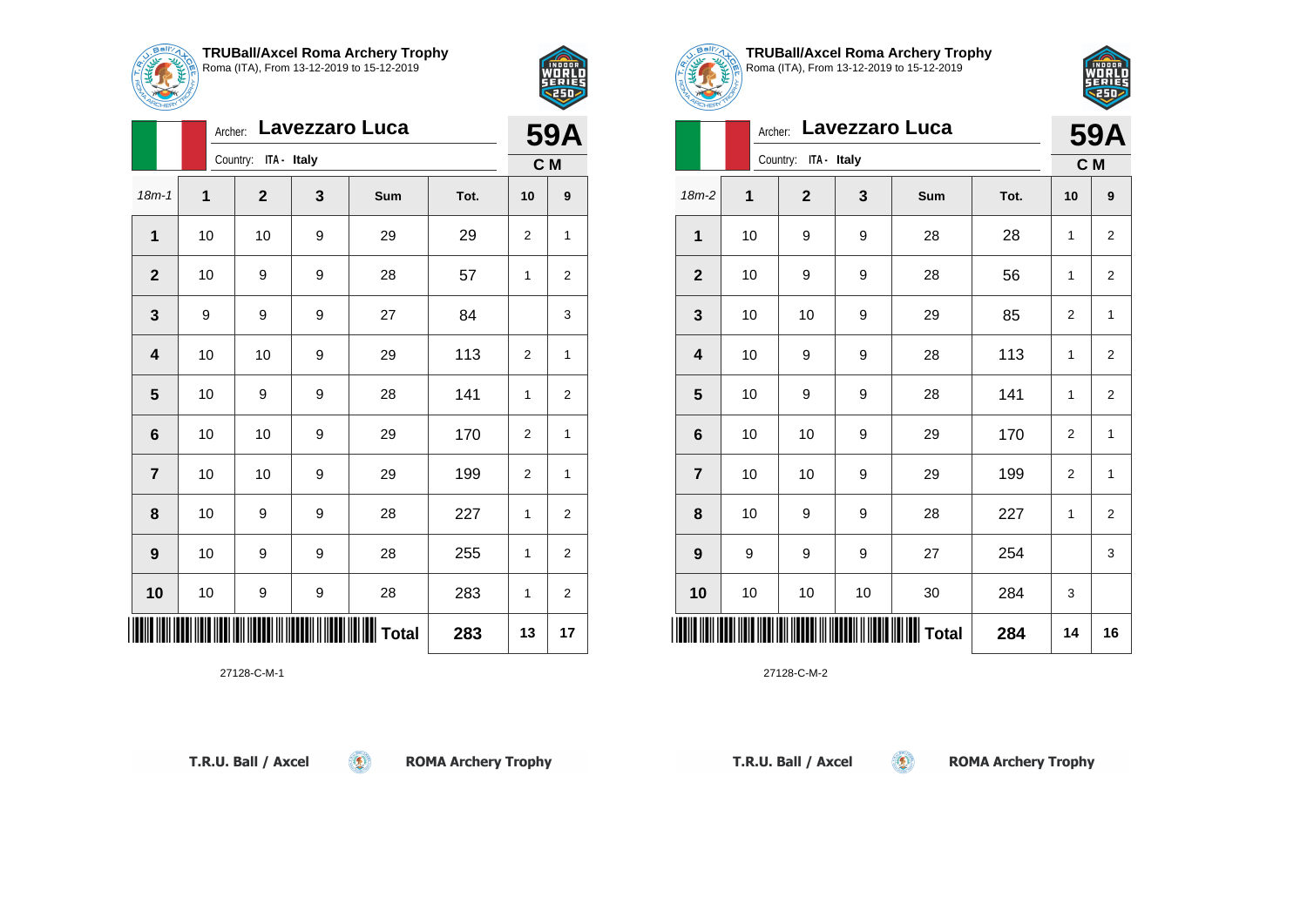

Archer: **Lavezzaro Luca**

18m-1 **1 2 3 Sum Tot. 10 9**

**1** | 10 | 10 | 9 | 29 | 29 | 2 | 1

**2** | 10 | 9 | 9 | 28 | 57 | 1 | 2

**3** | 9 | 9 | 9 | 27 | 84 | | 3

**4** | 10 | 10 | 9 | 29 | 113 | 2 | 1

**5** | 10 | 9 | 9 | 28 | 141 | 1 | 2

**6** | 10 | 10 | 9 | 29 | 170 | 2 | 1

**7** | 10 | 10 | 9 | 29 | 199 | 2 | 1

**8** | 10 | 9 | 9 | 28 | 227 | 1 | 2

**9** | 10 | 9 | 9 | 28 | 255 | 1 | 2

**10** | 10 | 9 | 9 | 28 | 283 | 1 | 2

 $\left( \begin{matrix} 0 \\ 1 \end{matrix} \right)$ 

Country: **ITA - Italy**



**59A**

**C M**

| <b>TRUBall/Axcel Roma Archery Trophy</b>                                               |
|----------------------------------------------------------------------------------------|
| <b>IRUBAII/AXCEI ROMA Archery Tro</b><br> a  Roma (ITA), From 13-12-2019 to 15-12-2019 |



| ARCHEFT        |                      |              |    |                        |      |                |                |
|----------------|----------------------|--------------|----|------------------------|------|----------------|----------------|
|                |                      |              |    | Archer: Lavezzaro Luca |      |                | 59A            |
|                | Country: ITA - Italy |              |    |                        |      |                |                |
| $18m-2$        | $\mathbf{1}$         | $\mathbf{2}$ | 3  | Sum                    | Tot. | 10             | 9              |
| $\mathbf{1}$   | 10                   | 9            | 9  | 28                     | 28   | 1              | $\overline{2}$ |
| $\overline{2}$ | 10                   | 9            | 9  | 28                     | 56   | 1              | $\overline{2}$ |
| 3              | 10                   | 10           | 9  | 29                     | 85   | 2              | 1              |
| 4              | 10                   | 9            | 9  | 28                     | 113  | 1              | $\overline{2}$ |
| $5\phantom{1}$ | 10                   | 9            | 9  | 28                     | 141  | 1              | $\overline{2}$ |
| 6              | 10                   | 10           | 9  | 29                     | 170  | 2              | $\mathbf{1}$   |
| $\overline{7}$ | 10                   | 10           | 9  | 29                     | 199  | $\overline{c}$ | 1              |
| 8              | 10                   | 9            | 9  | 28                     | 227  | 1              | $\overline{2}$ |
| 9              | 9                    | 9            | 9  | 27                     | 254  |                | 3              |
| 10             | 10                   | 10           | 10 | 30                     | 284  | 3              |                |
|                |                      |              |    | <b>Total</b>           | 284  | 14             | 16             |

 $\circledcirc$ 

27128-C-M-2

| T.R.U. Ball / Axcel |  |  |  |  |  |
|---------------------|--|--|--|--|--|
|---------------------|--|--|--|--|--|

\*27128-C-M-1\*

27128-C-M-1

**ROMA Archery Trophy** 

**Total 283 13 17**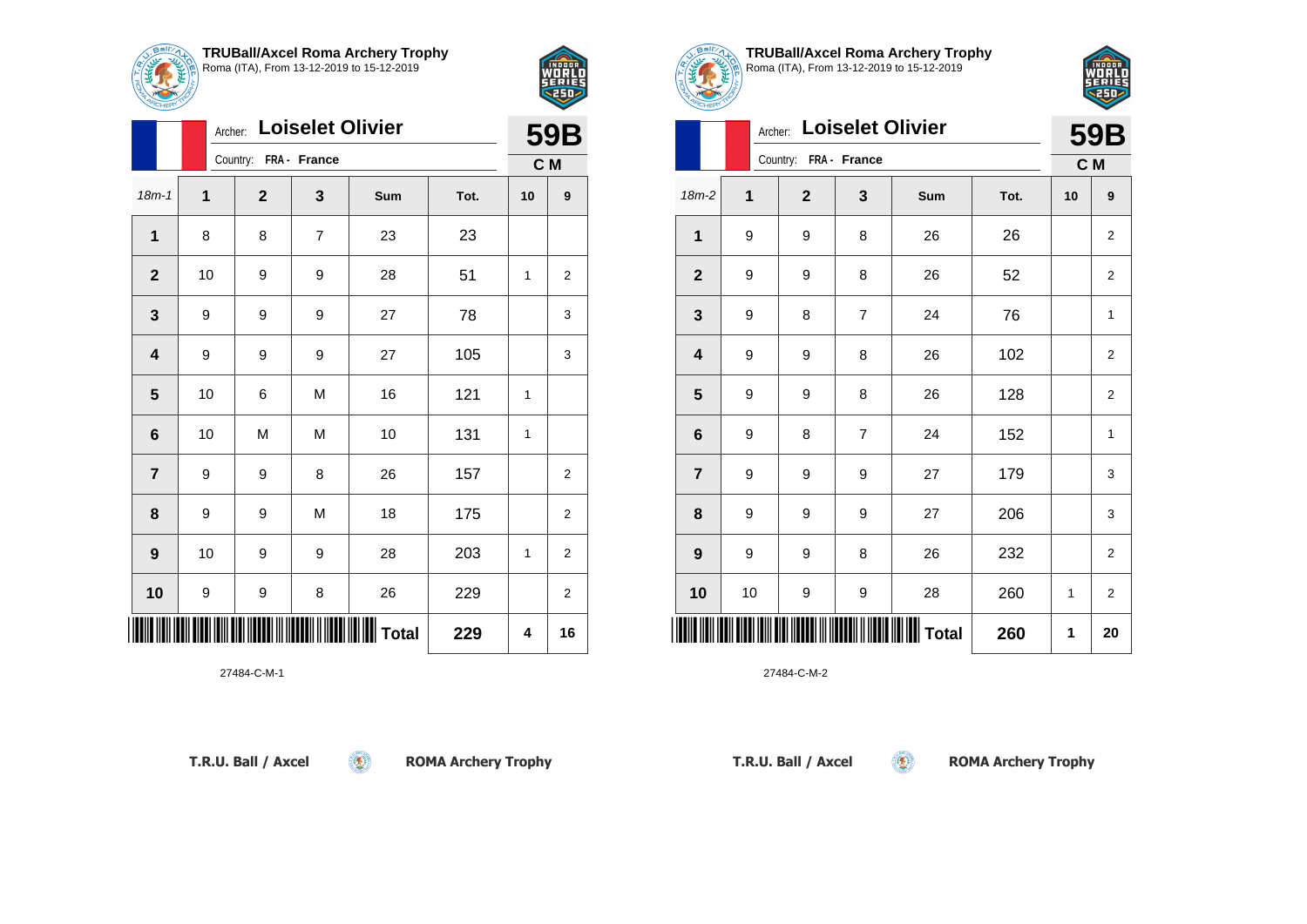

Archer: **Loiselet Olivier**

**1** | 8 | 8 | 7 | 23 | 23

18m-1 **1 2 3 Sum Tot. 10 9**

**2** | 10 | 9 | 9 | 28 | 51 | 1 | 2

**3** | 9 | 9 | 9 | 27 | 78 | | 3

**4** | 9 | 9 | 9 | 27 | 105 | | 3

**7** | 9 | 9 | 8 | 26 | 157 | | 2

**8** | 9 | 9 | M | 18 | 175 | | 2

**9** | 10 | 9 | 9 | 28 | 203 | 1 | 2

**10** | 9 | 9 | 8 | 26 | 229 | | 2

 $\circledast$ 

**5** | 10 | 6 | M | 16 | 121 | 1

**6** | 10 | M | M | 10 | 131 | 1

Country: **FRA - France**



**59B C M**

**TRUBall/Axcel Roma Archery Trophy** Roma (ITA), From 13-12-2019 to 15-12-2019



| ARCHER                  |         |                       |                         |              |      |    |                |
|-------------------------|---------|-----------------------|-------------------------|--------------|------|----|----------------|
|                         | Archer: |                       | <b>Loiselet Olivier</b> |              |      |    | 59B            |
|                         |         | Country: FRA - France |                         |              |      |    | C M            |
| $18m-2$                 | 1       | $\mathbf{2}$          | 3                       | Sum          | Tot. | 10 | 9              |
| 1                       | 9       | 9                     | 8                       | 26           | 26   |    | $\overline{2}$ |
| $\mathbf{2}$            | 9       | 9                     | 8                       | 26           | 52   |    | $\overline{2}$ |
| 3                       | 9       | 8                     | 7                       | 24           | 76   |    | 1              |
| $\overline{\mathbf{4}}$ | 9       | 9                     | 8                       | 26           | 102  |    | $\overline{2}$ |
| 5                       | 9       | 9                     | 8                       | 26           | 128  |    | $\overline{2}$ |
| 6                       | 9       | 8                     | $\overline{7}$          | 24           | 152  |    | $\mathbf{1}$   |
| $\overline{7}$          | 9       | 9                     | 9                       | 27           | 179  |    | 3              |
| 8                       | 9       | 9                     | 9                       | 27           | 206  |    | 3              |
| $\boldsymbol{9}$        | 9       | 9                     | 8                       | 26           | 232  |    | $\overline{2}$ |
| 10                      | 10      | 9                     | 9                       | 28           | 260  | 1  | $\overline{2}$ |
|                         |         |                       |                         | <b>Total</b> | 260  | 1  | 20             |

 $\circledcirc$ 

27484-C-M-2

\*27484-C-M-1\*

27484-C-M-1

**ROMA Archery Trophy** 

**Total 229 4 16**

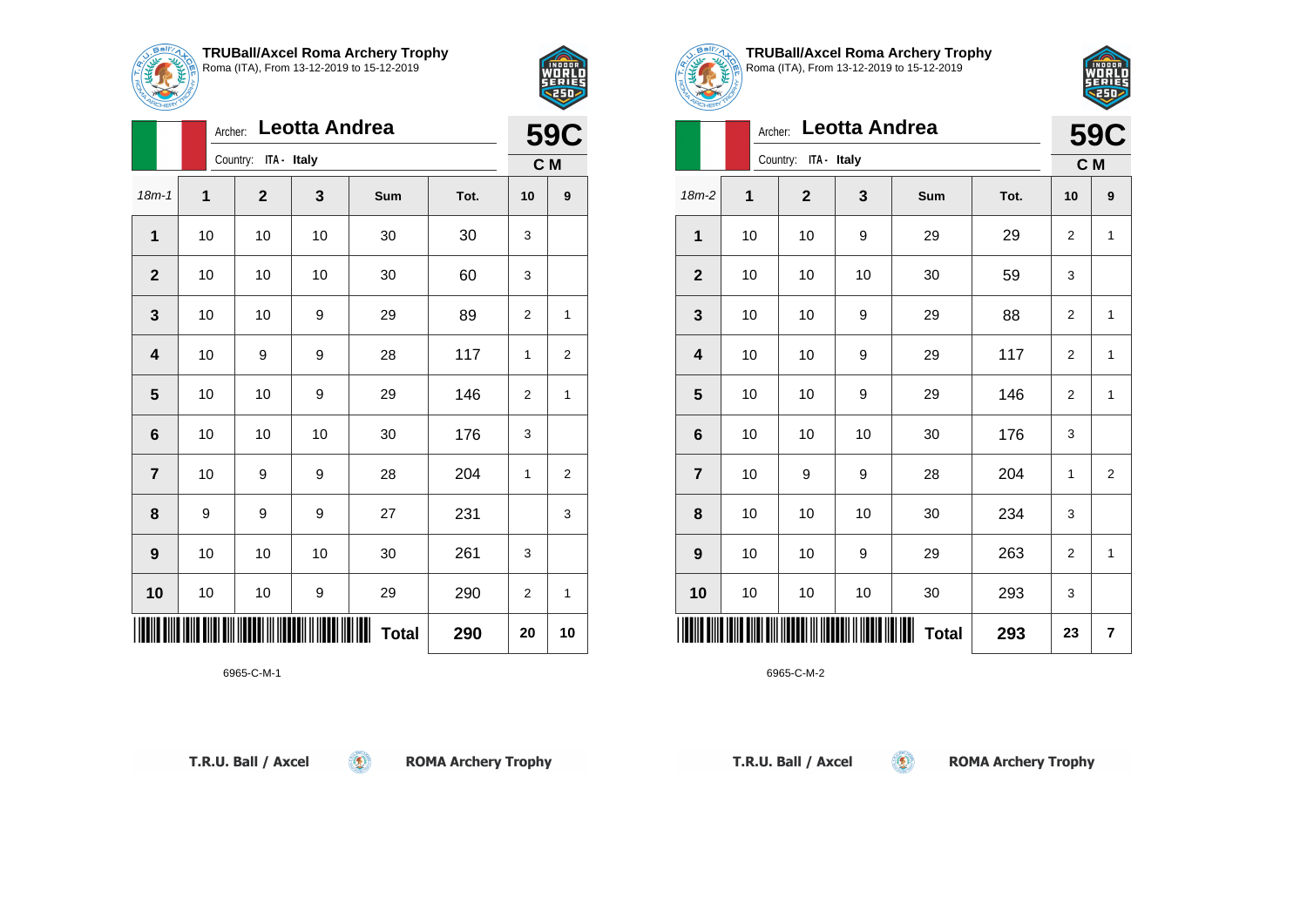

18m-1 **1 2 3 Sum Tot. 10 9**

**1** | 10 | 10 | 10 | 30 | 30 | 3

**2** | 10 | 10 | 10 | 30 | 60 | 3

**3** | 10 | 10 | 9 | 29 | 89 | 2 | 1

**4** | 10 | 9 | 9 | 28 | 117 | 1 | 2

**5** | 10 | 10 | 9 | 29 | 146 | 2 | 1

**7** | 10 | 9 | 9 | 28 | 204 | 1 | 2

**8** | 9 | 9 | 27 | 231 | | 3

**10** | 10 | 10 | 9 | 29 | 290 | 2 | 1

 $\circledast$ 

**6** | 10 | 10 | 30 | 176 | 3

**9** | 10 | 10 | 30 | 261 | 3

\*6965-C-M-1\*

Archer: **Leotta Andrea**

Country: **ITA - Italy**



**59C C M**

**TRUBall/Axcel Roma Archery Trophy** Roma (ITA), From 13-12-2019 to 15-12-2019



| ARCHER         |         |                      |               |              |      |     |                |
|----------------|---------|----------------------|---------------|--------------|------|-----|----------------|
|                | Archer: |                      | Leotta Andrea |              |      |     | <b>59C</b>     |
|                |         | Country: ITA - Italy |               |              |      | C M |                |
| $18m-2$        | 1       | $\mathbf{2}$         | 3             | Sum          | Tot. | 10  | 9              |
| 1              | 10      | 10                   | 9             | 29           | 29   | 2   | 1              |
| $\mathbf{2}$   | 10      | 10                   | 10            | 30           | 59   | 3   |                |
| 3              | 10      | 10                   | 9             | 29           | 88   | 2   | 1              |
| 4              | 10      | 10                   | 9             | 29           | 117  | 2   | 1              |
| 5              | 10      | 10                   | 9             | 29           | 146  | 2   | 1              |
| 6              | 10      | 10                   | 10            | 30           | 176  | 3   |                |
| $\overline{7}$ | 10      | 9                    | 9             | 28           | 204  | 1   | $\overline{2}$ |
| 8              | 10      | 10                   | 10            | 30           | 234  | 3   |                |
| 9              | 10      | 10                   | 9             | 29           | 263  | 2   | $\mathbf{1}$   |
| 10             | 10      | 10                   | 10            | 30           | 293  | 3   |                |
|                |         |                      |               | <b>Total</b> | 293  | 23  | 7              |

 $\circledcirc$ 

6965-C-M-2

T.R.U. Ball / Axcel

6965-C-M-1

**ROMA Archery Trophy** 

**Total 290 20 10**

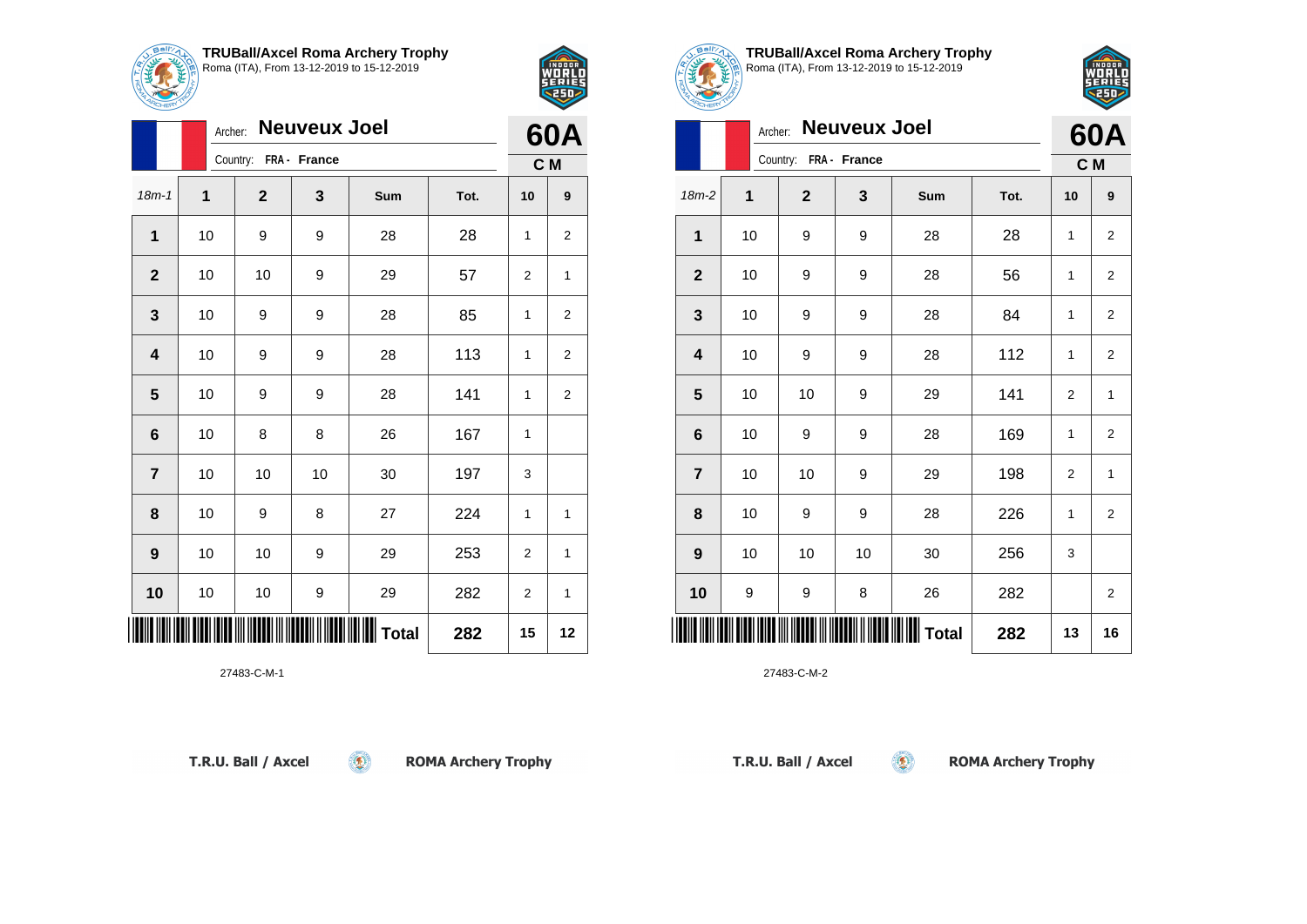

18m-1 **1 2 3 Sum Tot. 10 9**

**1** | 10 | 9 | 9 | 28 | 28 | 1 | 2

**2** | 10 | 10 | 9 | 29 | 57 | 2 | 1

**3** | 10 | 9 | 9 | 28 | 85 | 1 | 2

**4** | 10 | 9 | 9 | 28 | 113 | 1 | 2

**5** | 10 | 9 | 9 | 28 | 141 | 1 | 2

**8** | 10 | 9 | 8 | 27 | 224 | 1 | 1

**9** | 10 | 10 | 9 | 29 | 253 | 2 | 1

**10** | 10 | 10 | 9 | 29 | 282 | 2 | 1

**6** | 10 | 8 | 8 | 26 | 167 | 1

**7** | 10 | 10 | 10 | 30 | 197 | 3

Archer: **Neuveux Joel**

Country: **FRA - France**



**60A C M**

**TRUBall/Axcel Roma Archery Trophy** Roma (ITA), From 13-12-2019 to 15-12-2019

|                         | Archer:                  |              | <b>Neuveux Joel</b> |              |      |                | <b>60A</b>     |
|-------------------------|--------------------------|--------------|---------------------|--------------|------|----------------|----------------|
|                         | Country:<br>FRA - France |              |                     |              |      | C M            |                |
| $18m-2$                 | 1                        | $\mathbf{2}$ | 3                   | Sum          | Tot. | 10             | 9              |
| 1                       | 10                       | 9            | 9                   | 28           | 28   | 1              | $\overline{2}$ |
| $\overline{2}$          | 10                       | 9            | 9                   | 28           | 56   | 1              | $\overline{2}$ |
| 3                       | 10                       | 9            | 9                   | 28           | 84   | 1              | $\overline{2}$ |
| 4                       | 10                       | 9            | 9                   | 28           | 112  | 1              | $\mathbf 2$    |
| 5                       | 10                       | 10           | 9                   | 29           | 141  | 2              | 1              |
| 6                       | 10                       | 9            | 9                   | 28           | 169  | 1              | $\overline{2}$ |
| $\overline{\mathbf{r}}$ | 10                       | 10           | 9                   | 29           | 198  | $\overline{2}$ | 1              |
| 8                       | 10                       | 9            | 9                   | 28           | 226  | 1              | $\overline{2}$ |
| 9                       | 10                       | 10           | 10                  | 30           | 256  | 3              |                |
| 10                      | 9                        | 9            | 8                   | 26           | 282  |                | $\overline{2}$ |
|                         |                          |              |                     | <b>Total</b> | 282  | 13             | 16             |

 $\circledcirc$ 

27483-C-M-2

T.R.U. Ball / Axcel

\*27483-C-M-1\*

27483-C-M-1

**ROMA Archery Trophy** 

**Total 282 15 12**

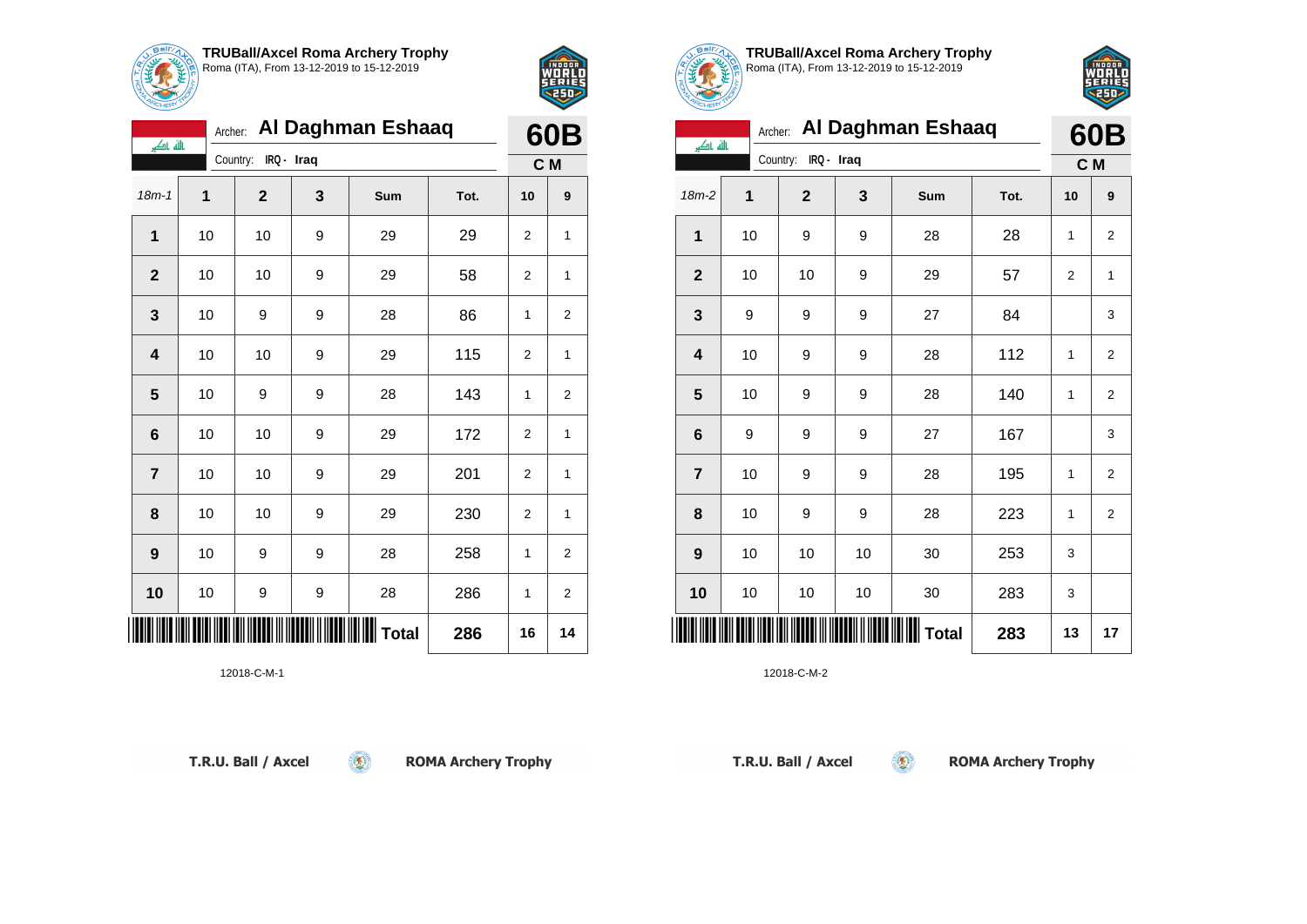

الله اکبر

**TRUBall/Axcel Roma Archery Trophy** Roma (ITA), From 13-12-2019 to 15-12-2019

Archer: **Al Daghman Eshaaq**

18m-1 **1 2 3 Sum Tot. 10 9**

**1** | 10 | 10 | 9 | 29 | 29 | 2 | 1

**2** | 10 | 10 | 9 | 29 | 58 | 2 | 1

**3** | 10 | 9 | 9 | 28 | 86 | 1 | 2

**4** | 10 | 10 | 9 | 29 | 115 | 2 | 1

**5** | 10 | 9 | 9 | 28 | 143 | 1 | 2

**6** | 10 | 10 | 9 | 29 | 172 | 2 | 1

**7** | 10 | 10 | 9 | 29 | 201 | 2 | 1

**8** | 10 | 10 | 9 | 29 | 230 | 2 | 1

**9** | 10 | 9 | 9 | 28 | 258 | 1 | 2

**10** | 10 | 9 | 9 | 28 | 286 | 1 | 2

Country: **IRQ - Iraq**



**60B C M**

| <b>TRUBall/Axcel Roma Archery Trophy</b>  |
|-------------------------------------------|
| Roma (ITA), From 13-12-2019 to 15-12-2019 |
|                                           |
|                                           |

| Archer: Al Daghman Eshaaq<br>الله اکبر |                     |             |    |                   |      | 60B            |                         |  |
|----------------------------------------|---------------------|-------------|----|-------------------|------|----------------|-------------------------|--|
|                                        | Country: IRQ - Iraq |             |    |                   |      |                | C M                     |  |
| 18m-2                                  | 1                   | $\mathbf 2$ | 3  | Sum               | Tot. | 10             | 9                       |  |
| 1                                      | 10                  | 9           | 9  | 28                | 28   | 1              | $\overline{\mathbf{c}}$ |  |
| $\mathbf{2}$                           | 10                  | 10          | 9  | 29                | 57   | $\overline{2}$ | 1                       |  |
| $\mathbf{3}$                           | 9                   | 9           | 9  | 27                | 84   |                | 3                       |  |
| 4                                      | 10                  | 9           | 9  | 28                | 112  | 1              | $\overline{2}$          |  |
| 5                                      | 10                  | 9           | 9  | 28                | 140  | 1              | $\overline{\mathbf{c}}$ |  |
| 6                                      | 9                   | 9           | 9  | 27                | 167  |                | 3                       |  |
| $\overline{7}$                         | 10                  | 9           | 9  | 28                | 195  | 1              | $\overline{c}$          |  |
| 8                                      | 10                  | 9           | 9  | 28                | 223  | 1              | $\overline{2}$          |  |
| $\boldsymbol{9}$                       | 10                  | 10          | 10 | 30                | 253  | 3              |                         |  |
| 10                                     | 10                  | 10          | 10 | 30                | 283  | 3              |                         |  |
|                                        |                     |             |    | $\parallel$ Total | 283  | 13             | 17                      |  |

 $\circledcirc$ 

12018-C-M-2

T.R.U. Ball / Axcel

\***12018-C-M-1\*12018-C-M-1\*12018-C-M-1\*1201**8-C-M-1\*12018-C-M-1\*12018-C-M-1\*12018-C-M-1\*

12018-C-M-1

**ROMA Archery Trophy** 

**Total 286 16 14**

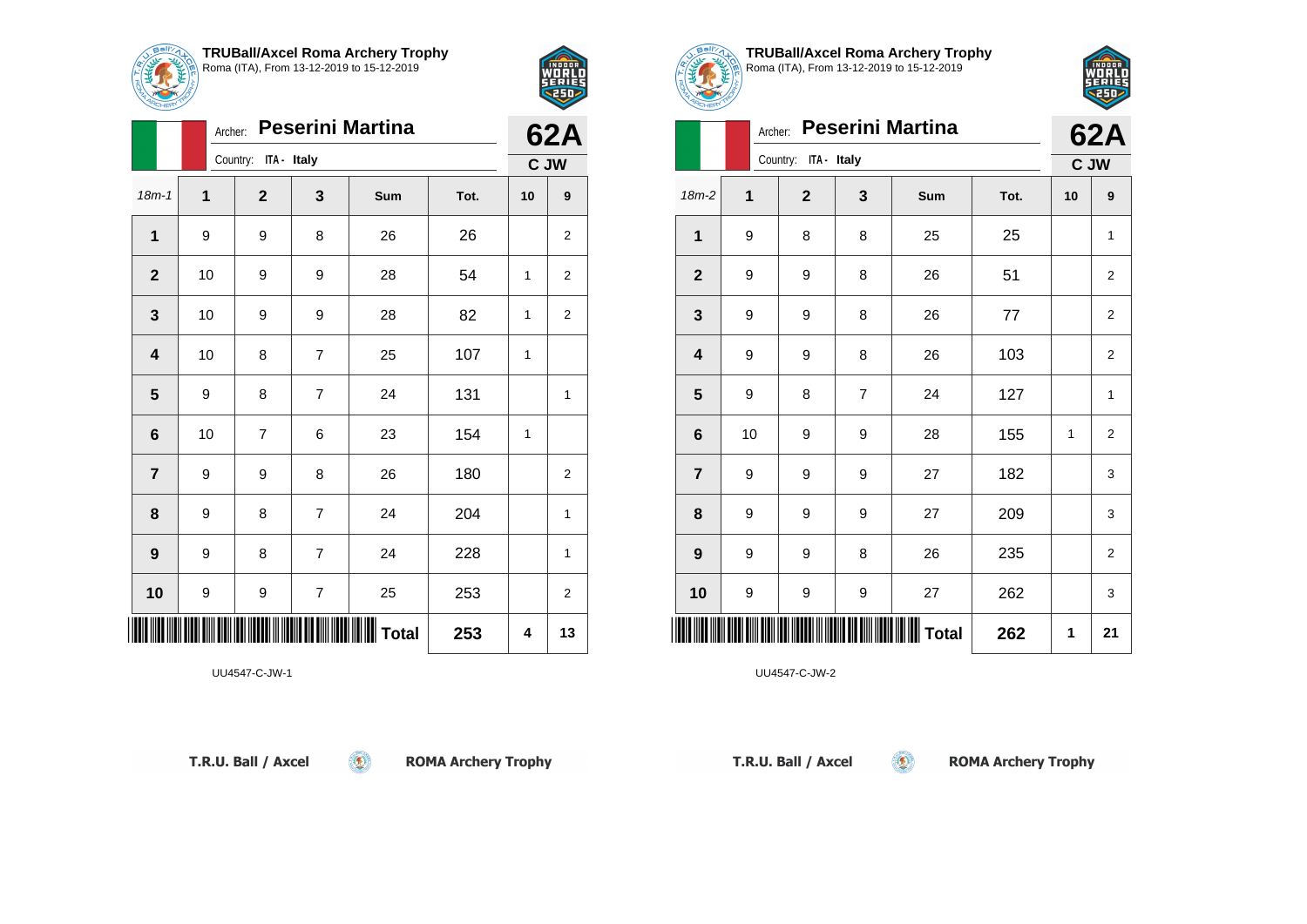

Archer: **Peserini Martina**

18m-1 **1 2 3 Sum Tot. 10 9**

**1** | 9 | 9 | 8 | 26 | 26 | 2

**2** | 10 | 9 | 9 | 28 | 54 | 1 | 2

**3** | 10 | 9 | 9 | 28 | 82 | 1 | 2

**5** | 9 | 8 | 7 | 24 | 131 | | 1

**7** | 9 | 9 | 8 | 26 | 180 | | 2

**8** | 9 | 8 | 7 | 24 | 204 | 1

**9** | 9 | 8 | 7 | 24 | 228 | | 1

**10** | 9 | 9 | 7 | 25 | 253 | | 2

 $\left( \begin{matrix} 0 \\ 1 \end{matrix} \right)$ 

**4** | 10 | 8 | 7 | 25 | 107 | 1

**6** | 10 | 7 | 6 | 23 | 154 | 1

Country: **ITA - Italy**



**62A C JW**

| — TRUBall/Axcel Roma Archery Trophy<br>ERI Roma (ITA), From 13-12-2019 to 15-12-2019 |
|--------------------------------------------------------------------------------------|



| PCHERY                             |    |              |                |              |      |              |                |  |
|------------------------------------|----|--------------|----------------|--------------|------|--------------|----------------|--|
| <b>Peserini Martina</b><br>Archer: |    |              |                |              |      |              | <b>62A</b>     |  |
| Country: ITA - Italy               |    |              |                |              |      | C JW         |                |  |
| $18m-2$                            | 1  | $\mathbf{2}$ | 3              | Sum          | Tot. | 10           | 9              |  |
| 1                                  | 9  | 8            | 8              | 25           | 25   |              | 1              |  |
| $\mathbf{2}$                       | 9  | 9            | 8              | 26           | 51   |              | $\overline{2}$ |  |
| 3                                  | 9  | 9            | 8              | 26           | 77   |              | $\overline{2}$ |  |
| 4                                  | 9  | 9            | 8              | 26           | 103  |              | $\overline{2}$ |  |
| 5                                  | 9  | 8            | $\overline{7}$ | 24           | 127  |              | $\mathbf{1}$   |  |
| $6\phantom{1}6$                    | 10 | 9            | 9              | 28           | 155  | $\mathbf{1}$ | $\overline{2}$ |  |
| $\overline{7}$                     | 9  | 9            | 9              | 27           | 182  |              | 3              |  |
| 8                                  | 9  | 9            | 9              | 27           | 209  |              | 3              |  |
| 9                                  | 9  | 9            | 8              | 26           | 235  |              | $\overline{2}$ |  |
| 10                                 | 9  | 9            | 9              | 27           | 262  |              | 3              |  |
|                                    |    |              |                | <b>Total</b> | 262  | 1            | 21             |  |

 $\circledcirc$ 

UU4547-C-JW-2

|  | T.R.U. Ball / Axcel |
|--|---------------------|
|  |                     |

\*UU4547-C-JW-1454-C-JW-1454-C-JW-1454-C-JW-1454-C-JW-1454-C-JW-1454-C-JW-1454-C-JW-1454-C-JW-1454-C-JW-1454-C-

UU4547-C-JW-1

**ROMA Archery Trophy** 

**Total 253 4 13**

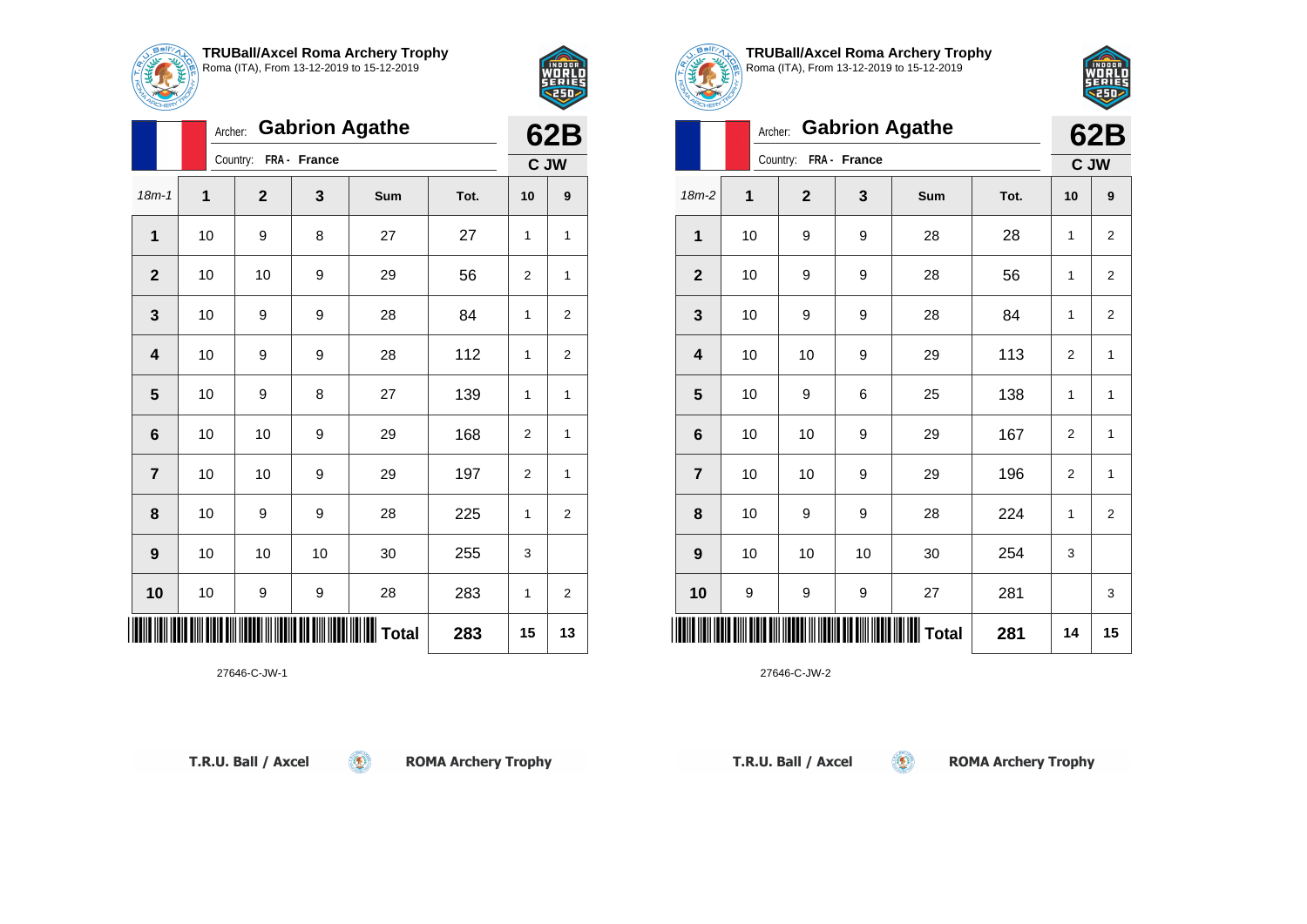

Archer: **Gabrion Agathe**

18m-1 **1 2 3 Sum Tot. 10 9**

**1** | 10 | 9 | 8 | 27 | 27 | 1 | 1

**2** | 10 | 10 | 9 | 29 | 56 | 2 | 1

**3** | 10 | 9 | 9 | 28 | 84 | 1 | 2

**4** | 10 | 9 | 9 | 28 | 112 | 1 | 2

**5** | 10 | 9 | 8 | 27 | 139 | 1 | 1

**6** | 10 | 10 | 9 | 29 | 168 | 2 | 1

**7** | 10 | 10 | 9 | 29 | 197 | 2 | 1

**8** | 10 | 9 | 9 | 28 | 225 | 1 | 2

**10** | 10 | 9 | 9 | 28 | 283 | 1 | 2

 $\circledcirc$ 

**9** | 10 | 10 | 30 | 255 | 3

Country: **FRA - France**



**62B C JW**

| <b>TRUBall/Axcel Roma Archery Trophy</b><br>Roma (ITA), From 13-12-2019 to 15-12-2019 |
|---------------------------------------------------------------------------------------|



| <b>UHEH!</b>                     |    |              |    |              |      |                |                |  |
|----------------------------------|----|--------------|----|--------------|------|----------------|----------------|--|
| <b>Gabrion Agathe</b><br>Archer: |    |              |    |              |      |                | 62B            |  |
| Country: FRA - France            |    |              |    |              |      |                | C JW           |  |
| $18m-2$                          | 1  | $\mathbf{2}$ | 3  | Sum          | Tot. | 10             | 9              |  |
| 1                                | 10 | 9            | 9  | 28           | 28   | $\mathbf{1}$   | $\overline{2}$ |  |
| $\mathbf{2}$                     | 10 | 9            | 9  | 28           | 56   | 1              | $\overline{2}$ |  |
| $\mathbf 3$                      | 10 | 9            | 9  | 28           | 84   | 1              | $\overline{2}$ |  |
| 4                                | 10 | 10           | 9  | 29           | 113  | $\overline{2}$ | $\mathbf{1}$   |  |
| 5                                | 10 | 9            | 6  | 25           | 138  | $\mathbf{1}$   | 1              |  |
| $6\phantom{1}6$                  | 10 | 10           | 9  | 29           | 167  | 2              | $\mathbf 1$    |  |
| $\overline{7}$                   | 10 | 10           | 9  | 29           | 196  | 2              | 1              |  |
| 8                                | 10 | 9            | 9  | 28           | 224  | $\mathbf{1}$   | $\overline{2}$ |  |
| $\boldsymbol{9}$                 | 10 | 10           | 10 | 30           | 254  | 3              |                |  |
| 10                               | 9  | 9            | 9  | 27           | 281  |                | 3              |  |
|                                  |    |              |    | <b>Total</b> | 281  | 14             | 15             |  |

 $\circledcirc$ 

27646-C-JW-2

T.R.U. Ball / Axcel

\*27646-C-JW-1\*

27646-C-JW-1

**ROMA Archery Trophy** 

**Total 283 15 13**

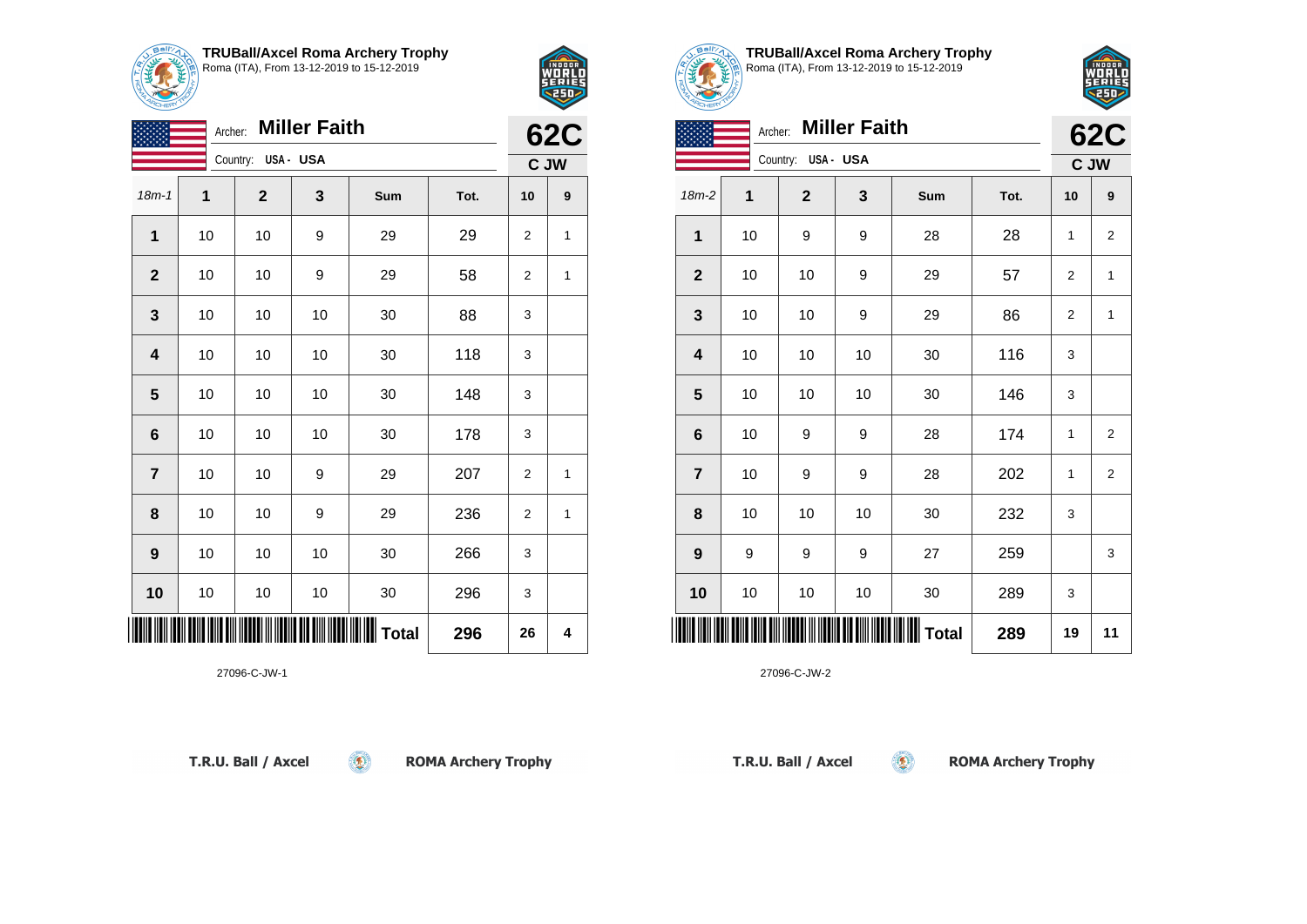

|--|

| <b>Miller Faith</b><br>Archer: |                    |             |    |     |      |                | <b>62C</b> |  |
|--------------------------------|--------------------|-------------|----|-----|------|----------------|------------|--|
|                                | Country: USA - USA |             |    |     |      |                | C JW       |  |
| $18m - 1$                      | 1                  | $\mathbf 2$ | 3  | Sum | Tot. | 10             | 9          |  |
| $\mathbf{1}$                   | 10                 | 10          | 9  | 29  | 29   | $\overline{2}$ | 1          |  |
| $\mathbf{2}$                   | 10                 | 10          | 9  | 29  | 58   | $\mathbf 2$    | 1          |  |
| 3                              | 10                 | 10          | 10 | 30  | 88   | 3              |            |  |
| 4                              | 10                 | 10          | 10 | 30  | 118  | 3              |            |  |
| 5                              | 10                 | 10          | 10 | 30  | 148  | 3              |            |  |
| 6                              | 10                 | 10          | 10 | 30  | 178  | 3              |            |  |
| $\overline{7}$                 | 10                 | 10          | 9  | 29  | 207  | $\mathbf 2$    | 1          |  |
| 8                              | 10                 | 10          | 9  | 29  | 236  | 2              | 1          |  |
| 9                              | 10                 | 10          | 10 | 30  | 266  | 3              |            |  |
| 10                             | 10                 | 10          | 10 | 30  | 296  | 3              |            |  |
| $\parallel$ Total<br>296       |                    |             |    |     |      |                | 4          |  |

 $\left( 9\right)$ 

27096-C-JW-1



250

| سيستع          |         |                    |                     |              |      |      |                |
|----------------|---------|--------------------|---------------------|--------------|------|------|----------------|
|                | Archer: |                    | <b>Miller Faith</b> |              |      |      | <b>62C</b>     |
|                |         | Country: USA - USA |                     |              |      | C JW |                |
| $18m-2$        | 1       | $\mathbf{2}$       | 3                   | Sum          | Tot. | 10   | 9              |
| 1              | 10      | 9                  | 9                   | 28           | 28   | 1    | $\overline{2}$ |
| $\mathbf{2}$   | 10      | 10                 | 9                   | 29           | 57   | 2    | 1              |
| $\mathbf 3$    | 10      | 10                 | 9                   | 29           | 86   | 2    | 1              |
| 4              | 10      | 10                 | 10                  | 30           | 116  | 3    |                |
| 5              | 10      | 10                 | 10                  | 30           | 146  | 3    |                |
| $\bf 6$        | 10      | 9                  | 9                   | 28           | 174  | 1    | $\overline{2}$ |
| $\overline{7}$ | 10      | 9                  | 9                   | 28           | 202  | 1    | $\overline{2}$ |
| 8              | 10      | 10                 | 10                  | 30           | 232  | 3    |                |
| 9              | 9       | 9                  | 9                   | 27           | 259  |      | 3              |
| 10             | $10\,$  | 10                 | 10                  | 30           | 289  | 3    |                |
|                |         |                    |                     | <b>Total</b> | 289  | 19   | 11             |

 $\left( 5\right)$ 

27096-C-JW-2

T.R.U. Ball / Axcel

**ROMA Archery Trophy**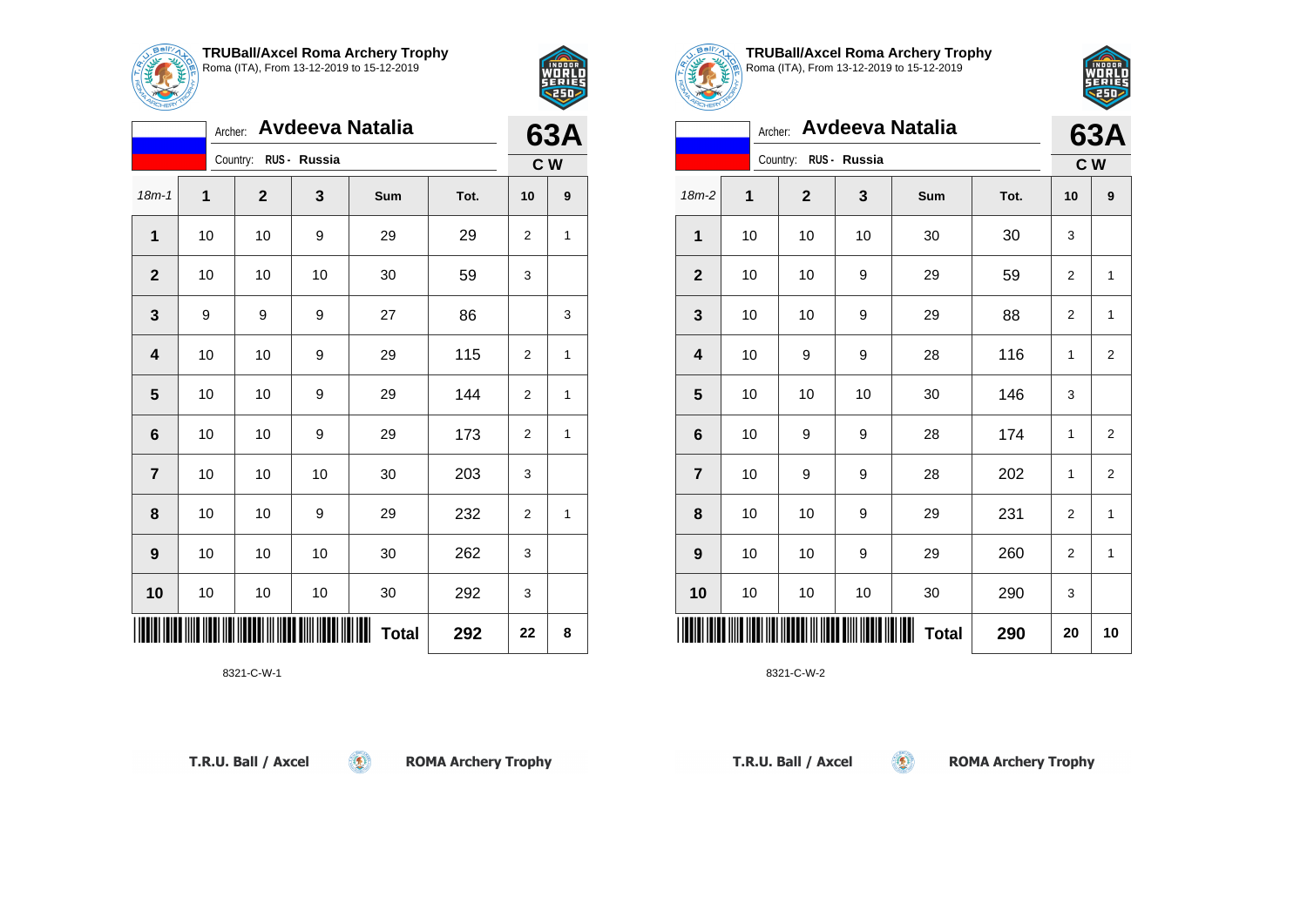

Archer: **Avdeeva Natalia**

18m-1 **1 2 3 Sum Tot. 10 9**

**1** | 10 | 10 | 9 | 29 | 29 | 2 | 1

**3** | 9 | 9 | 9 | 27 | 86 | | 3

**4** | 10 | 10 | 9 | 29 | 115 | 2 | 1

**5** | 10 | 10 | 9 | 29 | 144 | 2 | 1

**6** | 10 | 10 | 9 | 29 | 173 | 2 | 1

**8** | 10 | 10 | 9 | 29 | 232 | 2 | 1

**7** | 10 | 10 | 10 | 30 | 203 | 3

**9** | 10 | 10 | 10 | 30 | 262 | 3

**10** | 10 | 10 | 30 | 292 | 3

\*8321-C-W-1\*

**2** | 10 | 10 | 10 | 30 | 59 | 3

Country: **RUS - Russia**



**63A C W**

| <b>TRUBall/Axcel Roma Archery Trophy</b>  |
|-------------------------------------------|
| Roma (ITA), From 13-12-2019 to 15-12-2019 |
|                                           |



| <b>Avdeeva Natalia</b><br>Archer: |                       |             |    |     |      |                | 63A            |  |
|-----------------------------------|-----------------------|-------------|----|-----|------|----------------|----------------|--|
|                                   | Country: RUS - Russia |             |    |     |      |                |                |  |
| $18m-2$                           | 1                     | $\mathbf 2$ | 3  | Sum | Tot. | 10             | 9              |  |
| 1                                 | 10                    | 10          | 10 | 30  | 30   | 3              |                |  |
| $\mathbf{2}$                      | 10                    | 10          | 9  | 29  | 59   | 2              | $\mathbf{1}$   |  |
| 3                                 | 10                    | 10          | 9  | 29  | 88   | $\overline{2}$ | 1              |  |
| 4                                 | 10                    | 9           | 9  | 28  | 116  | 1              | $\overline{2}$ |  |
| 5                                 | 10                    | 10          | 10 | 30  | 146  | 3              |                |  |
| 6                                 | 10                    | 9           | 9  | 28  | 174  | 1              | $\overline{2}$ |  |
| $\overline{7}$                    | 10                    | 9           | 9  | 28  | 202  | 1              | $\overline{2}$ |  |
| 8                                 | 10                    | 10          | 9  | 29  | 231  | $\overline{2}$ | 1              |  |
| 9                                 | 10                    | 10          | 9  | 29  | 260  | 2              | 1              |  |
| 10                                | 10                    | 10          | 10 | 30  | 290  | 3              |                |  |
| <b>Total</b><br>290               |                       |             |    |     |      |                | 10             |  |

 $\circledcirc$ 

8321-C-W-2

T.R.U. Ball / Axcel

8321-C-W-1

**ROMA Archery Trophy** 

 $Total \ 292 \ 22 \ 8$ 

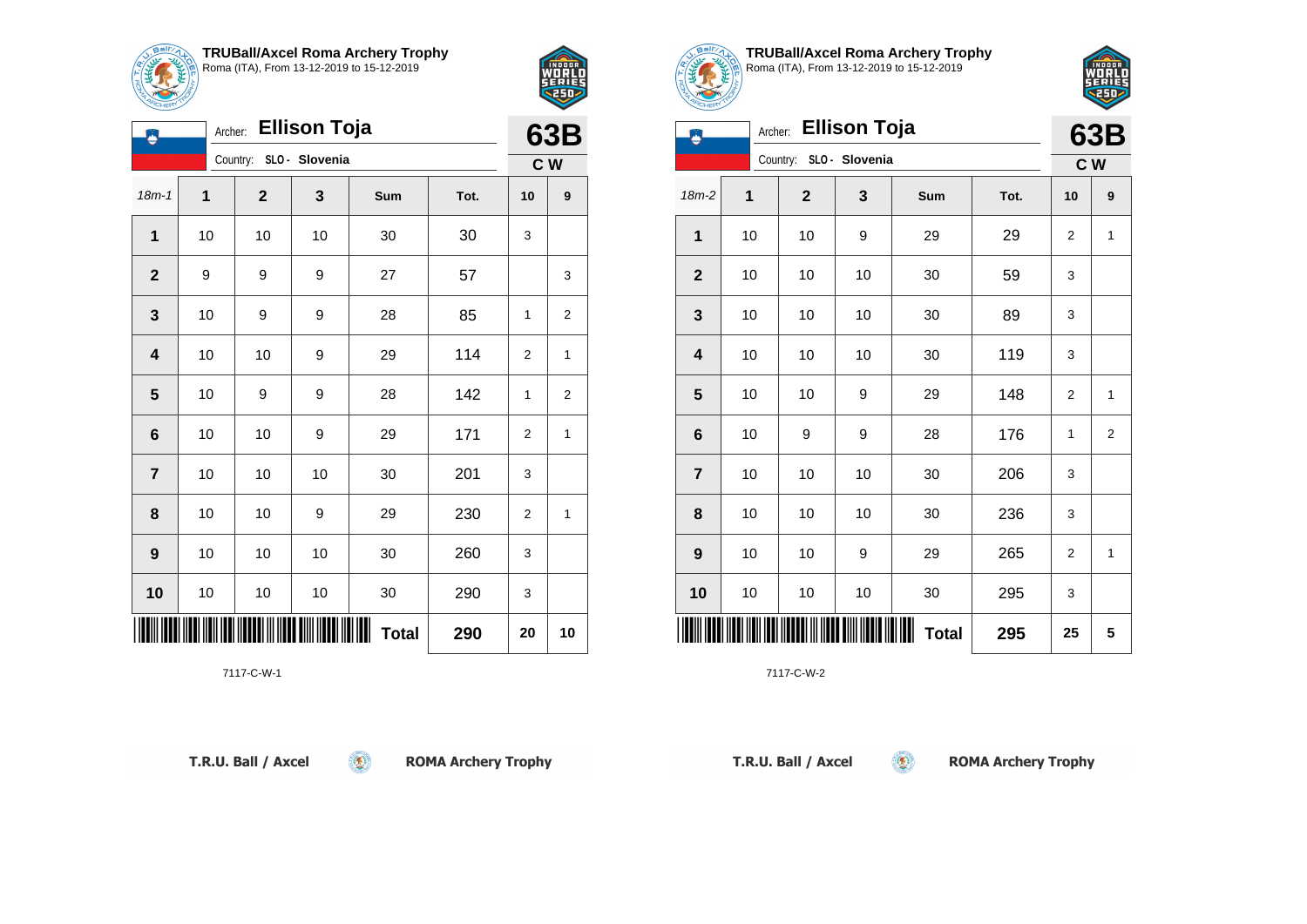

٥

**TRUBall/Axcel Roma Archery Trophy** Roma (ITA), From 13-12-2019 to 15-12-2019

18m-1 **1 2 3 Sum Tot. 10 9**

**2** | 9 | 9 | 9 | 27 | 57 | | 3

**3** | 10 | 9 | 9 | 28 | 85 | 1 | 2

**4** | 10 | 10 | 9 | 29 | 114 | 2 | 1

**5** | 10 | 9 | 9 | 28 | 142 | 1 | 2

**6** | 10 | 10 | 9 | 29 | 171 | 2 | 1

**8** | 10 | 10 | 9 | 29 | 230 | 2 | 1

**7** | 10 | 10 | 10 | 30 | 201 | 3

**9** | 10 | 10 | 30 | 260 | 3

**10** | 10 | 10 | 30 | 290 | 3

\*7117-C-W-1\*

**1** | 10 | 10 | 10 | 30 | 30 | 3

Archer: **Ellison Toja**

Country: **SLO - Slovenia**



**63B C W**

| <b>TRUBall/Axcel Roma Archery Trophy</b>  |
|-------------------------------------------|
| Roma (ITA), From 13-12-2019 to 15-12-2019 |



| Archer: Ellison Toja |                         |    |              |    |              |      | 63B |                |  |
|----------------------|-------------------------|----|--------------|----|--------------|------|-----|----------------|--|
|                      | Country: SLO - Slovenia |    |              |    |              |      |     | c <sub>w</sub> |  |
| 18m-2                |                         | 1  | $\mathbf{2}$ | 3  | Sum          | Tot. | 10  | 9              |  |
| 1                    |                         | 10 | 10           | 9  | 29           | 29   | 2   | 1              |  |
| $\mathbf{2}$         |                         | 10 | 10           | 10 | 30           | 59   | 3   |                |  |
| 3                    |                         | 10 | 10           | 10 | 30           | 89   | 3   |                |  |
| 4                    |                         | 10 | 10           | 10 | 30           | 119  | 3   |                |  |
| 5                    |                         | 10 | 10           | 9  | 29           | 148  | 2   | 1              |  |
| $6\phantom{1}6$      |                         | 10 | 9            | 9  | 28           | 176  | 1   | $\overline{2}$ |  |
| $\overline{7}$       |                         | 10 | 10           | 10 | 30           | 206  | 3   |                |  |
| 8                    |                         | 10 | 10           | 10 | 30           | 236  | 3   |                |  |
| $\boldsymbol{9}$     |                         | 10 | 10           | 9  | 29           | 265  | 2   | 1              |  |
| 10                   |                         | 10 | 10           | 10 | 30           | 295  | 3   |                |  |
|                      |                         |    |              |    | <b>Total</b> | 295  | 25  | 5              |  |

 $\circledcirc$ 

7117-C-W-2

| T.R.U. Ball / Axcel |  |
|---------------------|--|
|                     |  |

7117-C-W-1

**ROMA Archery Trophy** 

**Total 290 20 10**

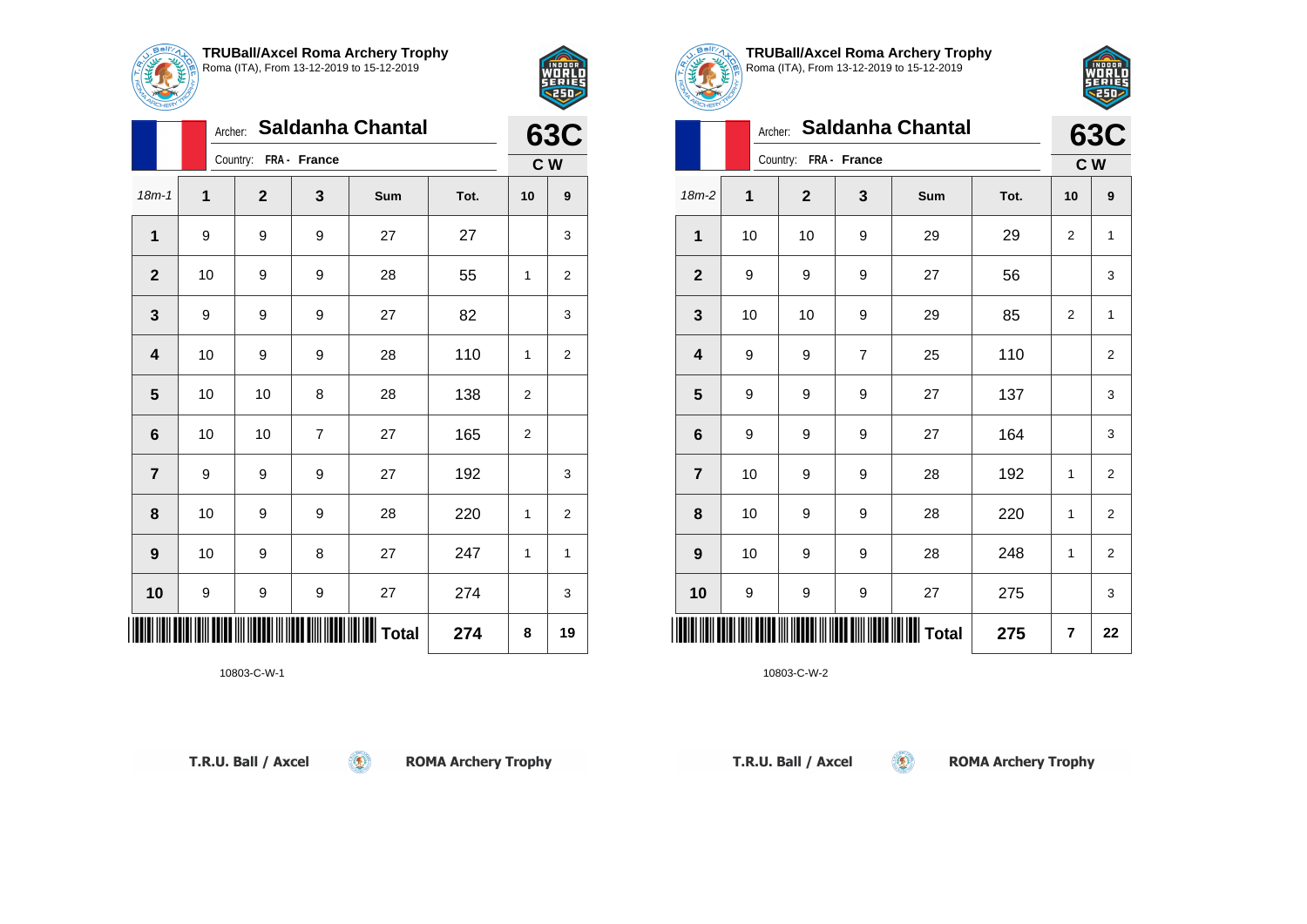



|                         |    | Archer: Saldanha Chantal |                |                |      |                   |                  |  |  |
|-------------------------|----|--------------------------|----------------|----------------|------|-------------------|------------------|--|--|
|                         |    | Country: FRA - France    |                |                |      | <b>63C</b><br>C W |                  |  |  |
| $18m - 1$               | 1  | $\overline{2}$           | 3              | Sum            | Tot. | 10                | $\boldsymbol{9}$ |  |  |
| $\mathbf{1}$            | 9  | 9                        | 9              | 27             | 27   |                   | 3                |  |  |
| $\mathbf{2}$            | 10 | 9                        | 9              | 28             | 55   | 1                 | $\overline{c}$   |  |  |
| 3                       | 9  | 9                        | 9              | 27             | 82   |                   | 3                |  |  |
| $\overline{\mathbf{4}}$ | 10 | 9                        | 9              | 28             | 110  | 1                 | $\overline{2}$   |  |  |
| 5                       | 10 | 10                       | 8              | 28             | 138  | $\overline{2}$    |                  |  |  |
| 6                       | 10 | 10                       | $\overline{7}$ | 27             | 165  | 2                 |                  |  |  |
| $\overline{\mathbf{7}}$ | 9  | 9                        | 9              | 27             | 192  |                   | 3                |  |  |
| 8                       | 10 | 9                        | 9              | 28             | 220  | 1                 | $\overline{2}$   |  |  |
| 9                       | 10 | 9                        | 8              | 27             | 247  | 1                 | $\mathbf{1}$     |  |  |
| 10                      | 9  | 9                        | 9              | 27             | 274  |                   | 3                |  |  |
|                         |    |                          |                | <b>I</b> Total | 274  | 8                 | 19               |  |  |

 $\circledcirc$ 

10803-C-W-1



|                         |    | <b>Saldanha Chantal</b><br>Archer: |                  |              |      |    |                         |  |  |
|-------------------------|----|------------------------------------|------------------|--------------|------|----|-------------------------|--|--|
|                         |    | Country:                           | FRA - France     |              |      |    | <b>63C</b><br>C W       |  |  |
| 18m-2                   | 1  | $\mathbf 2$                        | 3                | Sum          | Tot. | 10 | 9                       |  |  |
| $\mathbf{1}$            | 10 | 10                                 | 9                | 29           | 29   | 2  | 1                       |  |  |
| $\mathbf{2}$            | 9  | 9                                  | 9                | 27           | 56   |    | 3                       |  |  |
| 3                       | 10 | 10                                 | 9                | 29           | 85   | 2  | $\mathbf{1}$            |  |  |
| 4                       | 9  | 9                                  | $\overline{7}$   | 25           | 110  |    | $\overline{\mathbf{c}}$ |  |  |
| 5                       | 9  | 9                                  | 9                | 27           | 137  |    | 3                       |  |  |
| 6                       | 9  | 9                                  | 9                | 27           | 164  |    | 3                       |  |  |
| $\overline{\mathbf{7}}$ | 10 | 9                                  | 9                | 28           | 192  | 1  | $\overline{2}$          |  |  |
| 8                       | 10 | 9                                  | $\boldsymbol{9}$ | 28           | 220  | 1  | $\overline{2}$          |  |  |
| 9                       | 10 | 9                                  | $\boldsymbol{9}$ | 28           | 248  | 1  | $\overline{\mathbf{c}}$ |  |  |
| 10                      | 9  | 9                                  | 9                | 27           | 275  |    | 3                       |  |  |
|                         |    |                                    |                  | <b>Total</b> | 275  | 7  | 22                      |  |  |

 $\left( 5\right)$ 

10803-C-W-2

T.R.U. Ball / Axcel

**ROMA Archery Trophy** 

T.R.U. Ball / Axcel

**ROMA Archery Trophy**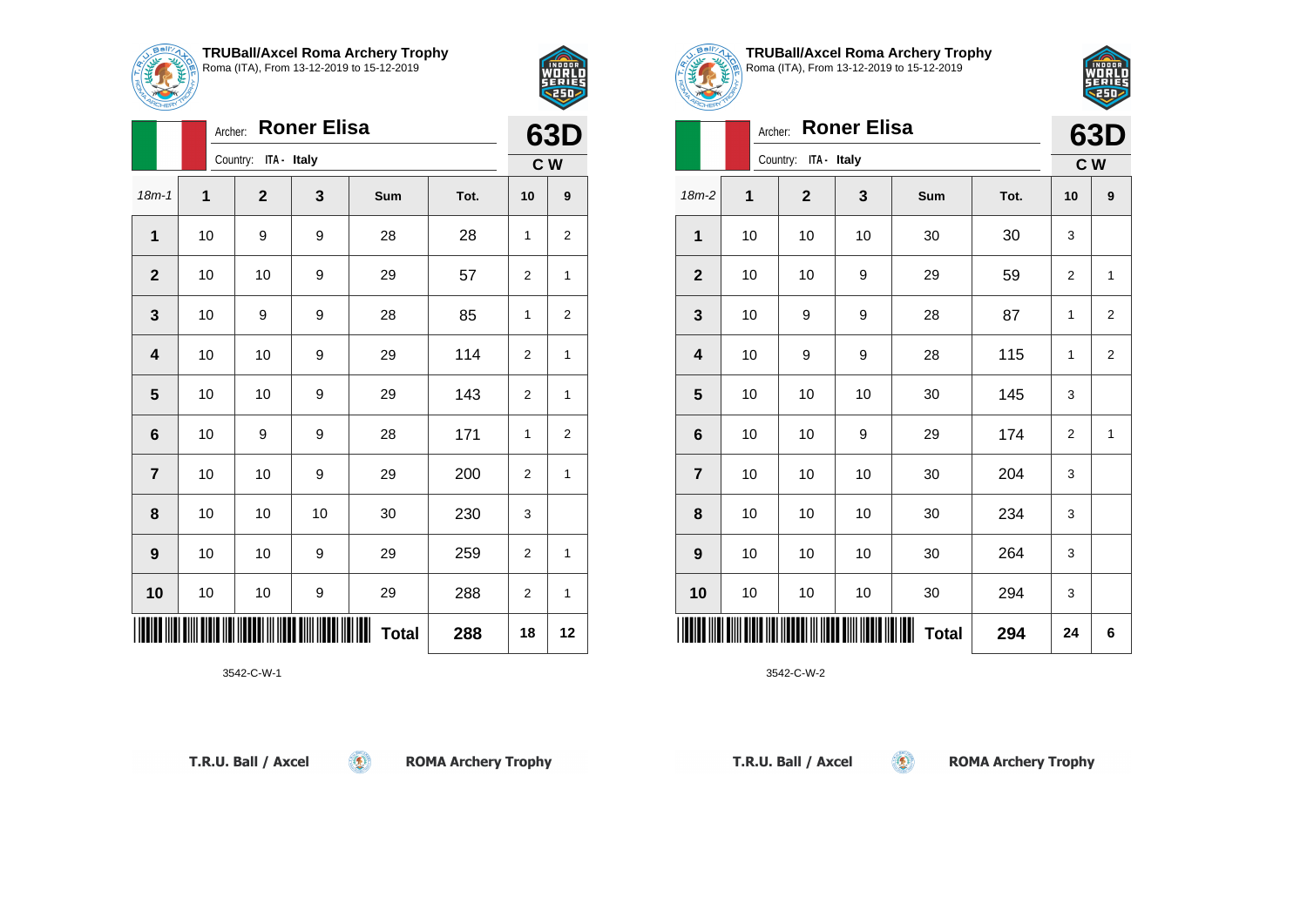

18m-1 **1 2 3 Sum Tot. 10 9**

**1** | 10 | 9 | 9 | 28 | 28 | 1 | 2

**2** | 10 | 10 | 9 | 29 | 57 | 2 | 1

**3** | 10 | 9 | 9 | 28 | 85 | 1 | 2

**4** | 10 | 10 | 9 | 29 | 114 | 2 | 1

**5** | 10 | 10 | 9 | 29 | 143 | 2 | 1

**6** | 10 | 9 | 9 | 28 | 171 | 1 | 2

**7** | 10 | 10 | 9 | 29 | 200 | 2 | 1

**9** | 10 | 10 | 9 | 29 | 259 | 2 | 1

**10** | 10 | 10 | 9 | 29 | 288 | 2 | 1

 $\circledast$ 

**8** | 10 | 10 | 10 | 30 | 230 | 3

\*3542-C-W-1\*

Archer: **Roner Elisa**

Country: **ITA - Italy**



**63D C W**

**TRUBall/Axcel Roma Archery Trophy** Roma (ITA), From 13-12-2019 to 15-12-2019



|                         | Archer:      |                         | <b>Roner Elisa</b> |              |      | 63D |                |
|-------------------------|--------------|-------------------------|--------------------|--------------|------|-----|----------------|
|                         |              | ITA - Italy<br>Country: |                    |              |      | C W |                |
| $18m-2$                 | $\mathbf{1}$ | $\mathbf{2}$            | 3                  | Sum          | Tot. | 10  | 9              |
| 1                       | 10           | 10                      | 10                 | 30           | 30   | 3   |                |
| $\mathbf{2}$            | 10           | 10                      | 9                  | 29           | 59   | 2   | $\mathbf{1}$   |
| $\mathbf{3}$            | 10           | 9                       | 9                  | 28           | 87   | 1   | $\overline{2}$ |
| $\overline{\mathbf{4}}$ | 10           | 9                       | 9                  | 28           | 115  | 1   | 2              |
| $5\phantom{1}$          | 10           | 10                      | 10                 | 30           | 145  | 3   |                |
| 6                       | 10           | 10                      | 9                  | 29           | 174  | 2   | $\mathbf{1}$   |
| $\overline{7}$          | 10           | 10                      | 10                 | 30           | 204  | 3   |                |
| 8                       | 10           | 10                      | 10                 | 30           | 234  | 3   |                |
| $\boldsymbol{9}$        | 10           | 10                      | 10                 | 30           | 264  | 3   |                |
| 10                      | 10           | 10                      | 10                 | 30           | 294  | 3   |                |
|                         |              |                         |                    | <b>Total</b> | 294  | 24  | 6              |

 $\circledcirc$ 

3542-C-W-2

T.R.U. Ball / Axcel

3542-C-W-1

**ROMA Archery Trophy** 

**Total 288 18 12**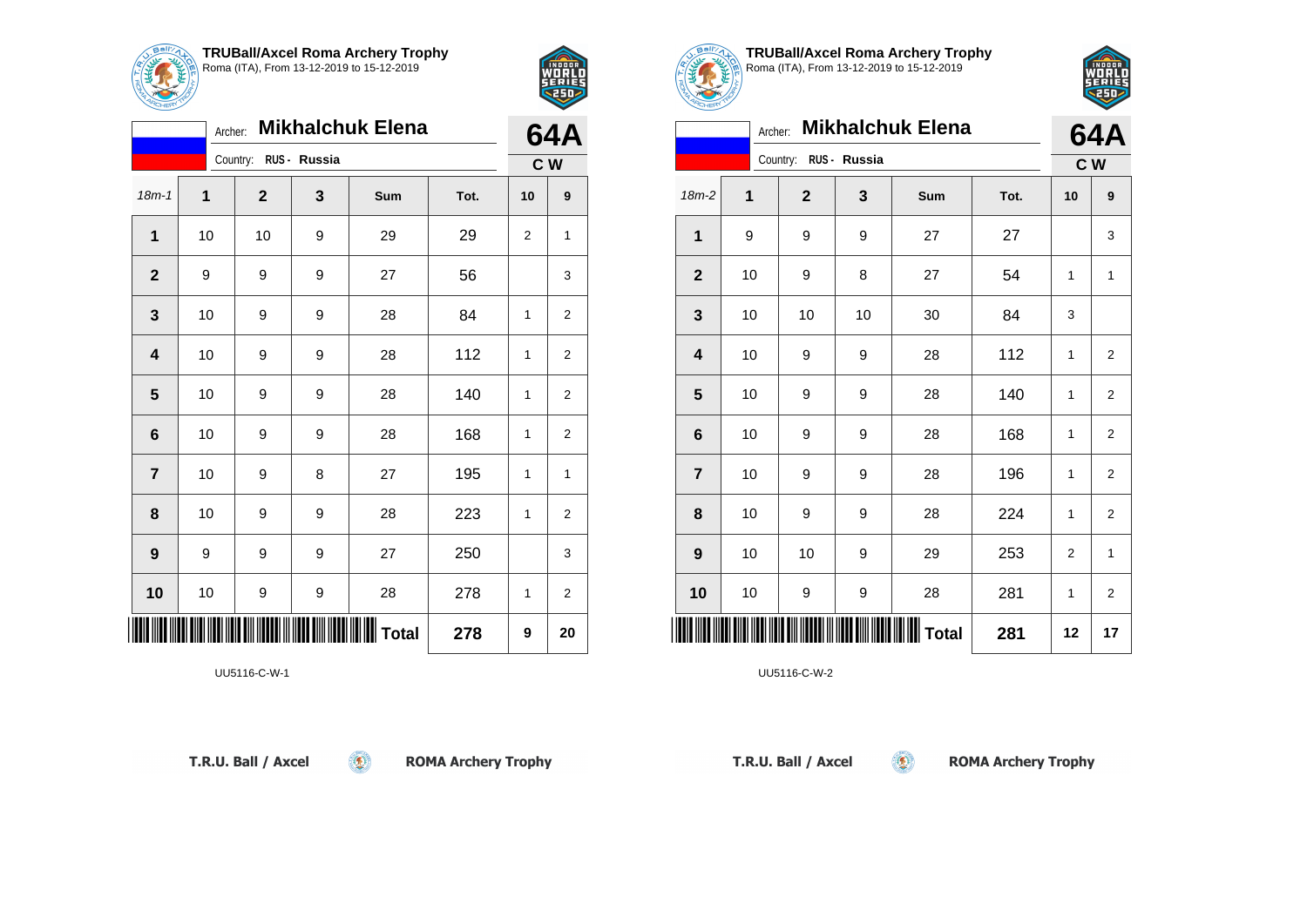



|                         | <b>Mikhalchuk Elena</b><br>Archer: |                |              |                                           |      |                   |                |  |  |  |
|-------------------------|------------------------------------|----------------|--------------|-------------------------------------------|------|-------------------|----------------|--|--|--|
|                         |                                    | Country:       | RUS - Russia |                                           |      | <b>64A</b><br>C W |                |  |  |  |
| $18m - 1$               | 1                                  | $\overline{2}$ | 3            | Sum                                       | Tot. | 10                | 9              |  |  |  |
| $\overline{1}$          | 10                                 | 10             | 9            | 29                                        | 29   | 2                 | 1              |  |  |  |
| $\overline{2}$          | 9                                  | 9              | 9            | 27                                        | 56   |                   | 3              |  |  |  |
| $\mathbf{3}$            | 10                                 | 9              | 9            | 28                                        | 84   | 1                 | $\overline{2}$ |  |  |  |
| $\overline{\mathbf{4}}$ | 10                                 | 9              | 9            | 28                                        | 112  | 1                 | 2              |  |  |  |
| 5                       | 10                                 | 9              | 9            | 28                                        | 140  | 1                 | $\overline{2}$ |  |  |  |
| $6\phantom{1}6$         | 10                                 | 9              | 9            | 28                                        | 168  | 1                 | $\overline{2}$ |  |  |  |
| $\overline{7}$          | 10                                 | 9              | 8            | 27                                        | 195  | 1                 | 1              |  |  |  |
| 8                       | 10                                 | 9              | 9            | 28                                        | 223  | 1                 | $\overline{2}$ |  |  |  |
| 9                       | 9                                  | 9              | 9            | 27                                        | 250  |                   | 3              |  |  |  |
| 10                      | 10                                 | 9              | 9            | 28                                        | 278  | 1                 | $\overline{2}$ |  |  |  |
|                         |                                    |                |              | <b>                          </b>   Total | 278  | 9                 | 20             |  |  |  |

 $\circledcirc$ 

UU5116-C-W-1





|                  |      | <b>Mikhalchuk Elena</b><br>Archer: |    |              |      |                | 64A                     |
|------------------|------|------------------------------------|----|--------------|------|----------------|-------------------------|
|                  |      | Country: RUS - Russia              |    |              |      | C <sub>W</sub> |                         |
| $18m-2$          | 1    | $\mathbf{2}$                       | 3  | Sum          | Tot. | 10             | 9                       |
| 1                | 9    | 9                                  | 9  | 27           | 27   |                | 3                       |
| $\mathbf{2}$     | 10   | 9                                  | 8  | 27           | 54   | 1              | $\mathbf{1}$            |
| 3                | $10$ | 10                                 | 10 | 30           | 84   | 3              |                         |
| 4                | 10   | 9                                  | 9  | 28           | 112  | 1              | $\overline{2}$          |
| 5                | 10   | 9                                  | 9  | 28           | 140  | 1              | 2                       |
| 6                | 10   | 9                                  | 9  | 28           | 168  | 1              | $\overline{\mathbf{c}}$ |
| $\overline{7}$   | 10   | 9                                  | 9  | 28           | 196  | 1              | $\overline{2}$          |
| 8                | 10   | 9                                  | 9  | 28           | 224  | 1              | 2                       |
| $\boldsymbol{9}$ | 10   | 10                                 | 9  | 29           | 253  | $\overline{2}$ | $\mathbf{1}$            |
| 10               | 10   | 9                                  | 9  | 28           | 281  | 1              | 2                       |
| Ⅲ                |      |                                    |    | <b>Total</b> | 281  | 12             | 17                      |

 $\left( 5\right)$ 

UU5116-C-W-2

T.R.U. Ball / Axcel

**ROMA Archery Trophy**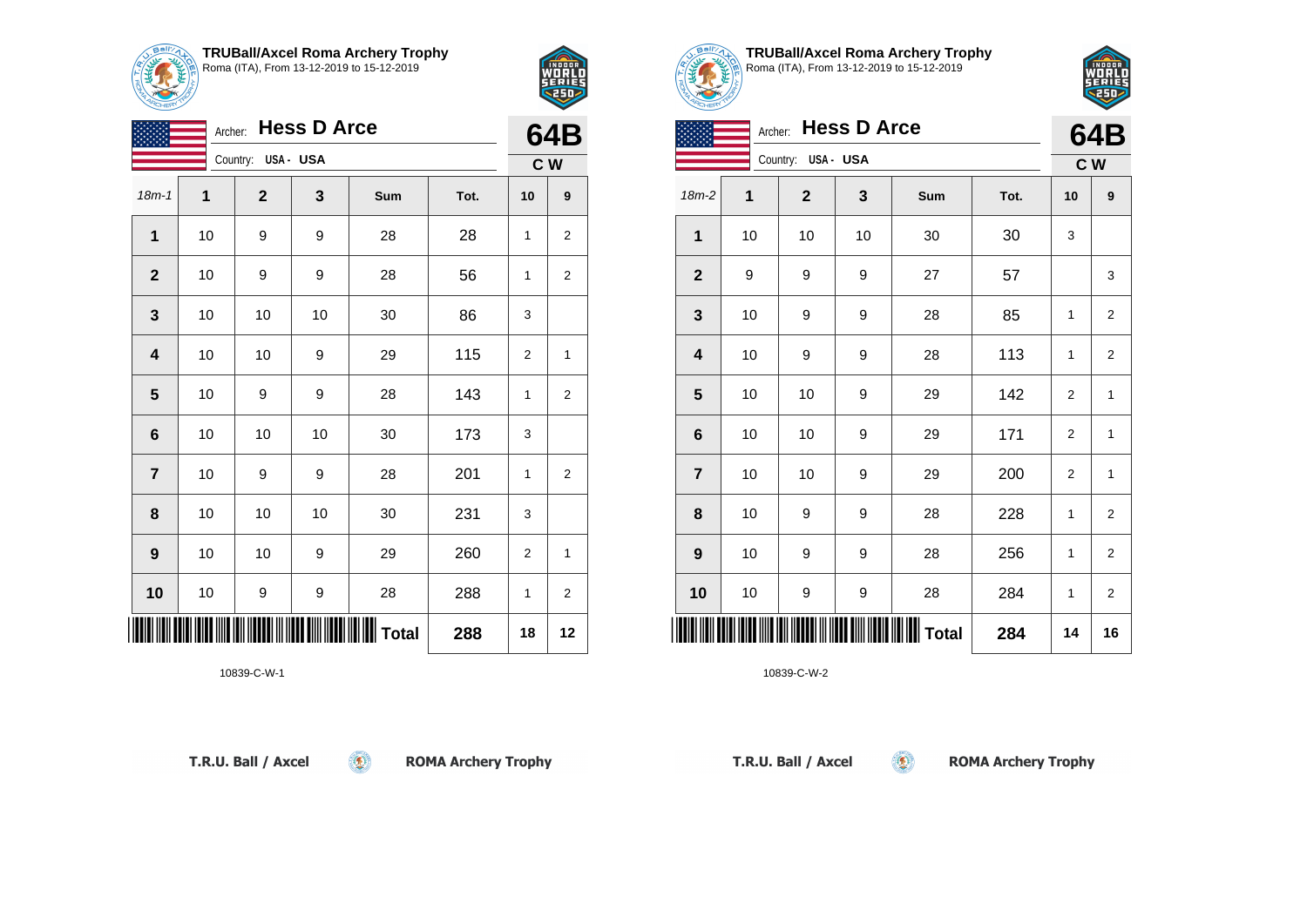

18m-1 **1 2 3 Sum Tot. 10 9**

**1** | 10 | 9 | 9 | 28 | 28 | 1 | 2

**2** | 10 | 9 | 9 | 28 | 56 | 1 | 2

**4** | 10 | 10 | 9 | 29 | 115 | 2 | 1

**5** | 10 | 9 | 9 | 28 | 143 | 1 | 2

**7** | 10 | 9 | 9 | 28 | 201 | 1 | 2

**9** | 10 | 10 | 9 | 29 | 260 | 2 | 1

**10** | 10 | 9 | 9 | 28 | 288 | 1 | 2

 $\circledast$ 

**3** | 10 | 10 | 10 | 30 | 86 | 3

**6** | 10 | 10 | 30 | 173 | 3

**8** | 10 | 10 | 10 | 30 | 231 | 3

Archer: **Hess D Arce**

Country: **USA - USA**



**64B C W**

**TRUBall/Axcel Roma Archery Trophy** Roma (ITA), From 13-12-2019 to 15-12-2019

|                         | Archer: |                    | <b>Hess D Arce</b> |                    |      |                | 64B            |  |
|-------------------------|---------|--------------------|--------------------|--------------------|------|----------------|----------------|--|
|                         |         | Country: USA - USA |                    |                    |      |                | C W            |  |
| $18m-2$                 | 1       | $\overline{2}$     | 3                  | Sum                | Tot. | 10             | 9              |  |
| 1                       | 10      | 10                 | 10                 | 30                 | 30   | 3              |                |  |
| $\mathbf{2}$            | 9       | 9                  | 9                  | 27                 | 57   |                | 3              |  |
| 3                       | 10      | 9                  | 9                  | 28                 | 85   | 1              | $\overline{2}$ |  |
| $\overline{\mathbf{4}}$ | 10      | 9                  | 9                  | 28                 | 113  | 1              | 2              |  |
| 5                       | 10      | 10                 | 9                  | 29                 | 142  | $\overline{2}$ | 1              |  |
| $6\phantom{1}6$         | 10      | 10                 | 9                  | 29                 | 171  | $\overline{2}$ | $\mathbf{1}$   |  |
| $\overline{7}$          | 10      | 10                 | 9                  | 29                 | 200  | $\overline{2}$ | 1              |  |
| 8                       | 10      | 9                  | 9                  | 28                 | 228  | 1              | $\overline{2}$ |  |
| $\boldsymbol{9}$        | 10      | 9                  | 9                  | 28                 | 256  | 1              | $\overline{2}$ |  |
| 10                      | 10      | 9                  | 9                  | 28                 | 284  | 1              | $\overline{2}$ |  |
|                         |         |                    |                    | IIIIIIIIIIII Total | 284  | 14             | 16             |  |

 $\circledcirc$ 

10839-C-W-2

T.R.U. Ball / Axcel

\*1**0839-C-W-1\*108-C-W-1\*10**8-C-W-1\*108-C-W-1\*108-C-W-1\*108-C-W-1\*108-C-W-1\*108-C-W-1\*108-C-W-1\*108-C-W-1\*108-C-W

10839-C-W-1

**ROMA Archery Trophy** 

**Total 288 18 12**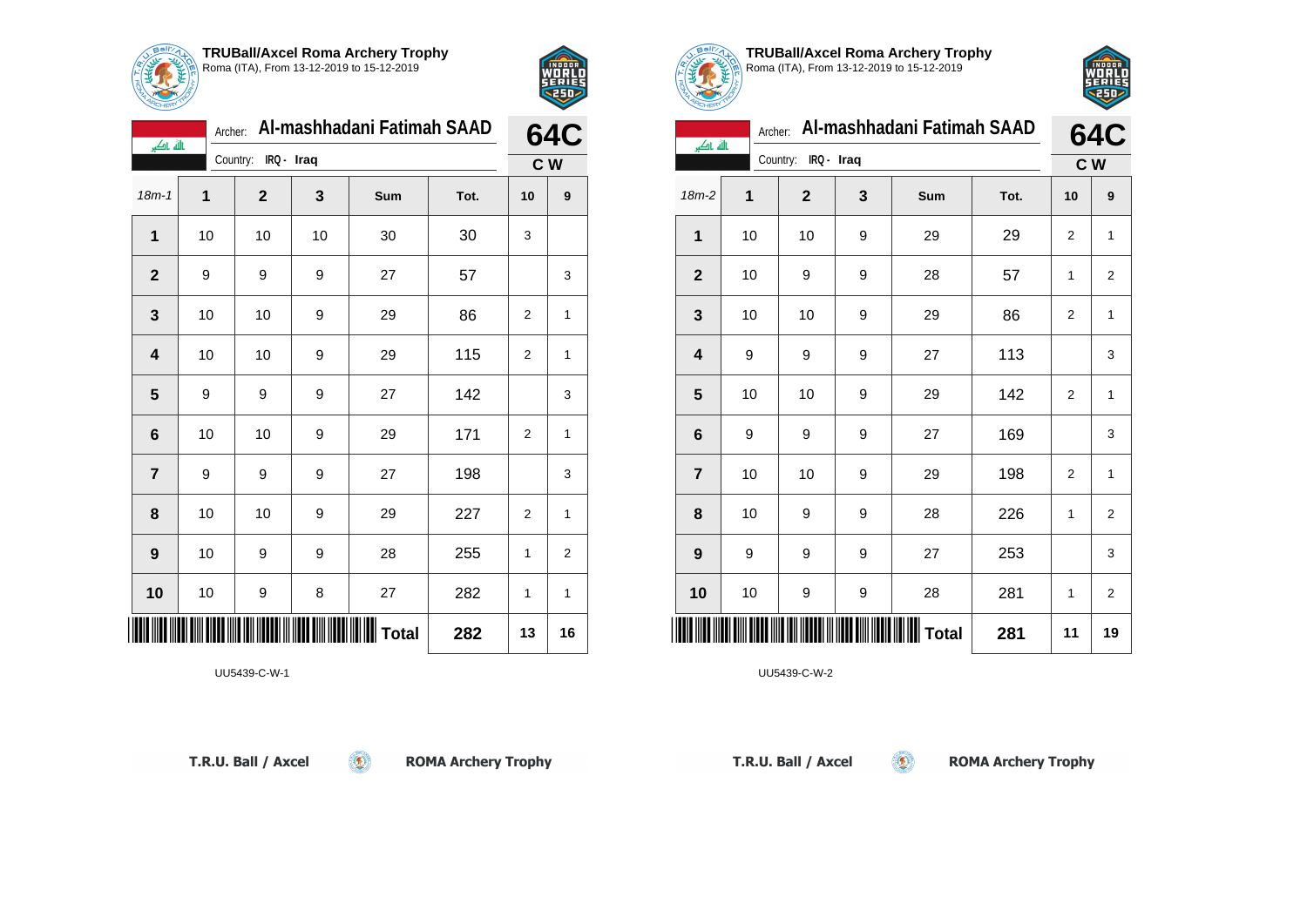

الله اکبر

**TRUBall/Axcel Roma Archery Trophy** Roma (ITA), From 13-12-2019 to 15-12-2019

Country: **IRQ - Iraq**

Archer: **Al-mashhadani Fatimah SAAD**

18m-1 **1 2 3 Sum Tot. 10 9**

**2** | 9 | 9 | 9 | 27 | 57 | | 3

**3** | 10 | 10 | 9 | 29 | 86 | 2 | 1

**4** | 10 | 10 | 9 | 29 | 115 | 2 | 1

**5** | 9 | 9 | 9 | 27 | 142 | | 3

**6** | 10 | 10 | 9 | 29 | 171 | 2 | 1

**7** | 9 | 9 | 9 | 27 | 198 | | 3

**8** | 10 | 10 | 9 | 29 | 227 | 2 | 1

**9** | 10 | 9 | 9 | 28 | 255 | 1 | 2

**10** | 10 | 9 | 8 | 27 | 282 | 1 | 1

**1** | 10 | 10 | 10 | 30 | 30 | 3



**64C C W**

**TRUBall/Axcel Roma Archery Trophy** Roma (ITA), From 13-12-2019 to 15-12-2019

F Sr

|                | Al-mashhadani Fatimah SAAD<br>Archer:<br>الله اکبر |                        |   |       |      |                |                              |
|----------------|----------------------------------------------------|------------------------|---|-------|------|----------------|------------------------------|
|                |                                                    | Country:<br>IRQ - Iraq |   |       |      |                | <b>64C</b><br>C <sub>W</sub> |
| $18m-2$        | 1                                                  | $\mathbf{2}$           | 3 | Sum   | Tot. | 10             | 9                            |
| 1              | 10                                                 | 10                     | 9 | 29    | 29   | $\overline{2}$ | 1                            |
| $\overline{2}$ | 10                                                 | 9                      | 9 | 28    | 57   | 1              | $\overline{2}$               |
| 3              | 10                                                 | 10                     | 9 | 29    | 86   | $\overline{2}$ | 1                            |
| 4              | 9                                                  | 9                      | 9 | 27    | 113  |                | 3                            |
| 5              | 10                                                 | 10                     | 9 | 29    | 142  | $\overline{2}$ | 1                            |
| 6              | 9                                                  | 9                      | 9 | 27    | 169  |                | 3                            |
| $\overline{7}$ | 10                                                 | 10                     | 9 | 29    | 198  | $\overline{2}$ | 1                            |
| 8              | 10                                                 | 9                      | 9 | 28    | 226  | 1              | $\overline{2}$               |
| 9              | 9                                                  | 9                      | 9 | 27    | 253  |                | 3                            |
| 10             | 10                                                 | 9                      | 9 | 28    | 281  | 1              | $\overline{2}$               |
|                |                                                    |                        |   | Total | 281  | 11             | 19                           |

 $\circledcirc$ 

UU5439-C-W-2

|  |  | T.R.U. Ball / Axcel |
|--|--|---------------------|
|  |  |                     |

\*UU5439-C-W-1\*UU5439-C-W-1\*UU5439-C-W-1\*UU5439-C-W-1\*UU5439-C-W-1\*UU5439-C-W-1\*UU5439-C-W-1\*UU5439-C-W-1\*UU543

UU5439-C-W-1

**ROMA Archery Trophy** 

**Total 282 13 16**

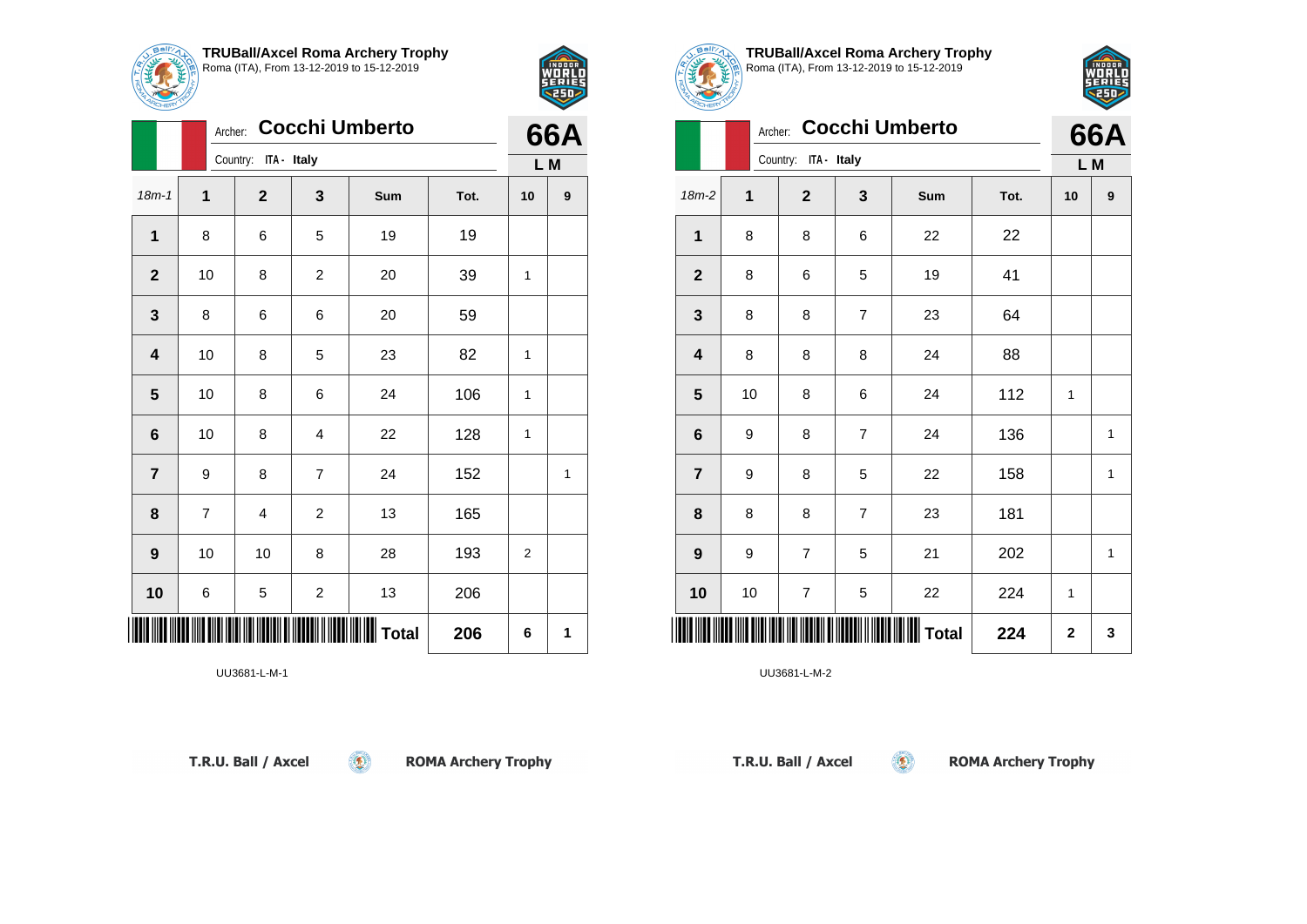



|                  |              | <b>Cocchi Umberto</b><br>Archer: |                |                   |      |                |                  |  |  |
|------------------|--------------|----------------------------------|----------------|-------------------|------|----------------|------------------|--|--|
|                  |              | Country: ITA - Italy             |                |                   |      |                | L M              |  |  |
| $18m - 1$        | $\mathbf{1}$ | $\mathbf{2}$                     | 3              | Sum               | Tot. | 10             | $\boldsymbol{9}$ |  |  |
| $\mathbf{1}$     | 8            | 6                                | 5              | 19                | 19   |                |                  |  |  |
| $\mathbf{2}$     | 10           | 8                                | $\overline{c}$ | 20                | 39   | $\mathbf{1}$   |                  |  |  |
| $\mathbf 3$      | 8            | 6                                | 6              | 20                | 59   |                |                  |  |  |
| 4                | 10           | 8                                | 5              | 23                | 82   | 1              |                  |  |  |
| $5\phantom{1}$   | 10           | 8                                | 6              | 24                | 106  | 1              |                  |  |  |
| $6\phantom{1}$   | 10           | 8                                | $\overline{4}$ | 22                | 128  | 1              |                  |  |  |
| $\overline{7}$   | 9            | 8                                | $\overline{7}$ | 24                | 152  |                | 1                |  |  |
| 8                | 7            | 4                                | 2              | 13                | 165  |                |                  |  |  |
| $\boldsymbol{9}$ | 10           | 10                               | 8              | 28                | 193  | $\overline{2}$ |                  |  |  |
| 10               | 6            | 5                                | $\overline{c}$ | 13                | 206  |                |                  |  |  |
|                  |              |                                  |                | $\parallel$ Total | 206  | 6              | 1                |  |  |

 $\circledcirc$ 

UU3681-L-M-1

F 5 n

|                |    | <b>Cocchi Umberto</b><br>Archer: |                |              |      |                |     |  |  |
|----------------|----|----------------------------------|----------------|--------------|------|----------------|-----|--|--|
|                |    | Country: ITA - Italy             |                |              |      |                | L M |  |  |
| $18m-2$        | 1  | $\mathbf 2$                      | 3              | Sum          | Tot. | 10             | 9   |  |  |
| 1              | 8  | 8                                | 6              | 22           | 22   |                |     |  |  |
| $\mathbf{2}$   | 8  | 6                                | 5              | 19           | 41   |                |     |  |  |
| 3              | 8  | 8                                | $\overline{7}$ | 23           | 64   |                |     |  |  |
| 4              | 8  | 8                                | 8              | 24           | 88   |                |     |  |  |
| 5              | 10 | 8                                | 6              | 24           | 112  | 1              |     |  |  |
| 6              | 9  | 8                                | $\overline{7}$ | 24           | 136  |                | 1   |  |  |
| $\overline{7}$ | 9  | 8                                | 5              | 22           | 158  |                | 1   |  |  |
| 8              | 8  | 8                                | $\overline{7}$ | 23           | 181  |                |     |  |  |
| 9              | 9  | 7                                | 5              | 21           | 202  |                | 1   |  |  |
| 10             | 10 | 7                                | 5              | 22           | 224  | 1              |     |  |  |
|                |    |                                  |                | <b>Total</b> | 224  | $\overline{2}$ | 3   |  |  |

 $\left( 5\right)$ 

**TRUBall/Axcel Roma Archery Trophy** Roma (ITA), From 13-12-2019 to 15-12-2019

UU3681-L-M-2

T.R.U. Ball / Axcel

**ROMA Archery Trophy** 

T.R.U. Ball / Axcel

**ROMA Archery Trophy**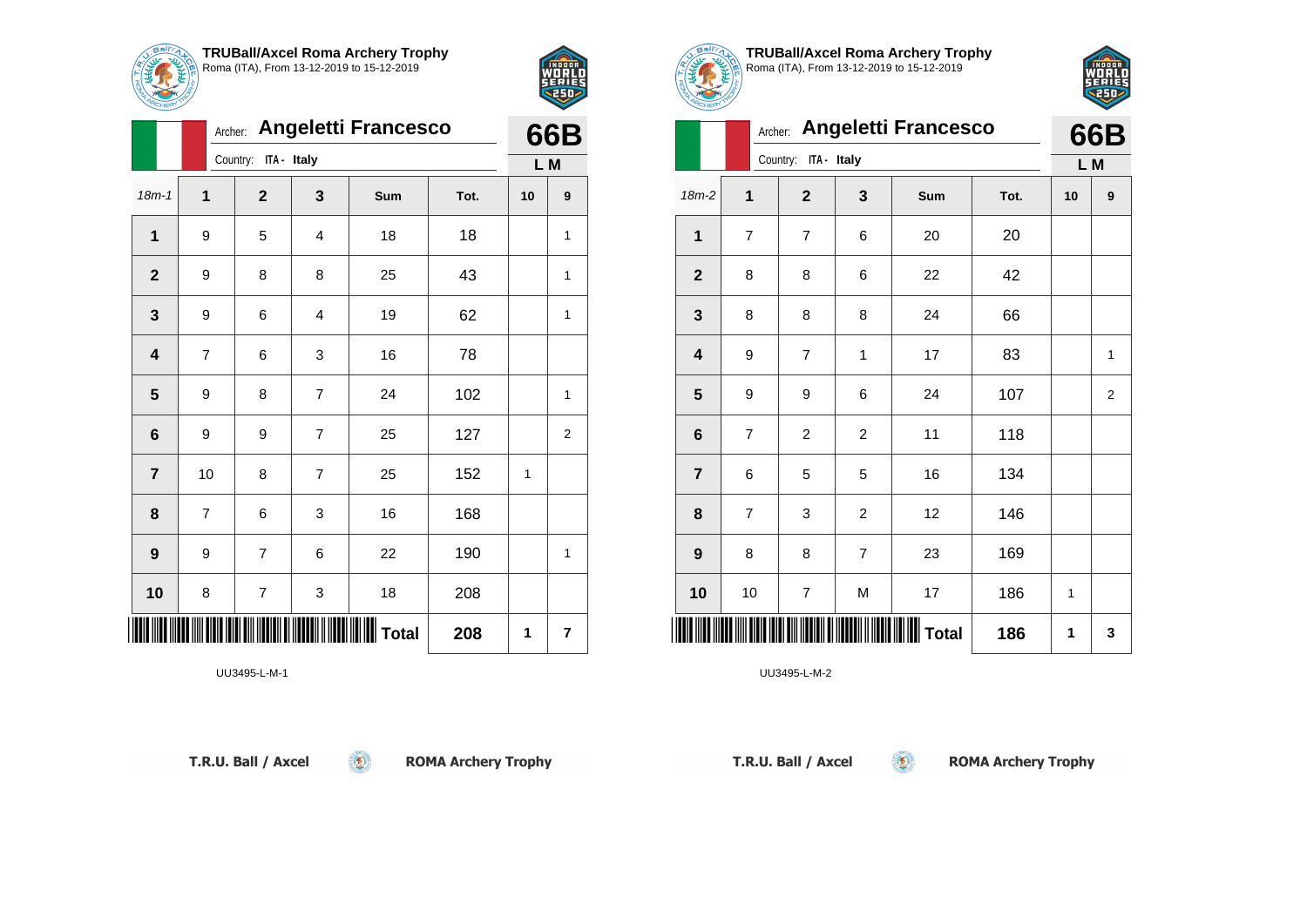

Archer: **Angeletti Francesco**

18m-1 **1 2 3 Sum Tot. 10 9**

**1** | 9 | 5 | 4 | 18 | 18 | 1

**2** | 9 | 8 | 8 | 25 | 43 | | 1

**3** | 9 | 6 | 4 | 19 | 62 | | 1

**5** | 9 | 8 | 7 | 24 | 102 | |1

**6** | 9 | 9 | 7 | 25 | 127 | | 2

**9** | 9 | 7 | 6 | 22 | 190 | | 1

 $\circledcirc$ 

**7** | 10 | 8 | 7 | 25 | 152 | 1

**8** | 7 | 6 | 3 | 16 | 168

**10** 8 7 3 18 208

**4** | 7 | 6 | 3 | 16 | 78

Country: **ITA - Italy**



**66B L M**

| TRUBall/Axcel Roma Archery Trophy<br>Roma (ITA), From 13-12-2019 to 15-12-2019 |
|--------------------------------------------------------------------------------|



| <b>TCHERY</b>   |                |                      |                |                             |      |     |                |
|-----------------|----------------|----------------------|----------------|-----------------------------|------|-----|----------------|
|                 |                |                      |                | Archer: Angeletti Francesco |      |     | 66B            |
|                 |                | Country: ITA - Italy |                |                             |      | L M |                |
| $18m-2$         | 1              | $\overline{2}$       | 3              | <b>Sum</b>                  | Tot. | 10  | 9              |
| 1               | $\overline{7}$ | $\overline{7}$       | 6              | 20                          | 20   |     |                |
| $\overline{2}$  | 8              | 8                    | 6              | 22                          | 42   |     |                |
| $\mathbf 3$     | 8              | 8                    | 8              | 24                          | 66   |     |                |
| 4               | 9              | $\overline{7}$       | 1              | 17                          | 83   |     | 1              |
| 5               | 9              | 9                    | 6              | 24                          | 107  |     | $\overline{2}$ |
| $6\phantom{1}6$ | $\overline{7}$ | $\overline{c}$       | $\overline{c}$ | 11                          | 118  |     |                |
| $\overline{7}$  | 6              | 5                    | 5              | 16                          | 134  |     |                |
| 8               | $\overline{7}$ | 3                    | $\overline{c}$ | 12                          | 146  |     |                |
| 9               | 8              | 8                    | 7              | 23                          | 169  |     |                |
| 10              | 10             | 7                    | M              | 17                          | 186  | 1   |                |
|                 |                |                      |                | <b>Total</b>                | 186  | 1   | 3              |

 $\circledcirc$ 

UU3495-L-M-2

|  | T.R.U. Ball / Axcel |
|--|---------------------|
|  |                     |

\*UU3 400 AASTAD AH DAD AH DAD AH DADAHA AH DADAHA AH DAD

UU3495-L-M-1

**ROMA Archery Trophy** 

**Total 208 1 7**

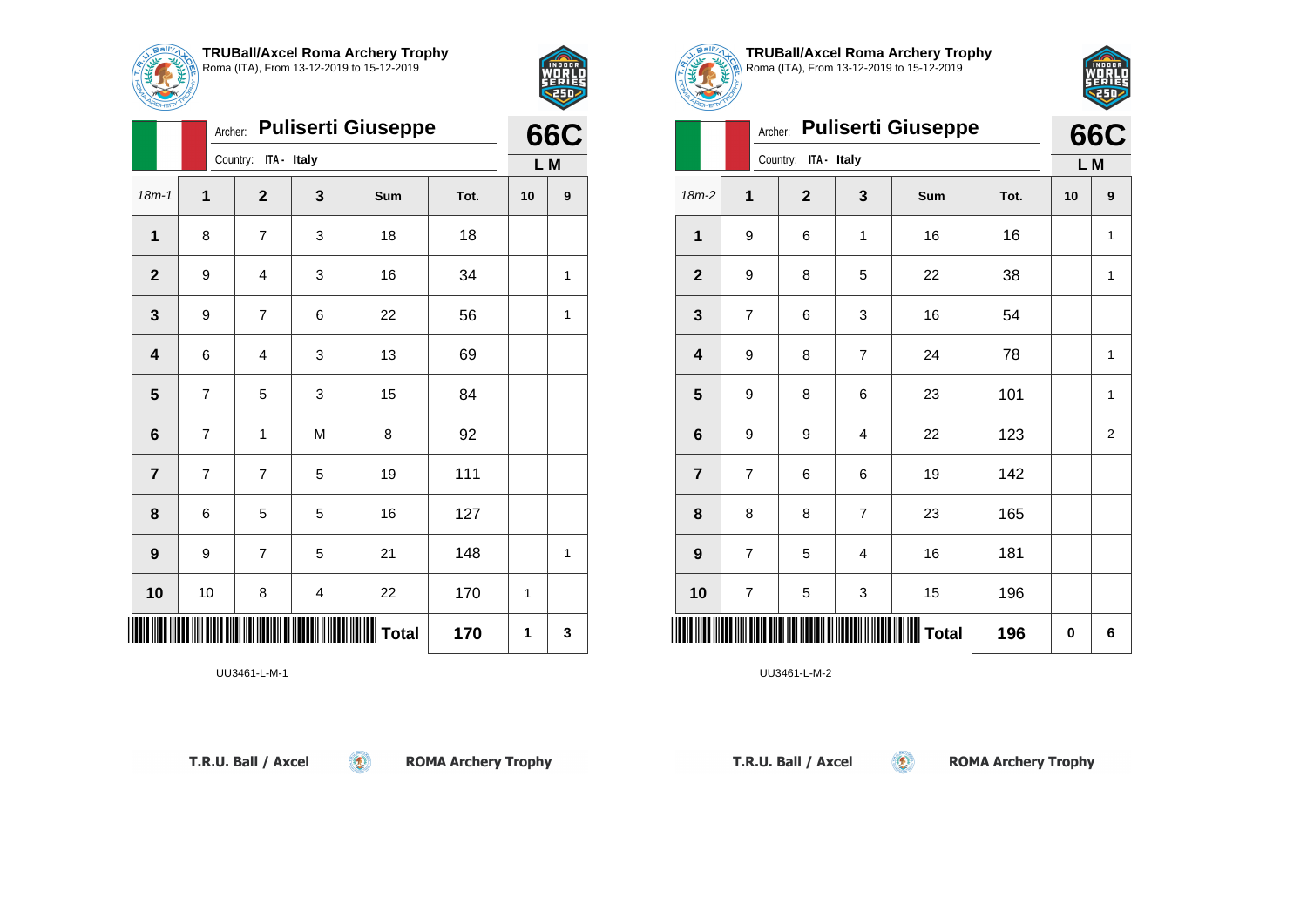



|                         |                | <b>Puliserti Giuseppe</b><br>Archer: |                         |           |      |              |   |  |
|-------------------------|----------------|--------------------------------------|-------------------------|-----------|------|--------------|---|--|
|                         |                | Country: ITA - Italy                 |                         |           |      |              |   |  |
| $18m - 1$               | 1              | $\mathbf 2$                          | 3                       | Sum       | Tot. | 10           | 9 |  |
| 1                       | 8              | $\overline{7}$                       | 3                       | 18        | 18   |              |   |  |
| $\mathbf{2}$            | 9              | 4                                    | 3                       | 16        | 34   |              | 1 |  |
| 3                       | 9              | $\overline{7}$                       | 6                       | 22        | 56   |              | 1 |  |
| 4                       | 6              | 4                                    | 3                       | 13        | 69   |              |   |  |
| $\overline{\mathbf{5}}$ | $\overline{7}$ | 5                                    | 3                       | 15        | 84   |              |   |  |
| 6                       | $\overline{7}$ | 1                                    | M                       | 8         | 92   |              |   |  |
| $\overline{7}$          | $\overline{7}$ | $\overline{7}$                       | 5                       | 19        | 111  |              |   |  |
| 8                       | 6              | 5                                    | 5                       | 16        | 127  |              |   |  |
| $\boldsymbol{9}$        | 9              | $\overline{7}$                       | 5                       | 21        | 148  |              | 1 |  |
| 10                      | 10             | 8                                    | $\overline{\mathbf{4}}$ | 22        | 170  | $\mathbf{1}$ |   |  |
|                         |                |                                      |                         | $ $ Total | 170  | 1            | 3 |  |

 $\left( 9\right)$ 

UU3461-L-M-1



|                         |                         | <b>Puliserti Giuseppe</b><br>Archer: |                |              |      |     |                |  |  |
|-------------------------|-------------------------|--------------------------------------|----------------|--------------|------|-----|----------------|--|--|
|                         |                         | Country: ITA - Italy                 |                |              |      | L M | <b>66C</b>     |  |  |
| 18m-2                   | 1                       | $\mathbf 2$                          | 3              | Sum          | Tot. | 10  | 9              |  |  |
| 1                       | 9                       | 6                                    | $\mathbf 1$    | 16           | 16   |     | 1              |  |  |
| $\mathbf{2}$            | 9                       | 8                                    | 5              | 22           | 38   |     | 1              |  |  |
| 3                       | $\overline{\mathbf{7}}$ | 6                                    | 3              | 16           | 54   |     |                |  |  |
| 4                       | 9                       | 8                                    | $\overline{7}$ | 24           | 78   |     | 1              |  |  |
| 5                       | 9                       | 8                                    | 6              | 23           | 101  |     | 1              |  |  |
| 6                       | 9                       | 9                                    | 4              | 22           | 123  |     | $\overline{2}$ |  |  |
| $\overline{\mathbf{7}}$ | $\overline{\mathbf{7}}$ | 6                                    | 6              | 19           | 142  |     |                |  |  |
| 8                       | 8                       | 8                                    | $\overline{7}$ | 23           | 165  |     |                |  |  |
| $\boldsymbol{9}$        | $\overline{\mathbf{7}}$ | 5                                    | 4              | 16           | 181  |     |                |  |  |
| 10                      | $\overline{\mathbf{7}}$ | 5                                    | 3              | 15           | 196  |     |                |  |  |
|                         |                         |                                      |                | <b>Total</b> | 196  | 0   | 6              |  |  |

 $\left( 5\right)$ 

**TRUBall/Axcel Roma Archery Trophy** Roma (ITA), From 13-12-2019 to 15-12-2019

UU3461-L-M-2

T.R.U. Ball / Axcel

**ROMA Archery Trophy**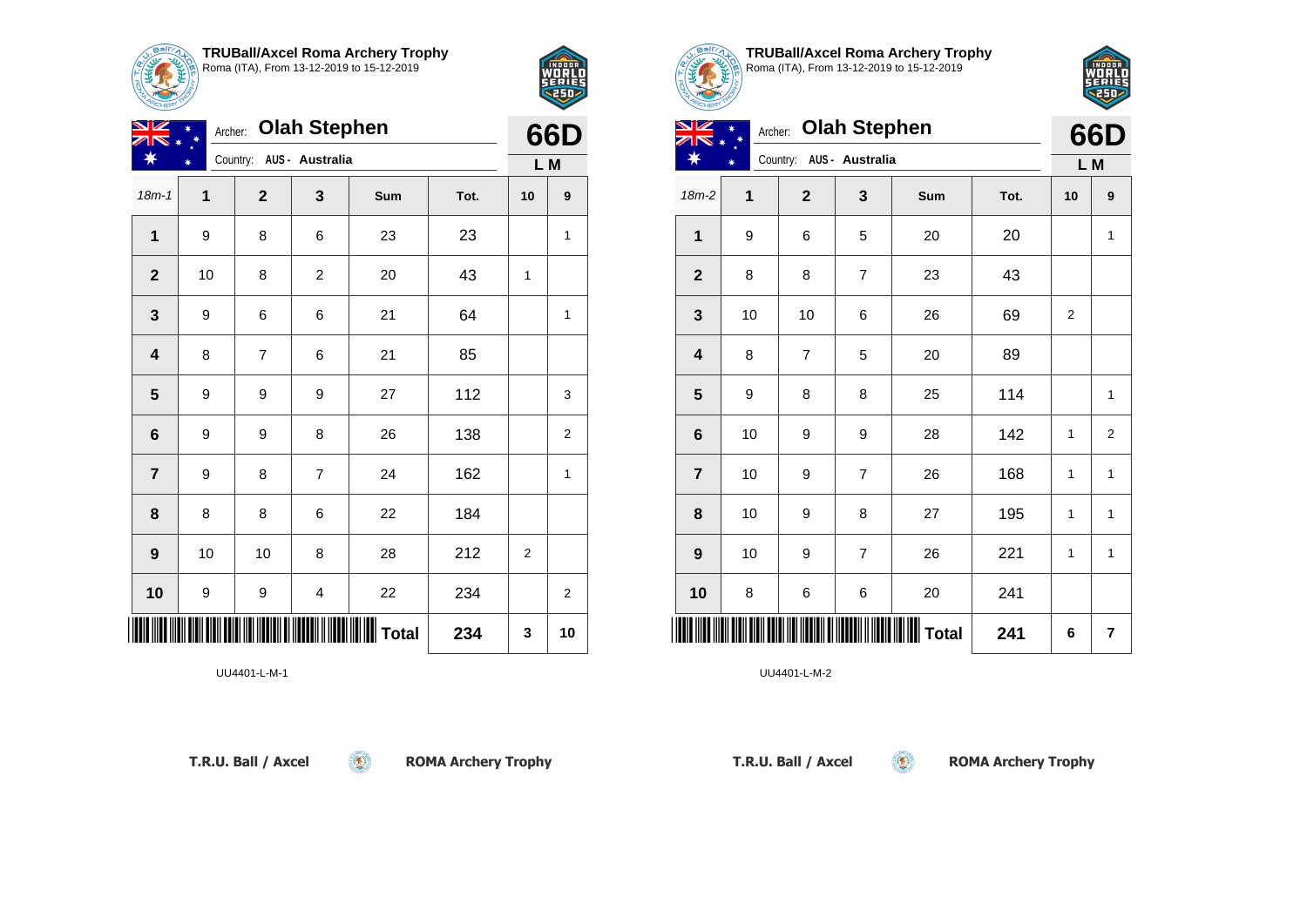

∗

¥

**TRUBall/Axcel Roma Archery Trophy** Roma (ITA), From 13-12-2019 to 15-12-2019

18m-1 **1 2 3 Sum Tot. 10 9**

**1** | 9 | 8 | 6 | 23 | 23 | 1

**3** | 9 | 6 | 6 | 21 | 64 | 1

**5** | 9 | 9 | 9 | 27 | 112 | | 3

**6** | 9 | 9 | 8 | 26 | 138 | | 2

**7** | 9 | 8 | 7 | 24 | 162 | | 1

**2** | 10 | 8 | 2 | 20 | 43 | 1

**4** | 8 | 7 | 6 | 21 | 85

**8** 8 8 8 6 22 184

**9** | 10 | 10 | 8 | 28 | 212 | 2

**10** | 9 | 9 | 4 | 22 | 234 | | 2

 $\left( \begin{matrix} 0 \\ 1 \end{matrix} \right)$ 

Archer: **Olah Stephen**

Country: **AUS - Australia**



**66D L M**

| <b>TRUBall/Axcel Roma Archery Trophy</b><br>$\frac{1}{2}$ Roma (ITA), From 13-12-2019 to 15-12-2019 |  |
|-----------------------------------------------------------------------------------------------------|--|
|                                                                                                     |  |

F 5 n

|                             |    | Archer: Olah Stephen    |                |              |      |                  | 66D                     |
|-----------------------------|----|-------------------------|----------------|--------------|------|------------------|-------------------------|
| AUS - Australia<br>Country: |    |                         |                |              |      | L M              |                         |
| 18m-2                       | 1  | $\overline{\mathbf{2}}$ | 3              | Sum          | Tot. | 10               | 9                       |
| 1                           | 9  | 6                       | 5              | 20           | 20   |                  | $\mathbf{1}$            |
| $\overline{\mathbf{2}}$     | 8  | 8                       | 7              | 23           | 43   |                  |                         |
| $\mathbf 3$                 | 10 | 10                      | 6              | 26           | 69   | $\boldsymbol{2}$ |                         |
| $\overline{\mathbf{4}}$     | 8  | $\overline{7}$          | 5              | 20           | 89   |                  |                         |
| 5                           | 9  | 8                       | 8              | 25           | 114  |                  | $\mathbf{1}$            |
| $\bf 6$                     | 10 | 9                       | 9              | 28           | 142  | 1                | $\overline{\mathbf{c}}$ |
| $\overline{7}$              | 10 | 9                       | $\overline{7}$ | 26           | 168  | 1                | $\mathbf{1}$            |
| 8                           | 10 | 9                       | 8              | 27           | 195  | 1                | $\mathbf{1}$            |
| $\boldsymbol{9}$            | 10 | 9                       | $\overline{7}$ | 26           | 221  | 1                | $\mathbf{1}$            |
| 10                          | 8  | 6                       | 6              | 20           | 241  |                  |                         |
|                             |    |                         |                | <b>Total</b> | 241  | 6                | $\overline{\mathbf{r}}$ |

 $\circledcirc$ 

UU4401-L-M-2

| T.R.U. Ball / Axcel |  |
|---------------------|--|
|                     |  |

\*UU4401-L-M-1\*UU4401-L-M-1\*UU4401-L-M-1\*UU4401-L-M-1\*UU4401-L-M-1\*UU4401-L-M-1\*UU4401-L-M-1\*UU4401-L-M-1\*UU440

UU4401-L-M-1

**ROMA Archery Trophy** 

**Total 234 3 10**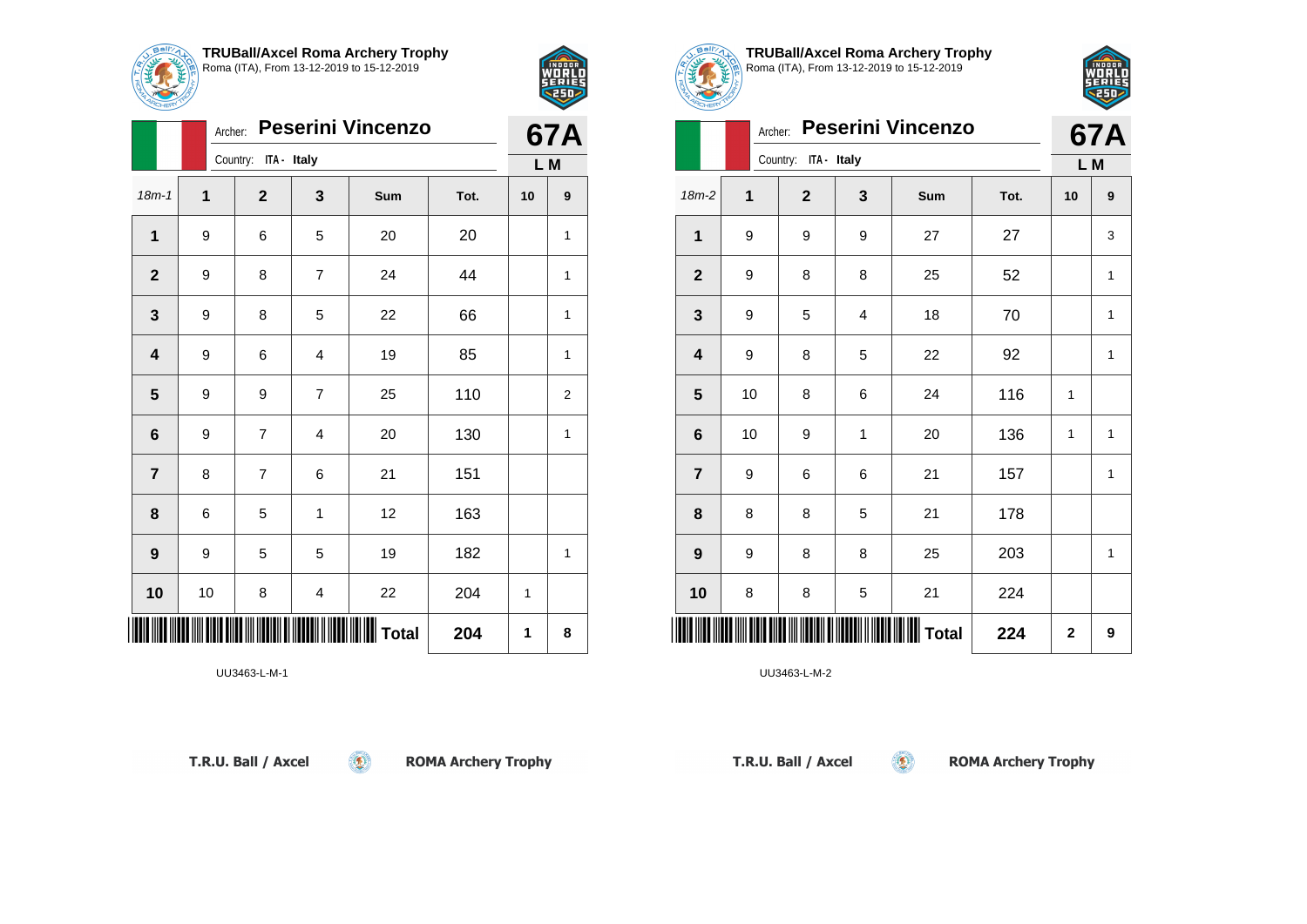



|                         |    | <b>Peserini Vincenzo</b><br>Archer: |                |                 |      |    |              |  |  |
|-------------------------|----|-------------------------------------|----------------|-----------------|------|----|--------------|--|--|
|                         |    | Country: ITA - Italy                |                |                 |      |    |              |  |  |
| $18m - 1$               | 1  | $\overline{2}$                      | 3              | Sum             | Tot. | 10 | 9            |  |  |
| $\mathbf{1}$            | 9  | 6                                   | 5              | 20              | 20   |    | 1            |  |  |
| $\mathbf{2}$            | 9  | 8                                   | $\overline{7}$ | 24              | 44   |    | $\mathbf{1}$ |  |  |
| $\mathbf 3$             | 9  | 8                                   | 5              | 22              | 66   |    | 1            |  |  |
| $\overline{\mathbf{4}}$ | 9  | 6                                   | 4              | 19              | 85   |    | $\mathbf{1}$ |  |  |
| $5\phantom{1}$          | 9  | 9                                   | $\overline{7}$ | 25              | 110  |    | 2            |  |  |
| $\bf 6$                 | 9  | 7                                   | 4              | 20              | 130  |    | 1            |  |  |
| $\overline{\mathbf{7}}$ | 8  | $\overline{7}$                      | 6              | 21              | 151  |    |              |  |  |
| 8                       | 6  | 5                                   | $\mathbf{1}$   | 12              | 163  |    |              |  |  |
| $\boldsymbol{9}$        | 9  | 5                                   | 5              | 19              | 182  |    | $\mathbf{1}$ |  |  |
| 10                      | 10 | 8                                   | 4              | 22              | 204  | 1  |              |  |  |
|                         |    |                                     |                | <b>II</b> Total | 204  | 1  | 8            |  |  |

 $\circledcirc$ 

UU3463-L-M-1





|                  | Archer:              |             | <b>67A</b> |              |      |             |              |
|------------------|----------------------|-------------|------------|--------------|------|-------------|--------------|
|                  | Country: ITA - Italy |             | L M        |              |      |             |              |
| $18m-2$          | 1                    | $\mathbf 2$ | 3          | Sum          | Tot. | 10          | 9            |
| 1                | 9                    | 9           | 9          | 27           | 27   |             | 3            |
| $\mathbf{2}$     | 9                    | 8           | 8          | 25           | 52   |             | 1            |
| $\mathbf 3$      | 9                    | 5           | 4          | 18           | 70   |             | $\mathbf{1}$ |
| 4                | 9                    | 8           | 5          | 22           | 92   |             | 1            |
| 5                | 10                   | 8           | 6          | 24           | 116  | 1           |              |
| $\bf 6$          | 10                   | 9           | 1          | 20           | 136  | 1           | 1            |
| $\overline{7}$   | 9                    | 6           | 6          | 21           | 157  |             | 1            |
| 8                | 8                    | 8           | 5          | 21           | 178  |             |              |
| $\boldsymbol{9}$ | 9                    | 8           | 8          | 25           | 203  |             | $\mathbf{1}$ |
| 10               | 8                    | 8           | 5          | 21           | 224  |             |              |
| ║║║              |                      |             |            | <b>Total</b> | 224  | $\mathbf 2$ | 9            |

 $\left( 5\right)$ 

UU3463-L-M-2

T.R.U. Ball / Axcel

**ROMA Archery Trophy** 

T.R.U. Ball / Axcel

**ROMA Archery Trophy**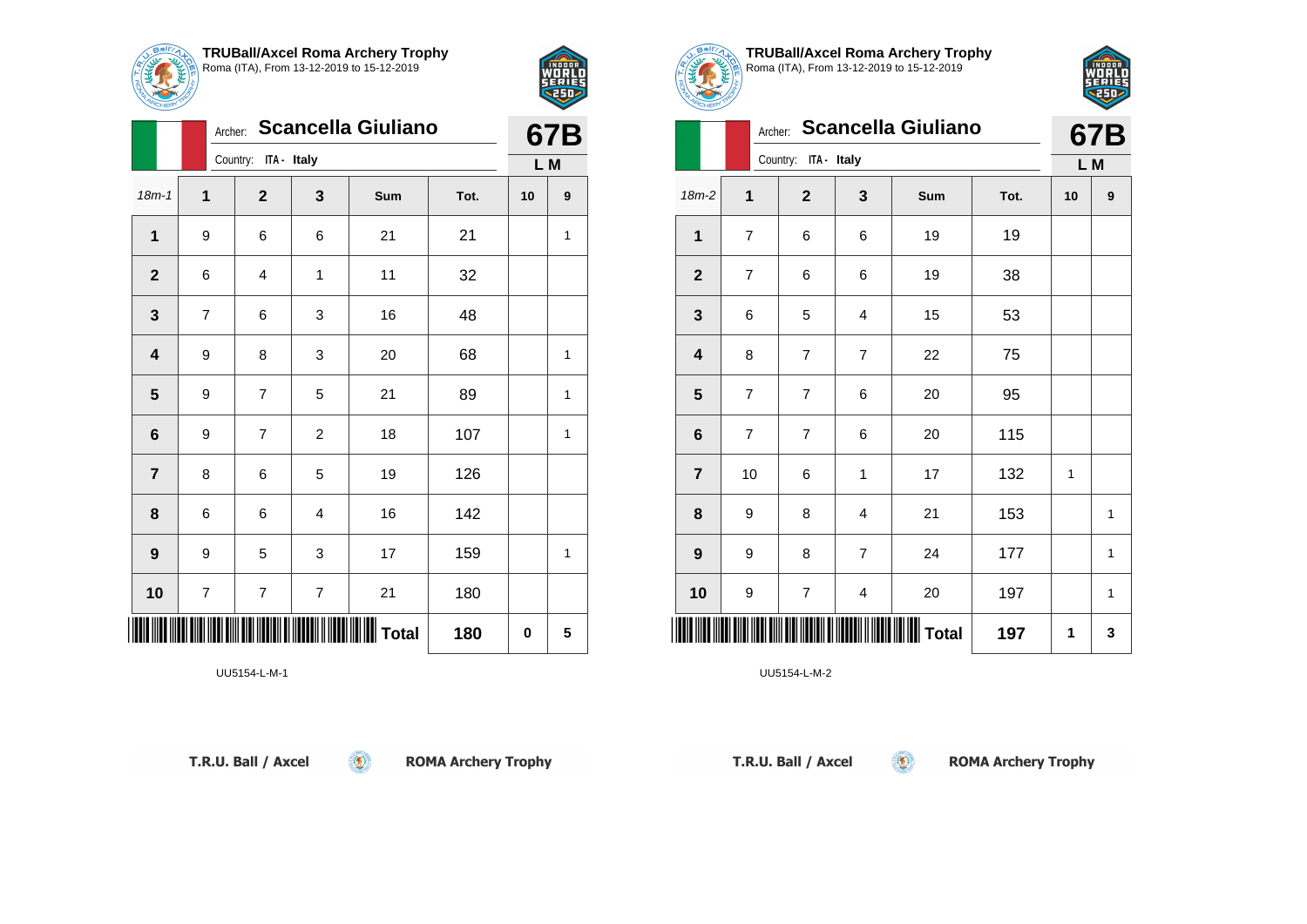

Archer: **Scancella Giuliano**

**2** | 6 | 4 | 1 | 11 | 32

**3** | 7 | 6 | 3 | 16 | 48

**7** | 8 | 6 | 5 | 19 | 126

**8** | 6 | 6 | 4 | 16 | 142

**10** | 7 | 7 | 7 | 21 | 180

18m-1 **1 2 3 Sum Tot. 10 9**

**1** | 9 | 6 | 6 | 21 | 21 | 1

**4** | 9 | 8 | 3 | 20 | 68 | 1

**5** | 9 | 7 | 5 | 21 | 89 | | 1

**6** | 9 | 7 | 2 | 18 | 107 | | 1

**9** | 9 | 5 | 3 | 17 | 159 | | 1

Country: **ITA - Italy**



**67B L M**

| <b>TRUBall/Axcel Roma Archery Trophy</b><br>$\bigcirc$ <sub>(P)</sub> Roma (ITA), From 13-12-2019 to 15-12-2019 |
|-----------------------------------------------------------------------------------------------------------------|
|                                                                                                                 |



| <b>MOHERY</b>  |                |                      |                         |                            |      |     |            |
|----------------|----------------|----------------------|-------------------------|----------------------------|------|-----|------------|
|                |                |                      |                         | Archer: Scancella Giuliano |      |     | <b>67B</b> |
|                |                | Country: ITA - Italy |                         |                            |      | L M |            |
| $18m-2$        | 1              | $\mathbf{2}$         | 3                       | Sum                        | Tot. | 10  | 9          |
| 1              | $\overline{7}$ | 6                    | 6                       | 19                         | 19   |     |            |
| $\mathbf 2$    | $\overline{7}$ | 6                    | 6                       | 19                         | 38   |     |            |
| 3              | 6              | 5                    | 4                       | 15                         | 53   |     |            |
| 4              | 8              | $\overline{7}$       | 7                       | 22                         | 75   |     |            |
| 5              | $\overline{7}$ | $\overline{7}$       | 6                       | 20                         | 95   |     |            |
| 6              | $\overline{7}$ | $\overline{7}$       | 6                       | 20                         | 115  |     |            |
| $\overline{7}$ | 10             | 6                    | 1                       | 17                         | 132  | 1   |            |
| 8              | 9              | 8                    | 4                       | 21                         | 153  |     | 1          |
| 9              | 9              | 8                    | $\overline{7}$          | 24                         | 177  |     | 1          |
| 10             | 9              | $\overline{7}$       | $\overline{\mathbf{4}}$ | 20                         | 197  |     | 1          |
|                |                |                      |                         | <b>Total</b>               | 197  | 1   | 3          |

 $\circledcirc$ 

UU5154-L-M-2

T.R.U. Ball / Axcel

\*UU5154-L-M-1\*UU5154-L-M-1\*UU5154-L-M-1\*UU5154-L-M-1\*UU5154-L-M-1\*UU5154-L-M-1\*UU5154-L-M-1\*UU5154-L-M-1\*UU515

UU5154-L-M-1

**ROMA Archery Trophy** 

**Total 180 0 5**

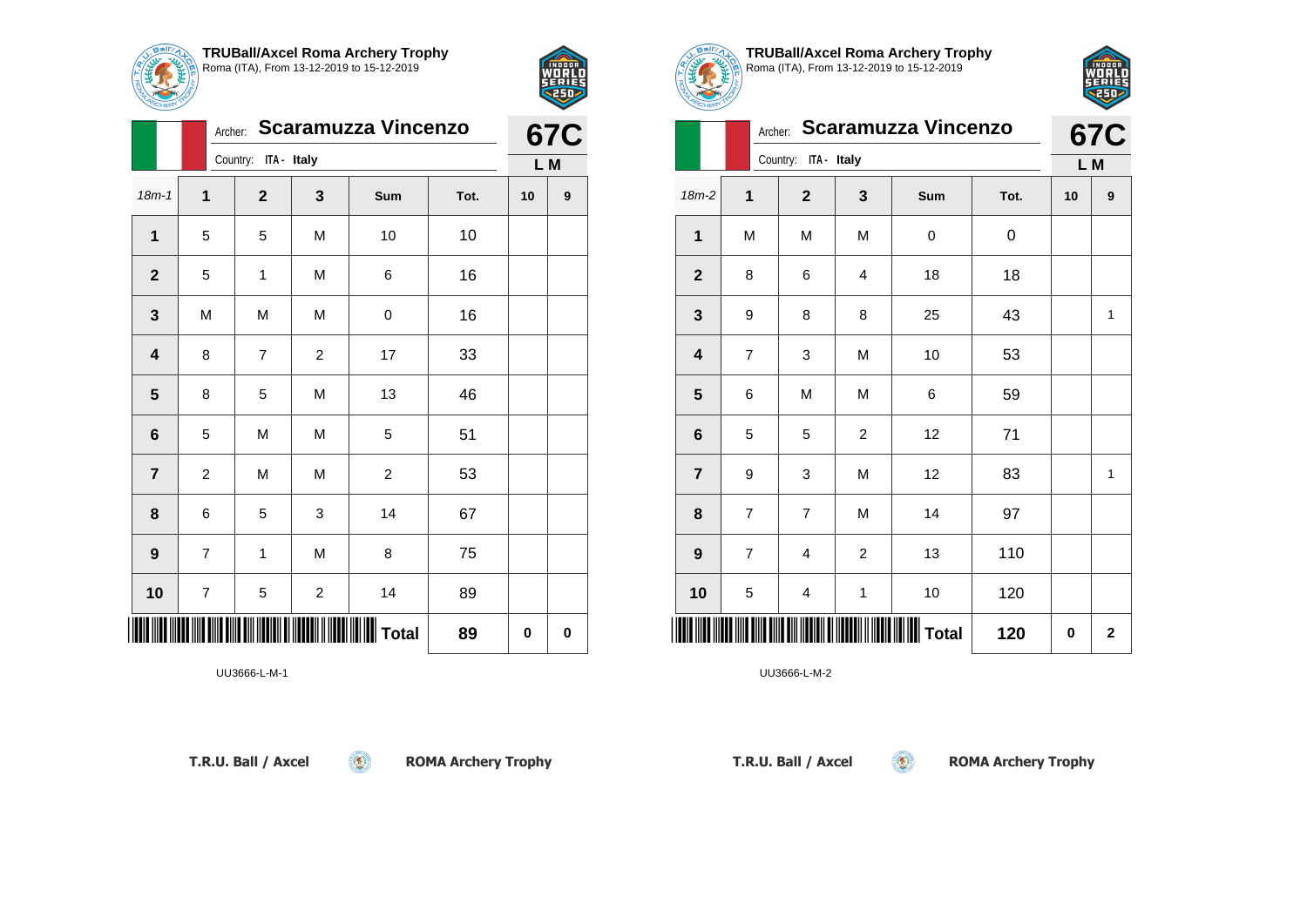



|                | Archer: Scaramuzza Vincenzo | <b>67C</b>           |                |                   |      |    |          |  |  |  |
|----------------|-----------------------------|----------------------|----------------|-------------------|------|----|----------|--|--|--|
|                |                             | Country: ITA - Italy |                |                   |      |    |          |  |  |  |
| $18m - 1$      | 1                           | $\overline{2}$       | 3              | Sum               | Tot. | 10 | 9        |  |  |  |
| $\mathbf{1}$   | 5                           | 5                    | M              | 10                | 10   |    |          |  |  |  |
| $\mathbf{2}$   | 5                           | $\mathbf 1$          | M              | 6                 | 16   |    |          |  |  |  |
| 3              | M                           | M                    | M              | 0                 | 16   |    |          |  |  |  |
| 4              | 8                           | 7                    | $\overline{c}$ | 17                | 33   |    |          |  |  |  |
| 5              | 8                           | 5                    | M              | 13                | 46   |    |          |  |  |  |
| 6              | 5                           | M                    | M              | 5                 | 51   |    |          |  |  |  |
| $\overline{7}$ | $\overline{2}$              | M                    | M              | $\overline{c}$    | 53   |    |          |  |  |  |
| 8              | 6                           | 5                    | 3              | 14                | 67   |    |          |  |  |  |
| 9              | $\overline{7}$              | 1                    | M              | 8                 | 75   |    |          |  |  |  |
| 10             | $\overline{7}$              | 5                    | $\overline{2}$ | 14                | 89   |    |          |  |  |  |
|                |                             |                      |                | $\parallel$ Total | 89   | 0  | $\bf{0}$ |  |  |  |

 $\circledcirc$ 

UU3666-L-M-1





|                         | Archer: Scaramuzza Vincenzo | <b>67C</b>     |                |              |      |          |              |
|-------------------------|-----------------------------|----------------|----------------|--------------|------|----------|--------------|
|                         | Country: ITA - Italy        |                | L M            |              |      |          |              |
| $18m-2$                 | 1                           | $\mathbf 2$    | 3              | Sum          | Tot. | 10       | 9            |
| 1                       | M                           | M              | M              | 0            | 0    |          |              |
| $\mathbf 2$             | 8                           | 6              | 4              | 18           | 18   |          |              |
| $\mathbf 3$             | 9                           | 8              | 8              | 25           | 43   |          | $\mathbf{1}$ |
| $\overline{\mathbf{4}}$ | $\overline{\mathcal{I}}$    | 3              | M              | 10           | 53   |          |              |
| 5                       | 6                           | M              | M              | 6            | 59   |          |              |
| $6\phantom{1}6$         | 5                           | 5              | $\overline{c}$ | 12           | 71   |          |              |
| $\overline{7}$          | 9                           | 3              | M              | 12           | 83   |          | $\mathbf{1}$ |
| 8                       | $\overline{7}$              | $\overline{7}$ | M              | 14           | 97   |          |              |
| $\boldsymbol{9}$        | $\overline{7}$              | 4              | $\overline{c}$ | 13           | 110  |          |              |
| 10                      | 5                           | 4              | 1              | 10           | 120  |          |              |
|                         |                             |                |                | <b>Total</b> | 120  | $\bf{0}$ | $\mathbf 2$  |

 $\left( 5\right)$ 

UU3666-L-M-2

T.R.U. Ball / Axcel

**ROMA Archery Trophy** 

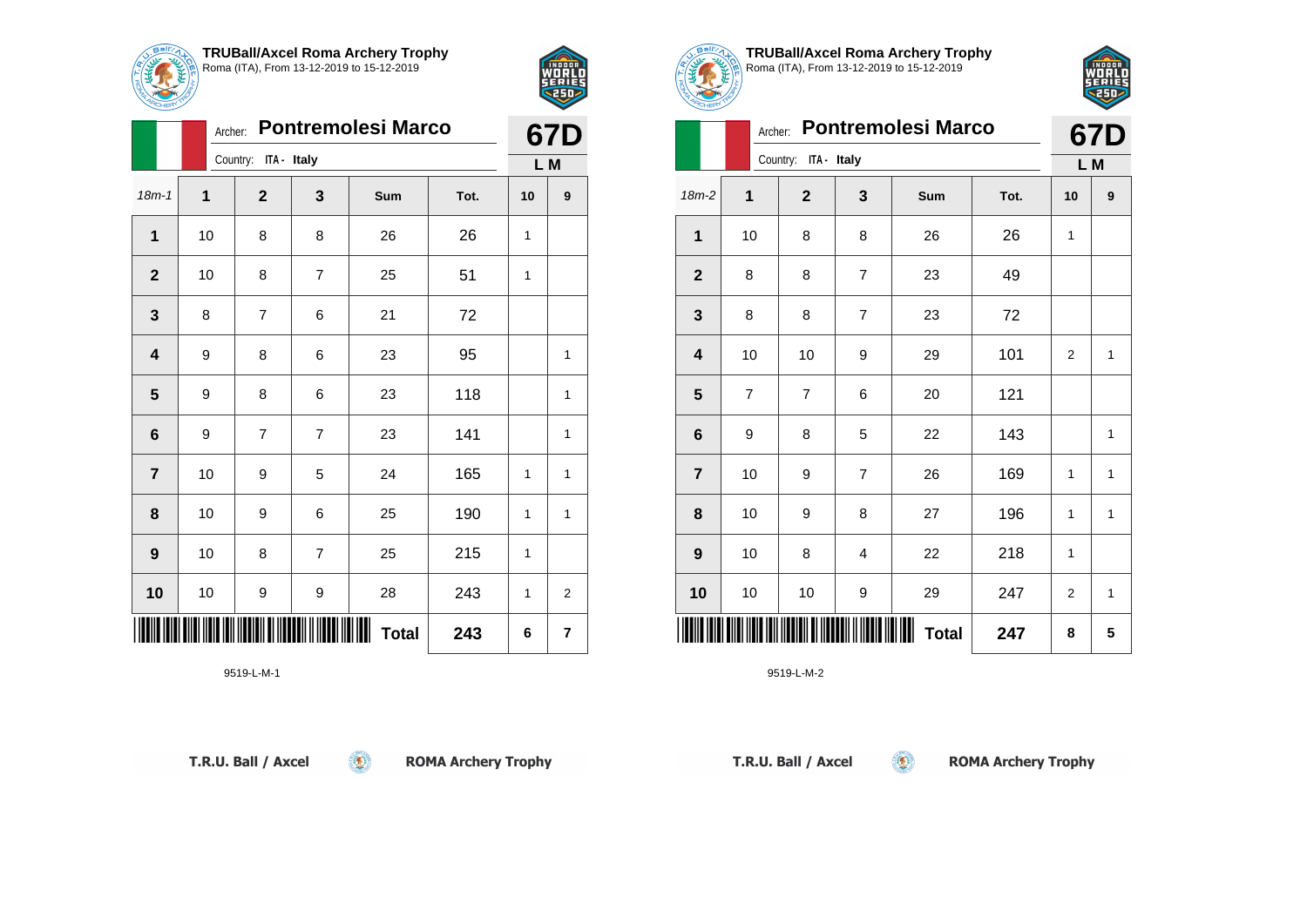

Archer: **Pontremolesi Marco**

18m-1 **1 2 3 Sum Tot. 10 9**

**1** | 10 | 8 | 8 | 26 | 26 | 1

**2** | 10 | 8 | 7 | 25 | 51 | 1

**4** | 9 | 8 | 6 | 23 | 95 | | 1

**5** | 9 | 8 | 6 | 23 | 118 | | 1

**6** | 9 | 7 | 7 | 23 | 141 | | 1

**7** | 10 | 9 | 5 | 24 | 165 | 1 | 1

**8** | 10 | 9 | 6 | 25 | 190 | 1 | 1

**10** | 10 | 9 | 9 | 28 | 243 | 1 | 2

 $\circledcirc$ 

**9** | 10 | 8 | 7 | 25 | 215 | 1

\*9519-L-M-1\*

**3** | 8 | 7 | 6 | 21 | 72

Country: **ITA - Italy**



**67D L M**

|  | $2$ all $\gamma$ |
|--|------------------|
|  |                  |

**TRUBall/Axcel Roma Archery Trophy** Roma (ITA), From 13-12-2019 to 15-12-2019



| <b>CHEFT</b>   |                |                      |                |                           |      |                |   |  |
|----------------|----------------|----------------------|----------------|---------------------------|------|----------------|---|--|
|                | Archer:        |                      |                | <b>Pontremolesi Marco</b> |      | 67D            |   |  |
|                |                | Country: ITA - Italy |                |                           |      | L M            |   |  |
| $18m-2$        | 1              | $\mathbf{2}$         | 3              | Sum                       | Tot. | 10             | 9 |  |
| 1              | 10             | 8                    | 8              | 26                        | 26   | 1              |   |  |
| $\mathbf{2}$   | 8              | 8                    | $\overline{7}$ | 23                        | 49   |                |   |  |
| $\mathbf{3}$   | 8              | 8                    | 7              | 23                        | 72   |                |   |  |
| 4              | 10             | 10                   | 9              | 29                        | 101  | $\overline{2}$ | 1 |  |
| 5              | $\overline{7}$ | $\overline{7}$       | 6              | 20                        | 121  |                |   |  |
| $6\phantom{1}$ | 9              | 8                    | 5              | 22                        | 143  |                | 1 |  |
| $\overline{7}$ | 10             | 9                    | 7              | 26                        | 169  | 1              | 1 |  |
| 8              | 10             | 9                    | 8              | 27                        | 196  | 1              | 1 |  |
| 9              | 10             | 8                    | 4              | 22                        | 218  | 1              |   |  |
| 10             | 10             | 10                   | 9              | 29                        | 247  | $\overline{2}$ | 1 |  |
|                |                |                      |                | <b>Total</b>              | 247  | 8              | 5 |  |

 $\circledcirc$ 

9519-L-M-2

T.R.U. Ball / Axcel

9519-L-M-1

**ROMA Archery Trophy** 

**Total 243 6 7**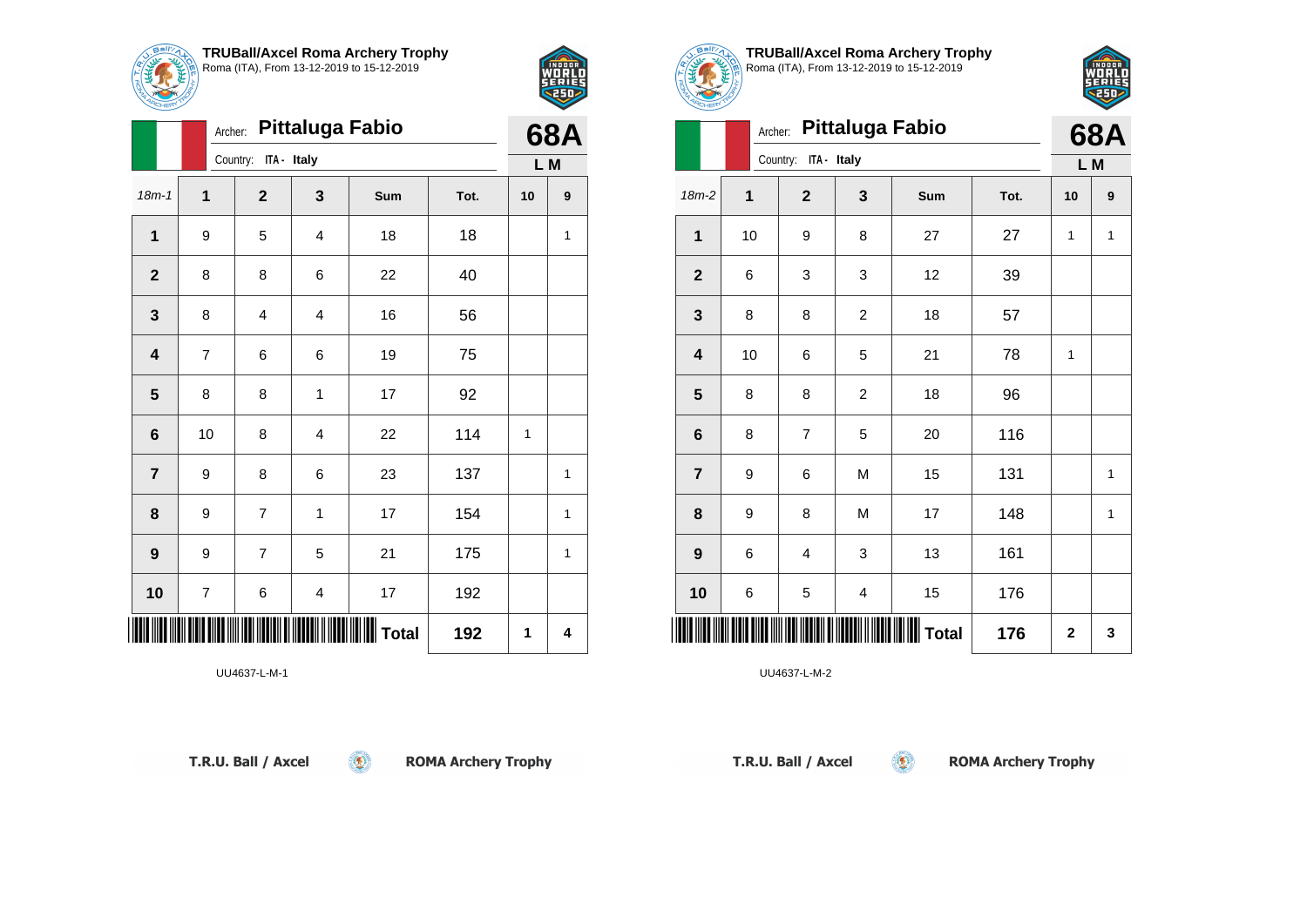

Archer: **Pittaluga Fabio**

**2** | 8 | 8 | 6 | 22 | 40

**3** | 8 | 4 | 4 | 16 | 56

**4** | 7 | 6 | 6 | 19 | 75

**5** | 8 | 8 | 1 | 17 | 92

**10** | 7 | 6 | 4 | 17 | 192

**6** | 10 | 8 | 4 | 22 | 114 | 1

**7** | 9 | 8 | 6 | 23 | 137 | | 1

**8** | 9 | 7 | 1 | 17 | 154 | | 1

**9** | 9 | 7 | 5 | 21 | 175 | | 1

\*UU4637-L-M-1\* **Total 192 1 4**

 $\circledcirc$ 

18m-1 **1 2 3 Sum Tot. 10 9**

**1** | 9 | 5 | 4 | 18 | 18 | 1

Country: **ITA - Italy**



**68A L M**

| <b>TRUBall/Axcel Roma Archery Trophy</b><br>\ <sup>@</sup> Roma (ITA), From 13-12-2019 to 15-12-2019 |  |
|------------------------------------------------------------------------------------------------------|--|



| <b>UHEH!</b> |                         |         |                         |                        |              |      |             |            |  |
|--------------|-------------------------|---------|-------------------------|------------------------|--------------|------|-------------|------------|--|
|              |                         | Archer: |                         | <b>Pittaluga Fabio</b> |              |      |             | <b>68A</b> |  |
|              |                         |         | ITA - Italy<br>Country: |                        |              |      | L M         |            |  |
|              | 18m-2                   | 1       | $\mathbf{2}$            | 3                      | Sum          | Tot. | 10          | 9          |  |
|              | $\mathbf{1}$            | 10      | 9                       | 8                      | 27           | 27   | 1           | 1          |  |
|              | $\mathbf{2}$            | 6       | 3                       | 3                      | 12           | 39   |             |            |  |
|              | 3                       | 8       | 8                       | $\overline{c}$         | 18           | 57   |             |            |  |
|              | $\overline{\mathbf{4}}$ | 10      | 6                       | 5                      | 21           | 78   | 1           |            |  |
|              | $5\phantom{1}$          | 8       | 8                       | $\overline{c}$         | 18           | 96   |             |            |  |
|              | 6                       | 8       | 7                       | 5                      | 20           | 116  |             |            |  |
|              | $\overline{7}$          | 9       | 6                       | M                      | 15           | 131  |             | 1          |  |
|              | 8                       | 9       | 8                       | M                      | 17           | 148  |             | 1          |  |
|              | 9                       | 6       | 4                       | 3                      | 13           | 161  |             |            |  |
|              | 10                      | 6       | 5                       | 4                      | 15           | 176  |             |            |  |
|              |                         |         |                         |                        | <b>Total</b> | 176  | $\mathbf 2$ | 3          |  |

 $\circledcirc$ 

UU4637-L-M-2

| T.R.U. Ball / Axcel |  |  |
|---------------------|--|--|
|---------------------|--|--|

UU4637-L-M-1

**ROMA Archery Trophy** 

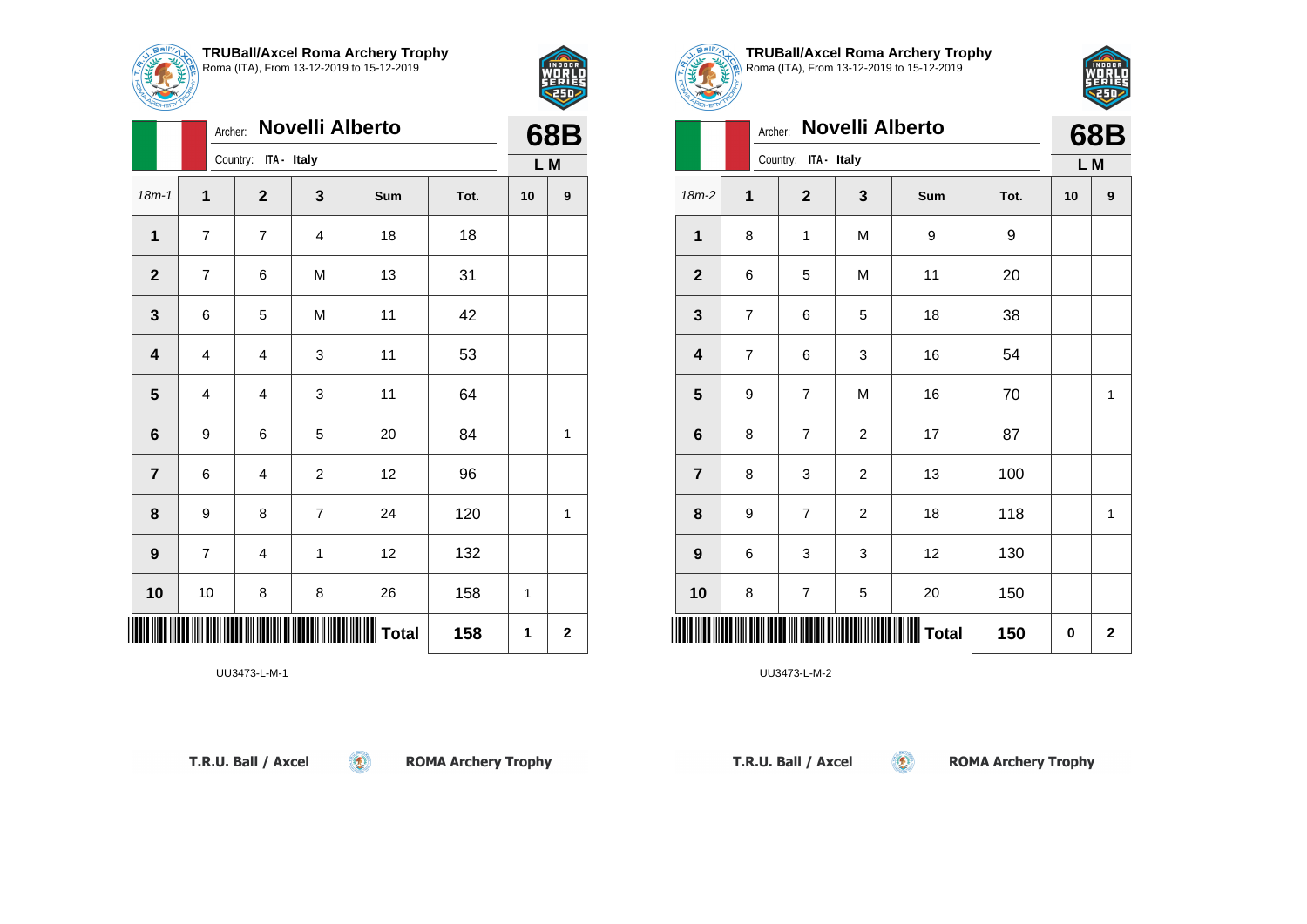

| <b>ACHERY</b>           |                |                         |                        |              |      |            |             |  |
|-------------------------|----------------|-------------------------|------------------------|--------------|------|------------|-------------|--|
|                         | Archer:        |                         | <b>Novelli Alberto</b> |              |      | <b>68B</b> |             |  |
|                         |                | Country: ITA - Italy    |                        |              |      | L M        |             |  |
| $18m - 1$               | 1              | $\mathbf{2}$            | 3                      | Sum          | Tot. | 10         | 9           |  |
| 1                       | $\overline{7}$ | $\overline{7}$          | 4                      | 18           | 18   |            |             |  |
| $\mathbf{2}$            | $\overline{7}$ | 6                       | M                      | 13           | 31   |            |             |  |
| 3                       | 6              | 5                       | M                      | 11           | 42   |            |             |  |
| $\overline{\mathbf{4}}$ | 4              | $\overline{\mathbf{4}}$ | 3                      | 11           | 53   |            |             |  |
| 5                       | 4              | $\overline{\mathbf{4}}$ | 3                      | 11           | 64   |            |             |  |
| $\bf 6$                 | 9              | 6                       | 5                      | 20           | 84   |            | 1           |  |
| $\overline{\mathbf{r}}$ | 6              | 4                       | 2                      | 12           | 96   |            |             |  |
| 8                       | 9              | 8                       | $\overline{7}$         | 24           | 120  |            | 1           |  |
| $\boldsymbol{9}$        | 7              | 4                       | 1                      | 12           | 132  |            |             |  |
| 10                      | 10             | 8                       | 8                      | 26           | 158  | 1          |             |  |
| Ш                       |                |                         |                        | <b>Total</b> | 158  | 1          | $\mathbf 2$ |  |

 $\circledcirc$ 





Œ

**TRUBall/Axcel Roma Archery Trophy** Roma (ITA), From 13-12-2019 to 15-12-2019

|                 | <b>Novelli Alberto</b><br>Archer: |                      |                |              |      |            |              |  |
|-----------------|-----------------------------------|----------------------|----------------|--------------|------|------------|--------------|--|
|                 |                                   | Country: ITA - Italy |                |              |      | 68B<br>L M |              |  |
| $18m-2$         | $\mathbf 1$                       | $\mathbf{2}$         | 3              | Sum          | Tot. | 10         | 9            |  |
| 1               | 8                                 | 1                    | M              | 9            | 9    |            |              |  |
| $\overline{2}$  | 6                                 | 5                    | M              | 11           | 20   |            |              |  |
| 3               | $\overline{7}$                    | 6                    | 5              | 18           | 38   |            |              |  |
| 4               | $\overline{7}$                    | 6                    | 3              | 16           | 54   |            |              |  |
| 5               | 9                                 | 7                    | M              | 16           | 70   |            | 1            |  |
| $6\phantom{1}6$ | 8                                 | $\overline{7}$       | $\overline{c}$ | 17           | 87   |            |              |  |
| $\overline{7}$  | 8                                 | 3                    | $\overline{c}$ | 13           | 100  |            |              |  |
| 8               | 9                                 | 7                    | $\overline{c}$ | 18           | 118  |            | $\mathbf{1}$ |  |
| 9               | 6                                 | 3                    | 3              | 12           | 130  |            |              |  |
| 10              | 8                                 | 7                    | 5              | 20           | 150  |            |              |  |
| Ш               |                                   |                      |                | <b>Total</b> | 150  | 0          | $\mathbf 2$  |  |

 $\left( 5\right)$ 

UU3473-L-M-2

T.R.U. Ball / Axcel

**ROMA Archery Trophy** 

T.R.U. Ball / Axcel

**ROMA Archery Trophy**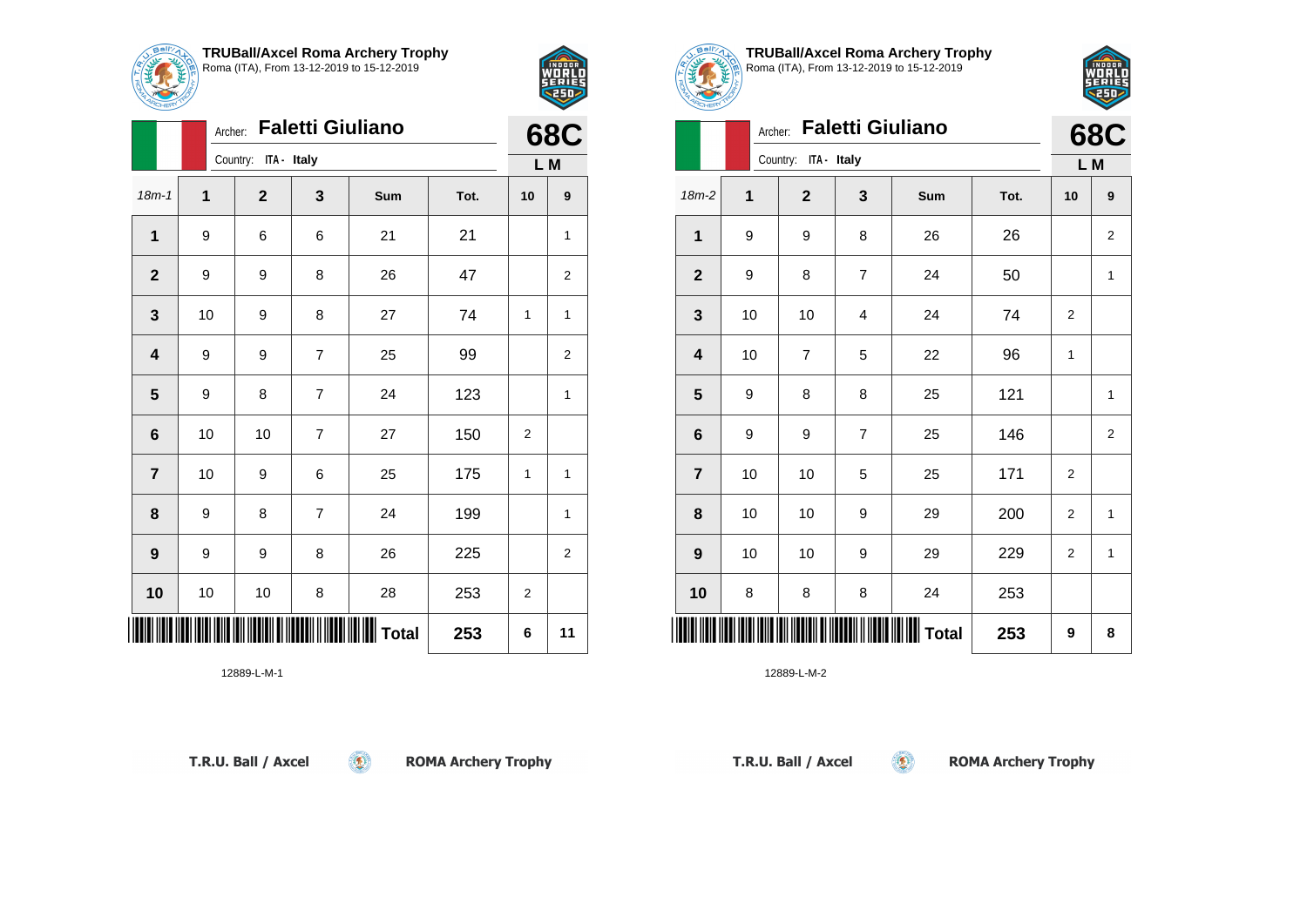



| ARCHERY        |    |                      |                |              |      |    |                |
|----------------|----|----------------------|----------------|--------------|------|----|----------------|
|                |    | <b>68C</b>           |                |              |      |    |                |
|                |    | Country: ITA - Italy |                |              |      |    | L M            |
| $18m - 1$      | 1  | $\mathbf{2}$         | 3              | Sum          | Tot. | 10 | 9              |
| 1              | 9  | 6                    | 6              | 21           | 21   |    | 1              |
| $\mathbf{2}$   | 9  | 9                    | 8              | 26           | 47   |    | 2              |
| 3              | 10 | 9                    | 8              | 27           | 74   | 1  | 1              |
| 4              | 9  | 9                    | $\overline{7}$ | 25           | 99   |    | $\overline{2}$ |
| $5\phantom{1}$ | 9  | 8                    | $\overline{7}$ | 24           | 123  |    | 1              |
| 6              | 10 | 10                   | $\overline{7}$ | 27           | 150  | 2  |                |
| $\overline{7}$ | 10 | 9                    | 6              | 25           | 175  | 1  | 1              |
| 8              | 9  | 8                    | $\overline{7}$ | 24           | 199  |    | 1              |
| 9              | 9  | 9                    | 8              | 26           | 225  |    | $\overline{2}$ |
| 10             | 10 | 10                   | 8              | 28           | 253  | 2  |                |
|                |    |                      |                | <b>Total</b> | 253  | 6  | 11             |

 $\circledcirc$ 



T.R.U. Ball / Axcel





|                  |    | <b>Faletti Giuliano</b><br>Archer: |                |                 |      |                   |                |  |  |
|------------------|----|------------------------------------|----------------|-----------------|------|-------------------|----------------|--|--|
|                  |    | Country: ITA - Italy               |                |                 |      | <b>68C</b><br>L M |                |  |  |
| $18m-2$          | 1  | $\overline{\mathbf{2}}$            | 3              | Sum             | Tot. | 10                | 9              |  |  |
| 1                | 9  | 9                                  | 8              | 26              | 26   |                   | $\overline{2}$ |  |  |
| $\mathbf{2}$     | 9  | 8                                  | $\overline{7}$ | 24              | 50   |                   | 1              |  |  |
| 3                | 10 | 10                                 | 4              | 24              | 74   | $\overline{2}$    |                |  |  |
| 4                | 10 | $\overline{7}$                     | 5              | 22              | 96   | 1                 |                |  |  |
| 5                | 9  | 8                                  | 8              | 25              | 121  |                   | 1              |  |  |
| $6\phantom{1}6$  | 9  | 9                                  | $\overline{7}$ | 25              | 146  |                   | $\overline{2}$ |  |  |
| $\overline{7}$   | 10 | 10                                 | 5              | 25              | 171  | $\overline{2}$    |                |  |  |
| 8                | 10 | 10                                 | 9              | 29              | 200  | $\overline{2}$    | 1              |  |  |
| $\boldsymbol{9}$ | 10 | 10                                 | 9              | 29              | 229  | $\overline{2}$    | 1              |  |  |
| 10               | 8  | 8                                  | 8              | 24              | 253  |                   |                |  |  |
|                  |    |                                    |                | <b>II</b> Total | 253  | 9                 | 8              |  |  |

 $(\bullet)$ 

**TRUBall/Axcel Roma Archery Trophy** Roma (ITA), From 13-12-2019 to 15-12-2019

12889-L-M-2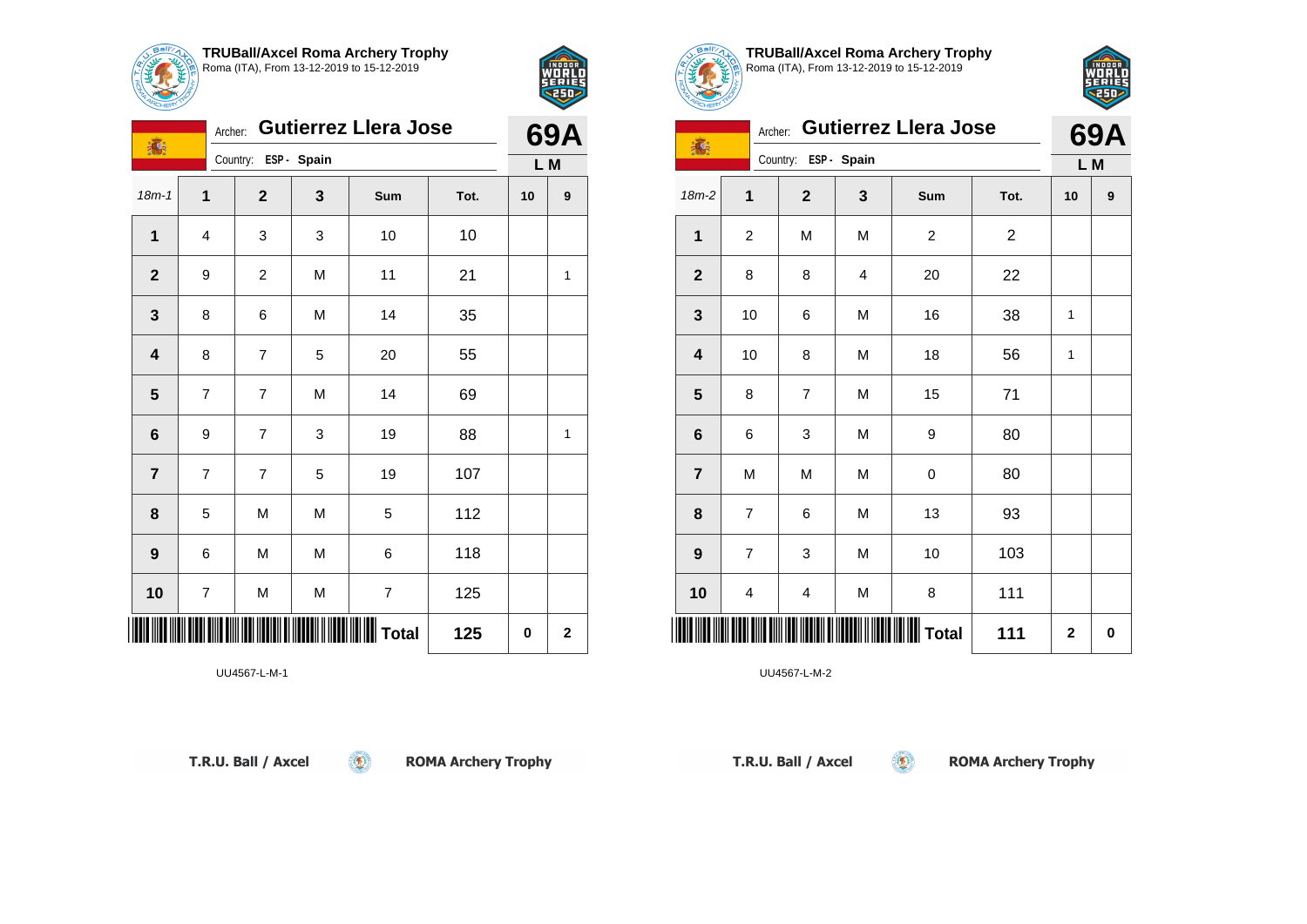



| ARCHER                  |                         |                      |   |                             |      |    |              |
|-------------------------|-------------------------|----------------------|---|-----------------------------|------|----|--------------|
| 瀛                       | Archer:                 |                      |   | <b>Gutierrez Llera Jose</b> |      |    | <b>69A</b>   |
|                         |                         | Country: ESP - Spain |   | L M                         |      |    |              |
| $18m - 1$               | $\mathbf{1}$            | $\overline{2}$       | 3 | Sum                         | Tot. | 10 | 9            |
| 1                       | $\overline{\mathbf{4}}$ | 3                    | 3 | 10                          | 10   |    |              |
| $\overline{\mathbf{2}}$ | 9                       | $\overline{c}$       | M | 11                          | 21   |    | 1            |
| 3                       | 8                       | 6                    | M | 14                          | 35   |    |              |
| 4                       | 8                       | $\overline{7}$       | 5 | 20                          | 55   |    |              |
| 5                       | $\overline{7}$          | $\overline{7}$       | M | 14                          | 69   |    |              |
| $\bf 6$                 | 9                       | $\overline{7}$       | 3 | 19                          | 88   |    | 1            |
| $\overline{7}$          | $\overline{7}$          | $\overline{7}$       | 5 | 19                          | 107  |    |              |
| 8                       | 5                       | M                    | M | 5                           | 112  |    |              |
| $\boldsymbol{9}$        | 6                       | M                    | M | $\,6$                       | 118  |    |              |
| 10                      | 7                       | M                    | M | $\overline{7}$              | 125  |    |              |
| Ш                       |                         |                      |   | <b>Total</b>                | 125  | 0  | $\mathbf{2}$ |

 $\left( \begin{matrix} 0 \\ 1 \end{matrix} \right)$ 



**TRUBall/Axcel Roma Archery Trophy** Roma (ITA), From 13-12-2019 to 15-12-2019



| <b>POHER</b>   |                         |              |                |                             |                         |              |            |
|----------------|-------------------------|--------------|----------------|-----------------------------|-------------------------|--------------|------------|
| 欁              | Archer:                 |              |                | <b>Gutierrez Llera Jose</b> |                         |              | <b>69A</b> |
|                | Country: ESP - Spain    |              |                | L M                         |                         |              |            |
| 18m-2          | 1                       | $\mathbf{2}$ | 3              | Sum                         | Tot.                    | 10           | 9          |
| 1              | $\overline{\mathbf{c}}$ | M            | M              | $\overline{c}$              | $\overline{\mathbf{c}}$ |              |            |
| $\overline{2}$ | 8                       | 8            | $\overline{4}$ | 20                          | 22                      |              |            |
| 3              | 10                      | 6            | M              | 16                          | 38                      | 1            |            |
| 4              | 10                      | 8            | M              | 18                          | 56                      | 1            |            |
| 5              | 8                       | 7            | M              | 15                          | 71                      |              |            |
| 6              | 6                       | 3            | M              | 9                           | 80                      |              |            |
| $\overline{7}$ | M                       | M            | M              | 0                           | 80                      |              |            |
| 8              | $\overline{7}$          | 6            | M              | 13                          | 93                      |              |            |
| 9              | 7                       | 3            | M              | 10                          | 103                     |              |            |
| 10             | 4                       | 4            | M              | 8                           | 111                     |              |            |
|                |                         |              |                | <b>Total</b>                | 111                     | $\mathbf{2}$ | $\bf{0}$   |

 $\left( 5\right)$ 

UU4567-L-M-2

UU4567-L-M-1

T.R.U. Ball / Axcel

**ROMA Archery Trophy**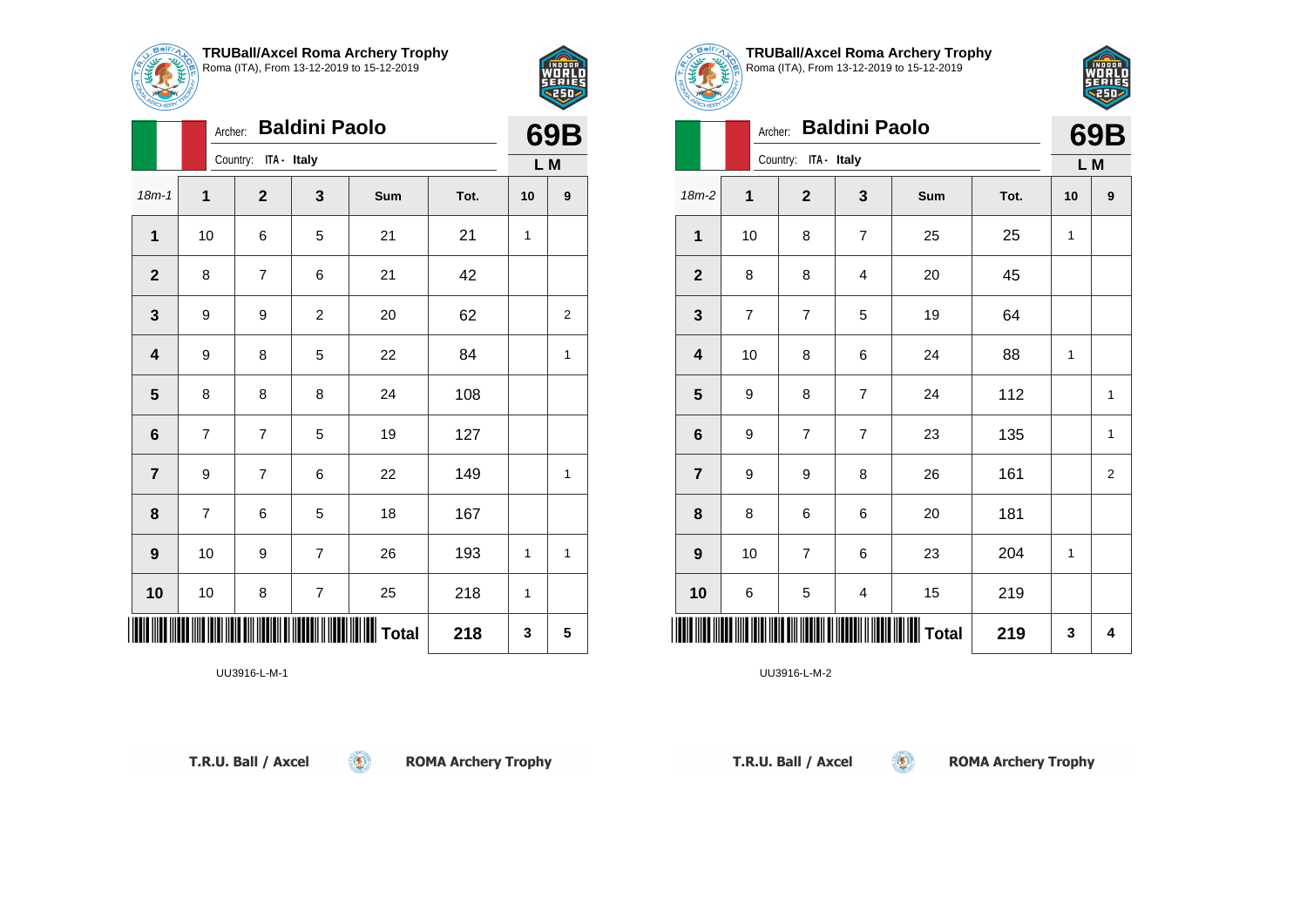

18m-1 **1 2 3 Sum Tot. 10 9**

**3** | 9 | 9 | 2 | 20 | 62 | | 2

**4** | 9 | 8 | 5 | 22 | 84 | 1

**7** | 9 | 7 | 6 | 22 | 149 | | 1

**9** | 10 | 9 | 7 | 26 | 193 | 1 | 1

**10** | 10 | 8 | 7 | 25 | 218 | 1

**1** | 10 | 6 | 5 | 21 | 21 | 1

**2** | 8 | 7 | 6 | 21 | 42

**5** 8 8 8 24 108

**6** | 7 | 7 | 5 | 19 | 127

**8** | 7 | 6 | 5 | 18 | 167

Archer: **Baldini Paolo**

Country: **ITA - Italy**



**69B L M**

**TRUBall/Axcel Roma Archery Trophy** Roma (ITA), From 13-12-2019 to 15-12-2019



| <b>ULLERY</b>           |                |                      |                      |           |      |     |             |  |  |
|-------------------------|----------------|----------------------|----------------------|-----------|------|-----|-------------|--|--|
|                         | Archer:        |                      | <b>Baldini Paolo</b> |           |      | 69B |             |  |  |
|                         |                | Country: ITA - Italy |                      |           |      |     |             |  |  |
| 18m-2                   | 1              | $\mathbf 2$          | 3                    | Sum       | Tot. | 10  | 9           |  |  |
| 1                       | 10             | 8                    | $\overline{7}$       | 25        | 25   | 1   |             |  |  |
| $\overline{2}$          | 8              | 8                    | $\overline{4}$       | 20        | 45   |     |             |  |  |
| 3                       | $\overline{7}$ | 7                    | 5                    | 19        | 64   |     |             |  |  |
| $\overline{\mathbf{4}}$ | 10             | 8                    | 6                    | 24        | 88   | 1   |             |  |  |
| 5                       | 9              | 8                    | $\overline{7}$       | 24        | 112  |     | 1           |  |  |
| 6                       | 9              | 7                    | $\overline{7}$       | 23        | 135  |     | 1           |  |  |
| $\overline{7}$          | 9              | 9                    | 8                    | 26        | 161  |     | $\mathbf 2$ |  |  |
| 8                       | 8              | 6                    | 6                    | 20        | 181  |     |             |  |  |
| $\boldsymbol{9}$        | 10             | $\overline{7}$       | 6                    | 23        | 204  | 1   |             |  |  |
| 10                      | 6              | 5                    | 4                    | 15        | 219  |     |             |  |  |
|                         |                |                      |                      | $ $ Total | 219  | 3   | 4           |  |  |

 $\circledcirc$ 

UU3916-L-M-2

| T.R.U. Ball / Axcel |
|---------------------|
|---------------------|

\*UU3916-L-M-1\*UU3916-L-M-1\*UU3916-L-M-1\*UU3916-L-M-1\*UU3916-L-M-1\*UU3916-L-M-1\*UU3916-L-M-1\*UU3916-L-M-1\*UU391

UU3916-L-M-1

**ROMA Archery Trophy** 

**Total 218 3 5**

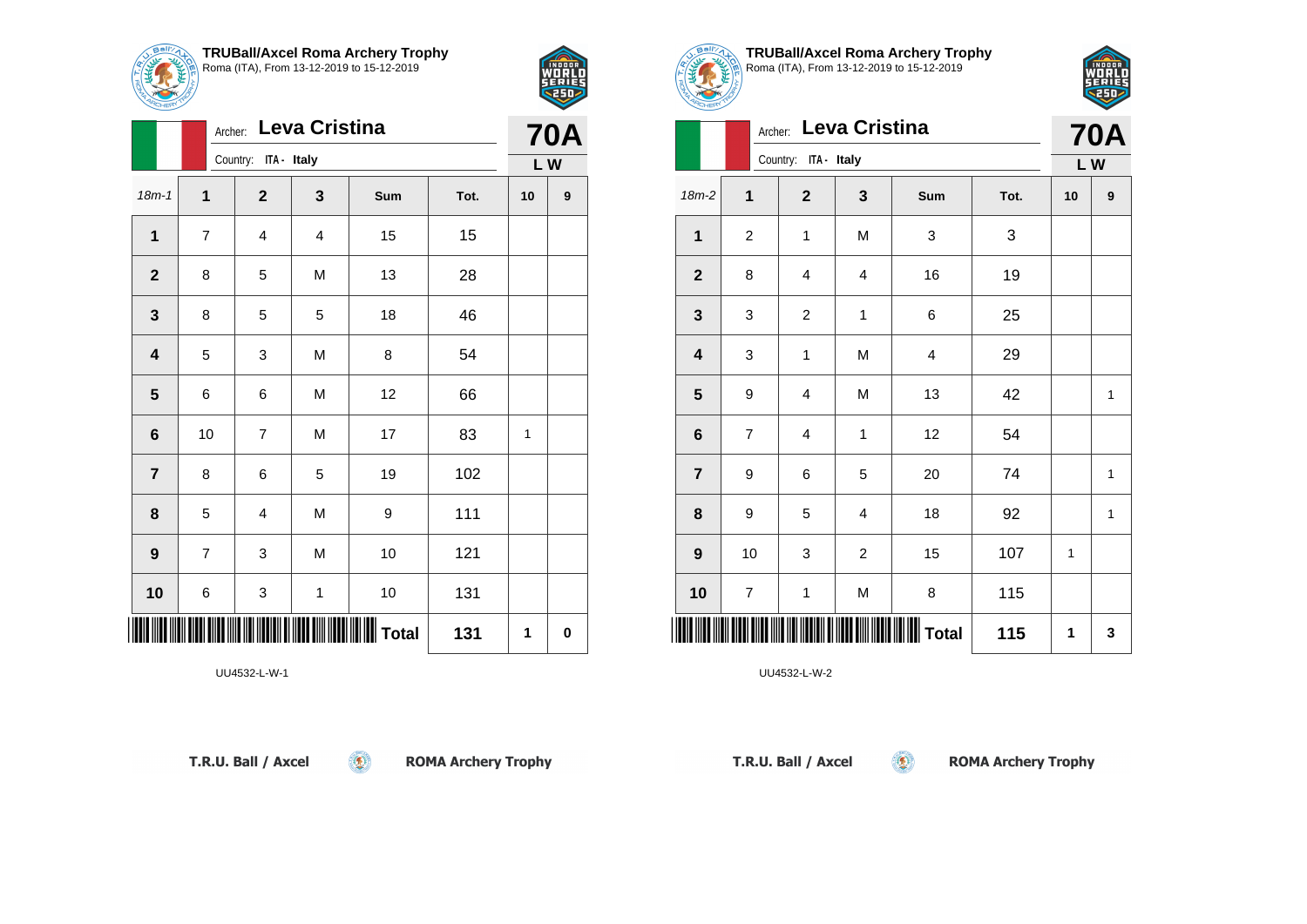

18m-1 **1 2 3 Sum Tot. 10 9**

Archer: **Leva Cristina**

**1** | 7 | 4 | 4 | 15 | 15

**2** | 8 | 5 | M | 13 | 28

**3**  $\begin{array}{|c|c|c|c|c|c|} \hline \textbf{3} & \textbf{8} & \textbf{5} & \textbf{5} & \textbf{1} & \textbf{3} & \textbf{46} \ \hline \end{array}$ 

**4** | 5 | 3 | M | 8 | 54

**5** | 6 | 6 | M | 12 | 66

**7** | 8 | 6 | 5 | 19 | 102

**8** | 5 | 4 | M | 9 | 111

**9** | 7 | 3 | M | 10 | 121

**10** | 6 | 3 | 1 | 10 | 131

**TOTAL TOTAL TELEVISION IN TELEVISION IN TOTAL 131 1 0** 

 $\circledcirc$ 

**6** | 10 | 7 | M | 17 | 83 | 1

Country: **ITA - Italy**



**70A L W**

**TRUBall/Axcel Roma Archery Trophy** Roma (ITA), From 13-12-2019 to 15-12-2019



|                                 | <b>ARCHERY</b>       |                         |                |                         |      |    |              |  |
|---------------------------------|----------------------|-------------------------|----------------|-------------------------|------|----|--------------|--|
| <b>Leva Cristina</b><br>Archer: |                      |                         |                |                         |      |    | <b>70A</b>   |  |
|                                 | Country: ITA - Italy |                         |                |                         |      |    |              |  |
| 18m-2                           | $\overline{1}$       | $\overline{2}$          | 3              | Sum                     | Tot. | 10 | 9            |  |
| 1                               | $\overline{c}$       | 1                       | M              | 3                       | 3    |    |              |  |
| $\mathbf{2}$                    | 8                    | 4                       | 4              | 16                      | 19   |    |              |  |
| $\mathbf{3}$                    | 3                    | $\overline{c}$          | 1              | 6                       | 25   |    |              |  |
| 4                               | 3                    | 1                       | M              | $\overline{\mathbf{4}}$ | 29   |    |              |  |
| $5\phantom{1}$                  | 9                    | $\overline{\mathbf{4}}$ | M              | 13                      | 42   |    | $\mathbf{1}$ |  |
| 6                               | $\overline{7}$       | 4                       | 1              | 12                      | 54   |    |              |  |
| $\overline{7}$                  | 9                    | 6                       | 5              | 20                      | 74   |    | 1            |  |
| 8                               | 9                    | 5                       | 4              | 18                      | 92   |    | 1            |  |
| $\boldsymbol{9}$                | 10                   | 3                       | $\overline{c}$ | 15                      | 107  | 1  |              |  |
| 10                              | $\overline{7}$       | 1                       | M              | 8                       | 115  |    |              |  |
|                                 |                      |                         |                | <b>Total</b>            | 115  | 1  | 3            |  |

 $\circledcirc$ 

UU4532-L-W-2

| T.R.U. Ball / Axcel |  |
|---------------------|--|
|---------------------|--|

UU4532-L-W-1

**ROMA Archery Trophy** 

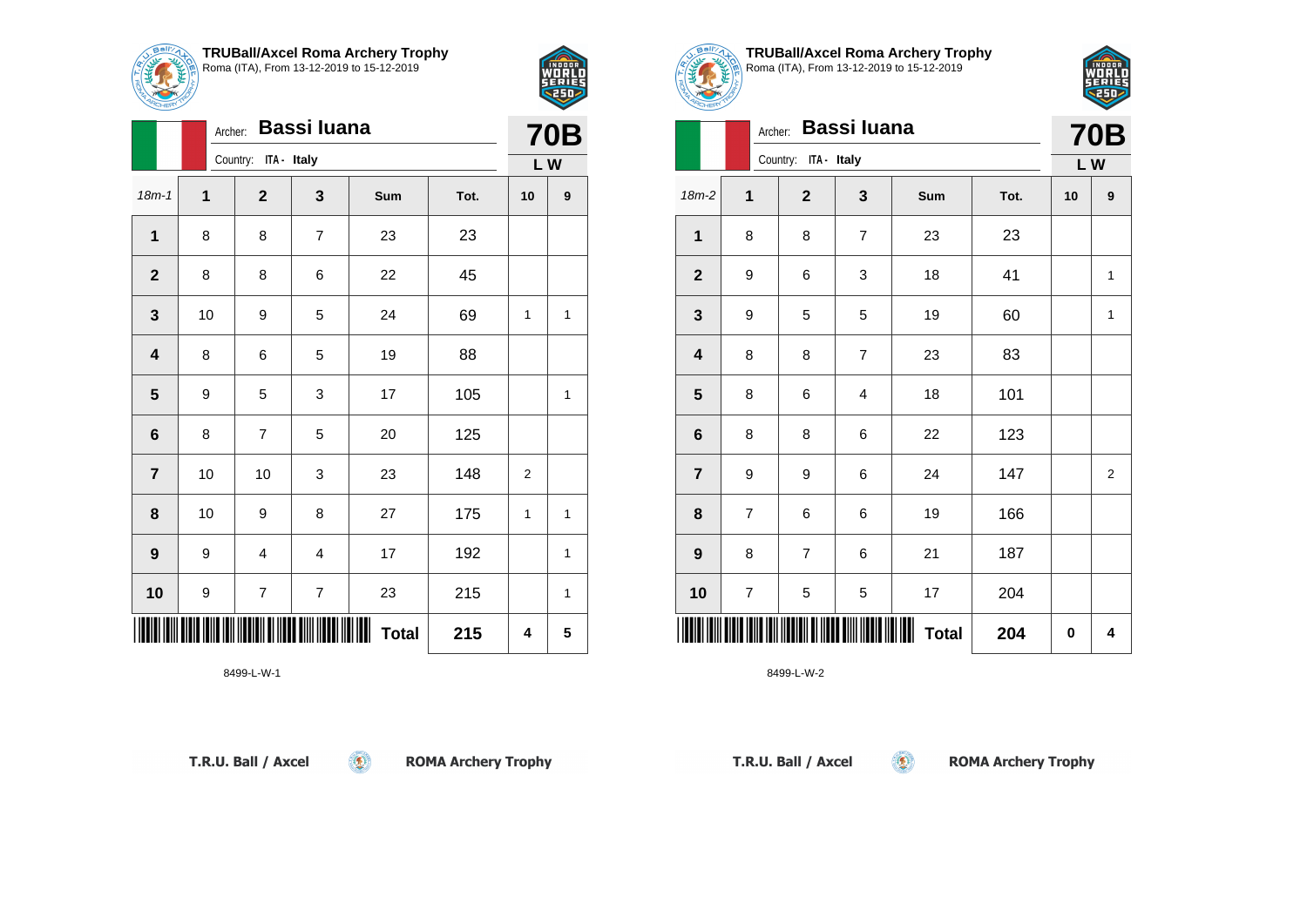

| <u>INDOOR</u> |  |
|---------------|--|
| IΞ.           |  |
| c             |  |
|               |  |

|                  | Archer:              | <b>70B</b>              |                         |              |      |                |   |
|------------------|----------------------|-------------------------|-------------------------|--------------|------|----------------|---|
|                  | Country: ITA - Italy | LW                      |                         |              |      |                |   |
| $18m - 1$        | 1                    | $\mathbf{2}$            | 3                       | Sum          | Tot. | 10             | 9 |
| $\mathbf{1}$     | 8                    | 8                       | $\overline{7}$          | 23           | 23   |                |   |
| $\mathbf{2}$     | 8                    | 8                       | 6                       | 22           | 45   |                |   |
| $\mathbf{3}$     | 10                   | 9                       | 5                       | 24           | 69   | 1              | 1 |
| 4                | 8                    | 6                       | 5                       | 19           | 88   |                |   |
| $5\phantom{1}$   | 9                    | 5                       | 3                       | 17           | 105  |                | 1 |
| 6                | 8                    | $\overline{7}$          | 5                       | 20           | 125  |                |   |
| $\overline{7}$   | 10                   | 10                      | 3                       | 23           | 148  | $\overline{2}$ |   |
| 8                | 10                   | 9                       | 8                       | 27           | 175  | 1              | 1 |
| $\boldsymbol{9}$ | 9                    | 4                       | $\overline{\mathbf{4}}$ | 17           | 192  |                | 1 |
| 10               | 9                    | $\overline{\mathbf{7}}$ | $\overline{\mathbf{7}}$ | 23           | 215  |                | 1 |
|                  |                      |                         |                         | <b>Total</b> | 215  | 4              | 5 |

 $(\mathbf{C})$ 

8499-L-W-1



|                         |                         | Archer:              | <b>70B</b>              |                  |              |      |    |                |  |
|-------------------------|-------------------------|----------------------|-------------------------|------------------|--------------|------|----|----------------|--|
|                         |                         | Country: ITA - Italy |                         |                  |              |      |    | LW             |  |
| $18m-2$                 | 1                       |                      | $\mathbf{2}$            | 3                | Sum          | Tot. | 10 | 9              |  |
| $\mathbf{1}$            | 8                       |                      | 8                       | $\boldsymbol{7}$ | 23           | 23   |    |                |  |
| $\mathbf{2}$            | 9                       |                      | 6                       | 3                | 18           | 41   |    | 1              |  |
| $\mathbf 3$             | 9                       |                      | 5                       | 5                | 19           | 60   |    | $\mathbf{1}$   |  |
| 4                       | 8                       |                      | 8                       | $\overline{7}$   | 23           | 83   |    |                |  |
| 5                       | 8                       |                      | 6                       | 4                | 18           | 101  |    |                |  |
| $\bf 6$                 | 8                       |                      | 8                       | 6                | 22           | 123  |    |                |  |
| $\overline{\mathbf{7}}$ | 9                       |                      | 9                       | 6                | 24           | 147  |    | $\overline{2}$ |  |
| 8                       | $\overline{7}$          |                      | 6                       | 6                | 19           | 166  |    |                |  |
| $\boldsymbol{9}$        | 8                       |                      | $\overline{\mathbf{7}}$ | 6                | 21           | 187  |    |                |  |
| 10                      | $\overline{\mathbf{7}}$ |                      | 5                       | 5                | 17           | 204  |    |                |  |
|                         |                         |                      |                         |                  | <b>Total</b> | 204  | 0  | 4              |  |

 $\left( 5\right)$ 

8499-L-W-2

T.R.U. Ball / Axcel

**ROMA Archery Trophy** 

T.R.U. Ball / Axcel

**ROMA Archery Trophy**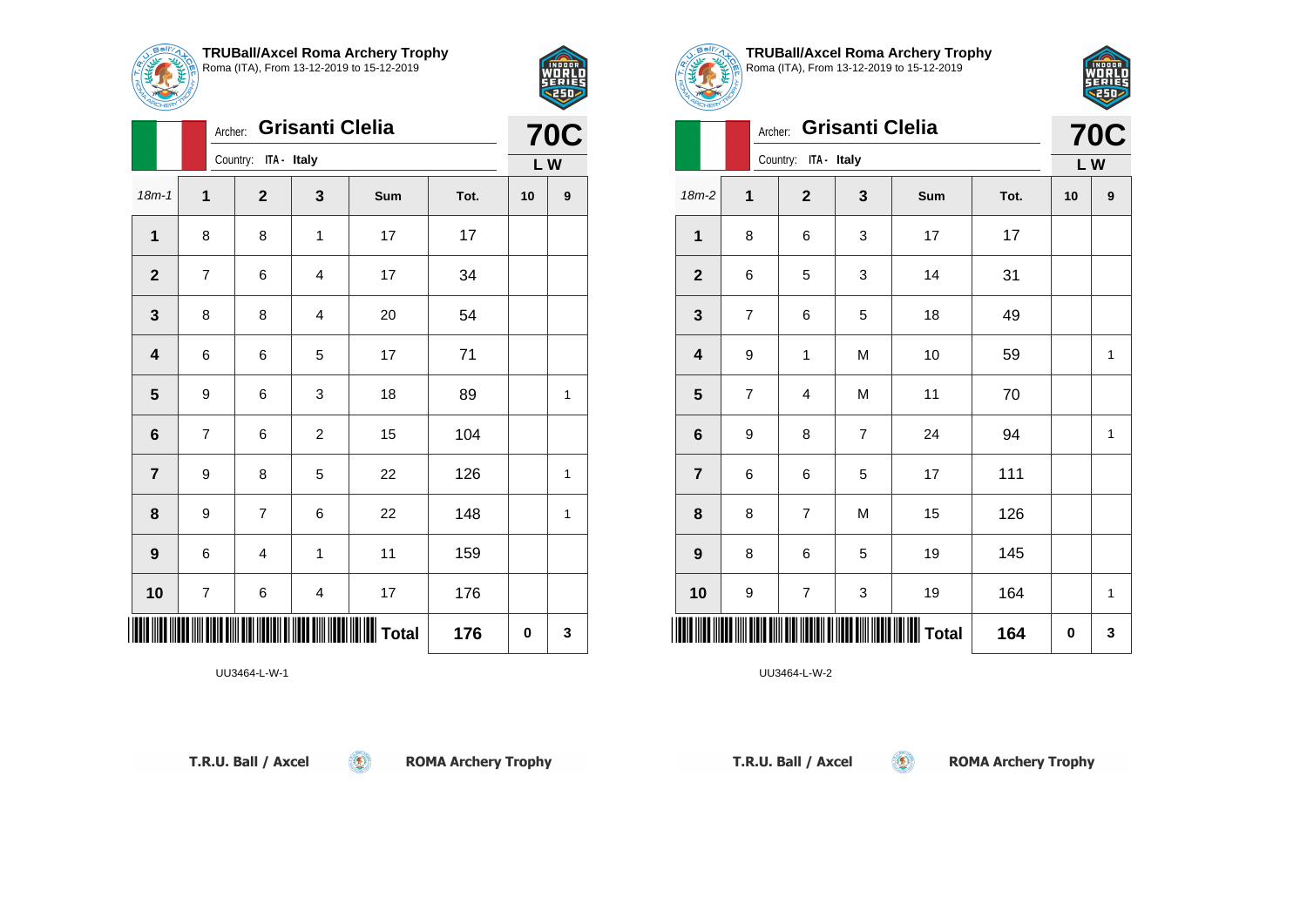

18m-1 **1 2 3 Sum Tot. 10 9**

**5** | 9 | 6 | 3 | 18 | 89 | | 1

**7** | 9 | 8 | 5 | 22 | 126 | | 1

**8** | 9 | 7 | 6 | 22 | 148 | | 1

 $\circledcirc$ 

Archer: **Grisanti Clelia**

**1** | 8 | 8 | 1 | 17 | 17

**2** | 7 | 6 | 4 | 17 | 34

**3** | 8 | 8 | 4 | 20 | 54

**4** | 6 | 6 | 5 | 17 | 71

**6** | 7 | 6 | 2 | 15 | 104

**9** | 6 | 4 | 1 | 11 | 159

**10** | 7 | 6 | 4 | 17 | 176

Country: **ITA - Italy**



**L W**

| <b>TRUBall/Axcel Roma Archery Trophy</b><br>$\mathbb{Z}_{\mathbb{Z}}$ Roma (ITA), From 13-12-2019 to 15-12-2019 |
|-----------------------------------------------------------------------------------------------------------------|



|                         | Archer:        |                          | <b>70C</b>     |              |      |    |   |  |  |  |  |
|-------------------------|----------------|--------------------------|----------------|--------------|------|----|---|--|--|--|--|
|                         |                | Country: ITA - Italy     |                |              |      |    |   |  |  |  |  |
| $18m-2$                 | 1              | $\mathbf{2}$             | 3              | Sum          | Tot. | 10 | 9 |  |  |  |  |
| 1                       | 8              | 6                        | 3              | 17           | 17   |    |   |  |  |  |  |
| $\overline{\mathbf{2}}$ | 6              | 5                        | 3              | 14           | 31   |    |   |  |  |  |  |
| $\mathbf{3}$            | $\overline{7}$ | 6                        | 5              | 18           | 49   |    |   |  |  |  |  |
| $\overline{\mathbf{4}}$ | 9              | 1                        | M              | 10           | 59   |    | 1 |  |  |  |  |
| $\overline{\mathbf{5}}$ | $\overline{7}$ | 4                        | M              | 11           | 70   |    |   |  |  |  |  |
| $\bf 6$                 | 9              | 8                        | $\overline{7}$ | 24           | 94   |    | 1 |  |  |  |  |
| $\overline{7}$          | 6              | 6                        | 5              | 17           | 111  |    |   |  |  |  |  |
| 8                       | 8              | $\overline{\mathcal{I}}$ | M              | 15           | 126  |    |   |  |  |  |  |
| $\boldsymbol{9}$        | 8              | 6                        | 5              | 19           | 145  |    |   |  |  |  |  |
| 10                      | 9              | $\overline{7}$           | 3              | 19           | 164  |    | 1 |  |  |  |  |
|                         |                |                          |                | <b>Total</b> | 164  | 0  | 3 |  |  |  |  |

 $\circledcirc$ 

UU3464-L-W-2

| T.R.U. Ball / Axcel |  |
|---------------------|--|
|                     |  |

\*UU3464-L-W-1464-L-W-1464-L-W-1464-L-W-1464-L-W-1464-L-W-1464-L-W-1464-L-W-1464-L-W-1464-L-W-1464-L-W-1464-L-W

UU3464-L-W-1

**ROMA Archery Trophy** 

**Total 176 0 3**

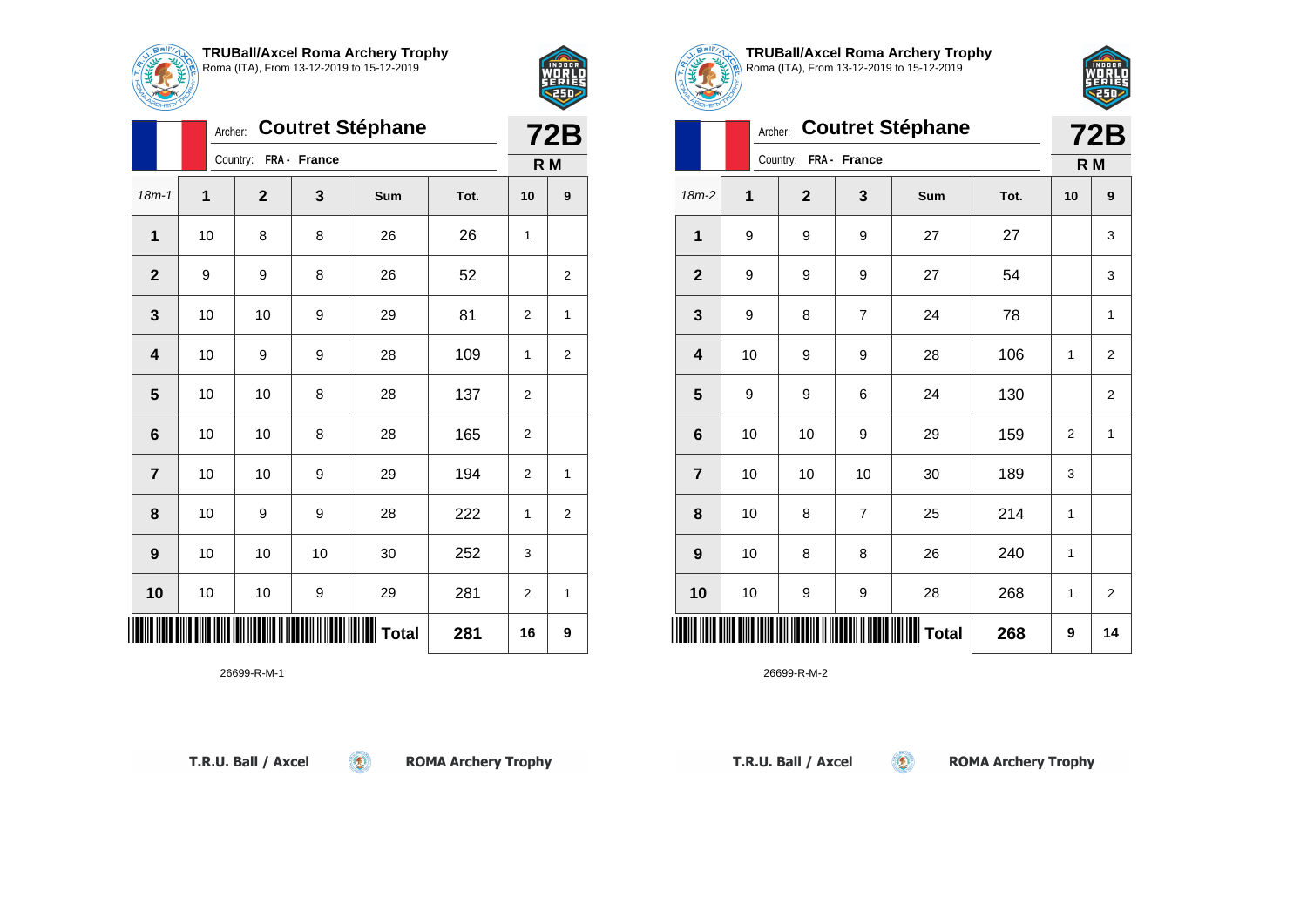



|                  |    |                       |    |                          |      |                | 932            |
|------------------|----|-----------------------|----|--------------------------|------|----------------|----------------|
|                  |    |                       |    | Archer: Coutret Stéphane |      |                | <b>72B</b>     |
|                  |    | Country: FRA - France |    |                          |      |                | R M            |
| $18m - 1$        | 1  | $\overline{2}$        | 3  | Sum                      | Tot. | 10             | 9              |
| 1                | 10 | 8                     | 8  | 26                       | 26   | 1              |                |
| $\mathbf{2}$     | 9  | 9                     | 8  | 26                       | 52   |                | $\overline{2}$ |
| $\mathbf 3$      | 10 | 10                    | 9  | 29                       | 81   | $\overline{2}$ | 1              |
| 4                | 10 | 9                     | 9  | 28                       | 109  | 1              | $\overline{2}$ |
| 5                | 10 | 10                    | 8  | 28                       | 137  | 2              |                |
| 6                | 10 | 10                    | 8  | 28                       | 165  | $\overline{2}$ |                |
| $\overline{7}$   | 10 | 10                    | 9  | 29                       | 194  | $\overline{2}$ | 1              |
| 8                | 10 | 9                     | 9  | 28                       | 222  | 1              | $\overline{2}$ |
| $\boldsymbol{9}$ | 10 | 10                    | 10 | 30                       | 252  | 3              |                |
| 10               | 10 | 10                    | 9  | 29                       | 281  | 2              | 1              |
|                  |    |                       |    | <b>Total</b>             | 281  | 16             | 9              |





**TRUBall/Axcel Roma Archery Trophy** Roma (ITA), From 13-12-2019 to 15-12-2019



|                |             | Archer:                  |                | <b>Coutret Stéphane</b> |      |                | <b>72B</b>     |  |  |
|----------------|-------------|--------------------------|----------------|-------------------------|------|----------------|----------------|--|--|
|                |             | Country:<br>FRA - France |                |                         |      |                |                |  |  |
| $18m-2$        | $\mathbf 1$ | $\mathbf 2$              | 3              | Sum                     | Tot. | 10             | 9              |  |  |
| 1              | 9           | 9                        | 9              | 27                      | 27   |                | 3              |  |  |
| $\overline{2}$ | 9           | 9                        | 9              | 27                      | 54   |                | 3              |  |  |
| 3              | 9           | 8                        | $\overline{7}$ | 24                      | 78   |                | 1              |  |  |
| 4              | 10          | 9                        | 9              | 28                      | 106  | 1              | $\overline{2}$ |  |  |
| 5              | 9           | 9                        | 6              | 24                      | 130  |                | $\overline{2}$ |  |  |
| 6              | 10          | 10                       | 9              | 29                      | 159  | $\overline{2}$ | 1              |  |  |
| $\overline{7}$ | 10          | 10                       | 10             | 30                      | 189  | 3              |                |  |  |
| 8              | 10          | 8                        | $\overline{7}$ | 25                      | 214  | $\mathbf{1}$   |                |  |  |
| 9              | 10          | 8                        | 8              | 26                      | 240  | $\mathbf{1}$   |                |  |  |
| 10             | 10          | 9                        | 9              | 28                      | 268  | 1              | $\overline{2}$ |  |  |
| IIIII          |             |                          |                | <b>Total</b>            | 268  | 9              | 14             |  |  |

 $\left( 6\right)$ 

26699-R-M-2

T.R.U. Ball / Axcel

**ROMA Archery Trophy** 

 $\circledcirc$ 

T.R.U. Ball / Axcel

**ROMA Archery Trophy**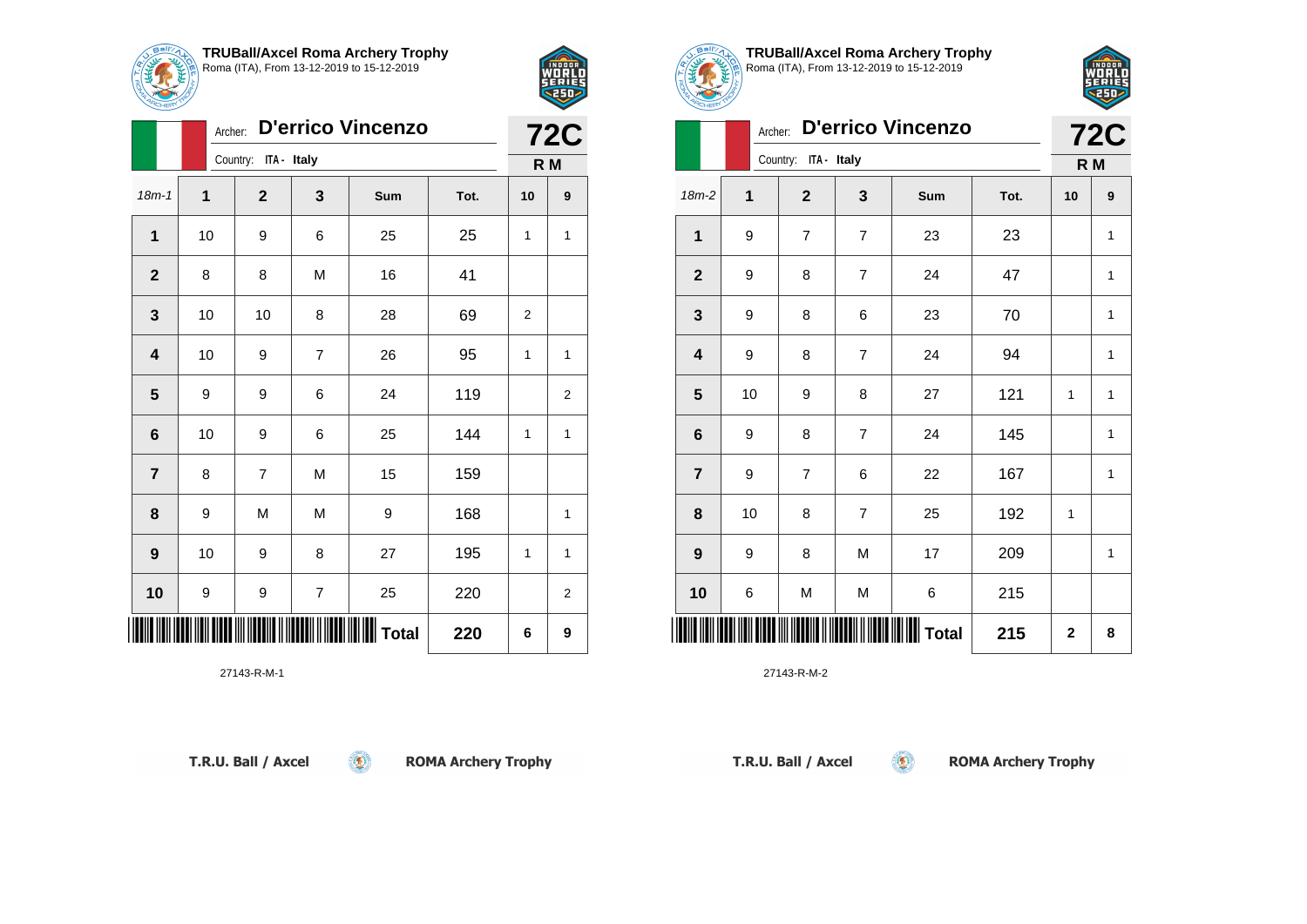

Archer: **D'errico Vincenzo**

**2** | 8 | 8 | M | 16 | 41

**7** | 8 | 7 | M | 15 | 159

**3** | 10 | 10 | 8 | 28 | 69 | 2

18m-1 **1 2 3 Sum Tot. 10 9**

**1** | 10 | 9 | 6 | 25 | 25 | 1 | 1

**4** | 10 | 9 | 7 | 26 | 95 | 1 | 1

**5** | 9 | 9 | 6 | 24 | 119 | | 2

**6** | 10 | 9 | 6 | 25 | 144 | 1 | 1

**8** | 9 | M | M | 9 | 168 | | 1

**9** | 10 | 9 | 8 | 27 | 195 | 1 | 1

**10** 9 9 7 25 220 220

 $\circledcirc$ 

Country: **ITA - Italy**



**72C**

**R M**

**TRUBall/Axcel Roma Archery Trophy** Roma (ITA), From 13-12-2019 to 15-12-2019

|                  | Archer:  |                | <b>72C</b>     |              |      |              |              |
|------------------|----------|----------------|----------------|--------------|------|--------------|--------------|
|                  | Country: | R M            |                |              |      |              |              |
| $18m-2$          | 1        | $\mathbf 2$    | 3              | Sum          | Tot. | 10           | 9            |
| 1                | 9        | $\overline{7}$ | $\overline{7}$ | 23           | 23   |              | 1            |
| $\mathbf{2}$     | 9        | 8              | $\overline{7}$ | 24           | 47   |              | 1            |
| $\mathbf{3}$     | 9        | 8              | 6              | 23           | 70   |              | 1            |
| 4                | 9        | 8              | $\overline{7}$ | 24           | 94   |              | $\mathbf{1}$ |
| 5                | 10       | 9              | 8              | 27           | 121  | 1            | $\mathbf{1}$ |
| 6                | 9        | 8              | $\overline{7}$ | 24           | 145  |              | 1            |
| $\overline{7}$   | 9        | $\overline{7}$ | 6              | 22           | 167  |              | $\mathbf{1}$ |
| 8                | 10       | 8              | $\overline{7}$ | 25           | 192  | 1            |              |
| $\boldsymbol{9}$ | 9        | 8              | M              | 17           | 209  |              | $\mathbf{1}$ |
| 10               | 6        | M              | M              | 6            | 215  |              |              |
|                  |          |                |                | <b>Total</b> | 215  | $\mathbf{2}$ | 8            |

 $\circledcirc$ 

27143-R-M-2

|  | T.R.U. Ball / Axcel |
|--|---------------------|
|  |                     |

\*27143-R-M-1\*

27143-R-M-1

**ROMA Archery Trophy** 

**Total 220 6 9**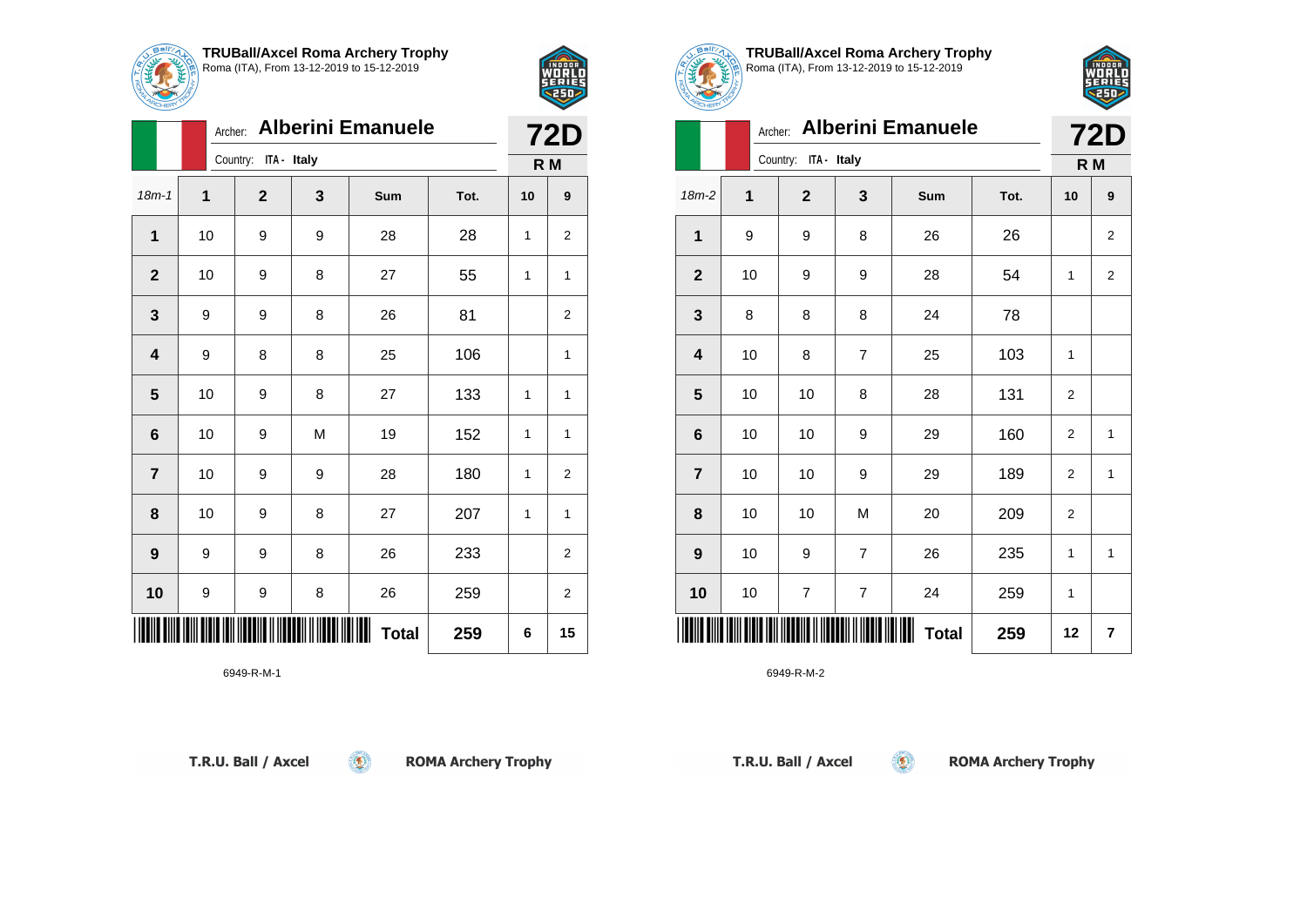



|                         |    | <b>Alberini Emanuele</b><br>Archer: |   |     |      |    |                  |  |  |
|-------------------------|----|-------------------------------------|---|-----|------|----|------------------|--|--|
|                         |    | ITA - Italy<br>Country:             |   |     |      |    |                  |  |  |
| $18m - 1$               | 1  | $\mathbf 2$                         | 3 | Sum | Tot. | 10 | 9                |  |  |
| 1                       | 10 | 9                                   | 9 | 28  | 28   | 1  | $\overline{2}$   |  |  |
| $\overline{\mathbf{2}}$ | 10 | 9                                   | 8 | 27  | 55   | 1  | 1                |  |  |
| $\mathbf 3$             | 9  | 9                                   | 8 | 26  | 81   |    | $\overline{c}$   |  |  |
| $\overline{\mathbf{4}}$ | 9  | 8                                   | 8 | 25  | 106  |    | 1                |  |  |
| $5\phantom{1}$          | 10 | 9                                   | 8 | 27  | 133  | 1  | 1                |  |  |
| 6                       | 10 | 9                                   | M | 19  | 152  | 1  | 1                |  |  |
| $\overline{7}$          | 10 | 9                                   | 9 | 28  | 180  | 1  | $\overline{2}$   |  |  |
| 8                       | 10 | 9                                   | 8 | 27  | 207  | 1  | 1                |  |  |
| $\boldsymbol{9}$        | 9  | 9                                   | 8 | 26  | 233  |    | $\boldsymbol{2}$ |  |  |
| 10                      | 9  | 9                                   | 8 | 26  | 259  |    | 2                |  |  |
| <b>Total</b><br>259     |    |                                     |   |     |      |    |                  |  |  |

 $\circledcirc$ 



T.R.U. Ball / Axcel







|                |    | Archer: Alberini Emanuele |                         |                   |      |                |                |  |  |
|----------------|----|---------------------------|-------------------------|-------------------|------|----------------|----------------|--|--|
|                |    | Country: ITA - Italy      |                         |                   |      |                |                |  |  |
| 18m-2          | 1  | $\overline{2}$            | 3                       | Sum               | Tot. | 10             | 9              |  |  |
| 1              | 9  | 9                         | 8                       | 26                | 26   |                | $\overline{2}$ |  |  |
| $\mathbf{2}$   | 10 | 9                         | 9                       | 28                | 54   | 1              | $\overline{2}$ |  |  |
| 3              | 8  | 8                         | 8                       | 24                | 78   |                |                |  |  |
| 4              | 10 | 8                         | $\overline{7}$          | 25                | 103  | 1              |                |  |  |
| 5              | 10 | 10                        | 8                       | 28                | 131  | 2              |                |  |  |
| 6              | 10 | 10                        | 9                       | 29                | 160  | $\overline{2}$ | 1              |  |  |
| $\overline{7}$ | 10 | 10                        | 9                       | 29                | 189  | $\overline{2}$ | 1              |  |  |
| 8              | 10 | 10                        | M                       | 20                | 209  | $\overline{2}$ |                |  |  |
| 9              | 10 | 9                         | $\overline{7}$          | 26                | 235  | 1              | 1              |  |  |
| 10             | 10 | $\overline{\mathcal{I}}$  | $\overline{\mathbf{7}}$ | 24                | 259  | 1              |                |  |  |
|                |    |                           |                         | Ш<br><b>Total</b> | 259  | 12             | 7              |  |  |

 $(\mathbf{C})$ 

**TRUBall/Axcel Roma Archery Trophy** Roma (ITA), From 13-12-2019 to 15-12-2019

6949-R-M-2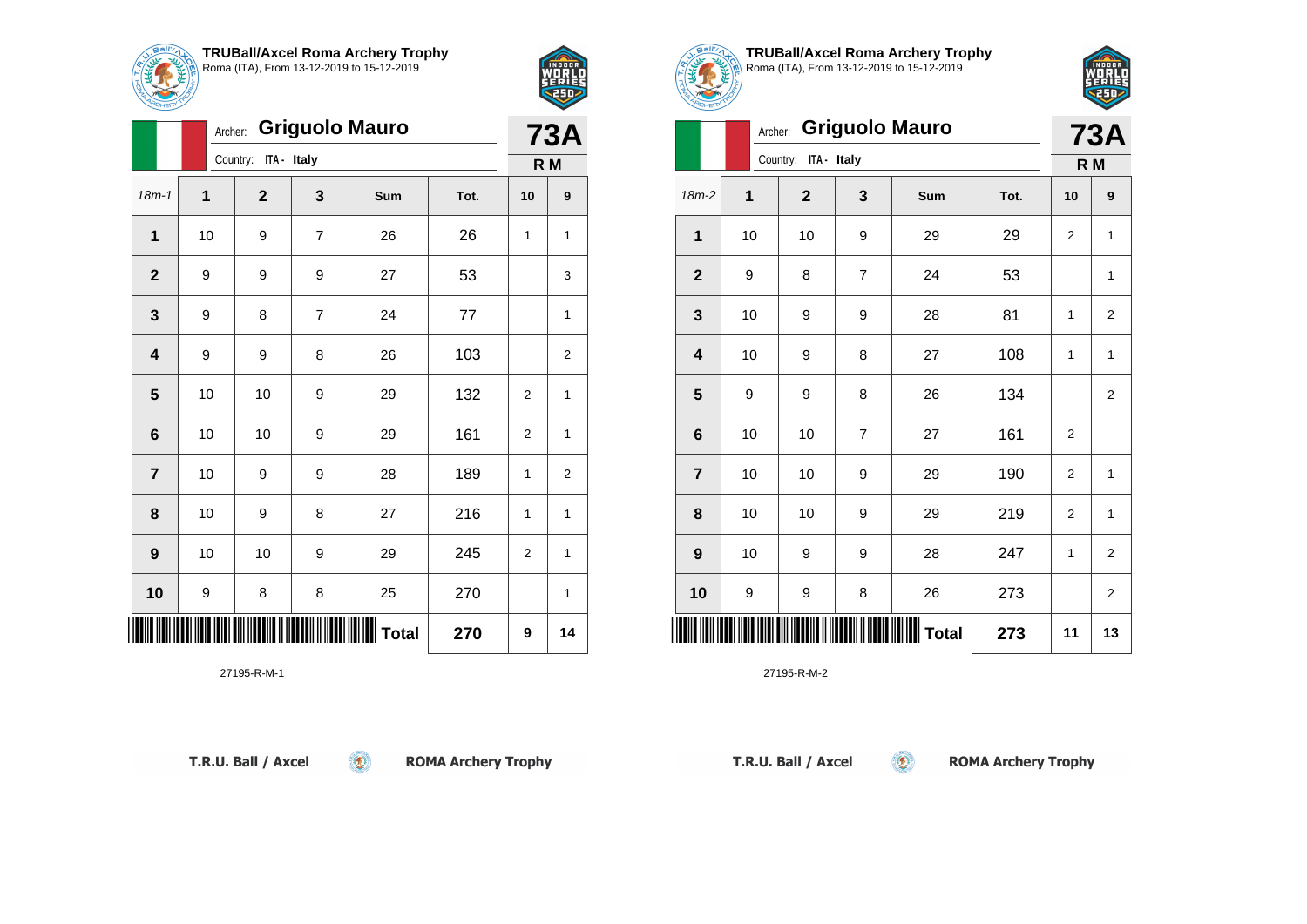

Archer: **Griguolo Mauro**

18m-1 **1 2 3 Sum Tot. 10 9**

**1** | 10 | 9 | 7 | 26 | 26 | 1 | 1

**2** | 9 | 9 | 9 | 27 | 53 | | 3

**3** | 9 | 8 | 7 | 24 | 77 | | 1

**4** | 9 | 9 | 8 | 26 | 103 | | 2

**5** | 10 | 10 | 9 | 29 | 132 | 2 | 1

**6** | 10 | 10 | 9 | 29 | 161 | 2 | 1

**7** | 10 | 9 | 9 | 28 | 189 | 1 | 2

**8** | 10 | 9 | 8 | 27 | 216 | 1 | 1

**9** | 10 | 10 | 9 | 29 | 245 | 2 | 1

**10** 9 8 8 8 25 270 1

 $\circledcirc$ 

Country: **ITA - Italy**



**73A R M**

**TRUBall/Axcel Roma Archery Trophy** Roma (ITA), From 13-12-2019 to 15-12-2019



| <b>ACHERY</b>  |                |                |                |              |      |                |                |
|----------------|----------------|----------------|----------------|--------------|------|----------------|----------------|
|                | Archer:        |                | <b>73A</b>     |              |      |                |                |
|                | R M            |                |                |              |      |                |                |
| 18m-2          | $\overline{1}$ | $\overline{2}$ | 3              | Sum          | Tot. | 10             | 9              |
| $\mathbf 1$    | 10             | 10             | 9              | 29           | 29   | 2              | 1              |
| $\mathbf{2}$   | 9              | 8              | $\overline{7}$ | 24           | 53   |                | 1              |
| $\mathbf{3}$   | 10             | 9              | 9              | 28           | 81   | 1              | $\overline{2}$ |
| 4              | 10             | 9              | 8              | 27           | 108  | 1              | 1              |
| 5              | 9              | 9              | 8              | 26           | 134  |                | $\overline{2}$ |
| $\bf 6$        | 10             | 10             | $\overline{7}$ | 27           | 161  | $\overline{2}$ |                |
| $\overline{7}$ | 10             | 10             | 9              | 29           | 190  | $\overline{2}$ | 1              |
| 8              | 10             | 10             | 9              | 29           | 219  | $\overline{2}$ | 1              |
| 9              | 10             | 9              | 9              | 28           | 247  | 1              | $\overline{2}$ |
| 10             | 9              | 9              | 8              | 26           | 273  |                | $\overline{2}$ |
|                |                |                |                | <b>Total</b> | 273  | 11             | 13             |

 $\circledcirc$ 

27195-R-M-2

\*27195-R-M-1\*

27195-R-M-1

**Total 270 9 14**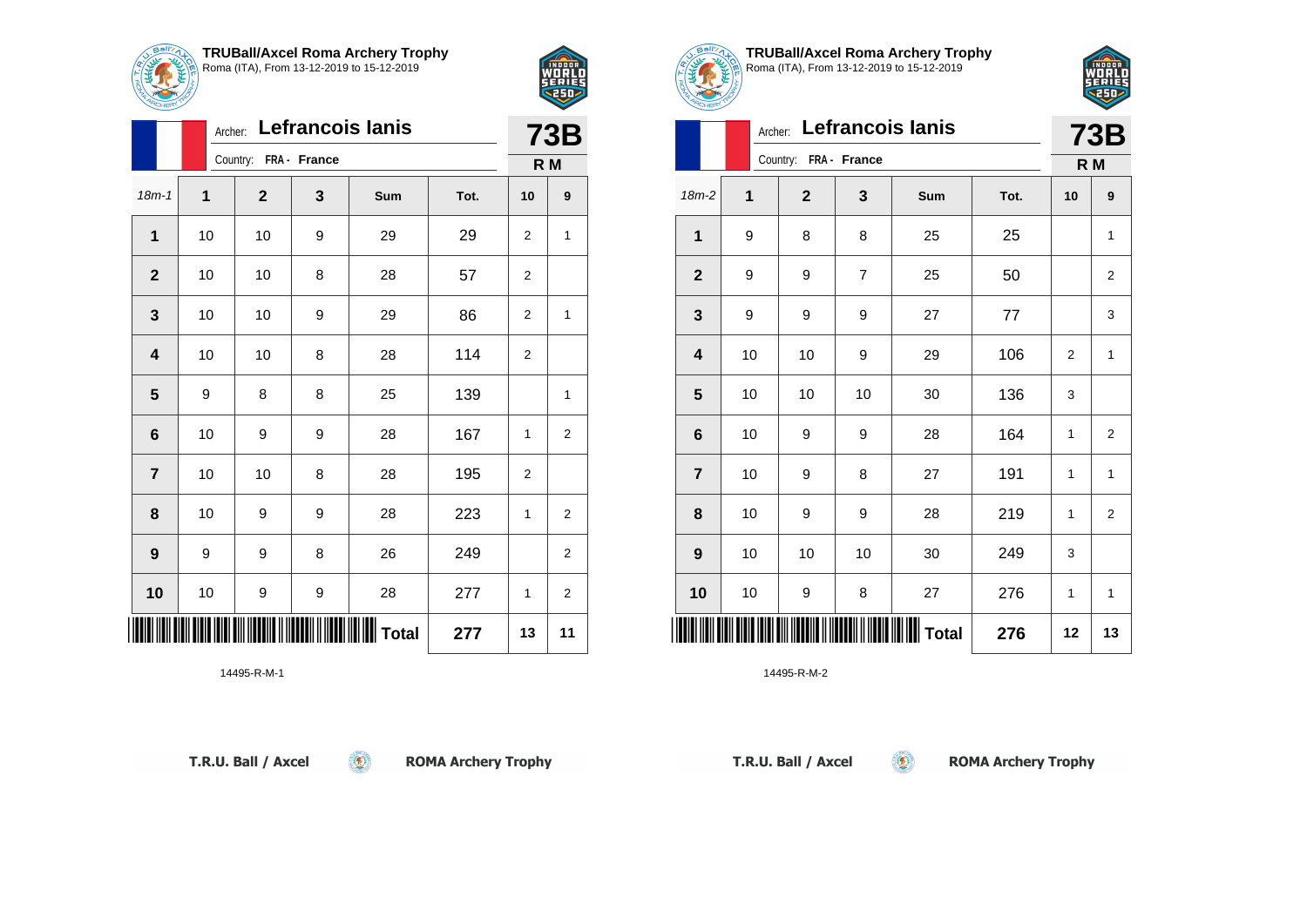



|                         | Archer: |                       | <b>73B</b> |                 |      |                |                |  |  |  |
|-------------------------|---------|-----------------------|------------|-----------------|------|----------------|----------------|--|--|--|
|                         |         | Country: FRA - France |            |                 |      |                |                |  |  |  |
| $18m - 1$               | 1       | $\mathbf{2}$          | 3          | Sum             | Tot. | 10             | 9              |  |  |  |
| 1                       | 10      | 10                    | 9          | 29              | 29   | 2              | 1              |  |  |  |
| $\overline{\mathbf{2}}$ | 10      | 10                    | 8          | 28              | 57   | $\overline{2}$ |                |  |  |  |
| 3                       | 10      | 10                    | 9          | 29              | 86   | 2              | 1              |  |  |  |
| 4                       | 10      | 10                    | 8          | 28              | 114  | 2              |                |  |  |  |
| $5\phantom{1}$          | 9       | 8                     | 8          | 25              | 139  |                | 1              |  |  |  |
| $6\phantom{1}6$         | 10      | 9                     | 9          | 28              | 167  | 1              | $\overline{2}$ |  |  |  |
| $\overline{7}$          | 10      | 10                    | 8          | 28              | 195  | 2              |                |  |  |  |
| 8                       | 10      | 9                     | 9          | 28              | 223  | 1              | 2              |  |  |  |
| $\boldsymbol{9}$        | 9       | 9                     | 8          | 26              | 249  |                | 2              |  |  |  |
| 10                      | 10      | 9                     | 9          | 28              | 277  | 1              | $\overline{2}$ |  |  |  |
|                         |         |                       |            | <b>II</b> Total | 277  | 13             | 11             |  |  |  |





**ROMA Archery Trophy** 



|                         | Lefrancois lanis<br>Archer: |                       |                |                   |      | <b>73B</b>     |                |  |  |
|-------------------------|-----------------------------|-----------------------|----------------|-------------------|------|----------------|----------------|--|--|
|                         |                             | Country: FRA - France |                |                   |      |                |                |  |  |
| $18m-2$                 | 1                           | $\mathbf 2$           | 3              | Sum               | Tot. | 10             | 9              |  |  |
| 1                       | 9                           | 8                     | 8              | 25                | 25   |                | 1              |  |  |
| $\mathbf{2}$            | 9                           | 9                     | $\overline{7}$ | 25                | 50   |                | $\mathbf 2$    |  |  |
| 3                       | 9                           | 9                     | 9              | 27                | 77   |                | 3              |  |  |
| $\overline{\mathbf{4}}$ | 10                          | 10                    | 9              | 29                | 106  | $\overline{2}$ | $\mathbf{1}$   |  |  |
| 5                       | 10                          | 10                    | 10             | 30                | 136  | 3              |                |  |  |
| $6\phantom{1}6$         | 10                          | 9                     | 9              | 28                | 164  | $\mathbf{1}$   | $\overline{2}$ |  |  |
| $\overline{7}$          | 10                          | 9                     | 8              | 27                | 191  | 1              | 1              |  |  |
| 8                       | 10                          | 9                     | 9              | 28                | 219  | 1              | $\overline{c}$ |  |  |
| 9                       | 10                          | 10                    | 10             | 30                | 249  | 3              |                |  |  |
| 10                      | 10                          | 9                     | 8              | 27                | 276  | 1              | 1              |  |  |
| ║║                      |                             |                       |                | <b>IIII</b> Total | 276  | 12             | 13             |  |  |

 $(\mathbf{C})$ 

**TRUBall/Axcel Roma Archery Trophy** Roma (ITA), From 13-12-2019 to 15-12-2019

14495-R-M-2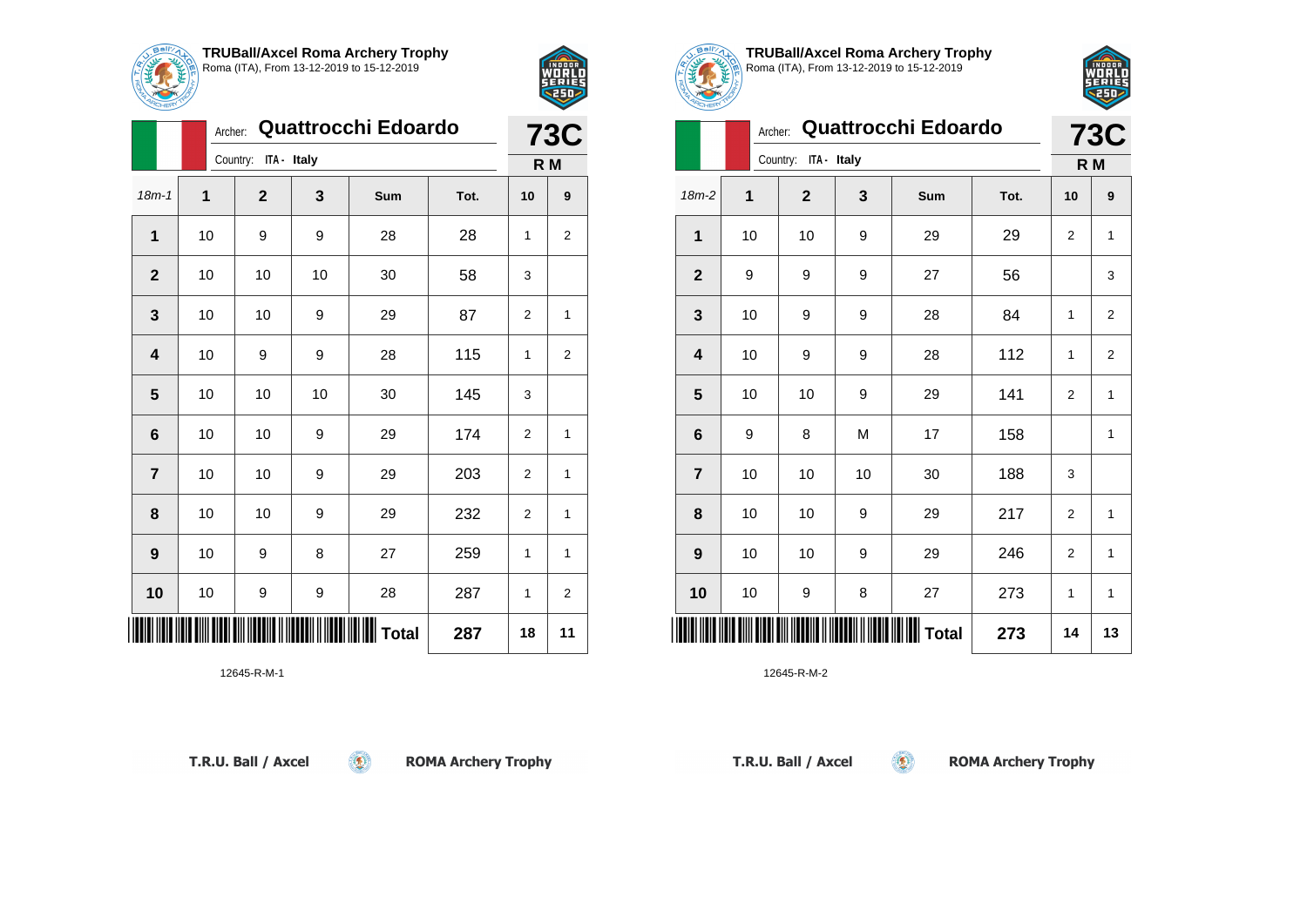

Country: **ITA - Italy**

Archer: **Quattrocchi Edoardo**

18m-1 **1 2 3 Sum Tot. 10 9**

**1** | 10 | 9 | 9 | 28 | 28 | 1 | 2

**3** | 10 | 10 | 9 | 29 | 87 | 2 | 1

**4** | 10 | 9 | 9 | 28 | 115 | 1 | 2

**6** | 10 | 10 | 9 | 29 | 174 | 2 | 1

**7** | 10 | 10 | 9 | 29 | 203 | 2 | 1

**8** | 10 | 10 | 9 | 29 | 232 | 2 | 1

**9** | 10 | 9 | 8 | 27 | 259 | 1 | 1

**10** | 10 | 9 | 9 | 28 | 287 | 1 | 2

 $\circledcirc$ 

**2** | 10 | 10 | 10 | 30 | 58 | 3

**5** | 10 | 10 | 10 | 30 | 145 | 3



**R M**

| <b>TRUBall/Axcel Roma Archery Trophy</b><br>Roma (ITA), From 13-12-2019 to 15-12-2019 |
|---------------------------------------------------------------------------------------|



| $C$ HEM $\overline{C}$  |         |                         |    |                            |      |                |                |
|-------------------------|---------|-------------------------|----|----------------------------|------|----------------|----------------|
|                         | Archer: |                         |    | <b>Quattrocchi Edoardo</b> |      |                | <b>73C</b>     |
|                         |         | ITA - Italy<br>Country: |    |                            |      | R M            |                |
| $18m-2$                 | 1       | $\mathbf{2}$            | 3  | Sum                        | Tot. | 10             | 9              |
| 1                       | 10      | 10                      | 9  | 29                         | 29   | $\overline{2}$ | 1              |
| $\overline{2}$          | 9       | 9                       | 9  | 27                         | 56   |                | 3              |
| 3                       | 10      | 9                       | 9  | 28                         | 84   | 1              | $\overline{2}$ |
| 4                       | 10      | 9                       | 9  | 28                         | 112  | 1              | $\overline{2}$ |
| $5\phantom{1}$          | 10      | 10                      | 9  | 29                         | 141  | $\overline{2}$ | 1              |
| 6                       | 9       | 8                       | M  | 17                         | 158  |                | 1              |
| $\overline{\mathbf{r}}$ | 10      | 10                      | 10 | 30                         | 188  | 3              |                |
| 8                       | 10      | 10                      | 9  | 29                         | 217  | $\overline{2}$ | 1              |
| 9                       | 10      | 10                      | 9  | 29                         | 246  | 2              | 1              |
| 10                      | 10      | 9                       | 8  | 27                         | 273  | 1              | 1              |
|                         |         |                         |    | <b>Total</b>               | 273  | 14             | 13             |

 $\circledcirc$ 

12645-R-M-2

\***12646-R-M-1\*126-R-M-1\*126-R-M-1\*126-R-M-1\*126-R-M-1\*126-R-M-1\*126-R-M-1\*126-R-M-1\*126-R-M-1\*126-R-M-1\*126-R-M** 

12645-R-M-1

T.R.U. Ball / Axcel

**ROMA Archery Trophy** 

**Total 287 18 11**

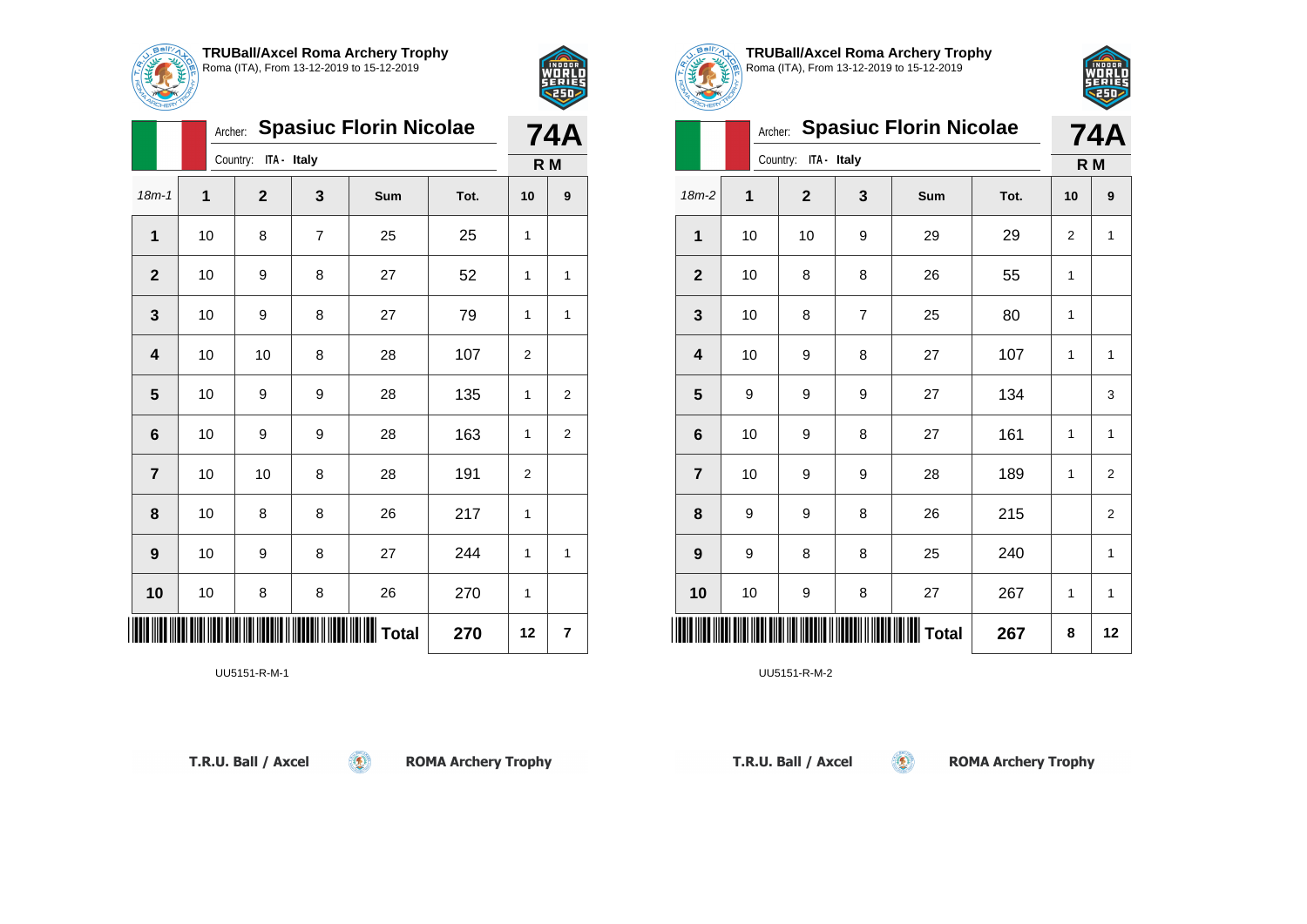

Country: **ITA - Italy**

Archer: **Spasiuc Florin Nicolae**

18m-1 **1 2 3 Sum Tot. 10 9**

**2** | 10 | 9 | 8 | 27 | 52 | 1 | 1

**3** | 10 | 9 | 8 | 27 | 79 | 1 | 1

**5** | 10 | 9 | 9 | 28 | 135 | 1 | 2

**6** | 10 | 9 | 9 | 28 | 163 | 1 | 2

**9** | 10 | 9 | 8 | 27 | 244 | 1 | 1

 $\circledcirc$ 

**1** | 10 | 8 | 7 | 25 | 25 | 1

**4** | 10 | 10 | 8 | 28 | 107 | 2

**7** | 10 | 10 | 8 | 28 | 191 | 2

**8** | 10 | 8 | 8 | 26 | 217 | 1

**10** | 10 | 8 | 8 | 26 | 270 | 1



**74A**

**R M**

| <b>TRUBall/Axcel Roma Archery Trophy</b><br>Roma (ITA), From 13-12-2019 to 15-12-2019 |
|---------------------------------------------------------------------------------------|



| Archer: Spasiuc Florin Nicolae |                         |              |   |              |      |              | <b>74A</b>     |  |  |
|--------------------------------|-------------------------|--------------|---|--------------|------|--------------|----------------|--|--|
|                                | ITA - Italy<br>Country: |              |   |              |      |              |                |  |  |
| $18m-2$                        | 1                       | $\mathbf{2}$ | 3 | Sum          | Tot. | 10           | 9              |  |  |
| 1                              | 10                      | 10           | 9 | 29           | 29   | 2            | 1              |  |  |
| $\overline{2}$                 | 10                      | 8            | 8 | 26           | 55   | 1            |                |  |  |
| $\mathbf 3$                    | 10                      | 8            | 7 | 25           | 80   | $\mathbf{1}$ |                |  |  |
| 4                              | 10                      | 9            | 8 | 27           | 107  | 1            | 1              |  |  |
| 5                              | 9                       | 9            | 9 | 27           | 134  |              | 3              |  |  |
| 6                              | 10                      | 9            | 8 | 27           | 161  | 1            | 1              |  |  |
| $\overline{7}$                 | 10                      | 9            | 9 | 28           | 189  | 1            | $\overline{2}$ |  |  |
| 8                              | 9                       | 9            | 8 | 26           | 215  |              | $\overline{2}$ |  |  |
| 9                              | 9                       | 8            | 8 | 25           | 240  |              | 1              |  |  |
| 10                             | 10                      | 9            | 8 | 27           | 267  | 1            | 1              |  |  |
|                                |                         |              |   | <b>Total</b> | 267  | 8            | 12             |  |  |

 $\circledcirc$ 

UU5151-R-M-2

| T.R.U. Ball / Axcel |  |  |
|---------------------|--|--|

\*UU5151-R-M-1\*UU51-R-M-1\*UU51-R-M-1\*UU51-R-M-1\*UU51-R-M-1\*UU51-R-M-1\*UU51-R-M-1\*U

UU5151-R-M-1

**ROMA Archery Trophy** 

**Total 270 12 7**

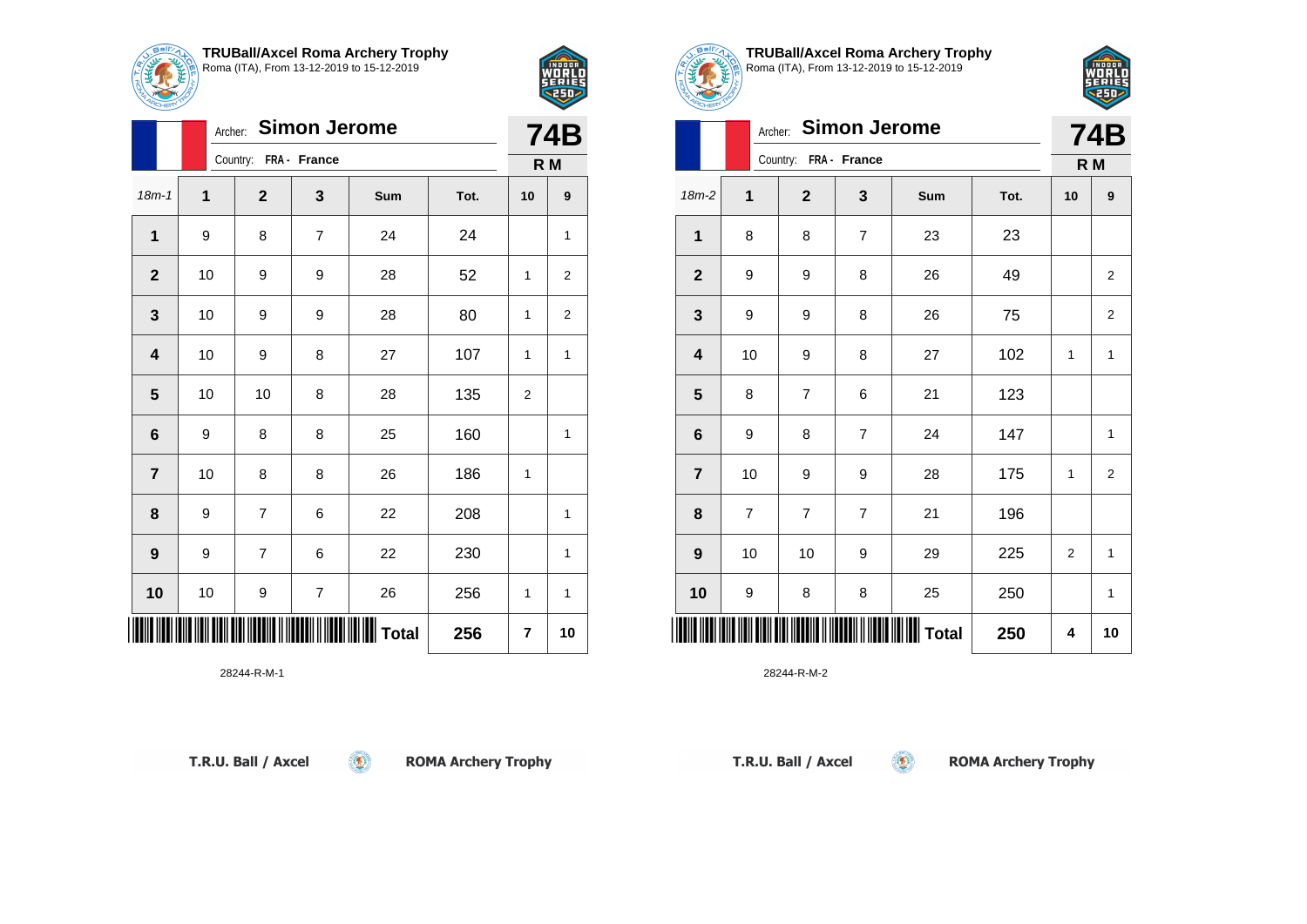

18m-1 **1 2 3 Sum Tot. 10 9**

**1** | 9 | 8 | 7 | 24 | 24 | 1

**2** | 10 | 9 | 9 | 28 | 52 | 1 | 2

**3** | 10 | 9 | 9 | 28 | 80 | 1 | 2

**4** | 10 | 9 | 8 | 27 | 107 | 1 | 1

**6** | 9 | 8 | 8 | 25 | 160 | | 1

**8** | 9 | 7 | 6 | 22 | 208 | | 1

**9** | 9 | 7 | 6 | 22 | 230 | | 1

**10** | 10 | 9 | 7 | 26 | 256 | 1 | 1

**5** | 10 | 10 | 8 | 28 | 135 | 2

**7** | 10 | 8 | 8 | 26 | 186 | 1

Archer: **Simon Jerome**

Country: **FRA - France**



**74B R M**

**TRUBall/Axcel Roma Archery Trophy** Roma (ITA), From 13-12-2019 to 15-12-2019

FEI

|                         | <b>Simon Jerome</b><br>Archer: |                          |                |              |      |                | <b>74B</b>              |  |  |  |
|-------------------------|--------------------------------|--------------------------|----------------|--------------|------|----------------|-------------------------|--|--|--|
|                         |                                | Country:<br>FRA - France |                |              |      |                |                         |  |  |  |
| $18m-2$                 | 1                              | $\mathbf 2$              | 3              | Sum          | Tot. | 10             | 9                       |  |  |  |
| 1                       | 8                              | 8                        | $\overline{7}$ | 23           | 23   |                |                         |  |  |  |
| $\mathbf 2$             | 9                              | 9                        | 8              | 26           | 49   |                | $\overline{\mathbf{c}}$ |  |  |  |
| $\mathbf 3$             | 9                              | 9                        | 8              | 26           | 75   |                | $\overline{2}$          |  |  |  |
| $\overline{\mathbf{4}}$ | 10                             | 9                        | 8              | 27           | 102  | 1              | $\mathbf{1}$            |  |  |  |
| 5                       | 8                              | 7                        | 6              | 21           | 123  |                |                         |  |  |  |
| $\bf 6$                 | 9                              | 8                        | $\overline{7}$ | 24           | 147  |                | $\mathbf 1$             |  |  |  |
| $\overline{7}$          | 10                             | 9                        | 9              | 28           | 175  | 1              | $\mathbf 2$             |  |  |  |
| 8                       | $\overline{7}$                 | $\overline{7}$           | $\overline{7}$ | 21           | 196  |                |                         |  |  |  |
| 9                       | 10                             | 10                       | 9              | 29           | 225  | $\overline{2}$ | 1                       |  |  |  |
| 10                      | 9                              | 8                        | 8              | 25           | 250  |                | 1                       |  |  |  |
|                         |                                |                          |                | <b>Total</b> | 250  | 4              | 10                      |  |  |  |

 $\circledcirc$ 

28244-R-M-2

| T.R.U. Ball / Axcel |  |
|---------------------|--|
|                     |  |

\*28244-R-M-1\*

28244-R-M-1

**ROMA Archery Trophy** 

**Total 256 7 10**

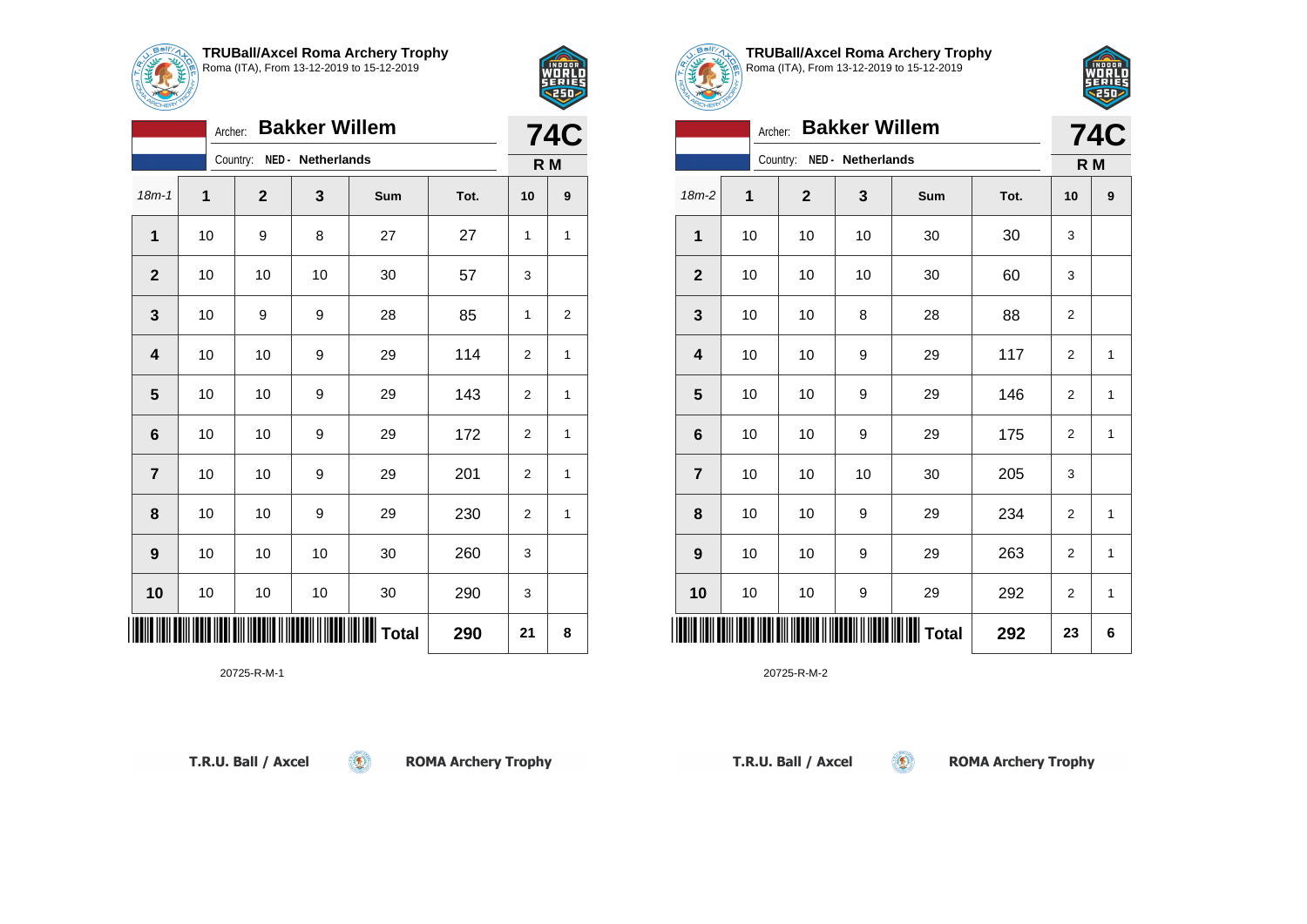

18m-1 **1 2 3 Sum Tot. 10 9**

**1** | 10 | 9 | 8 | 27 | 27 | 1 | 1

**3** | 10 | 9 | 9 | 28 | 85 | 1 | 2

**4** | 10 | 10 | 9 | 29 | 114 | 2 | 1

**5** | 10 | 10 | 9 | 29 | 143 | 2 | 1

**6** | 10 | 10 | 9 | 29 | 172 | 2 | 1

**7** | 10 | 10 | 9 | 29 | 201 | 2 | 1

**8** | 10 | 10 | 9 | 29 | 230 | 2 | 1

 $\circledcirc$ 

**9** | 10 | 10 | 30 | 260 | 3

**10** | 10 | 10 | 30 | 290 | 3

**2** | 10 | 10 | 10 | 30 | 57 | 3

Archer: **Bakker Willem**

Country: **NED - Netherlands**



**R M**

**TRUBall/Axcel Roma Archery Trophy** Roma (ITA), From 13-12-2019 to 15-12-2019

FET

| <b>Bakker Willem</b><br>Archer: |    |             |                   |       |      |                | <b>74C</b>   |  |
|---------------------------------|----|-------------|-------------------|-------|------|----------------|--------------|--|
|                                 |    | Country:    | NED - Netherlands |       |      | R M            |              |  |
| $18m-2$                         | 1  | $\mathbf 2$ | 3                 | Sum   | Tot. | 10             | 9            |  |
| 1                               | 10 | 10          | 10                | 30    | 30   | 3              |              |  |
| $\overline{2}$                  | 10 | 10          | 10                | 30    | 60   | 3              |              |  |
| 3                               | 10 | 10          | 8                 | 28    | 88   | $\overline{2}$ |              |  |
| 4                               | 10 | 10          | 9                 | 29    | 117  | $\overline{2}$ | $\mathbf{1}$ |  |
| 5                               | 10 | 10          | 9                 | 29    | 146  | $\overline{2}$ | 1            |  |
| 6                               | 10 | 10          | 9                 | 29    | 175  | $\overline{2}$ | $\mathbf{1}$ |  |
| $\overline{7}$                  | 10 | 10          | 10                | 30    | 205  | 3              |              |  |
| 8                               | 10 | 10          | $\boldsymbol{9}$  | 29    | 234  | $\overline{2}$ | $\mathbf{1}$ |  |
| 9                               | 10 | 10          | 9                 | 29    | 263  | $\overline{2}$ | 1            |  |
| 10                              | 10 | 10          | 9                 | 29    | 292  | 2              | 1            |  |
|                                 |    |             |                   | Total | 292  | 23             | 6            |  |

 $\circledcirc$ 

20725-R-M-2

| T.R.U. Ball / Axcel |  |
|---------------------|--|
|---------------------|--|

\*20725-R-M-1\*

20725-R-M-1

**ROMA Archery Trophy** 

**Total 290 21 8**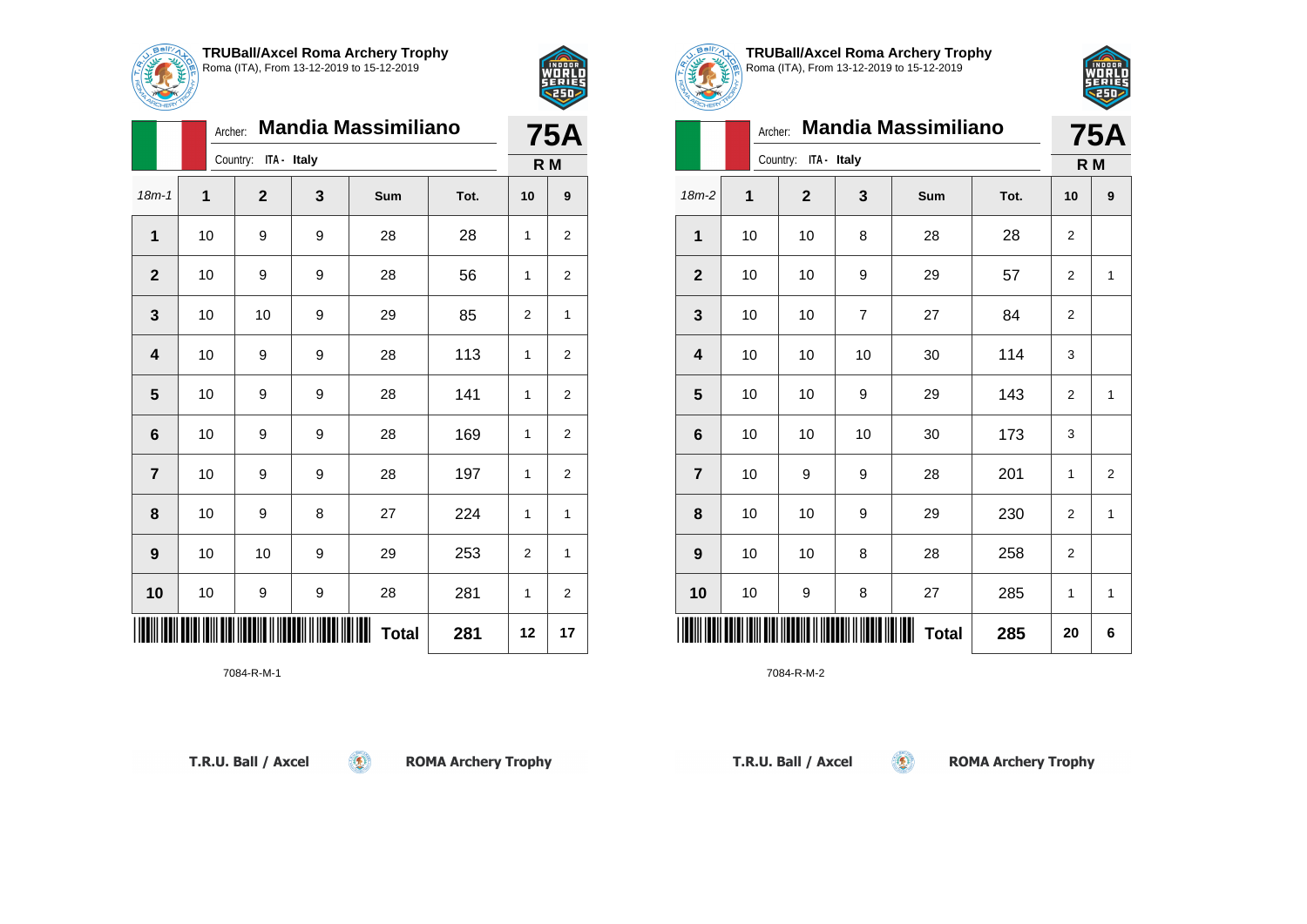



|                |    | <b>Mandia Massimiliano</b><br>Archer: |   |              |      |                |                |
|----------------|----|---------------------------------------|---|--------------|------|----------------|----------------|
|                |    | Country:<br>ITA - Italy               |   |              |      | R M            |                |
| $18m - 1$      | 1  | $\overline{2}$                        | 3 | Sum          | Tot. | 10             | 9              |
| 1              | 10 | 9                                     | 9 | 28           | 28   | 1              | 2              |
| $\mathbf{2}$   | 10 | 9                                     | 9 | 28           | 56   | 1              | 2              |
| 3              | 10 | 10                                    | 9 | 29           | 85   | 2              | 1              |
| 4              | 10 | 9                                     | 9 | 28           | 113  | 1              | 2              |
| 5              | 10 | 9                                     | 9 | 28           | 141  | 1              | $\overline{2}$ |
| 6              | 10 | 9                                     | 9 | 28           | 169  | 1              | 2              |
| $\overline{7}$ | 10 | 9                                     | 9 | 28           | 197  | 1              | 2              |
| 8              | 10 | 9                                     | 8 | 27           | 224  | 1              | 1              |
| 9              | 10 | 10                                    | 9 | 29           | 253  | $\overline{2}$ | $\mathbf{1}$   |
| 10             | 10 | 9                                     | 9 | 28           | 281  | 1              | $\overline{2}$ |
|                |    |                                       |   | <b>Total</b> | 281  | 12             | 17             |

 $\circledcirc$ 

7084-R-M-1



**TRUBall/Axcel Roma Archery Trophy**



|                         | Archer:              |              |                | <b>Mandia Massimiliano</b> |      |                | <b>75A</b>   |
|-------------------------|----------------------|--------------|----------------|----------------------------|------|----------------|--------------|
|                         | Country: ITA - Italy | R M          |                |                            |      |                |              |
| $18m-2$                 | 1                    | $\mathbf{2}$ | $\mathbf{3}$   | Sum                        | Tot. | 10             | 9            |
| $\mathbf{1}$            | 10                   | 10           | 8              | 28                         | 28   | 2              |              |
| $\mathbf{2}$            | 10                   | 10           | 9              | 29                         | 57   | 2              | 1            |
| $\mathbf 3$             | 10                   | 10           | $\overline{7}$ | 27                         | 84   | 2              |              |
| $\overline{\mathbf{4}}$ | 10                   | 10           | 10             | 30                         | 114  | 3              |              |
| 5                       | 10                   | 10           | 9              | 29                         | 143  | 2              | 1            |
| $\bf 6$                 | 10                   | 10           | 10             | 30                         | 173  | 3              |              |
| $\overline{7}$          | 10                   | 9            | 9              | 28                         | 201  | 1              | 2            |
| 8                       | 10                   | 10           | 9              | 29                         | 230  | 2              | $\mathbf{1}$ |
| $\boldsymbol{9}$        | 10                   | 10           | 8              | 28                         | 258  | $\overline{2}$ |              |
| 10                      | 10                   | 9            | 8              | 27                         | 285  | 1              | 1            |
| Ⅲ                       |                      |              |                | <b>Total</b>               | 285  | 20             | 6            |

 $\left( 5\right)$ 

7084-R-M-2

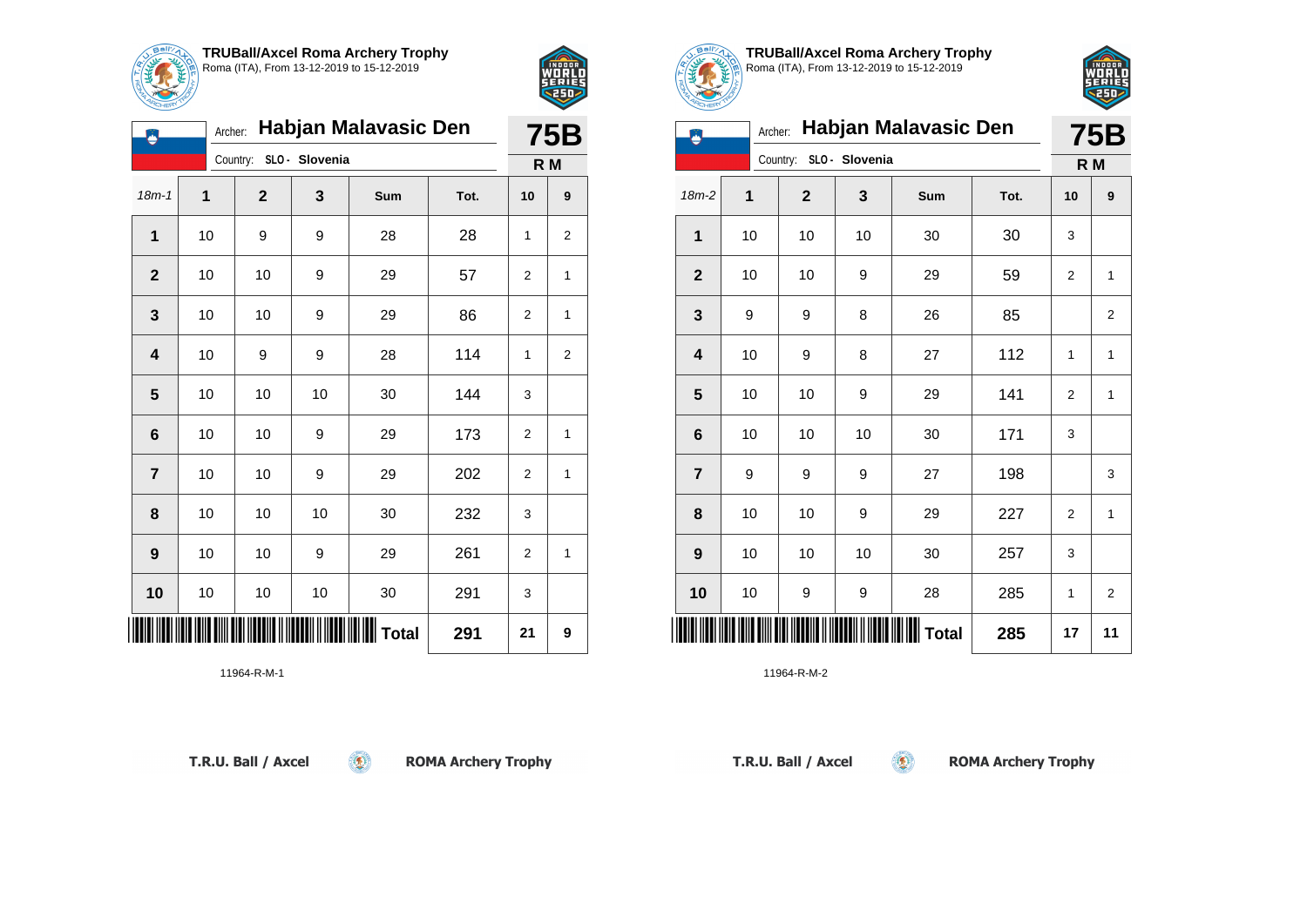



| PARCHEF         |                         |                |     |              |      |                |                |
|-----------------|-------------------------|----------------|-----|--------------|------|----------------|----------------|
|                 | <b>75B</b>              |                |     |              |      |                |                |
|                 | Country: SLO - Slovenia |                | R M |              |      |                |                |
| $18m - 1$       | 1                       | $\overline{2}$ | 3   | Sum          | Tot. | 10             | 9              |
| 1               | 10                      | 9              | 9   | 28           | 28   | 1              | $\overline{2}$ |
| $\mathbf{2}$    | 10                      | 10             | 9   | 29           | 57   | 2              | 1              |
| $\mathbf 3$     | 10                      | 10             | 9   | 29           | 86   | 2              | 1              |
| 4               | 10                      | 9              | 9   | 28           | 114  | 1              | $\overline{2}$ |
| 5               | 10                      | 10             | 10  | 30           | 144  | 3              |                |
| $6\phantom{1}6$ | 10                      | 10             | 9   | 29           | 173  | $\overline{2}$ | 1              |
| $\overline{7}$  | 10                      | 10             | 9   | 29           | 202  | 2              | 1              |
| 8               | 10                      | 10             | 10  | 30           | 232  | 3              |                |
| 9               | 10                      | 10             | 9   | 29           | 261  | 2              | 1              |
| 10              | 10                      | 10             | 10  | 30           | 291  | 3              |                |
|                 |                         |                |     | <b>Total</b> | 291  | 21             | 9              |

 $\circledcirc$ 



**TRUBall/Axcel Roma Archery Trophy** Roma (ITA), From 13-12-2019 to 15-12-2019



|  | ě                | Habjan Malavasic Den<br>Archer: |                |                |                 |      |                |                |  |
|--|------------------|---------------------------------|----------------|----------------|-----------------|------|----------------|----------------|--|
|  |                  |                                 | Country:       | SLO - Slovenia |                 |      | R M            |                |  |
|  | $18m-2$          | 1                               | $\overline{2}$ | 3              | Sum             | Tot. | 10             | 9              |  |
|  | 1                | 10                              | 10             | 10             | 30              | 30   | 3              |                |  |
|  | $\mathbf 2$      | 10                              | 10             | 9              | 29              | 59   | 2              | 1              |  |
|  | $\mathbf{3}$     | 9                               | 9              | 8              | 26              | 85   |                | $\overline{2}$ |  |
|  | 4                | 10                              | 9              | 8              | 27              | 112  | 1              | 1              |  |
|  | 5                | 10                              | 10             | 9              | 29              | 141  | 2              | 1              |  |
|  | 6                | 10                              | 10             | 10             | 30              | 171  | 3              |                |  |
|  | $\overline{7}$   | 9                               | 9              | 9              | 27              | 198  |                | 3              |  |
|  | 8                | 10                              | 10             | 9              | 29              | 227  | $\overline{2}$ | $\mathbf{1}$   |  |
|  | $\boldsymbol{9}$ | 10                              | 10             | 10             | 30              | 257  | 3              |                |  |
|  | 10               | 10                              | 9              | 9              | 28              | 285  | 1              | $\overline{2}$ |  |
|  |                  |                                 |                |                | <b>II</b> Total | 285  | 17             | 11             |  |

 $\left( 5\right)$ 

11964-R-M-2

11964-R-M-1

T.R.U. Ball / Axcel

**ROMA Archery Trophy** 

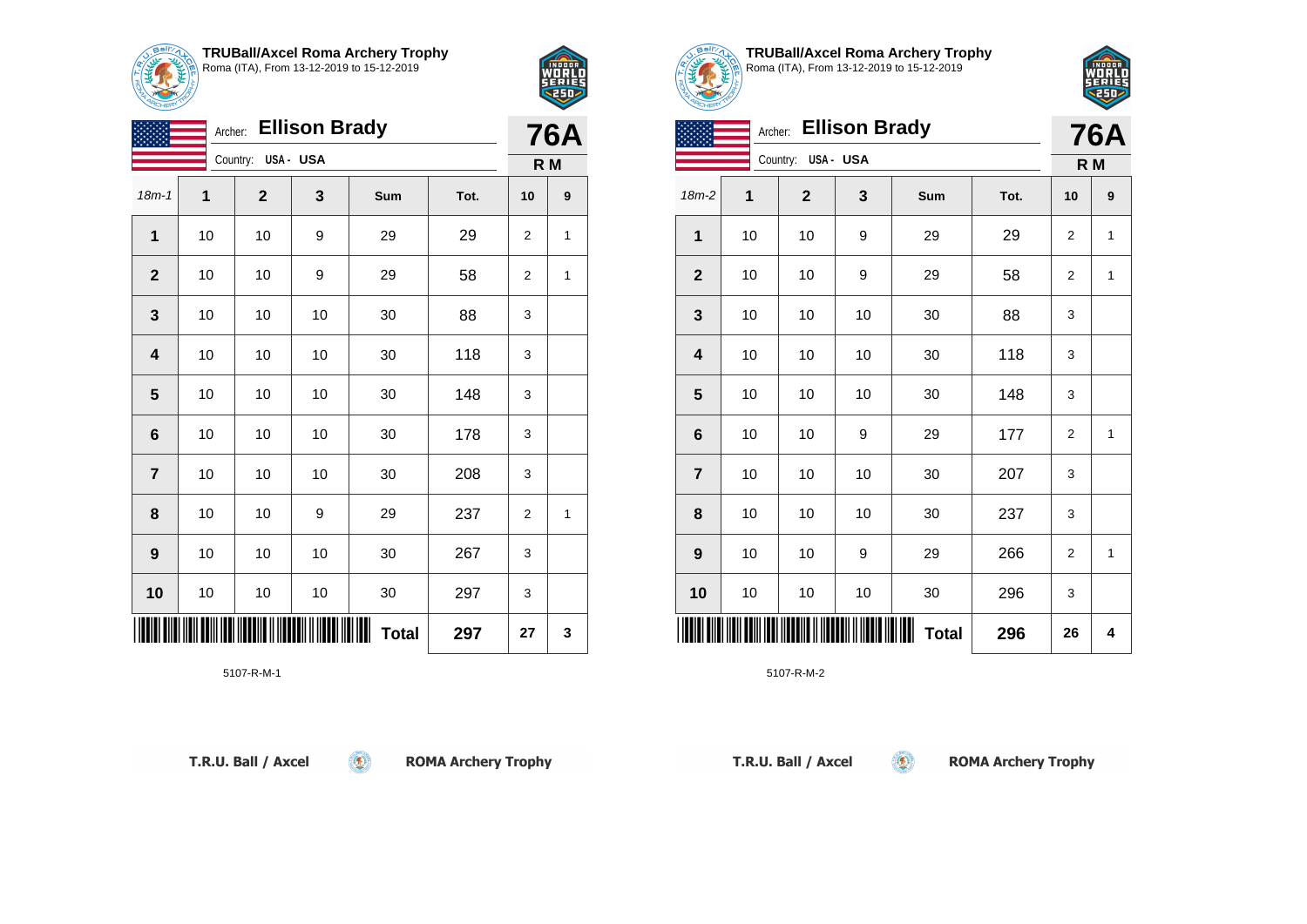

18m-1 **1 2 3 Sum Tot. 10 9**

**1** | 10 | 10 | 9 | 29 | 29 | 2 | 1

**2** | 10 | 10 | 9 | 29 | 58 | 2 | 1

**3** | 10 | 10 | 10 | 30 | 88 | 3

**4** | 10 | 10 | 10 | 30 | 118 | 3

**5** | 10 | 10 | 10 | 30 | 148 | 3

**6** | 10 | 10 | 30 | 178 | 3

**7** | 10 | 10 | 10 | 30 | 208 | 3

**9** | 10 | 10 | 30 | 267 | 3

**10** | 10 | 10 | 30 | 297 | 3

<u> || || || || || || || || || || ||</u>

**8** | 10 | 10 | 9 | 29 | 237 | 2 | 1

 $\circledcirc$ 

Archer: **Ellison Brady**

Country: **USA - USA**



**76A R M**

**TRUBall/Axcel Roma Archery Trophy** Roma (ITA), From 13-12-2019 to 15-12-2019

250

|                         | <b>76A</b> |             |          |              |      |                |              |  |
|-------------------------|------------|-------------|----------|--------------|------|----------------|--------------|--|
|                         |            | Country:    | USA- USA |              |      | R M            |              |  |
| $18m-2$                 | 1          | $\mathbf 2$ | 3        | Sum          | Tot. | 10             | 9            |  |
| 1                       | 10         | 10          | 9        | 29           | 29   | 2              | 1            |  |
| $\mathbf{2}$            | 10         | 10          | 9        | 29           | 58   | 2              | 1            |  |
| $\mathbf{3}$            | 10         | 10          | 10       | 30           | 88   | 3              |              |  |
| $\overline{\mathbf{4}}$ | 10         | 10          | 10       | 30           | 118  | 3              |              |  |
| 5                       | 10         | 10          | 10       | 30           | 148  | 3              |              |  |
| 6                       | 10         | 10          | 9        | 29           | 177  | $\mathbf 2$    | 1            |  |
| $\overline{7}$          | 10         | 10          | 10       | 30           | 207  | 3              |              |  |
| 8                       | 10         | 10          | 10       | 30           | 237  | 3              |              |  |
| 9                       | 10         | 10          | 9        | 29           | 266  | $\overline{2}$ | $\mathbf{1}$ |  |
| 10                      | 10         | 10          | $10$     | 30           | 296  | 3              |              |  |
|                         |            |             |          | <b>Total</b> | 296  | 26             | 4            |  |

 $\circledcirc$ 

5107-R-M-2

|  |  |  |  |  | T.R.U. Ball / Axcel |
|--|--|--|--|--|---------------------|
|--|--|--|--|--|---------------------|

5107-R-M-1

**ROMA Archery Trophy** 

**Total 297 27 3**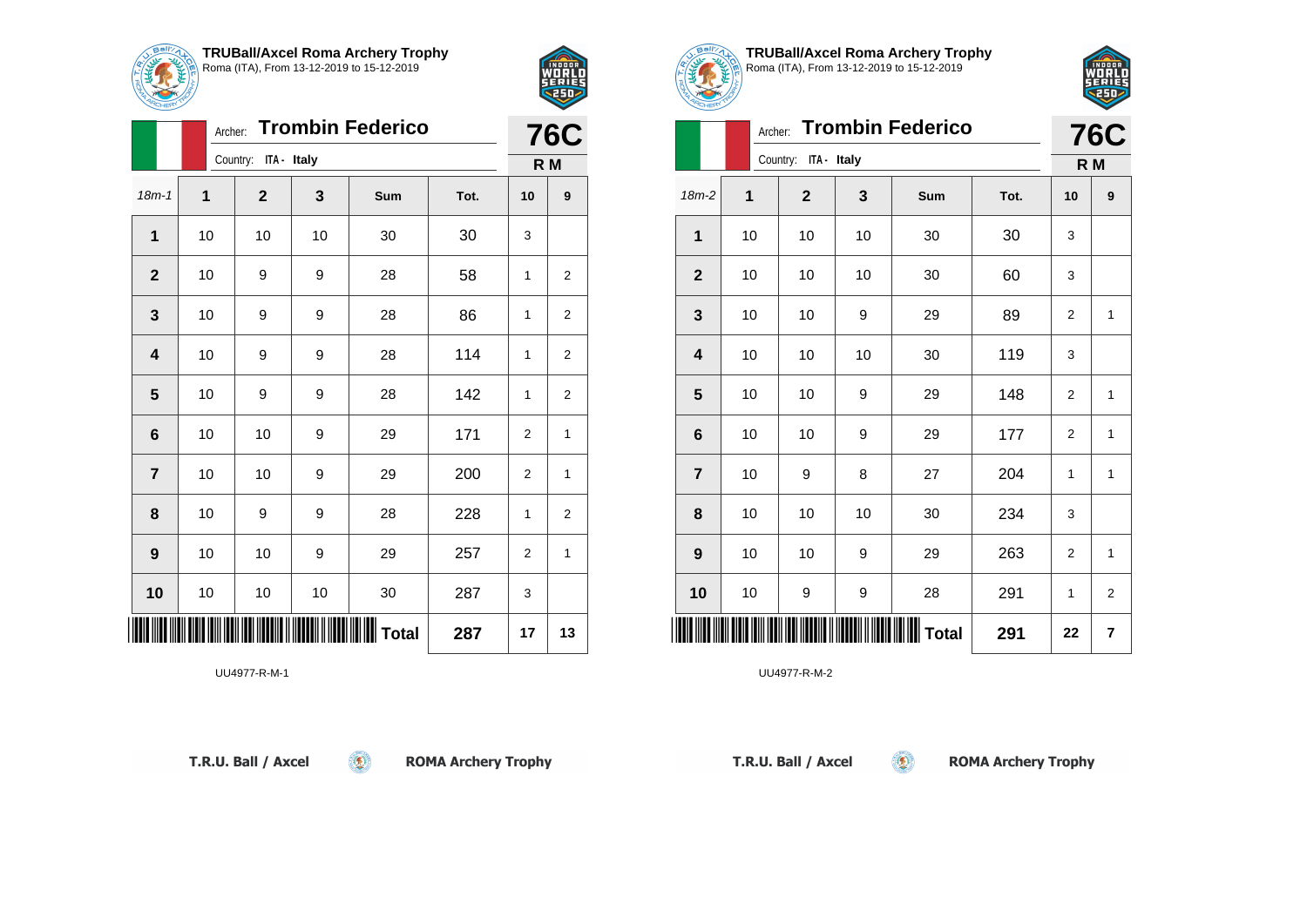



|                  |    | <b>Trombin Federico</b><br>Archer: |    |              |      |                |                |  |
|------------------|----|------------------------------------|----|--------------|------|----------------|----------------|--|
|                  |    | Country:<br>ITA - Italy            |    |              |      |                |                |  |
| $18m - 1$        | 1  | $\overline{2}$                     | 3  | Sum          | Tot. | 10             | 9              |  |
| 1                | 10 | 10                                 | 10 | 30           | 30   | 3              |                |  |
| $\overline{2}$   | 10 | 9                                  | 9  | 28           | 58   | 1              | $\overline{2}$ |  |
| $\mathbf{3}$     | 10 | 9                                  | 9  | 28           | 86   | 1              | $\overline{2}$ |  |
| 4                | 10 | 9                                  | 9  | 28           | 114  | 1              | 2              |  |
| 5                | 10 | 9                                  | 9  | 28           | 142  | 1              | 2              |  |
| $6\phantom{1}6$  | 10 | 10                                 | 9  | 29           | 171  | $\overline{2}$ | 1              |  |
| $\overline{7}$   | 10 | 10                                 | 9  | 29           | 200  | $\overline{2}$ | $\mathbf{1}$   |  |
| 8                | 10 | 9                                  | 9  | 28           | 228  | 1              | $\overline{2}$ |  |
| $\boldsymbol{9}$ | 10 | 10                                 | 9  | 29           | 257  | 2              | $\mathbf{1}$   |  |
| 10               | 10 | 10                                 | 10 | 30           | 287  | 3              |                |  |
|                  |    |                                    |    | <b>Total</b> | 287  | 17             | 13             |  |

 $\circledcirc$ 

UU4977-R-M-1





|                | Archer: |                         | <b>76C</b> |              |      |                |                |
|----------------|---------|-------------------------|------------|--------------|------|----------------|----------------|
|                |         | Country:<br>ITA - Italy |            |              |      |                |                |
| 18m-2          | 1       | $\mathbf 2$             | 3          | Sum          | Tot. | 10             | 9              |
| 1              | 10      | 10                      | 10         | 30           | 30   | 3              |                |
| $\mathbf{2}$   | 10      | 10                      | 10         | 30           | 60   | 3              |                |
| 3              | 10      | 10                      | 9          | 29           | 89   | $\overline{2}$ | 1              |
| 4              | 10      | 10                      | 10         | 30           | 119  | 3              |                |
| 5              | 10      | 10                      | 9          | 29           | 148  | 2              | 1              |
| 6              | 10      | 10                      | 9          | 29           | 177  | $\overline{2}$ | 1              |
| $\overline{7}$ | 10      | 9                       | 8          | 27           | 204  | 1              | 1              |
| 8              | 10      | 10                      | 10         | 30           | 234  | 3              |                |
| 9              | 10      | 10                      | 9          | 29           | 263  | $\mathbf 2$    | 1              |
| 10             | 10      | 9                       | 9          | 28           | 291  | 1              | $\overline{2}$ |
| Ⅲ              |         |                         |            | <b>Total</b> | 291  | 22             | 7              |

 $\left( 5\right)$ 

UU4977-R-M-2

T.R.U. Ball / Axcel

**ROMA Archery Trophy**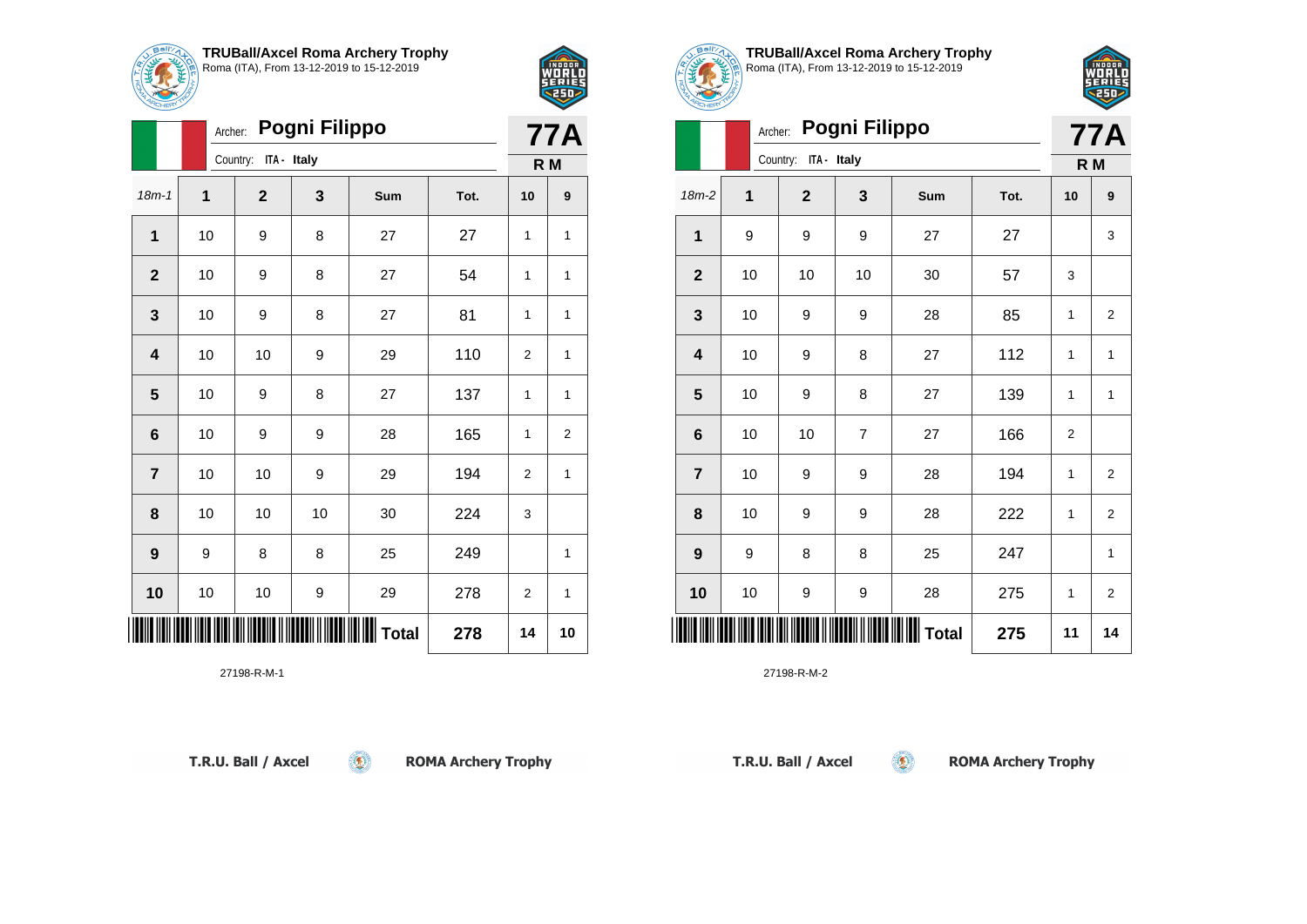

18m-1 **1 2 3 Sum Tot. 10 9**

**1** | 10 | 9 | 8 | 27 | 27 | 1 | 1

**2** | 10 | 9 | 8 | 27 | 54 | 1 | 1

**3** | 10 | 9 | 8 | 27 | 81 | 1 | 1

**4** | 10 | 10 | 9 | 29 | 110 | 2 | 1

**5** | 10 | 9 | 8 | 27 | 137 | 1 | 1

**6** | 10 | 9 | 9 | 28 | 165 | 1 | 2

**7** | 10 | 10 | 9 | 29 | 194 | 2 | 1

**9** | 9 | 8 | 8 | 25 | 249 | | 1

**10** | 10 | 10 | 9 | 29 | 278 | 2 | 1

 $\circledcirc$ 

**8** | 10 | 10 | 10 | 30 | 224 | 3

Archer: **Pogni Filippo**

Country: **ITA - Italy**



**77A**

**R M**

**TRUBall/Axcel Roma Archery Trophy** Roma (ITA), From 13-12-2019 to 15-12-2019



| <b>MOHERY</b>  |                      |                         |                |              |      |                |                |
|----------------|----------------------|-------------------------|----------------|--------------|------|----------------|----------------|
|                | <b>77A</b>           |                         |                |              |      |                |                |
|                | Country: ITA - Italy |                         |                |              |      |                | R M            |
| $18m-2$        | 1                    | $\overline{\mathbf{2}}$ | 3              | Sum          | Tot. | 10             | 9              |
| 1              | 9                    | 9                       | 9              | 27           | 27   |                | 3              |
| $\mathbf{2}$   | 10                   | 10                      | 10             | 30           | 57   | 3              |                |
| 3              | 10                   | 9                       | 9              | 28           | 85   | 1              | $\overline{2}$ |
| 4              | 10                   | 9                       | 8              | 27           | 112  | 1              | $\mathbf{1}$   |
| 5              | 10                   | 9                       | 8              | 27           | 139  | 1              | 1              |
| 6              | 10                   | 10                      | $\overline{7}$ | 27           | 166  | $\overline{2}$ |                |
| $\overline{7}$ | 10                   | 9                       | 9              | 28           | 194  | 1              | $\overline{2}$ |
| 8              | 10                   | 9                       | 9              | 28           | 222  | 1              | $\overline{2}$ |
| 9              | 9                    | 8                       | 8              | 25           | 247  |                | 1              |
| 10             | 10                   | 9                       | 9              | 28           | 275  | 1              | $\overline{2}$ |
|                |                      |                         |                | <b>Total</b> | 275  | 11             | 14             |

 $\circledcirc$ 

27198-R-M-2

\*27198-R-M-1\*

27198-R-M-1

**ROMA Archery Trophy** 

**Total 278 14 10**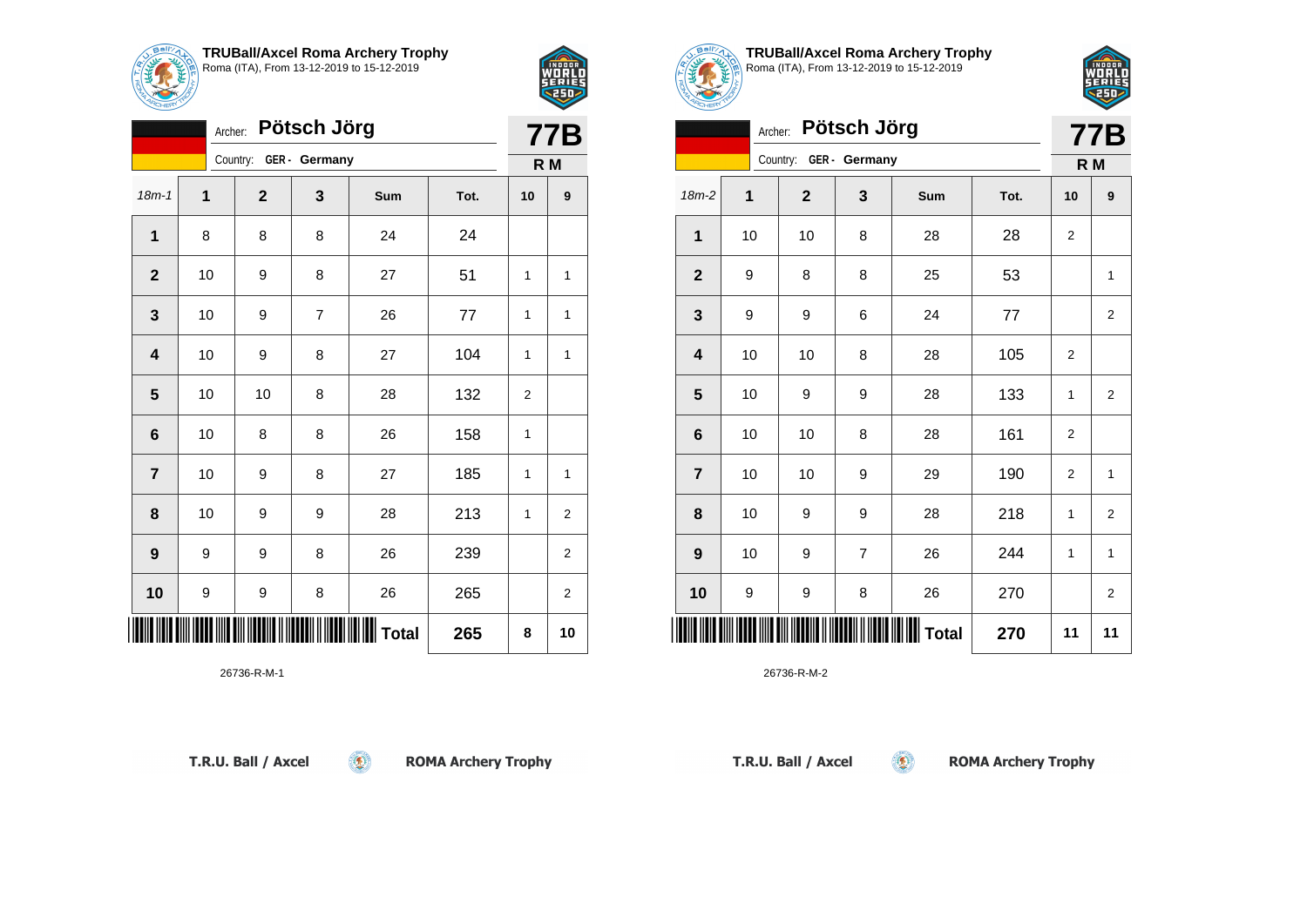

18m-1 **1 2 3 Sum Tot. 10 9**

**2** | 10 | 9 | 8 | 27 | 51 | 1 | 1

**3** | 10 | 9 | 7 | 26 | 77 | 1 | 1

Archer: **Pötsch Jörg**

**1** | 8 | 8 | 8 | 24 | 24

Country: **GER - Germany**



**77B R M**

| <b>TRUBall/Axcel Roma Archery Trophy</b><br><u>Noma (ITA), From 13-12-2019 to 15-12-2019</u> |
|----------------------------------------------------------------------------------------------|
|                                                                                              |



| Pötsch Jörg<br>Archer:    |    |             |   |              |      |             | <b>77B</b>              |  |  |
|---------------------------|----|-------------|---|--------------|------|-------------|-------------------------|--|--|
| GER - Germany<br>Country: |    |             |   |              |      |             | R M                     |  |  |
| 18m-2                     | 1  | $\mathbf 2$ | 3 | Sum          | Tot. | 10          | 9                       |  |  |
| 1                         | 10 | 10          | 8 | 28           | 28   | 2           |                         |  |  |
| $\mathbf{2}$              | 9  | 8           | 8 | 25           | 53   |             | 1                       |  |  |
| 3                         | 9  | 9           | 6 | 24           | 77   |             | 2                       |  |  |
| 4                         | 10 | 10          | 8 | 28           | 105  | 2           |                         |  |  |
| 5                         | 10 | 9           | 9 | 28           | 133  | 1           | $\overline{2}$          |  |  |
| 6                         | 10 | 10          | 8 | 28           | 161  | $\mathbf 2$ |                         |  |  |
| $\overline{7}$            | 10 | 10          | 9 | 29           | 190  | 2           | 1                       |  |  |
| 8                         | 10 | 9           | 9 | 28           | 218  | 1           | $\overline{2}$          |  |  |
| $\boldsymbol{9}$          | 10 | 9           | 7 | 26           | 244  | 1           | 1                       |  |  |
| 10                        | 9  | 9           | 8 | 26           | 270  |             | $\overline{\mathbf{c}}$ |  |  |
|                           |    |             |   | <b>Total</b> | 270  | 11          | 11                      |  |  |

 $\left( 6\right)$ 

26736-R-M-2

| III                     |    |    |   | $\mathbf{r}$ Total | 265 | 8            | 10             |
|-------------------------|----|----|---|--------------------|-----|--------------|----------------|
| 10                      | 9  | 9  | 8 | 26                 | 265 |              | $\overline{2}$ |
| $\boldsymbol{9}$        | 9  | 9  | 8 | 26                 | 239 |              | $\overline{2}$ |
| 8                       | 10 | 9  | 9 | 28                 | 213 | $\mathbf{1}$ | $\overline{2}$ |
| $\overline{\mathbf{7}}$ | 10 | 9  | 8 | 27                 | 185 | 1            | $\mathbf{1}$   |
| $\bf 6$                 | 10 | 8  | 8 | 26                 | 158 | $\mathbf{1}$ |                |
| $5\phantom{1}$          | 10 | 10 | 8 | 28                 | 132 | $\mathbf{2}$ |                |
| $\overline{\mathbf{4}}$ | 10 | 9  | 8 | 27                 | 104 | 1            | $\mathbf{1}$   |
|                         |    |    |   |                    |     |              |                |

 $\circledcirc$ 

26736-R-M-1

T.R.U. Ball / Axcel

**ROMA Archery Trophy**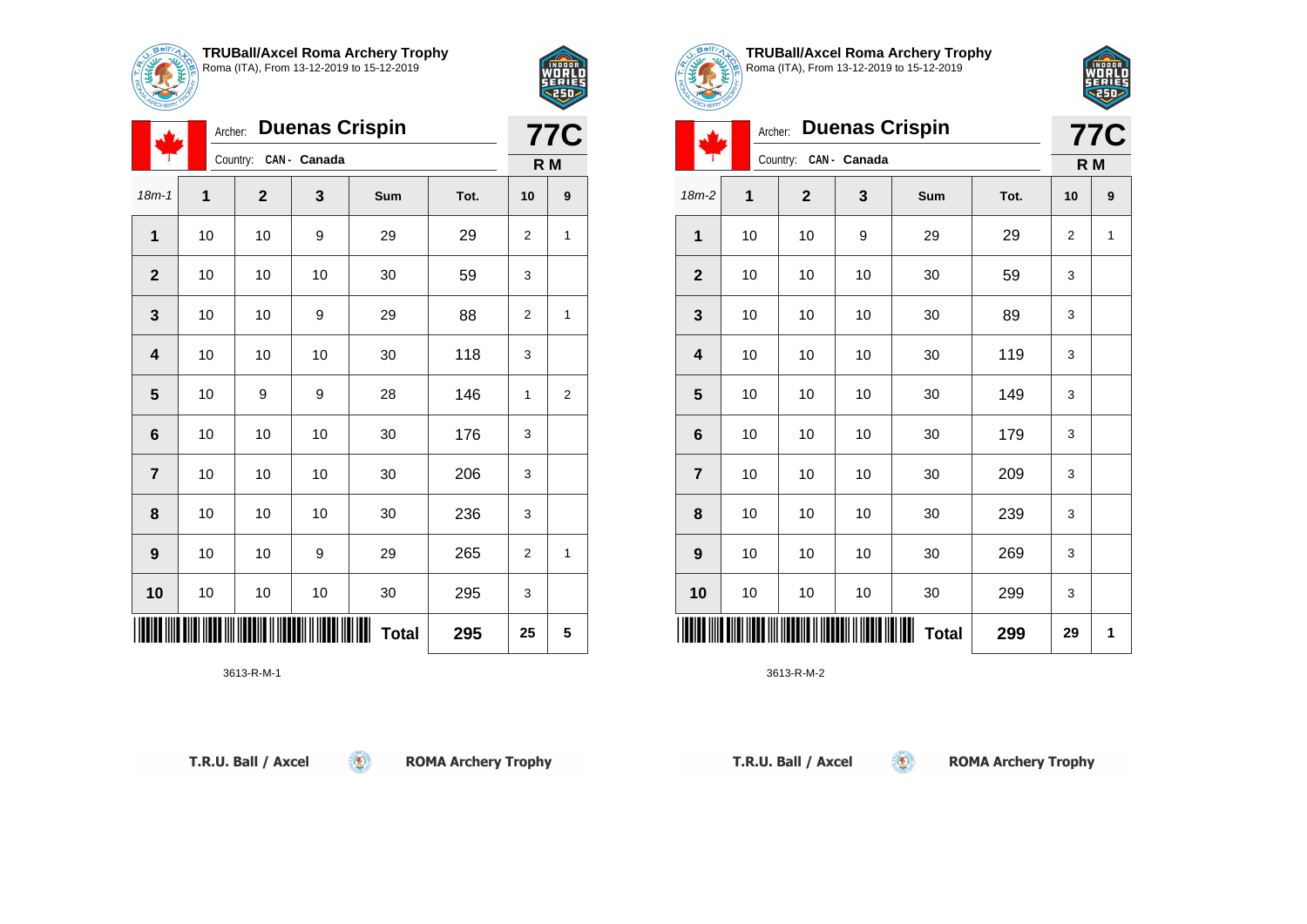

π

## **TRUBall/Axcel Roma Archery Trophy** Roma (ITA), From 13-12-2019 to 15-12-2019

Archer: **Duenas Crispin**

18m-1 **1 2 3 Sum Tot. 10 9**

**1** | 10 | 10 | 9 | 29 | 29 | 2 | 1

**3** | 10 | 10 | 9 | 29 | 88 | 2 | 1

**5** | 10 | 9 | 9 | 28 | 146 | 1 | 2

**2** | 10 | 10 | 10 | 30 | 59 | 3

**4** | 10 | 10 | 10 | 30 | 118 | 3

**6** | 10 | 10 | 30 | 176 | 3

**7** | 10 | 10 | 10 | 30 | 206 | 3

**8** | 10 | 10 | 10 | 30 | 236 | 3

**10** | 10 | 10 | 30 | 295 | 3

\* **111 | 111 | 111 | 11** 

 $\circledcirc$ 

**9** | 10 | 10 | 9 | 29 | 265 | 2 | 1

Country: **CAN - Canada**



**77C**

**R M**

| <b>TRUBall/Axcel Roma Archery Trophy</b><br>Roma (ITA), From 13-12-2019 to 15-12-2019 |  |
|---------------------------------------------------------------------------------------|--|



**77C**

|  |  | Archer: Duenas Crispin |  |
|--|--|------------------------|--|
|  |  |                        |  |

|                         |        |                       |        |              |      |                | 7 I V |
|-------------------------|--------|-----------------------|--------|--------------|------|----------------|-------|
|                         |        | Country: CAN - Canada |        |              |      | R M            |       |
| $18m-2$                 | 1      | $\mathbf{2}$          | 3      | Sum          | Tot. | 10             | 9     |
| $\mathbf{1}$            | 10     | 10                    | 9      | 29           | 29   | $\overline{c}$ | 1     |
| $\mathbf{2}$            | 10     | 10                    | 10     | 30           | 59   | 3              |       |
| $\mathbf{3}$            | 10     | 10                    | 10     | 30           | 89   | 3              |       |
| $\overline{\mathbf{4}}$ | 10     | 10                    | $10$   | 30           | 119  | 3              |       |
| ${\bf 5}$               | 10     | 10                    | $10$   | 30           | 149  | 3              |       |
| $6\phantom{a}$          | $10\,$ | 10                    | $10$   | 30           | 179  | 3              |       |
| $\overline{\mathbf{r}}$ | 10     | 10                    | $10$   | 30           | 209  | 3              |       |
| 8                       | 10     | 10                    | $10$   | 30           | 239  | 3              |       |
| $\boldsymbol{9}$        | 10     | 10                    | $10\,$ | 30           | 269  | 3              |       |
| 10                      | 10     | $10$                  | 10     | 30           | 299  | 3              |       |
| IIIII                   |        |                       |        | <b>Total</b> | 299  | 29             | 1     |

 $\circledcirc$ 

3613-R-M-2

| T.R.U. Ball / Axcel |  |  |  |  |  |  |
|---------------------|--|--|--|--|--|--|
|---------------------|--|--|--|--|--|--|

3613-R-M-1

**ROMA Archery Trophy** 

**Total 295 25 5**

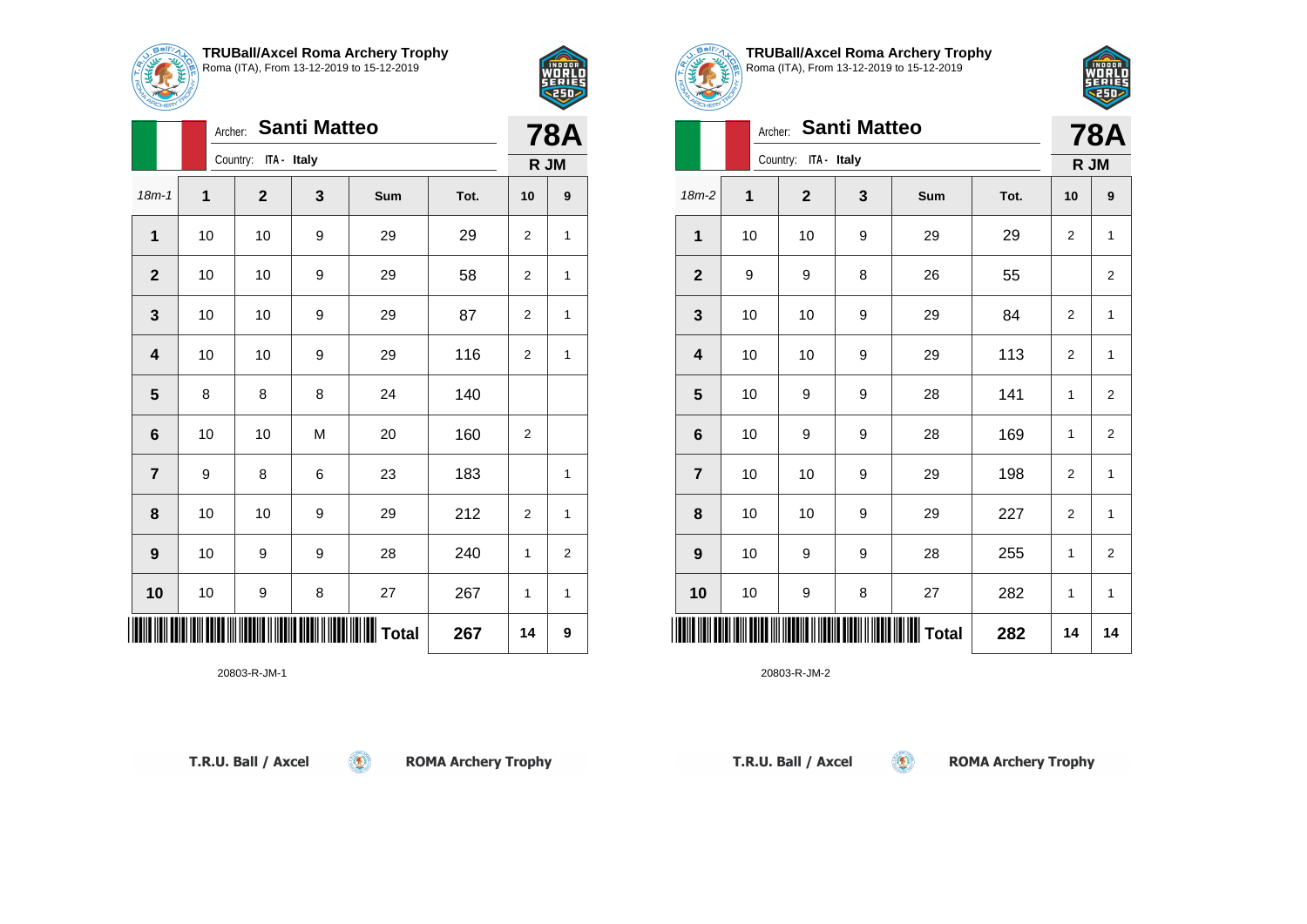



|                  | Archer: | <b>78A</b>           |   |              |      |                |                |
|------------------|---------|----------------------|---|--------------|------|----------------|----------------|
|                  |         | Country: ITA - Italy |   |              |      | R JM           |                |
| $18m - 1$        | 1       | $\mathbf{2}$         | 3 | Sum          | Tot. | 10             | 9              |
| $\overline{1}$   | 10      | 10                   | 9 | 29           | 29   | $\overline{2}$ | $\mathbf{1}$   |
| $\mathbf{2}$     | 10      | 10                   | 9 | 29           | 58   | $\overline{2}$ | 1              |
| $\mathbf{3}$     | 10      | 10                   | 9 | 29           | 87   | $\overline{2}$ | 1              |
| 4                | 10      | 10                   | 9 | 29           | 116  | $\overline{2}$ | 1              |
| 5                | 8       | 8                    | 8 | 24           | 140  |                |                |
| $\bf 6$          | 10      | 10                   | M | 20           | 160  | $\overline{2}$ |                |
| $\overline{7}$   | 9       | 8                    | 6 | 23           | 183  |                | 1              |
| 8                | 10      | 10                   | 9 | 29           | 212  | $\overline{2}$ | 1              |
| $\boldsymbol{9}$ | 10      | 9                    | 9 | 28           | 240  | 1              | $\overline{2}$ |
| 10               | 10      | 9                    | 8 | 27           | 267  | 1              | 1              |
|                  |         |                      |   | <b>Total</b> | 267  | 14             | 9              |

 $\circledcirc$ 

20803-R-JM-1



**TRUBall/Axcel Roma Archery Trophy** Roma (ITA), From 13-12-2019 to 15-12-2019



|                 |    | <b>Santi Matteo</b><br>Archer: |                  |         |      |                |                         |  |  |
|-----------------|----|--------------------------------|------------------|---------|------|----------------|-------------------------|--|--|
|                 |    | Country: ITA - Italy           |                  |         |      |                | <b>78A</b><br>R JM      |  |  |
| 18m-2           | 1  | $\mathbf 2$                    | 3                | Sum     | Tot. | 10             | 9                       |  |  |
| 1               | 10 | 10                             | 9                | 29      | 29   | $\overline{2}$ | $\mathbf{1}$            |  |  |
| $\mathbf{2}$    | 9  | 9                              | 8                | 26      | 55   |                | 2                       |  |  |
| $\mathbf{3}$    | 10 | 10                             | 9                | 29      | 84   | 2              | $\mathbf 1$             |  |  |
| 4               | 10 | 10                             | 9                | 29      | 113  | $\overline{2}$ | 1                       |  |  |
| 5               | 10 | 9                              | 9                | 28      | 141  | 1              | $\overline{\mathbf{c}}$ |  |  |
| $6\phantom{1}6$ | 10 | 9                              | 9                | 28      | 169  | 1              | $\overline{2}$          |  |  |
| $\overline{7}$  | 10 | 10                             | 9                | 29      | 198  | $\overline{2}$ | $\mathbf{1}$            |  |  |
| 8               | 10 | 10                             | $\boldsymbol{9}$ | 29      | 227  | $\overline{2}$ | 1                       |  |  |
| 9               | 10 | 9                              | 9                | 28      | 255  | 1              | $\overline{2}$          |  |  |
| 10              | 10 | 9                              | 8                | 27      | 282  | 1              | 1                       |  |  |
|                 |    |                                |                  | ∥ Total | 282  | 14             | 14                      |  |  |

 $\left( 5\right)$ 

20803-R-JM-2

T.R.U. Ball / Axcel

**ROMA Archery Trophy**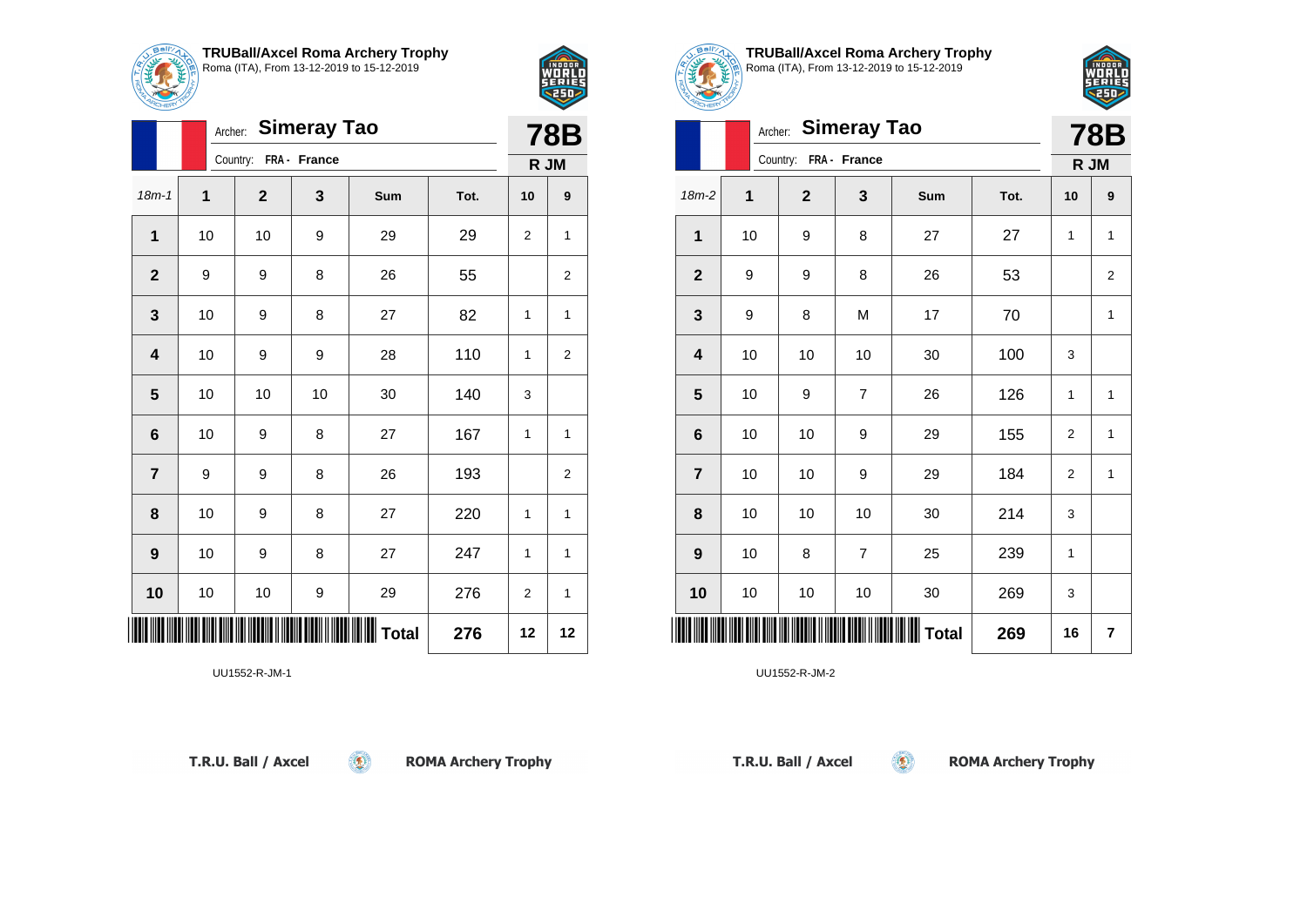

18m-1 **1 2 3 Sum Tot. 10 9**

**1** | 10 | 10 | 9 | 29 | 29 | 2 | 1

**2** | 9 | 9 | 8 | 26 | 55 | | 2

**3** | 10 | 9 | 8 | 27 | 82 | 1 | 1

**4** | 10 | 9 | 9 | 28 | 110 | 1 | 2

**6** | 10 | 9 | 8 | 27 | 167 | 1 | 1

**7** | 9 | 9 | 8 | 26 | 193 | | 2

**8** | 10 | 9 | 8 | 27 | 220 | 1 | 1

**9** | 10 | 9 | 8 | 27 | 247 | 1 | 1

**10** | 10 | 10 | 9 | 29 | 276 | 2 | 1

**5** | 10 | 10 | 10 | 30 | 140 | 3

Archer: **Simeray Tao**

Country: **FRA - France**



**78B R JM**

**TRUBall/Axcel Roma Archery Trophy** Roma (ITA), From 13-12-2019 to 15-12-2019

FEI

|                 |    | <b>Simeray Tao</b><br>Archer: |                |                |      |                |                |  |
|-----------------|----|-------------------------------|----------------|----------------|------|----------------|----------------|--|
|                 |    | FRA - France<br>Country:      |                |                |      |                |                |  |
| $18m-2$         | 1  | $\mathbf 2$                   | 3              | Sum            | Tot. | 10             | 9              |  |
| 1               | 10 | 9                             | 8              | 27             | 27   | 1              | 1              |  |
| $\mathbf{2}$    | 9  | 9                             | 8              | 26             | 53   |                | $\overline{2}$ |  |
| $\mathbf 3$     | 9  | 8                             | M              | 17             | 70   |                | 1              |  |
| 4               | 10 | 10                            | 10             | 30             | 100  | 3              |                |  |
| 5               | 10 | 9                             | $\overline{7}$ | 26             | 126  | 1              | 1              |  |
| $6\phantom{1}6$ | 10 | 10                            | 9              | 29             | 155  | $\overline{2}$ | $\mathbf{1}$   |  |
| $\overline{7}$  | 10 | 10                            | 9              | 29             | 184  | $\overline{2}$ | $\mathbf{1}$   |  |
| 8               | 10 | 10                            | 10             | 30             | 214  | 3              |                |  |
| 9               | 10 | 8                             | $\overline{7}$ | 25             | 239  | 1              |                |  |
| 10              | 10 | 10                            | 10             | 30             | 269  | 3              |                |  |
| IIII            |    |                               |                | <b>Ⅱ</b> Total | 269  | 16             | $\overline{7}$ |  |

 $\circledcirc$ 

UU1552-R-JM-2

| T.R.U. Ball / Axcel |  |  |  |  |  |  |
|---------------------|--|--|--|--|--|--|
|---------------------|--|--|--|--|--|--|

\*UU1552-R-JM-1. 1999 | 1999 | 1999 | 1999 | 1999 | 1999 | 1999 | 1999 | 1999 | 1999 | 1999 | 1999 | 1999 | 199

UU1552-R-JM-1

**ROMA Archery Trophy** 

**Total 276 12 12**

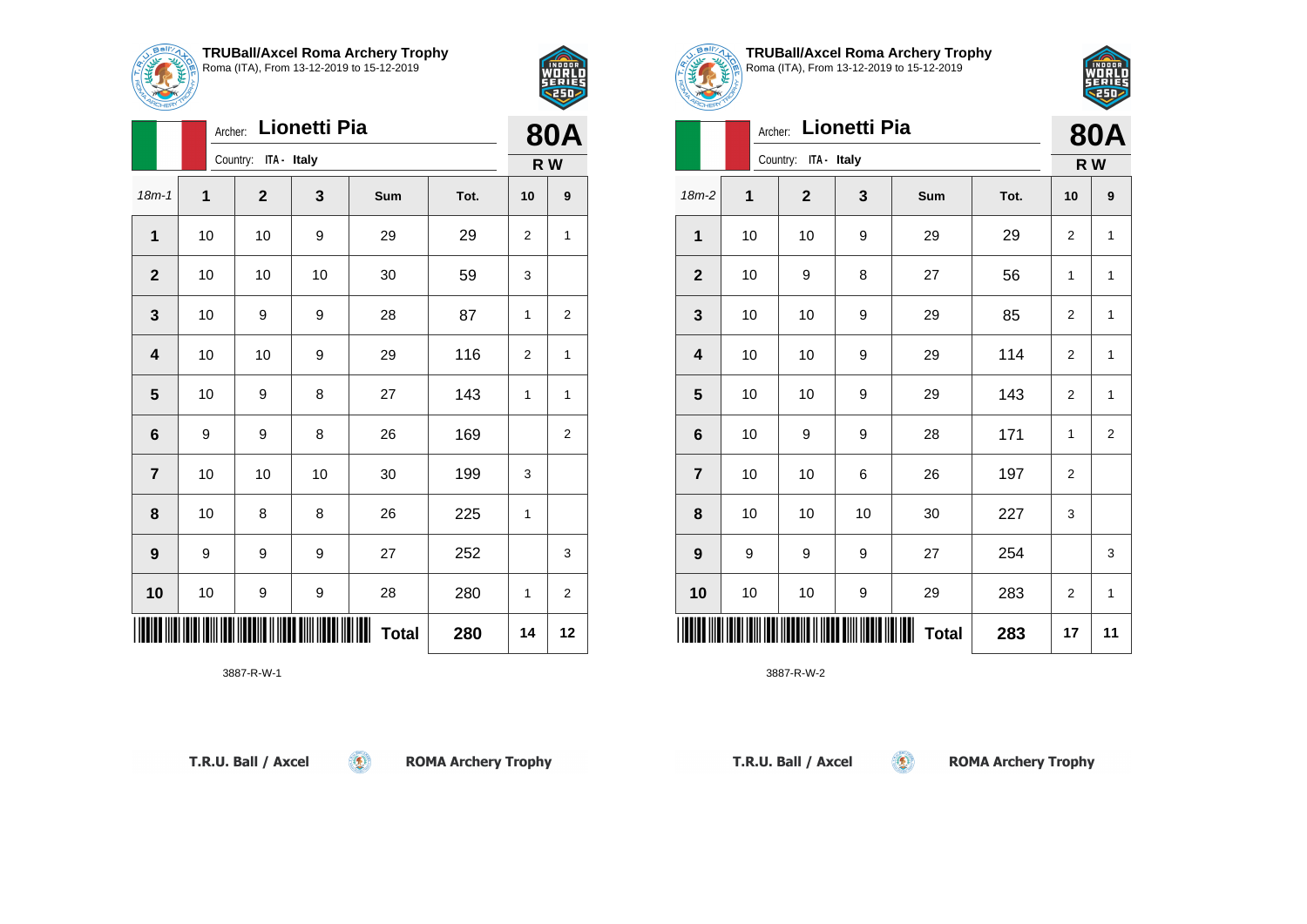

18m-1 **1 2 3 Sum Tot. 10 9**

**1** | 10 | 10 | 9 | 29 | 29 | 2 | 1

**3** | 10 | 9 | 9 | 28 | 87 | 1 | 2

**4** | 10 | 10 | 9 | 29 | 116 | 2 | 1

**5** | 10 | 9 | 8 | 27 | 143 | 1 | 1

**6** | 9 | 9 | 8 | 26 | 169 | | 2

**9** | 9 | 9 | 27 | 252 | | 3

**10** | 10 | 9 | 9 | 28 | 280 | 1 | 2

 $\circledcirc$ 

**7** | 10 | 10 | 10 | 30 | 199 | 3

**8** | 10 | 8 | 8 | 26 | 225 | 1

\*3887-R-W-1\*

**2** | 10 | 10 | 10 | 30 | 59 | 3

Archer: **Lionetti Pia**

Country: **ITA - Italy**



**80A R W**

**TRUBall/Axcel Roma Archery Trophy** Roma (ITA), From 13-12-2019 to 15-12-2019



|                | <b>80A</b> |                      |                  |              |      |                |                |
|----------------|------------|----------------------|------------------|--------------|------|----------------|----------------|
|                |            | Country: ITA - Italy |                  |              |      | R W            |                |
| $18m-2$        | 1          | $\mathbf{2}$         | 3                | Sum          | Tot. | 10             | 9              |
| 1              | 10         | 10                   | 9                | 29           | 29   | $\overline{2}$ | $\mathbf{1}$   |
| $\overline{2}$ | 10         | 9                    | 8                | 27           | 56   | 1              | 1              |
| 3              | 10         | 10                   | $\boldsymbol{9}$ | 29           | 85   | 2              | $\mathbf{1}$   |
| 4              | 10         | 10                   | 9                | 29           | 114  | $\overline{2}$ | $\mathbf{1}$   |
| 5              | 10         | 10                   | 9                | 29           | 143  | 2              | $\mathbf{1}$   |
| 6              | 10         | 9                    | $\boldsymbol{9}$ | 28           | 171  | 1              | $\overline{2}$ |
| $\overline{7}$ | 10         | 10                   | 6                | 26           | 197  | $\overline{2}$ |                |
| 8              | 10         | 10                   | 10               | 30           | 227  | 3              |                |
| 9              | 9          | 9                    | 9                | 27           | 254  |                | 3              |
| 10             | 10         | 10                   | 9                | 29           | 283  | $\overline{2}$ | $\mathbf{1}$   |
|                |            |                      |                  | <b>Total</b> | 283  | 17             | 11             |

 $\circledcirc$ 

3887-R-W-2

3887-R-W-1

**ROMA Archery Trophy** 

**Total 280 14 12**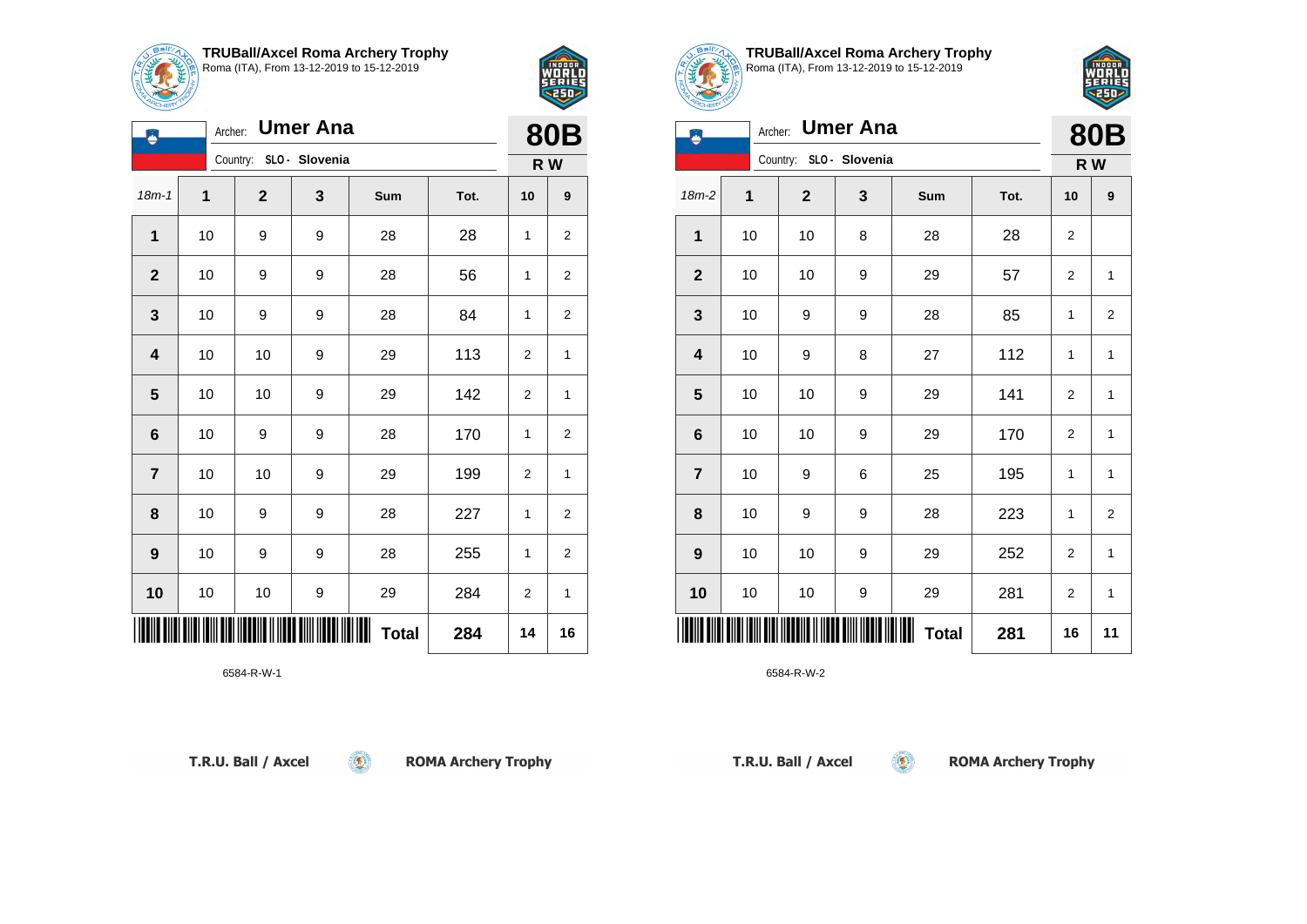



|                | <b>Umer Ana</b><br>Archer: |                         |   |                   |      |                |                |
|----------------|----------------------------|-------------------------|---|-------------------|------|----------------|----------------|
|                |                            | Country: SLO - Slovenia |   |                   |      | R W            |                |
| $18m - 1$      | $\overline{1}$             | $\mathbf{2}$            | 3 | <b>Sum</b>        | Tot. | 10             | 9              |
| $\mathbf{1}$   | 10                         | 9                       | 9 | 28                | 28   | $\mathbf{1}$   | 2              |
| $\mathbf{2}$   | 10                         | 9                       | 9 | 28                | 56   | $\mathbf{1}$   | 2              |
| 3              | 10                         | 9                       | 9 | 28                | 84   | 1              | 2              |
| 4              | 10                         | 10                      | 9 | 29                | 113  | 2              | 1              |
| $5\phantom{1}$ | 10                         | 10                      | 9 | 29                | 142  | $\overline{2}$ | 1              |
| 6              | 10                         | 9                       | 9 | 28                | 170  | $\mathbf{1}$   | 2              |
| $\overline{7}$ | 10                         | 10                      | 9 | 29                | 199  | $\overline{2}$ | 1              |
| 8              | 10                         | 9                       | 9 | 28                | 227  | 1              | 2              |
| 9              | 10                         | 9                       | 9 | 28                | 255  | 1              | $\overline{2}$ |
| 10             | 10                         | 10                      | 9 | 29                | 284  | $\overline{2}$ | $\mathbf{1}$   |
|                |                            |                         |   | ┉<br><b>Total</b> | 284  | 14             | 16             |

 $\left( \begin{matrix} 0 \\ 1 \end{matrix} \right)$ 





**ROMA Archery Trophy** 





|                         | Archer: |              | <b>Umer Ana</b> |              |      |                | <b>80B</b>              |
|-------------------------|---------|--------------|-----------------|--------------|------|----------------|-------------------------|
|                         |         | Country:     | SLO - Slovenia  |              |      | R W            |                         |
| $18m-2$                 | 1       | $\mathbf{2}$ | 3               | Sum          | Tot. | 10             | 9                       |
| 1                       | 10      | 10           | 8               | 28           | 28   | 2              |                         |
| $\mathbf{2}$            | 10      | 10           | 9               | 29           | 57   | 2              | $\mathbf{1}$            |
| $\mathbf{3}$            | 10      | 9            | 9               | 28           | 85   | 1              | $\overline{\mathbf{c}}$ |
| $\overline{\mathbf{4}}$ | 10      | 9            | 8               | 27           | 112  | 1              | 1                       |
| 5                       | 10      | 10           | 9               | 29           | 141  | $\overline{2}$ | $\mathbf{1}$            |
| $\bf 6$                 | 10      | 10           | 9               | 29           | 170  | 2              | 1                       |
| $\overline{7}$          | 10      | 9            | 6               | 25           | 195  | 1              | 1                       |
| 8                       | 10      | 9            | 9               | 28           | 223  | 1              | 2                       |
| $\boldsymbol{9}$        | 10      | 10           | 9               | 29           | 252  | 2              | 1                       |
| 10                      | 10      | 10           | 9               | 29           | 281  | 2              | 1                       |
| IIIII                   |         |              |                 | <b>Total</b> | 281  | 16             | 11                      |

 $(\mathbf{C})$ 

6584-R-W-2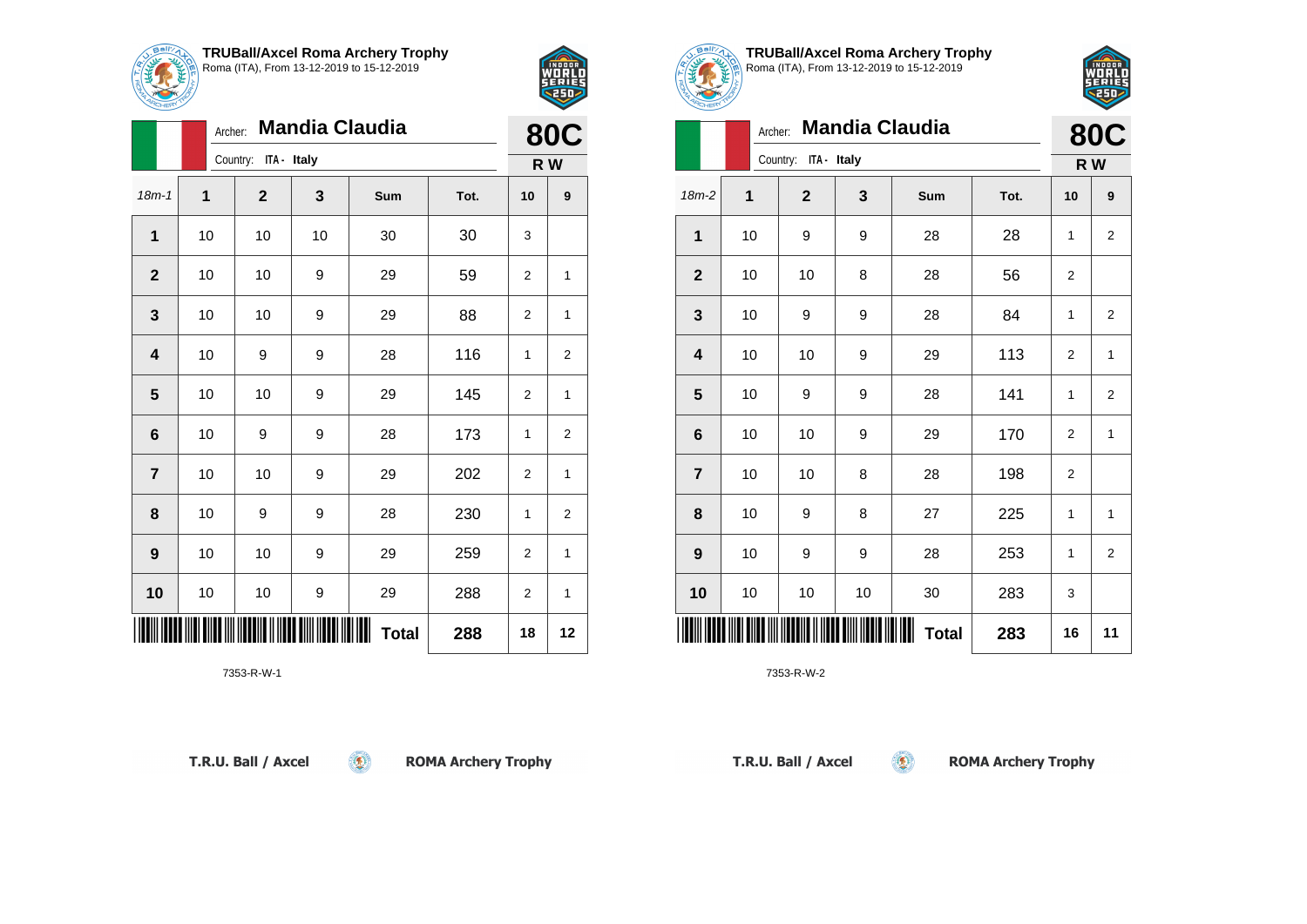

|                         | Archer:        |                      |    | <b>Mandia Claudia</b> |      |                | <b>80C</b>     |
|-------------------------|----------------|----------------------|----|-----------------------|------|----------------|----------------|
|                         |                | Country: ITA - Italy |    |                       |      | R W            |                |
| $18m - 1$               | $\overline{1}$ | $\mathbf{2}$         | 3  | Sum                   | Tot. | 10             | 9              |
| 1                       | 10             | 10                   | 10 | 30                    | 30   | 3              |                |
| $\mathbf{2}$            | 10             | 10                   | 9  | 29                    | 59   | $\overline{2}$ | 1              |
| $\mathbf{3}$            | 10             | 10                   | 9  | 29                    | 88   | $\overline{2}$ | 1              |
| $\overline{\mathbf{4}}$ | 10             | 9                    | 9  | 28                    | 116  | 1              | $\overline{2}$ |
| 5                       | 10             | 10                   | 9  | 29                    | 145  | $\overline{2}$ | 1              |
| $\bf 6$                 | 10             | 9                    | 9  | 28                    | 173  | 1              | $\overline{2}$ |
| $\overline{7}$          | 10             | 10                   | 9  | 29                    | 202  | $\overline{2}$ | $\mathbf{1}$   |
| 8                       | 10             | 9                    | 9  | 28                    | 230  | 1              | $\overline{2}$ |
| 9                       | 10             | 10                   | 9  | 29                    | 259  | 2              | 1              |
| 10                      | 10             | 10                   | 9  | 29                    | 288  | $\overline{2}$ | 1              |
| Ш                       |                |                      |    | <b>Total</b>          | 288  | 18             | 12             |

7353-R-W-1



**TRUBall/Axcel Roma Archery Trophy** Roma (ITA), From 13-12-2019 to 15-12-2019

2 S I

|                         | <b>80C</b> |                      |    |              |      |                |                         |
|-------------------------|------------|----------------------|----|--------------|------|----------------|-------------------------|
|                         |            | Country: ITA - Italy |    |              |      | R W            |                         |
| $18m-2$                 | 1          | $\mathbf{2}$         | 3  | Sum          | Tot. | 10             | 9                       |
| 1                       | 10         | 9                    | 9  | 28           | 28   | 1              | 2                       |
| $\mathbf{2}$            | 10         | 10                   | 8  | 28           | 56   | $\overline{2}$ |                         |
| $\mathbf{3}$            | 10         | 9                    | 9  | 28           | 84   | 1              | $\overline{2}$          |
| $\overline{\mathbf{4}}$ | 10         | 10                   | 9  | 29           | 113  | $\overline{2}$ | $\mathbf{1}$            |
| 5                       | 10         | 9                    | 9  | 28           | 141  | 1              | $\overline{2}$          |
| $\bf 6$                 | 10         | 10                   | 9  | 29           | 170  | $\overline{2}$ | $\mathbf{1}$            |
| $\overline{7}$          | 10         | 10                   | 8  | 28           | 198  | $\overline{2}$ |                         |
| 8                       | 10         | 9                    | 8  | 27           | 225  | 1              | $\mathbf{1}$            |
| $\boldsymbol{9}$        | 10         | 9                    | 9  | 28           | 253  | 1              | $\overline{\mathbf{c}}$ |
| 10                      | 10         | 10                   | 10 | 30           | 283  | 3              |                         |
|                         |            |                      |    | <b>Total</b> | 283  | 16             | 11                      |

 $\left( 5\right)$ 

7353-R-W-2

T.R.U. Ball / Axcel

**ROMA Archery Trophy** 

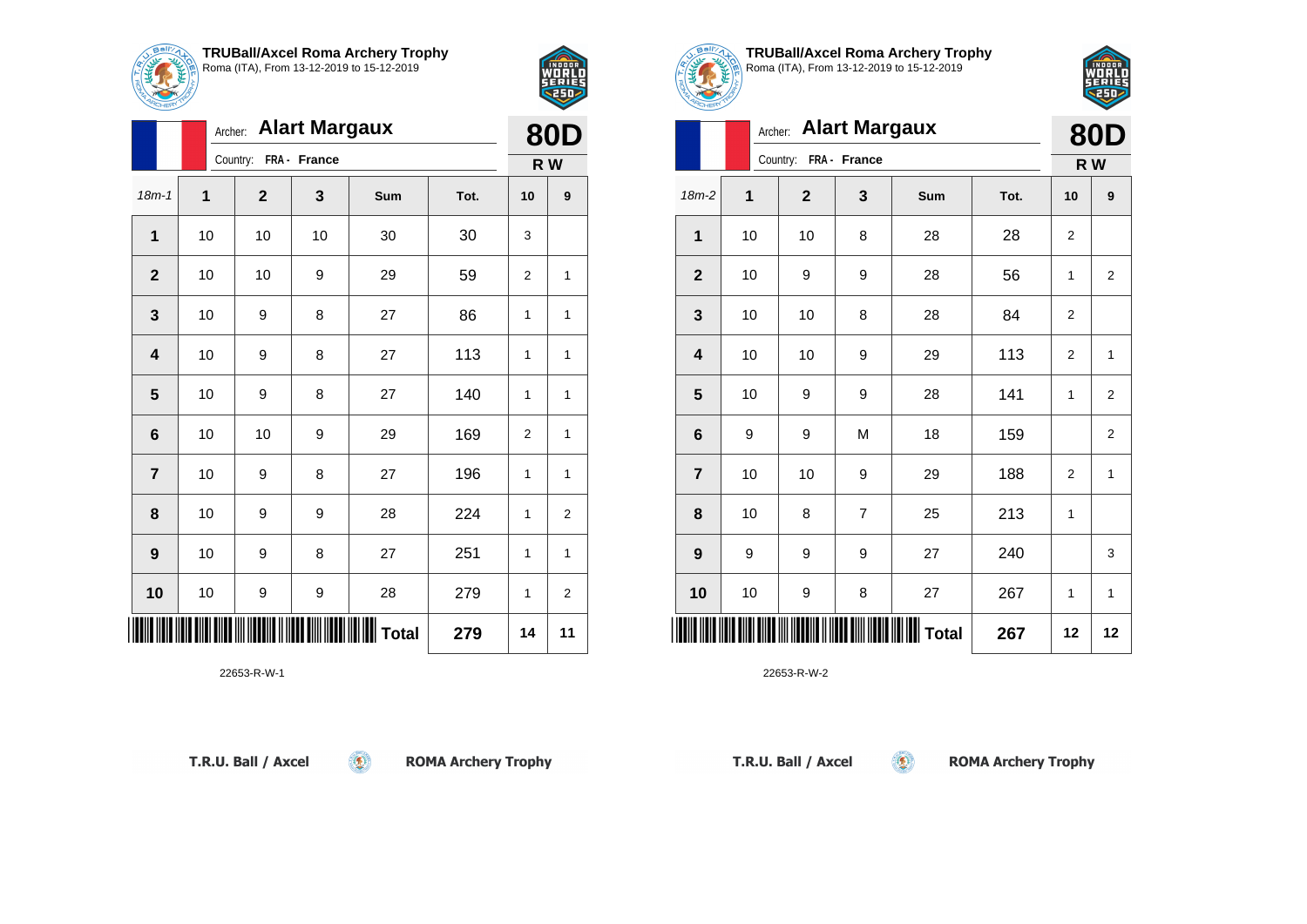



|                         | Archer: Alart Margaux |                          |    |       |      |                |                |  |
|-------------------------|-----------------------|--------------------------|----|-------|------|----------------|----------------|--|
|                         |                       | Country:<br>FRA - France |    |       |      |                |                |  |
| $18m - 1$               | 1                     | $\mathbf{2}$             | 3  | Sum   | Tot. | 10             | 9              |  |
| 1                       | 10                    | 10                       | 10 | 30    | 30   | 3              |                |  |
| $\overline{2}$          | 10                    | 10                       | 9  | 29    | 59   | $\overline{2}$ | 1              |  |
| 3                       | 10                    | 9                        | 8  | 27    | 86   | 1              | 1              |  |
| $\overline{\mathbf{4}}$ | 10                    | 9                        | 8  | 27    | 113  | 1              | 1              |  |
| 5                       | 10                    | 9                        | 8  | 27    | 140  | 1              | 1              |  |
| 6                       | 10                    | 10                       | 9  | 29    | 169  | $\overline{2}$ | 1              |  |
| $\overline{7}$          | 10                    | 9                        | 8  | 27    | 196  | 1              | 1              |  |
| 8                       | 10                    | 9                        | 9  | 28    | 224  | $\mathbf{1}$   | $\overline{2}$ |  |
| 9                       | 10                    | 9                        | 8  | 27    | 251  | 1              | 1              |  |
| 10                      | 10                    | 9                        | 9  | 28    | 279  | 1              | $\overline{2}$ |  |
| ║║║                     |                       |                          |    | Total | 279  | 14             | 11             |  |

 $\circledcirc$ 

22653-R-W-1



2 S I

|                |    | <b>Alart Margaux</b><br>Archer: |                |              |      |                |                |  |
|----------------|----|---------------------------------|----------------|--------------|------|----------------|----------------|--|
|                |    | Country:                        | FRA - France   |              | R W  |                |                |  |
| 18m-2          | 1  | $\overline{2}$                  | 3              | Sum          | Tot. | 10             | 9              |  |
| 1              | 10 | 10                              | 8              | 28           | 28   | 2              |                |  |
| $\overline{2}$ | 10 | 9                               | 9              | 28           | 56   | $\mathbf{1}$   | $\overline{2}$ |  |
| 3              | 10 | 10                              | 8              | 28           | 84   | $\overline{c}$ |                |  |
| 4              | 10 | 10                              | 9              | 29           | 113  | 2              | 1              |  |
| 5              | 10 | 9                               | 9              | 28           | 141  | 1              | $\overline{2}$ |  |
| 6              | 9  | 9                               | M              | 18           | 159  |                | $\overline{2}$ |  |
| $\overline{7}$ | 10 | 10                              | 9              | 29           | 188  | $\overline{2}$ | 1              |  |
| 8              | 10 | 8                               | $\overline{7}$ | 25           | 213  | $\mathbf{1}$   |                |  |
| 9              | 9  | 9                               | 9              | 27           | 240  |                | 3              |  |
| 10             | 10 | 9                               | 8              | 27           | 267  | 1              | 1              |  |
|                |    |                                 |                | <b>Total</b> | 267  | 12             | 12             |  |

 $\left( 5\right)$ 

22653-R-W-2

T.R.U. Ball / Axcel

**ROMA Archery Trophy** 

T.R.U. Ball / Axcel

**ROMA Archery Trophy**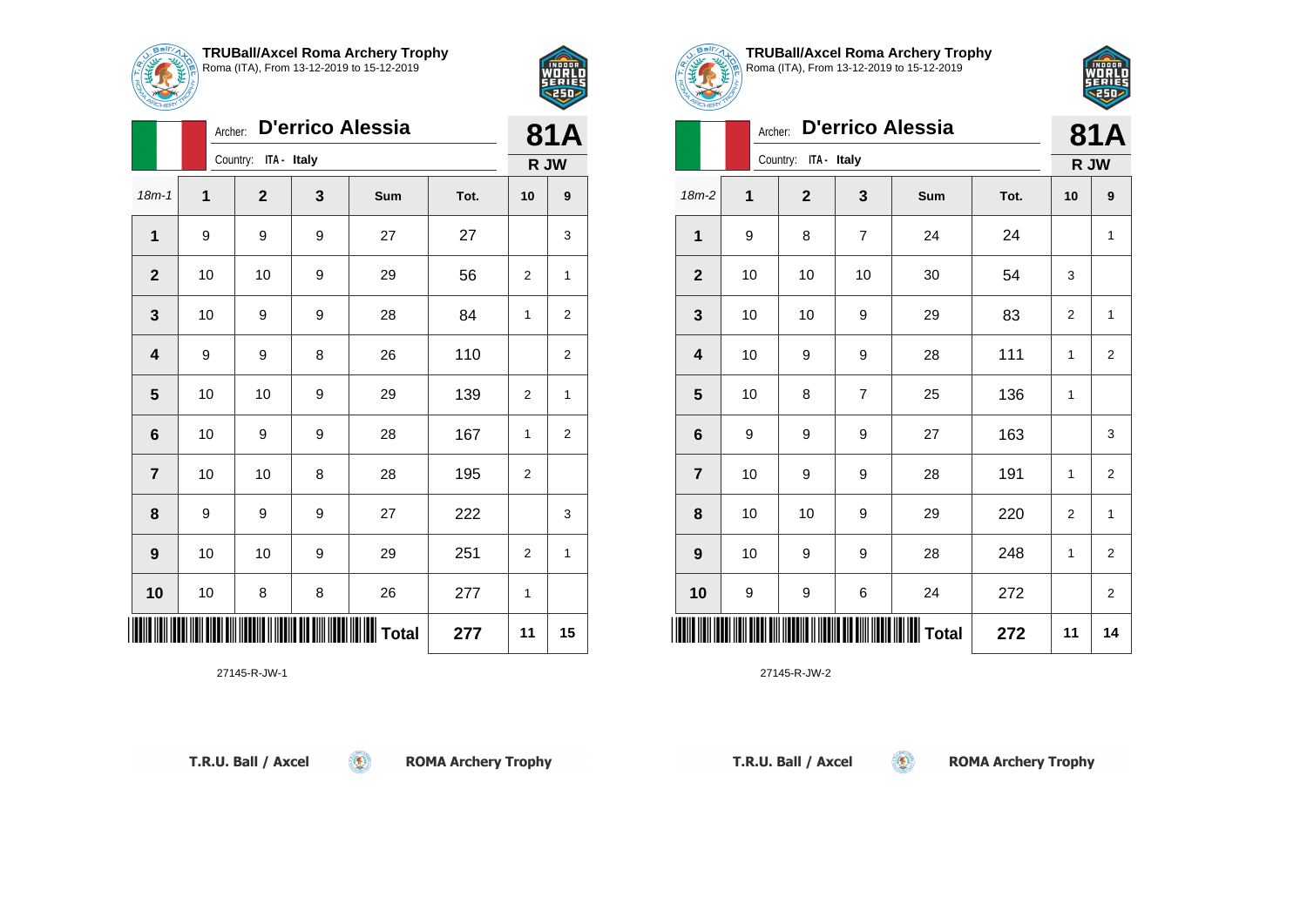

Archer: **D'errico Alessia**

18m-1 **1 2 3 Sum Tot. 10 9**

**1** | 9 | 9 | 9 | 27 | 27 | 3

**2** | 10 | 10 | 9 | 29 | 56 | 2 | 1

**3** | 10 | 9 | 9 | 28 | 84 | 1 | 2

**4** | 9 | 9 | 8 | 26 | 110 | | 2

**5** | 10 | 10 | 9 | 29 | 139 | 2 | 1

**6** | 10 | 9 | 9 | 28 | 167 | 1 | 2

**8** | 9 | 9 | 9 | 27 | 222 | | 3

**9** | 10 | 10 | 9 | 29 | 251 | 2 | 1

**7** | 10 | 10 | 8 | 28 | 195 | 2

**10** | 10 | 8 | 8 | 26 | 277 | 1

Country: **ITA - Italy**



**81A R JW**

| TRUBall/Axcel Roma Archery Trophy<br>Roma (ITA), From 13-12-2019 to 15-12-2019 |
|--------------------------------------------------------------------------------|
|                                                                                |



|                         | 81A |                      |    |              |      |      |                         |
|-------------------------|-----|----------------------|----|--------------|------|------|-------------------------|
|                         |     | Country: ITA - Italy |    |              |      | R JW |                         |
| $18m-2$                 | 1   | $\mathbf 2$          | 3  | Sum          | Tot. | 10   | 9                       |
| 1                       | 9   | 8                    | 7  | 24           | 24   |      | 1                       |
| $\mathbf{2}$            | 10  | 10                   | 10 | 30           | 54   | 3    |                         |
| $\mathbf 3$             | 10  | $10$                 | 9  | 29           | 83   | 2    | $\mathbf{1}$            |
| $\overline{\mathbf{4}}$ | 10  | 9                    | 9  | 28           | 111  | 1    | $\overline{2}$          |
| 5                       | 10  | 8                    | 7  | 25           | 136  | 1    |                         |
| 6                       | 9   | 9                    | 9  | 27           | 163  |      | 3                       |
| $\overline{\mathbf{r}}$ | 10  | 9                    | 9  | 28           | 191  | 1    | $\overline{\mathbf{c}}$ |
| 8                       | 10  | 10                   | 9  | 29           | 220  | 2    | $\mathbf{1}$            |
| $\boldsymbol{9}$        | 10  | 9                    | 9  | 28           | 248  | 1    | $\overline{2}$          |
| 10                      | 9   | 9                    | 6  | 24           | 272  |      | $\overline{2}$          |
|                         |     |                      |    | <b>Total</b> | 272  | 11   | 14                      |

 $\circledcirc$ 

27145-R-JW-2

27145-R-JW-1

\*27145-R-JW-1\*

T.R.U. Ball / Axcel

**ROMA Archery Trophy** 

**Total 277 11 15**



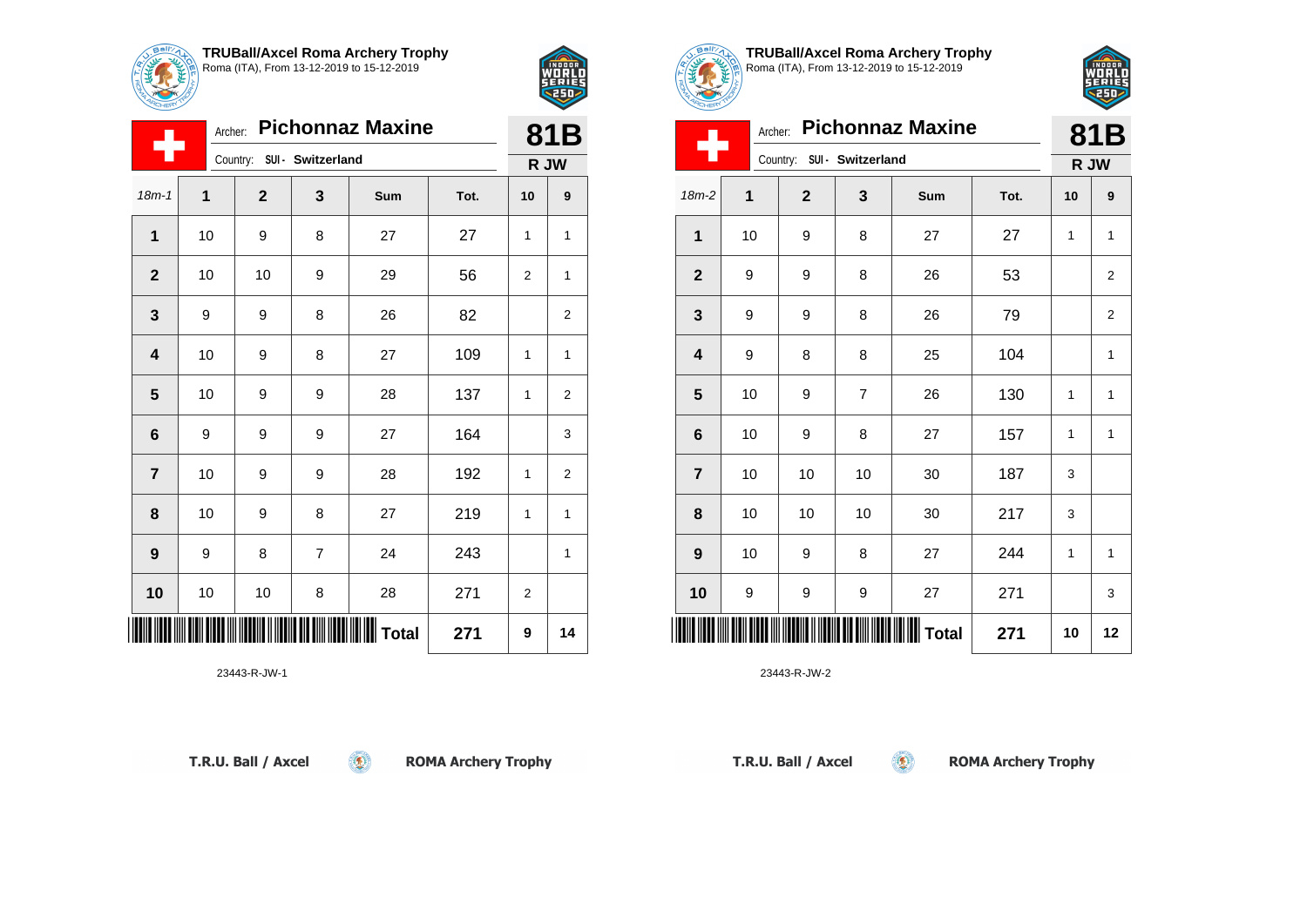



|                         | <b>Pichonnaz Maxine</b><br>Archer: |                            |                |      |      |                |                |  |
|-------------------------|------------------------------------|----------------------------|----------------|------|------|----------------|----------------|--|
|                         |                                    | Country: SUI - Switzerland |                | R JW |      |                |                |  |
| $18m - 1$               | 1                                  | $\mathbf{2}$               | 3              | Sum  | Tot. | 10             | 9              |  |
| $\mathbf{1}$            | 10                                 | 9                          | 8              | 27   | 27   | 1              | 1              |  |
| $\overline{2}$          | 10                                 | 10                         | 9              | 29   | 56   | $\overline{2}$ | 1              |  |
| $\mathbf{3}$            | 9                                  | 9                          | 8              | 26   | 82   |                | $\overline{2}$ |  |
| $\overline{\mathbf{4}}$ | 10                                 | 9                          | 8              | 27   | 109  | 1              | 1              |  |
| $\overline{\mathbf{5}}$ | 10                                 | 9                          | 9              | 28   | 137  | 1              | $\overline{2}$ |  |
| $6\phantom{1}6$         | 9                                  | 9                          | 9              | 27   | 164  |                | 3              |  |
| $\overline{7}$          | 10                                 | 9                          | 9              | 28   | 192  | 1              | $\overline{2}$ |  |
| 8                       | 10                                 | 9                          | 8              | 27   | 219  | 1              | 1              |  |
| $\boldsymbol{9}$        | 9                                  | 8                          | $\overline{7}$ | 24   | 243  |                | 1              |  |
| 10                      | 10                                 | 10                         | 8              | 28   | 271  | 2              |                |  |
|                         |                                    |                            |                |      | 271  | 9              | 14             |  |

 $\circledcirc$ 





**TRUBall/Axcel Roma Archery Trophy** Roma (ITA), From 13-12-2019 to 15-12-2019



|                |                                                                  |                |    |              |      |              | .25D                    |  |
|----------------|------------------------------------------------------------------|----------------|----|--------------|------|--------------|-------------------------|--|
|                | <b>Pichonnaz Maxine</b><br>Archer:<br>Country: SUI - Switzerland |                |    |              |      |              |                         |  |
| 18m-2          | 1                                                                | $\overline{2}$ | 3  | Sum          | Tot. | 10           | 9                       |  |
| $\mathbf{1}$   | 10                                                               | 9              | 8  | 27           | 27   | $\mathbf{1}$ | 1                       |  |
| $\mathbf{2}$   | 9                                                                | 9              | 8  | 26           | 53   |              | $\overline{\mathbf{c}}$ |  |
| 3              | 9                                                                | 9              | 8  | 26           | 79   |              | 2                       |  |
| 4              | 9                                                                | 8              | 8  | 25           | 104  |              | 1                       |  |
| 5              | 10                                                               | 9              | 7  | 26           | 130  | $\mathbf{1}$ | 1                       |  |
| 6              | 10                                                               | 9              | 8  | 27           | 157  | 1            | 1                       |  |
| $\overline{7}$ | 10                                                               | 10             | 10 | 30           | 187  | 3            |                         |  |
| 8              | 10                                                               | 10             | 10 | 30           | 217  | 3            |                         |  |
| 9              | 10                                                               | 9              | 8  | 27           | 244  | 1            | 1                       |  |
| 10             | 9                                                                | 9              | 9  | 27           | 271  |              | 3                       |  |
|                |                                                                  |                |    | <b>Total</b> | 271  | 10           | 12                      |  |

 $\mathbf{E}$ 

23443-R-JW-2

T.R.U. Ball / Axcel

**ROMA Archery Trophy** 

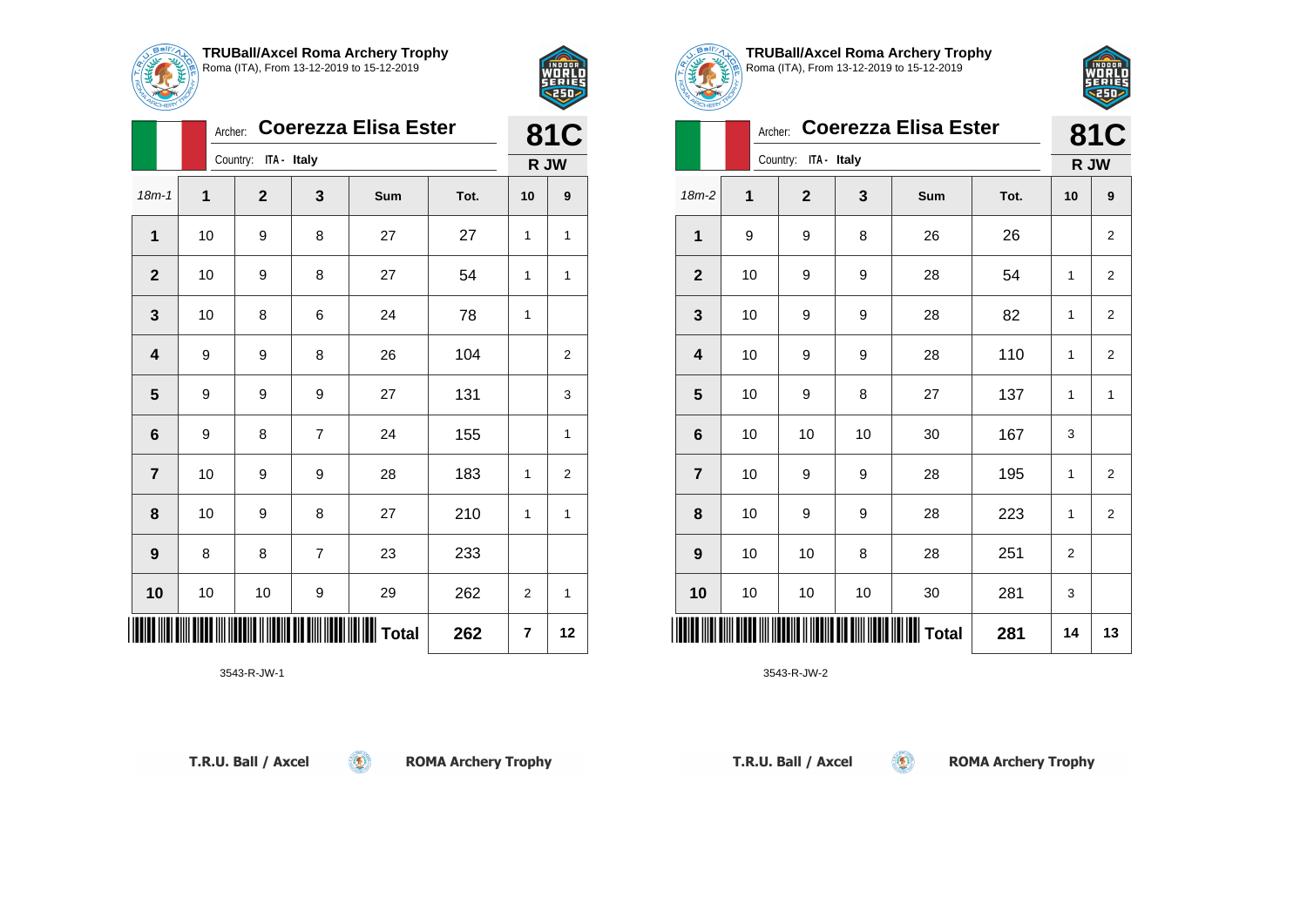

Country: **ITA - Italy**

Archer: **Coerezza Elisa Ester**

18m-1 **1 2 3 Sum Tot. 10 9**

**1** | 10 | 9 | 8 | 27 | 27 | 1 | 1

**2** | 10 | 9 | 8 | 27 | 54 | 1 | 1

**4** | 9 | 9 | 8 | 26 | 104 | | 2

**5** | 9 | 9 | 9 | 27 | 131 | | 3

**6** | 9 | 8 | 7 | 24 | 155 | | 1

**7** | 10 | 9 | 9 | 28 | 183 | 1 | 2

**8** | 10 | 9 | 8 | 27 | 210 | 1 | 1

**10** | 10 | 10 | 9 | 29 | 262 | 2 | 1

 $\circledcirc$ 

**9** | 8 | 8 | 7 | 23 | 233

**3** | 10 | 8 | 6 | 24 | 78 | 1



**81C R JW**

| <b>TRUBall/Axcel Roma Archery Trophy</b>                                                                  |
|-----------------------------------------------------------------------------------------------------------|
| <b>INUBAII/AXCELNOTIA Archery Tro</b><br>$\sqrt{\frac{10}{10}}$ Roma (ITA), From 13-12-2019 to 15-12-2019 |



| <b>MOHERY</b>           |    |                         |    |                             |      |              |                |
|-------------------------|----|-------------------------|----|-----------------------------|------|--------------|----------------|
|                         |    | Archer:                 |    | <b>Coerezza Elisa Ester</b> |      |              | <b>81C</b>     |
|                         |    | Country: ITA - Italy    |    |                             |      | R JW         |                |
| 18m-2                   | 1  | $\overline{\mathbf{2}}$ | 3  | Sum                         | Tot. | 10           | 9              |
| 1                       | 9  | 9                       | 8  | 26                          | 26   |              | $\overline{2}$ |
| $\overline{2}$          | 10 | 9                       | 9  | 28                          | 54   | $\mathbf{1}$ | $\overline{2}$ |
| 3                       | 10 | 9                       | 9  | 28                          | 82   | 1            | $\overline{2}$ |
| $\overline{\mathbf{4}}$ | 10 | 9                       | 9  | 28                          | 110  | 1            | $\overline{2}$ |
| 5                       | 10 | 9                       | 8  | 27                          | 137  | 1            | 1              |
| $6\phantom{1}6$         | 10 | 10                      | 10 | 30                          | 167  | 3            |                |
| 7                       | 10 | 9                       | 9  | 28                          | 195  | $\mathbf{1}$ | $\overline{2}$ |
| 8                       | 10 | 9                       | 9  | 28                          | 223  | 1            | $\overline{2}$ |
| 9                       | 10 | 10                      | 8  | 28                          | 251  | 2            |                |
| 10                      | 10 | 10                      | 10 | 30                          | 281  | 3            |                |
|                         |    |                         |    | <b>Total</b>                | 281  | 14           | 13             |

 $\circledcirc$ 

3543-R-JW-2

T.R.U. Ball / Axcel

\*3543-R-JW-1\*

3543-R-JW-1

**ROMA Archery Trophy** 

**Total 262 7 12**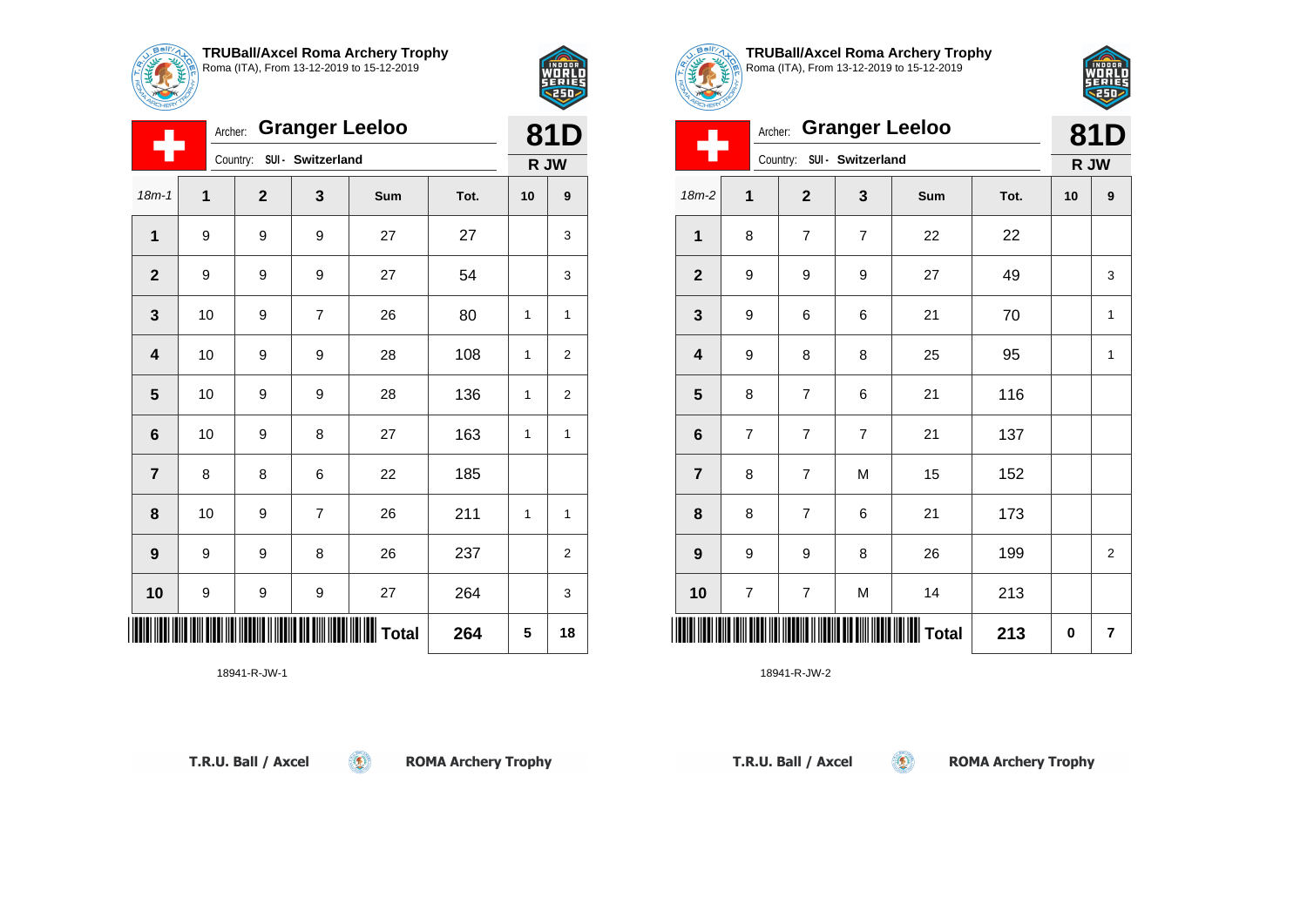



|                         | 81D          |                               |                |      |      |    |                |
|-------------------------|--------------|-------------------------------|----------------|------|------|----|----------------|
|                         |              | SUI - Switzerland<br>Country: |                | R JW |      |    |                |
| $18m - 1$               | $\mathbf{1}$ | $\overline{2}$                | 3              | Sum  | Tot. | 10 | 9              |
| $\mathbf{1}$            | 9            | 9                             | 9              | 27   | 27   |    | 3              |
| $\overline{2}$          | 9            | 9                             | 9              | 27   | 54   |    | 3              |
| $\mathbf{3}$            | 10           | 9                             | $\overline{7}$ | 26   | 80   | 1  | 1              |
| $\overline{\mathbf{4}}$ | 10           | 9                             | 9              | 28   | 108  | 1  | 2              |
| $5\phantom{1}$          | 10           | 9                             | 9              | 28   | 136  | 1  | $\overline{2}$ |
| $\bf 6$                 | 10           | 9                             | 8              | 27   | 163  | 1  | $\mathbf{1}$   |
| $\overline{7}$          | 8            | 8                             | 6              | 22   | 185  |    |                |
| 8                       | 10           | 9                             | $\overline{7}$ | 26   | 211  | 1  | 1              |
| $\boldsymbol{9}$        | 9            | 9                             | 8              | 26   | 237  |    | $\overline{2}$ |
| 10                      | 9            | 9                             | 9              | 27   | 264  |    | 3              |
| 264                     |              |                               |                |      |      |    | 18             |

 $\circledcirc$ 





**TRUBall/Axcel Roma Archery Trophy** Roma (ITA), From 13-12-2019 to 15-12-2019



| ستتنفذ           |                |                               |                |                       |      |           |                |
|------------------|----------------|-------------------------------|----------------|-----------------------|------|-----------|----------------|
|                  | Archer:        |                               |                | <b>Granger Leeloo</b> |      |           | 81D            |
|                  |                | SUI - Switzerland<br>Country: |                |                       |      |           | R JW           |
| $18m-2$          | $\mathbf 1$    | $\mathbf 2$                   | 3              | Sum                   | Tot. | 10        | 9              |
| 1                | 8              | 7                             | $\overline{7}$ | 22                    | 22   |           |                |
| $\mathbf 2$      | 9              | 9                             | 9              | 27                    | 49   |           | 3              |
| 3                | 9              | 6                             | 6              | 21                    | 70   |           | 1              |
| 4                | 9              | 8                             | 8              | 25                    | 95   |           | 1              |
| 5                | 8              | $\overline{7}$                | 6              | 21                    | 116  |           |                |
| 6                | $\overline{7}$ | 7                             | $\overline{7}$ | 21                    | 137  |           |                |
| $\overline{7}$   | 8              | $\overline{7}$                | M              | 15                    | 152  |           |                |
| 8                | 8              | 7                             | 6              | 21                    | 173  |           |                |
| $\boldsymbol{9}$ | 9              | 9                             | 8              | 26                    | 199  |           | $\overline{2}$ |
| 10               | 7              | 7                             | M              | 14                    | 213  |           |                |
|                  |                |                               |                | <b>Total</b>          | 213  | $\pmb{0}$ | 7              |

 $\left( 5\right)$ 

18941-R-JW-2

**ROMA Archery Trophy**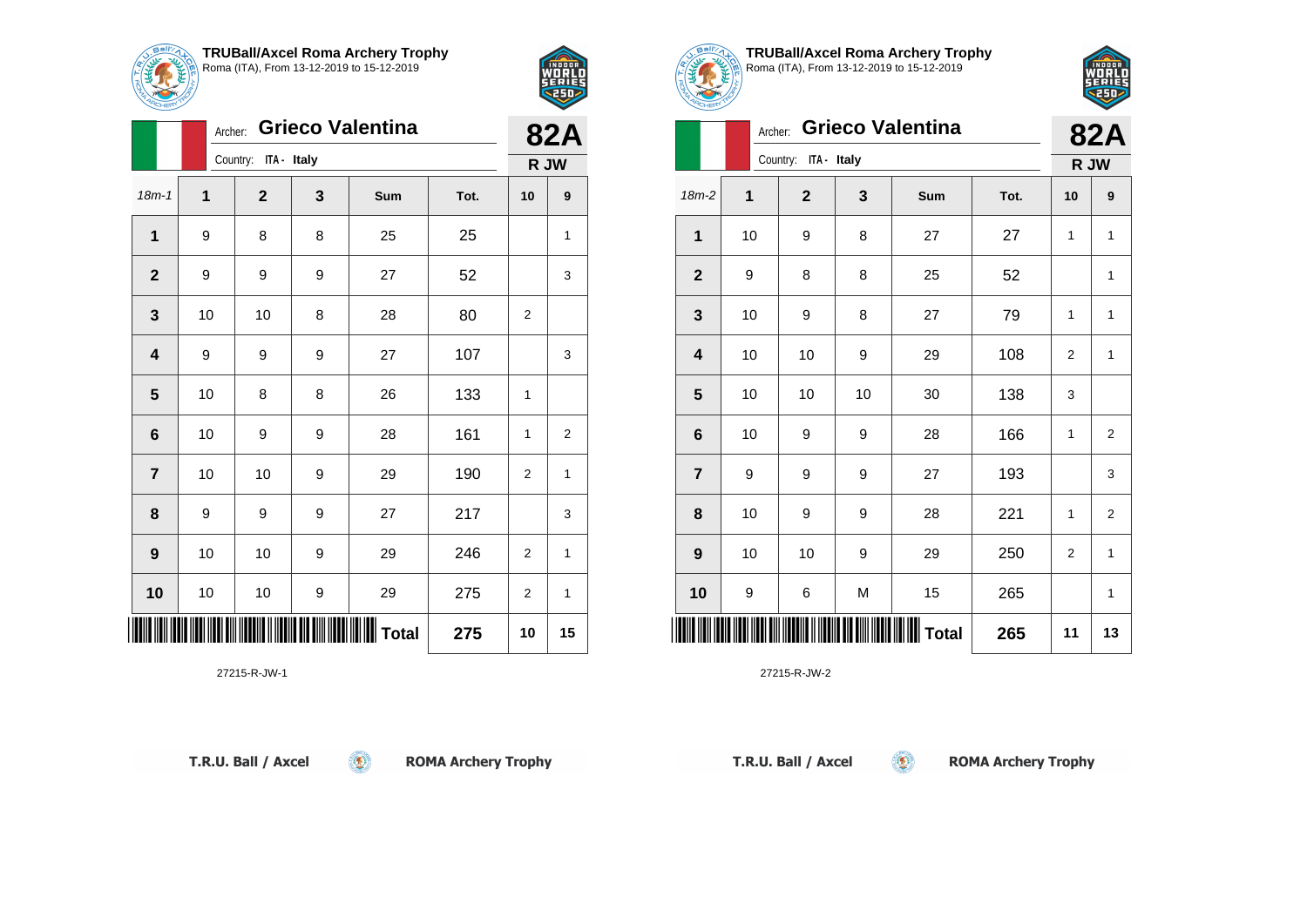

Archer: **Grieco Valentina**

18m-1 **1 2 3 Sum Tot. 10 9**

**1** | 9 | 8 | 8 | 25 | 25 | 1

**2** | 9 | 9 | 9 | 27 | 52 | | 3

**4** | 9 | 9 | 9 | 27 | 107 | | 3

**6** | 10 | 9 | 9 | 28 | 161 | 1 | 2

**7** | 10 | 10 | 9 | 29 | 190 | 2 | 1

**8** | 9 | 9 | 9 | 27 | 217 | | 3

**9** | 10 | 10 | 9 | 29 | 246 | 2 | 1

**10** | 10 | 10 | 9 | 29 | 275 | 2 | 1

**3** | 10 | 10 | 8 | 28 | 80 | 2

**5** | 10 | 8 | 8 | 26 | 133 | 1

Country: **ITA - Italy**



**82A R JW**

| <b>TRUBall/Axcel Roma Archery Trophy</b><br>Roma (ITA), From 13-12-2019 to 15-12-2019 |
|---------------------------------------------------------------------------------------|



| ستت                     |             |                         |    |              |      |                |                |
|-------------------------|-------------|-------------------------|----|--------------|------|----------------|----------------|
|                         | <b>82A</b>  |                         |    |              |      |                |                |
|                         |             | Country:<br>ITA - Italy |    |              |      |                | R JW           |
| $18m-2$                 | $\mathbf 1$ | $\mathbf 2$             | 3  | Sum          | Tot. | 10             | 9              |
| 1                       | 10          | 9                       | 8  | 27           | 27   | 1              | 1              |
| $\overline{2}$          | 9           | 8                       | 8  | 25           | 52   |                | 1              |
| $\mathbf{3}$            | 10          | 9                       | 8  | 27           | 79   | 1              | 1              |
| $\overline{\mathbf{4}}$ | 10          | 10                      | 9  | 29           | 108  | $\overline{2}$ | 1              |
| $5\phantom{1}$          | 10          | 10                      | 10 | 30           | 138  | 3              |                |
| 6                       | 10          | 9                       | 9  | 28           | 166  | 1              | $\overline{2}$ |
| $\overline{7}$          | 9           | 9                       | 9  | 27           | 193  |                | 3              |
| 8                       | 10          | 9                       | 9  | 28           | 221  | 1              | $\overline{2}$ |
| $\boldsymbol{9}$        | 10          | 10                      | 9  | 29           | 250  | $\overline{2}$ | 1              |
| 10                      | 9           | 6                       | M  | 15           | 265  |                | 1              |
|                         |             |                         |    | <b>Total</b> | 265  | 11             | 13             |

 $\circledcirc$ 

27215-R-JW-2

|  | T.R.U. Ball / Axcel |
|--|---------------------|

\*27215-R-JW-1\*

27215-R-JW-1

**ROMA Archery Trophy** 

**Total 275 10 15**

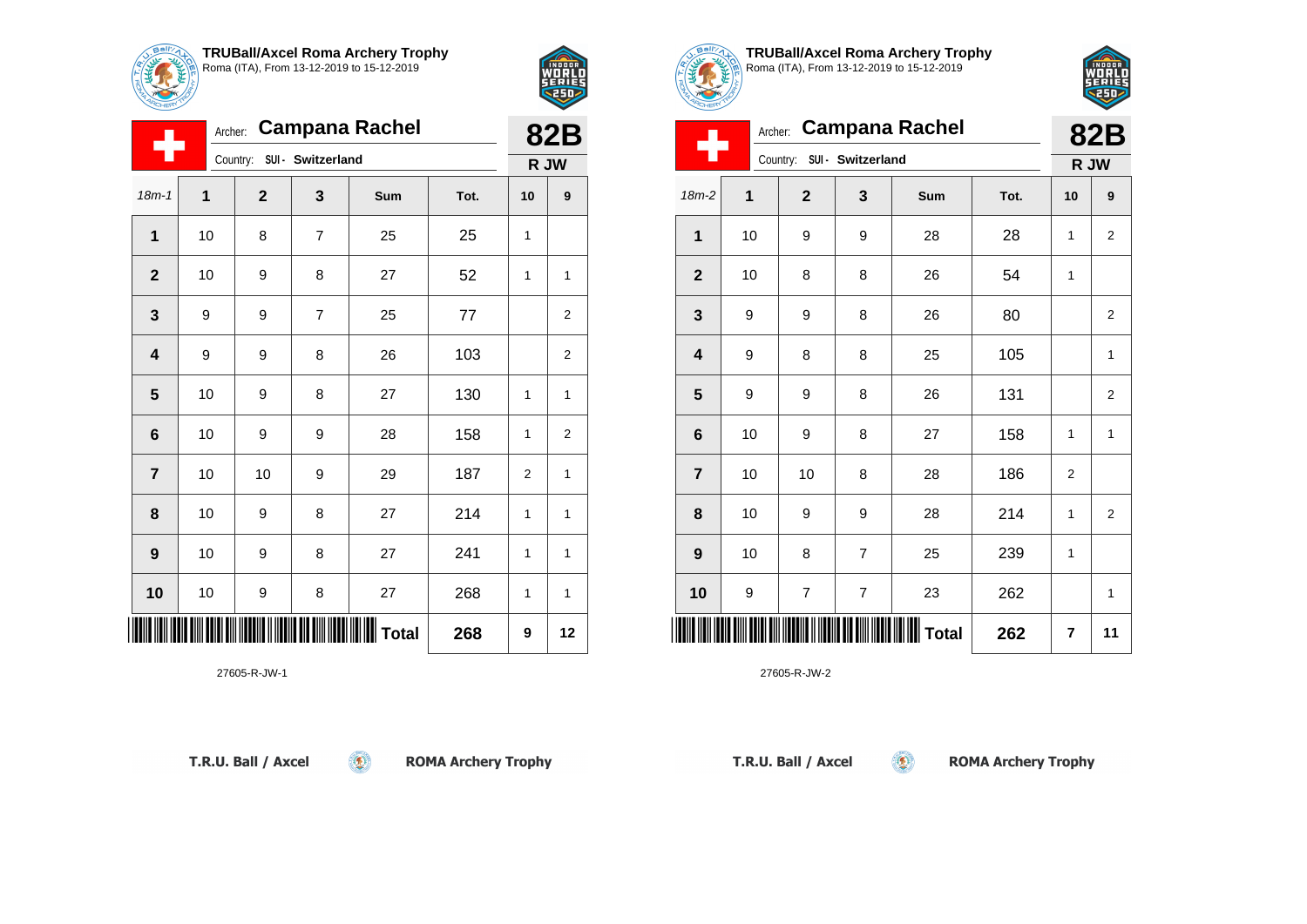

Archer: **Campana Rachel**

18m-1 **1 2 3 Sum Tot. 10 9**

**2** | 10 | 9 | 8 | 27 | 52 | 1 | 1

**3** | 9 | 9 | 7 | 25 | 77 | | 2

**4** | 9 | 9 | 8 | 26 | 103 | | 2

**5** | 10 | 9 | 8 | 27 | 130 | 1 | 1

**6** | 10 | 9 | 9 | 28 | 158 | 1 | 2

**7** | 10 | 10 | 9 | 29 | 187 | 2 | 1

**8** | 10 | 9 | 8 | 27 | 214 | 1 | 1

**9** | 10 | 9 | 8 | 27 | 241 | 1 | 1

**10** | 10 | 9 | 8 | 27 | 268 | 1 | 1

 $\circledcirc$ 

**1** | 10 | 8 | 7 | 25 | 25 | 1

Country: **SUI - Switzerland**



**82B R JW**

| <b>TRUBall/Axcel Roma Archery Trophy</b>  |
|-------------------------------------------|
| Roma (ITA), From 13-12-2019 to 15-12-2019 |



|                |                  |                  |                            | Archer: Campana Rachel |      |                  | <b>82B</b>       |
|----------------|------------------|------------------|----------------------------|------------------------|------|------------------|------------------|
|                |                  |                  | Country: SUI - Switzerland |                        |      |                  | R JW             |
| $18m-2$        | $\mathbf{1}$     | $\mathbf{2}$     | 3                          | Sum                    | Tot. | 10               | $\boldsymbol{9}$ |
| $\mathbf{1}$   | 10               | 9                | 9                          | 28                     | 28   | 1                | $\overline{2}$   |
| $\mathbf{2}$   | $10$             | 8                | 8                          | 26                     | 54   | 1                |                  |
| $\mathbf{3}$   | 9                | $\boldsymbol{9}$ | 8                          | 26                     | 80   |                  | $\overline{2}$   |
| 4              | 9                | 8                | 8                          | 25                     | 105  |                  | $\mathbf{1}$     |
| 5              | 9                | $\boldsymbol{9}$ | 8                          | 26                     | 131  |                  | $\overline{2}$   |
| 6              | 10               | 9                | 8                          | 27                     | 158  | 1                | 1                |
| $\overline{7}$ | 10               | 10               | 8                          | 28                     | 186  | $\boldsymbol{2}$ |                  |
| 8              | 10               | 9                | 9                          | 28                     | 214  | $\mathbf{1}$     | $\overline{2}$   |
| 9              | 10               | 8                | $\overline{7}$             | 25                     | 239  | 1                |                  |
| 10             | $\boldsymbol{9}$ | $\overline{7}$   | $\overline{7}$             | 23                     | 262  |                  | $\mathbf{1}$     |
|                |                  |                  |                            | <b>Total</b>           | 262  | $\overline{7}$   | 11               |

27605-R-JW-2

T.R.U. Ball / Axcel

\*27605-R-JW-1\*

27605-R-JW-1

**ROMA Archery Trophy** 

**Total 268 9 12**

T.R.U. Ball / Axcel

 $\circledcirc$ 

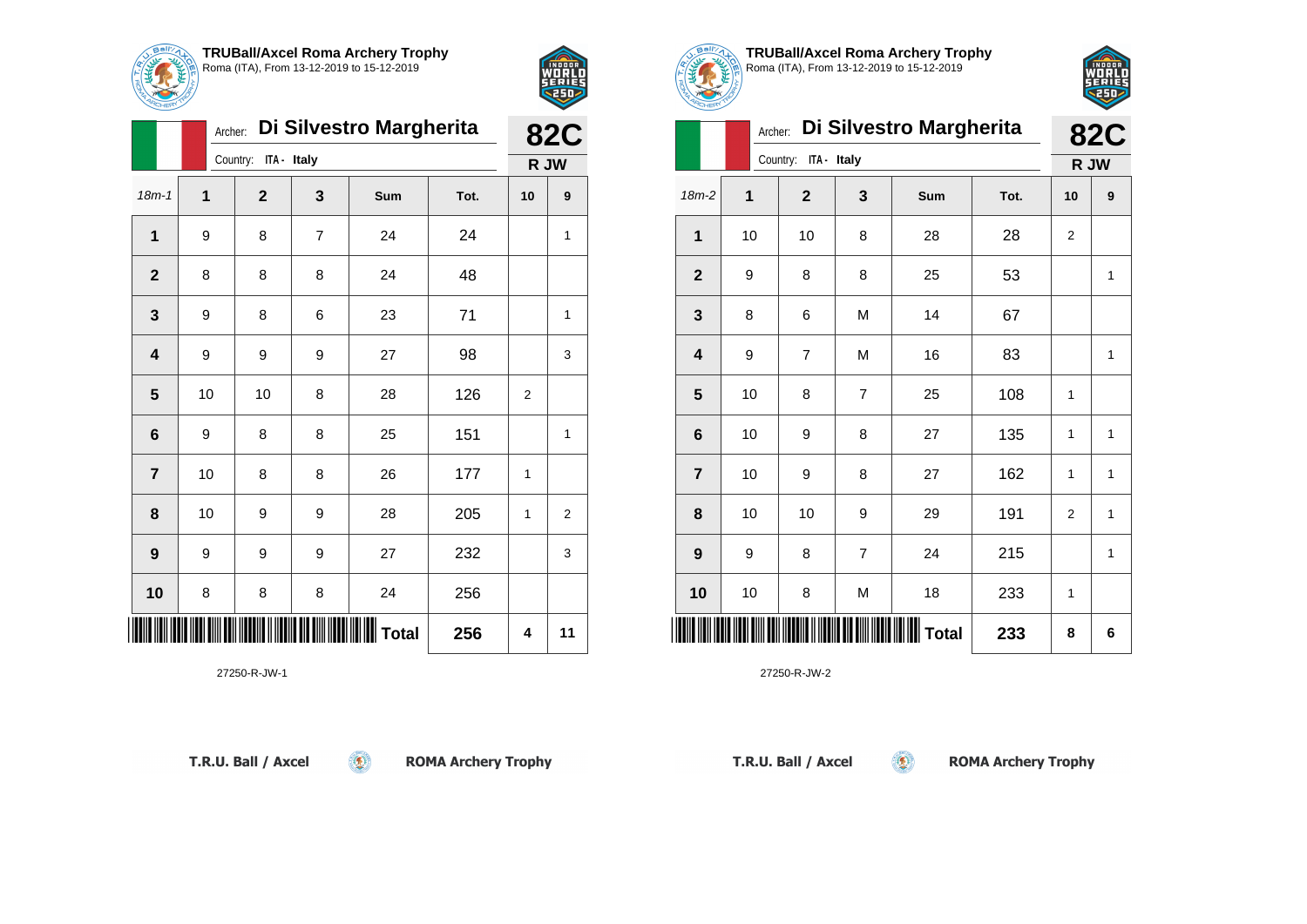



|                |    | Di Silvestro Margherita<br>Archer: |                |                                         |      |                | <b>82C</b>     |  |
|----------------|----|------------------------------------|----------------|-----------------------------------------|------|----------------|----------------|--|
|                |    | Country: ITA - Italy               |                |                                         |      |                | R JW           |  |
| $18m-1$        | 1  | $\overline{2}$                     | 3              | Sum                                     | Tot. | 10             | 9              |  |
| $\mathbf{1}$   | 9  | 8                                  | $\overline{7}$ | 24                                      | 24   |                | 1              |  |
| $\mathbf{2}$   | 8  | 8                                  | 8              | 24                                      | 48   |                |                |  |
| 3              | 9  | 8                                  | 6              | 23                                      | 71   |                | 1              |  |
| 4              | 9  | 9                                  | 9              | 27                                      | 98   |                | 3              |  |
| 5              | 10 | 10                                 | 8              | 28                                      | 126  | $\overline{2}$ |                |  |
| $\bf 6$        | 9  | 8                                  | 8              | 25                                      | 151  |                | 1              |  |
| $\overline{7}$ | 10 | 8                                  | 8              | 26                                      | 177  | 1              |                |  |
| 8              | 10 | 9                                  | 9              | 28                                      | 205  | 1              | $\overline{2}$ |  |
| 9              | 9  | 9                                  | 9              | 27                                      | 232  |                | 3              |  |
| 10             | 8  | 8                                  | 8              | 24                                      | 256  |                |                |  |
|                |    |                                    |                | <b>                           Total</b> | 256  | 4              | 11             |  |

 $\circledcirc$ 

27250-R-JW-1



25D

| Di Silvestro Margherita<br>Archer: |    |                         |                |              |      |                | <b>82C</b> |
|------------------------------------|----|-------------------------|----------------|--------------|------|----------------|------------|
|                                    |    | ITA - Italy<br>Country: |                |              |      | R JW           |            |
| $18m-2$                            | 1  | $\mathbf{2}$            | 3              | Sum          | Tot. | 10             | 9          |
| 1                                  | 10 | 10                      | 8              | 28           | 28   | $\overline{2}$ |            |
| $\overline{2}$                     | 9  | 8                       | 8              | 25           | 53   |                | 1          |
| 3                                  | 8  | 6                       | M              | 14           | 67   |                |            |
| 4                                  | 9  | 7                       | M              | 16           | 83   |                | 1          |
| 5                                  | 10 | 8                       | $\overline{7}$ | 25           | 108  | 1              |            |
| 6                                  | 10 | 9                       | 8              | 27           | 135  | 1              | 1          |
| $\overline{7}$                     | 10 | 9                       | 8              | 27           | 162  | 1              | 1          |
| 8                                  | 10 | 10                      | 9              | 29           | 191  | $\overline{2}$ | 1          |
| 9                                  | 9  | 8                       | $\overline{7}$ | 24           | 215  |                | 1          |
| 10                                 | 10 | 8                       | M              | 18           | 233  | 1              |            |
|                                    |    |                         |                | <b>Total</b> | 233  | 8              | 6          |

 $\left( 5\right)$ 

27250-R-JW-2

T.R.U. Ball / Axcel

**ROMA Archery Trophy**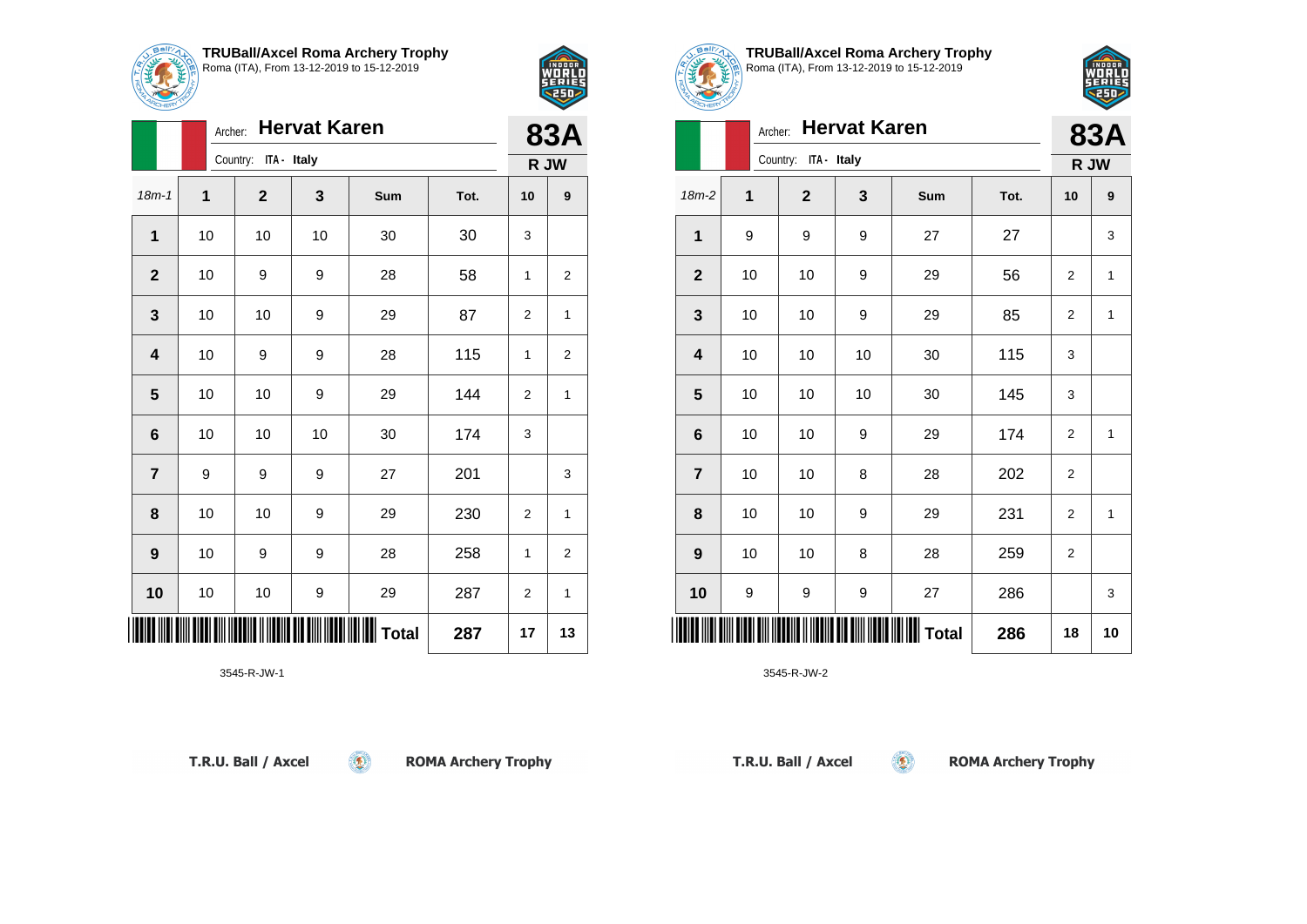

18m-1 **1 2 3 Sum Tot. 10 9**

**2** | 10 | 9 | 9 | 28 | 58 | 1 | 2

**3** | 10 | 10 | 9 | 29 | 87 | 2 | 1

**4** | 10 | 9 | 9 | 28 | 115 | 1 | 2

**5** | 10 | 10 | 9 | 29 | 144 | 2 | 1

**7** | 9 | 9 | 9 | 27 | 201 | | 3

**8** | 10 | 10 | 9 | 29 | 230 | 2 | 1

**9** | 10 | 9 | 9 | 28 | 258 | 1 | 2

**10** | 10 | 10 | 9 | 29 | 287 | 2 | 1

 $\circledcirc$ 

**6** | 10 | 10 | 30 | 174 | 3

**1** | 10 | 10 | 10 | 30 | 30 | 3

Archer: **Hervat Karen**

Country: **ITA - Italy**



**83A R JW**

**TRUBall/Axcel Roma Archery Trophy** Roma (ITA), From 13-12-2019 to 15-12-2019

 $5250$ 

| $C$ HEH $\prime$ |            |                      |    |              |      |                |      |
|------------------|------------|----------------------|----|--------------|------|----------------|------|
|                  | <b>83A</b> |                      |    |              |      |                |      |
|                  |            | Country: ITA - Italy |    |              |      |                | R JW |
| 18m-2            | 1          | $\overline{2}$       | 3  | Sum          | Tot. | 10             | 9    |
| 1                | 9          | 9                    | 9  | 27           | 27   |                | 3    |
| $\mathbf{2}$     | 10         | 10                   | 9  | 29           | 56   | 2              | 1    |
| 3                | 10         | 10                   | 9  | 29           | 85   | 2              | 1    |
| 4                | 10         | 10                   | 10 | 30           | 115  | 3              |      |
| $5\phantom{1}$   | 10         | 10                   | 10 | 30           | 145  | 3              |      |
| 6                | 10         | 10                   | 9  | 29           | 174  | $\overline{2}$ | 1    |
| $\overline{7}$   | 10         | 10                   | 8  | 28           | 202  | 2              |      |
| 8                | 10         | 10                   | 9  | 29           | 231  | 2              | 1    |
| 9                | 10         | 10                   | 8  | 28           | 259  | 2              |      |
| 10               | 9          | 9                    | 9  | 27           | 286  |                | 3    |
|                  |            |                      |    | <b>Total</b> | 286  | 18             | 10   |

 $\circledcirc$ 

3545-R-JW-2

| T.R.U. Ball / Axcel |  |  |
|---------------------|--|--|
|                     |  |  |

\*3545-R-JW-1\*

3545-R-JW-1

**ROMA Archery Trophy** 

**Total 287 17 13**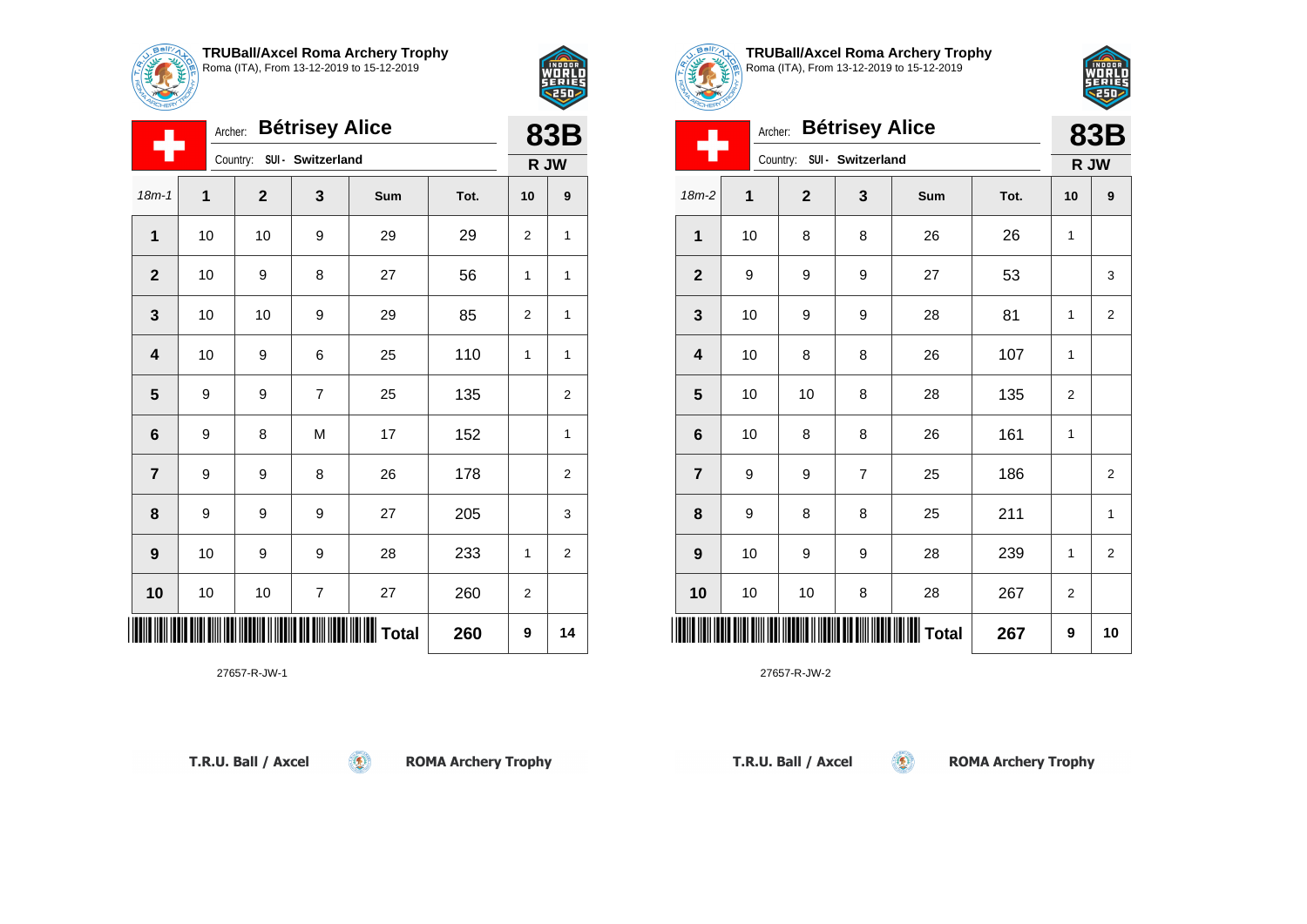

÷

**TRUBall/Axcel Roma Archery Trophy** Roma (ITA), From 13-12-2019 to 15-12-2019

18m-1 **1 2 3 Sum Tot. 10 9**

**1** | 10 | 10 | 9 | 29 | 29 | 2 | 1

**2** | 10 | 9 | 8 | 27 | 56 | 1 | 1

**3** | 10 | 10 | 9 | 29 | 85 | 2 | 1

**4** | 10 | 9 | 6 | 25 | 110 | 1 | 1

**5** | 9 | 9 | 7 | 25 | 135 | | 2

**6** | 9 | 8 | M | 17 | 152 | | 1

**7** | 9 | 9 | 8 | 26 | 178 | | 2

**8** | 9 | 9 | 27 | 205 | | 3

**9** | 10 | 9 | 9 | 28 | 233 | 1 | 2

 $\circledcirc$ 

**10** | 10 | 10 | 7 | 27 | 260 | 2

Archer: **Bétrisey Alice**

Country: **SUI - Switzerland**



**83B R JW**

| TRUBall/Axcel Roma Archery Trophy<br>Roma (ITA), From 13-12-2019 to 15-12-2019 |
|--------------------------------------------------------------------------------|

| <b>Bétrisey Alice</b><br>Archer: |    |              |                |                   |      |    | 83B            |  |
|----------------------------------|----|--------------|----------------|-------------------|------|----|----------------|--|
| SUI - Switzerland<br>Country:    |    |              |                |                   |      |    | R JW           |  |
| $18m-2$                          | 1  | $\mathbf{2}$ | 3              | Sum               | Tot. | 10 | 9              |  |
| $\mathbf{1}$                     | 10 | 8            | 8              | 26                | 26   | 1  |                |  |
| $\mathbf{2}$                     | 9  | 9            | 9              | 27                | 53   |    | 3              |  |
| $\mathbf{3}$                     | 10 | 9            | 9              | 28                | 81   | 1  | $\overline{2}$ |  |
| $\overline{\mathbf{4}}$          | 10 | 8            | 8              | 26                | 107  | 1  |                |  |
| 5                                | 10 | 10           | 8              | 28                | 135  | 2  |                |  |
| 6                                | 10 | 8            | 8              | 26                | 161  | 1  |                |  |
| $\overline{7}$                   | 9  | 9            | $\overline{7}$ | 25                | 186  |    | $\overline{2}$ |  |
| 8                                | 9  | 8            | 8              | 25                | 211  |    | 1              |  |
| $\boldsymbol{9}$                 | 10 | 9            | 9              | 28                | 239  | 1  | $\overline{2}$ |  |
| 10                               | 10 | 10           | 8              | 28                | 267  | 2  |                |  |
|                                  |    |              |                | $\parallel$ Total | 267  | 9  | 10             |  |

 $\circledcirc$ 

27657-R-JW-2

| T.R.U. Ball / Axcel |  |
|---------------------|--|
|---------------------|--|

\*27657-R-JW-1\*

27657-R-JW-1

**ROMA Archery Trophy** 

**Total 260 9 14**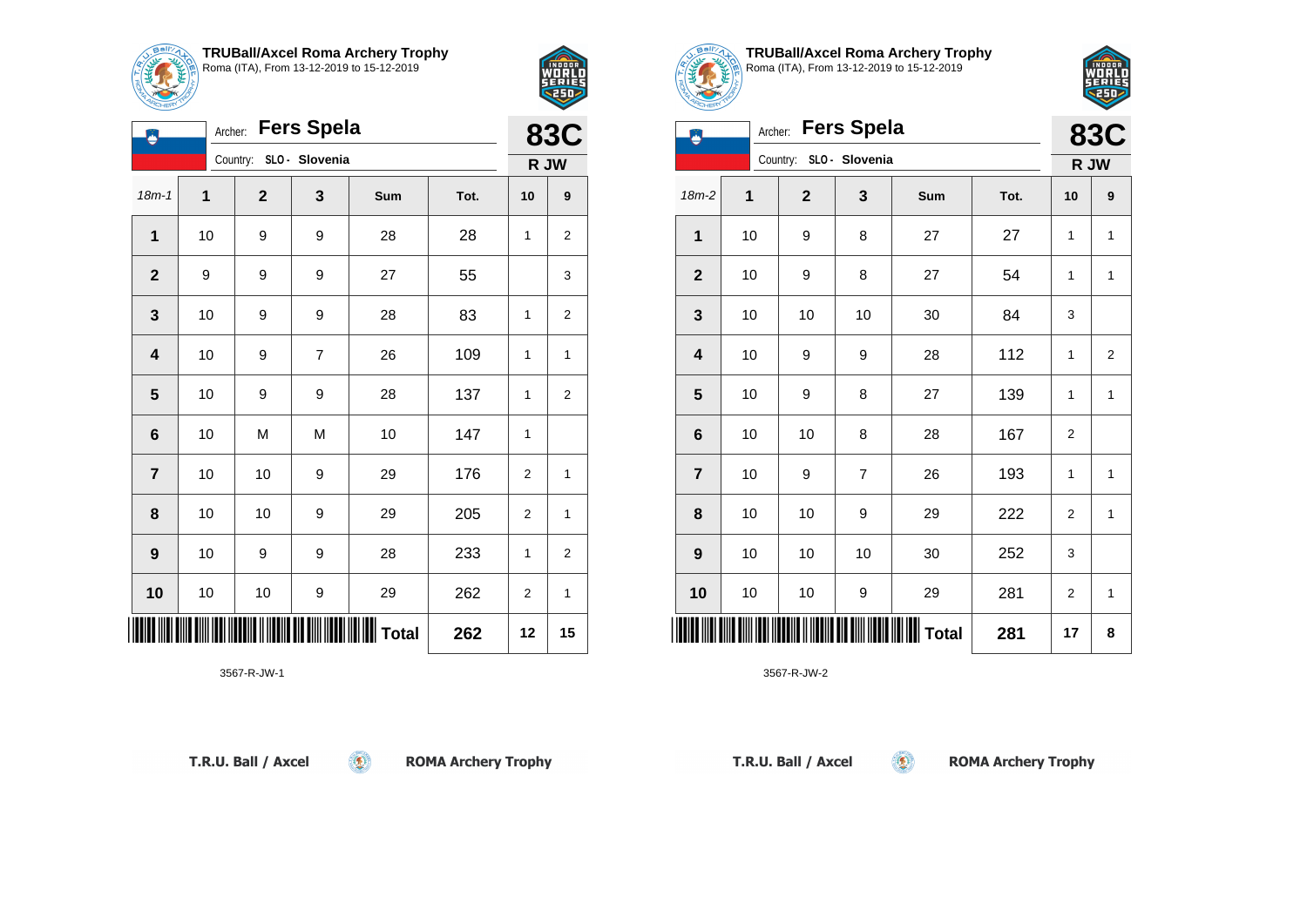

**TRUBall/Axcel Roma Archery Trophy** Roma (ITA), From 13-12-2019 to 15-12-2019



|                         |    | Q250                    |                   |     |      |                |              |
|-------------------------|----|-------------------------|-------------------|-----|------|----------------|--------------|
|                         |    | Archer:                 | <b>Fers Spela</b> |     |      |                | <b>83C</b>   |
|                         |    | Country: SLO - Slovenia |                   |     |      |                | R JW         |
| $18m - 1$               | 1  | $\overline{2}$          | 3                 | Sum | Tot. | 10             | 9            |
| $\mathbf{1}$            | 10 | 9                       | 9                 | 28  | 28   | 1              | 2            |
| $\mathbf{2}$            | 9  | 9                       | 9                 | 27  | 55   |                | 3            |
| $\mathbf{3}$            | 10 | 9                       | 9                 | 28  | 83   | 1              | 2            |
| $\overline{\mathbf{4}}$ | 10 | 9                       | $\overline{7}$    | 26  | 109  | 1              | $\mathbf{1}$ |
| $5\phantom{1}$          | 10 | 9                       | 9                 | 28  | 137  | 1              | 2            |
| 6                       | 10 | M                       | M                 | 10  | 147  | $\mathbf{1}$   |              |
| $\overline{7}$          | 10 | 10                      | 9                 | 29  | 176  | 2              | 1            |
| 8                       | 10 | 10                      | 9                 | 29  | 205  | $\overline{2}$ | $\mathbf{1}$ |
| $\boldsymbol{9}$        | 10 | 9                       | 9                 | 28  | 233  | 1              | 2            |
| 10                      | 10 | 10                      | 9                 | 29  | 262  | $\overline{2}$ | 1            |

**THE TOTAL TENSOR 12** 15

 $\left( \begin{matrix} 0 \\ 1 \end{matrix} \right)$ 

3567-R-JW-1



**TRUBall/Axcel Roma Archery Trophy** Roma (ITA), From 13-12-2019 to 15-12-2019



| <b>Fers Spela</b><br>Archer: |    |                         |                |              |      |                | <b>83C</b>     |  |
|------------------------------|----|-------------------------|----------------|--------------|------|----------------|----------------|--|
|                              |    | Country: SLO - Slovenia |                |              |      | R JW           |                |  |
| 18m-2                        | 1  | $\mathbf 2$             | 3              | Sum          | Tot. | 10             | 9              |  |
| 1                            | 10 | 9                       | 8              | 27           | 27   | 1              | 1              |  |
| $\mathbf{2}$                 | 10 | 9                       | 8              | 27           | 54   | 1              | 1              |  |
| 3                            | 10 | 10                      | 10             | 30           | 84   | 3              |                |  |
| 4                            | 10 | 9                       | 9              | 28           | 112  | 1              | $\overline{2}$ |  |
| 5                            | 10 | 9                       | 8              | 27           | 139  | 1              | $\mathbf{1}$   |  |
| $\bf 6$                      | 10 | 10                      | 8              | 28           | 167  | $\overline{2}$ |                |  |
| $\overline{7}$               | 10 | 9                       | $\overline{7}$ | 26           | 193  | 1              | $\mathbf{1}$   |  |
| 8                            | 10 | 10                      | 9              | 29           | 222  | $\overline{2}$ | 1              |  |
| 9                            | 10 | 10                      | 10             | 30           | 252  | 3              |                |  |
| 10                           | 10 | 10                      | 9              | 29           | 281  | $\overline{2}$ | 1              |  |
| ▏▎▌▊▌▌▌                      |    |                         |                | <b>Total</b> | 281  | 17             | 8              |  |

 $(\bullet)$ 

3567-R-JW-2

T.R.U. Ball / Axcel

**ROMA Archery Trophy**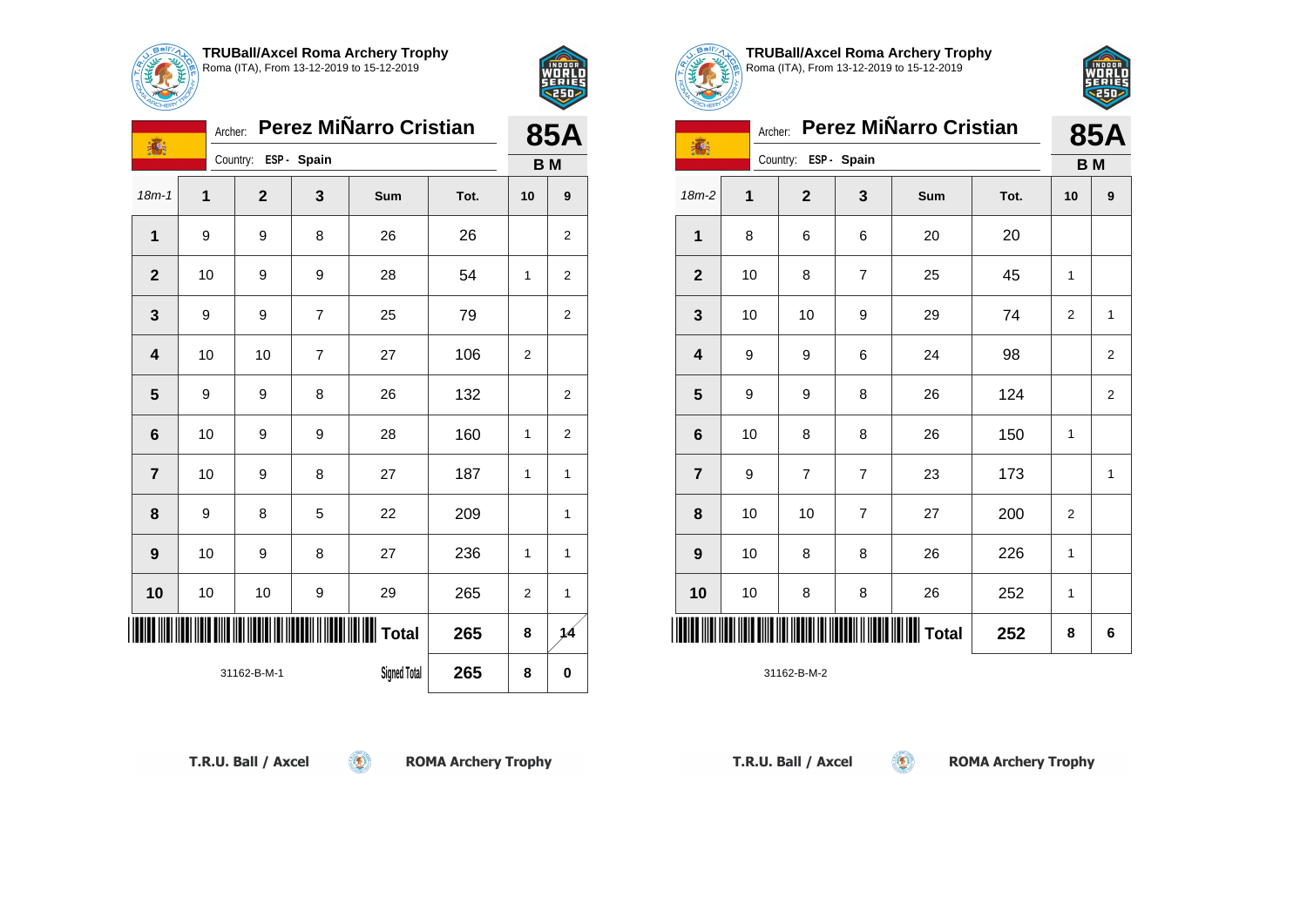

高

# **TRUBall/Axcel Roma Archery Trophy** Roma (ITA), From 13-12-2019 to 15-12-2019

Country: **ESP - Spain**

Archer: **Perez MiÑarro Cristian**

18m-1 **1 2 3 Sum Tot. 10 9**

**1** | 9 | 9 | 8 | 26 | 26 | 2

**2** | 10 | 9 | 9 | 28 | 54 | 1 | 2

**3** | 9 | 9 | 7 | 25 | 79 | | 2

**5** | 9 | 9 | 8 | 26 | 132 | | 2

**6** | 10 | 9 | 9 | 28 | 160 | 1 | 2

**7** | 10 | 9 | 8 | 27 | 187 | 1 | 1

**8** | 9 | 8 | 5 | 22 | 209 | | 1

**9** | 10 | 9 | 8 | 27 | 236 | 1 | 1

**10** | 10 | 10 | 9 | 29 | 265 | 2 | 1

 $\circledcirc$ 

**4** | 10 | 10 | 7 | 27 | 106 | 2



**85A**

**B M**

|  | TRUBall/Axcel Roma Archery Trophy<br>$\frac{1}{2}$ Roma (ITA), From 13-12-2019 to 15-12-2019 |  |
|--|----------------------------------------------------------------------------------------------|--|



|                | ARCHER |         |                         |                |                        |      |                |                |
|----------------|--------|---------|-------------------------|----------------|------------------------|------|----------------|----------------|
| 瀛              |        | Archer: |                         |                | Perez MiÑarro Cristian |      |                | <b>85A</b>     |
|                |        |         | Country: ESP - Spain    |                |                        |      | B <sub>M</sub> |                |
| 18m-2          |        | 1       | $\overline{\mathbf{2}}$ | 3              | Sum                    | Tot. | 10             | 9              |
| $\mathbf{1}$   |        | 8       | 6                       | 6              | 20                     | 20   |                |                |
| $\overline{2}$ |        | 10      | 8                       | $\overline{7}$ | 25                     | 45   | 1              |                |
| 3              |        | 10      | 10                      | 9              | 29                     | 74   | $\overline{2}$ | $\mathbf{1}$   |
| 4              |        | 9       | 9                       | 6              | 24                     | 98   |                | $\overline{2}$ |
| 5              |        | 9       | 9                       | 8              | 26                     | 124  |                | $\overline{2}$ |
| 6              |        | 10      | 8                       | 8              | 26                     | 150  | 1              |                |
| $\overline{7}$ |        | 9       | 7                       | $\overline{7}$ | 23                     | 173  |                | $\mathbf{1}$   |
| 8              |        | 10      | 10                      | $\overline{7}$ | 27                     | 200  | $\overline{2}$ |                |
| 9              |        | 10      | 8                       | 8              | 26                     | 226  | 1              |                |
| 10             |        | 10      | 8                       | 8              | 26                     | 252  | 1              |                |
|                |        |         |                         |                | $\ $ Total             | 252  | 8              | 6              |

 $\circledcirc$ 

31162-B-M-2

| T.R.U. Ball / Axcel |  |
|---------------------|--|
|---------------------|--|

\*31162-B-M-1\*

31162-B-M-1

**ROMA Archery Trophy** 

**Total 265 8 14**

**Signed Total 265 8 0** 

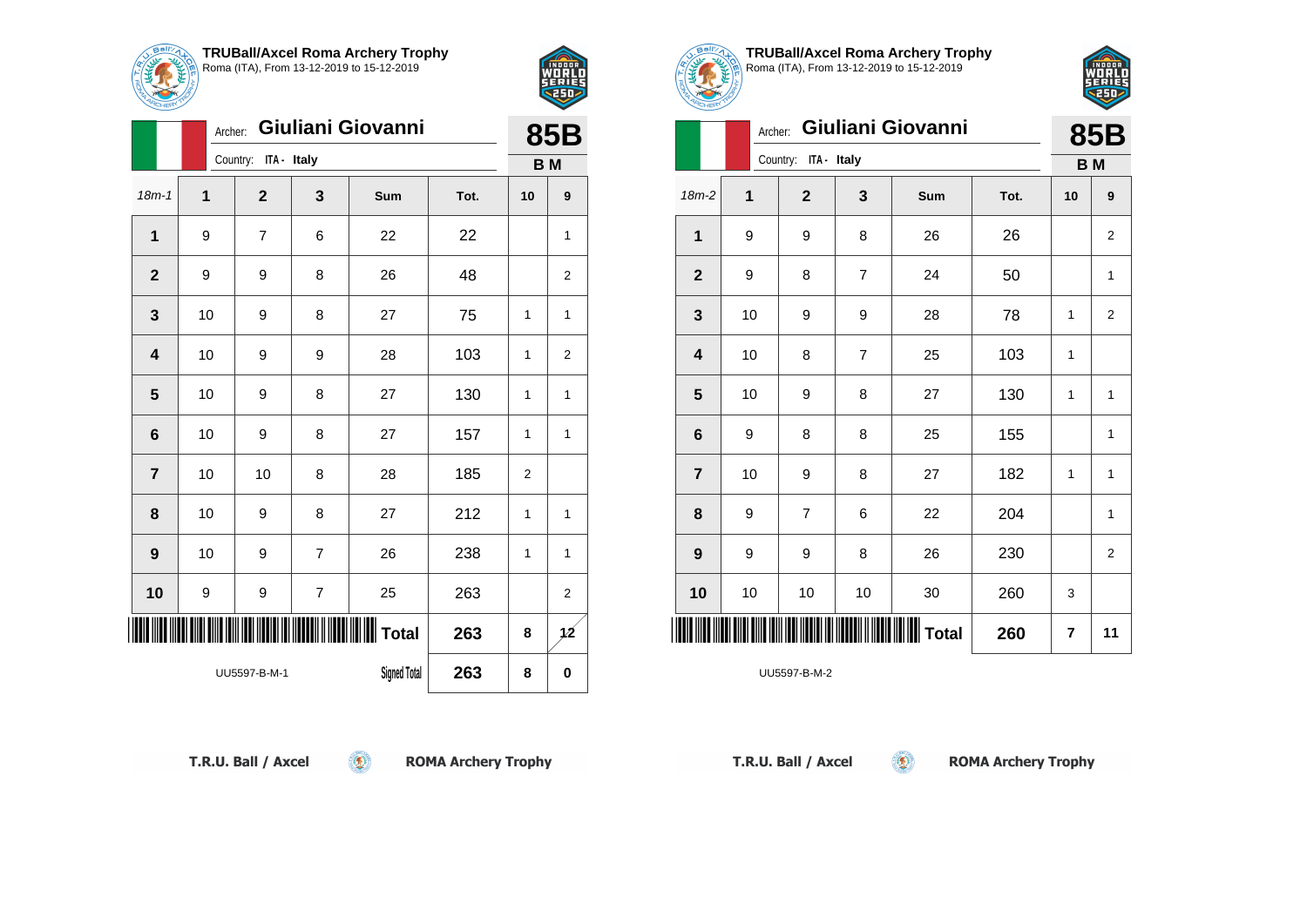



|   | Giuliani Giovanni<br>Archer: |                |              |                |                     |      |                | <b>85B</b>     |  |  |
|---|------------------------------|----------------|--------------|----------------|---------------------|------|----------------|----------------|--|--|
|   |                              |                | Country:     | ITA - Italy    |                     |      |                | <b>BM</b>      |  |  |
|   | $18m - 1$                    | $\overline{1}$ | $\mathbf{2}$ | 3              | Sum                 | Tot. | 10             | 9              |  |  |
|   | 1                            | 9              | 7            | 6              | 22                  | 22   |                | 1              |  |  |
|   | $\overline{2}$               | 9              | 9            | 8              | 26                  | 48   |                | 2              |  |  |
|   | $\mathbf 3$                  | 10             | 9            | 8              | 27                  | 75   | 1              | $\mathbf{1}$   |  |  |
|   | $\overline{\mathbf{4}}$      | 10             | 9            | 9              | 28                  | 103  | 1              | $\overline{2}$ |  |  |
|   | 5                            | 10             | 9            | 8              | 27                  | 130  | 1              | 1              |  |  |
|   | $6\phantom{1}6$              | 10             | 9            | 8              | 27                  | 157  | 1              | $\mathbf{1}$   |  |  |
|   | $\overline{7}$               | 10             | 10           | 8              | 28                  | 185  | $\overline{2}$ |                |  |  |
|   | 8                            | 10             | 9            | 8              | 27                  | 212  | 1              | $\mathbf{1}$   |  |  |
|   | 9                            | 10             | 9            | $\overline{7}$ | 26                  | 238  | 1              | $\mathbf{1}$   |  |  |
|   | 10                           | 9              | 9            | $\overline{7}$ | 25                  | 263  |                | 2              |  |  |
| ∭ |                              |                |              |                |                     | 263  | 8              | 12             |  |  |
|   |                              |                | UU5597-B-M-1 |                | <b>Signed Total</b> | 263  | 8              | $\bf{0}$       |  |  |

 $\circledcirc$ 



**TRUBall/Axcel Roma Archery Trophy** Roma (ITA), From 13-12-2019 to 15-12-2019

|                | Giuliani Giovanni<br>Archer: |                         |                |                 |      |                |                         |
|----------------|------------------------------|-------------------------|----------------|-----------------|------|----------------|-------------------------|
|                |                              | Country:<br>ITA - Italy |                |                 |      |                | <b>85B</b><br><b>BM</b> |
| $18m-2$        | $\mathbf 1$                  | $\overline{2}$          | 3              | Sum             | Tot. | 10             | 9                       |
| 1              | 9                            | 9                       | 8              | 26              | 26   |                | $\mathbf 2$             |
| $\overline{2}$ | 9                            | 8                       | $\overline{7}$ | 24              | 50   |                | 1                       |
| 3              | 10                           | 9                       | 9              | 28              | 78   | 1              | $\mathbf 2$             |
| 4              | 10                           | 8                       | $\overline{7}$ | 25              | 103  | 1              |                         |
| 5              | 10                           | 9                       | 8              | 27              | 130  | 1              | 1                       |
| 6              | 9                            | 8                       | 8              | 25              | 155  |                | 1                       |
| $\overline{7}$ | 10                           | 9                       | 8              | 27              | 182  | 1              | 1                       |
| 8              | 9                            | $\overline{7}$          | 6              | 22              | 204  |                | $\mathbf{1}$            |
| 9              | 9                            | 9                       | 8              | 26              | 230  |                | $\overline{\mathbf{c}}$ |
| 10             | 10                           | 10                      | 10             | 30              | 260  | 3              |                         |
| ║║║            |                              |                         |                | <b>II</b> Total | 260  | $\overline{7}$ | 11                      |

 $\left( 5\right)$ 

UU5597-B-M-2

T.R.U. Ball / Axcel

**ROMA Archery Trophy**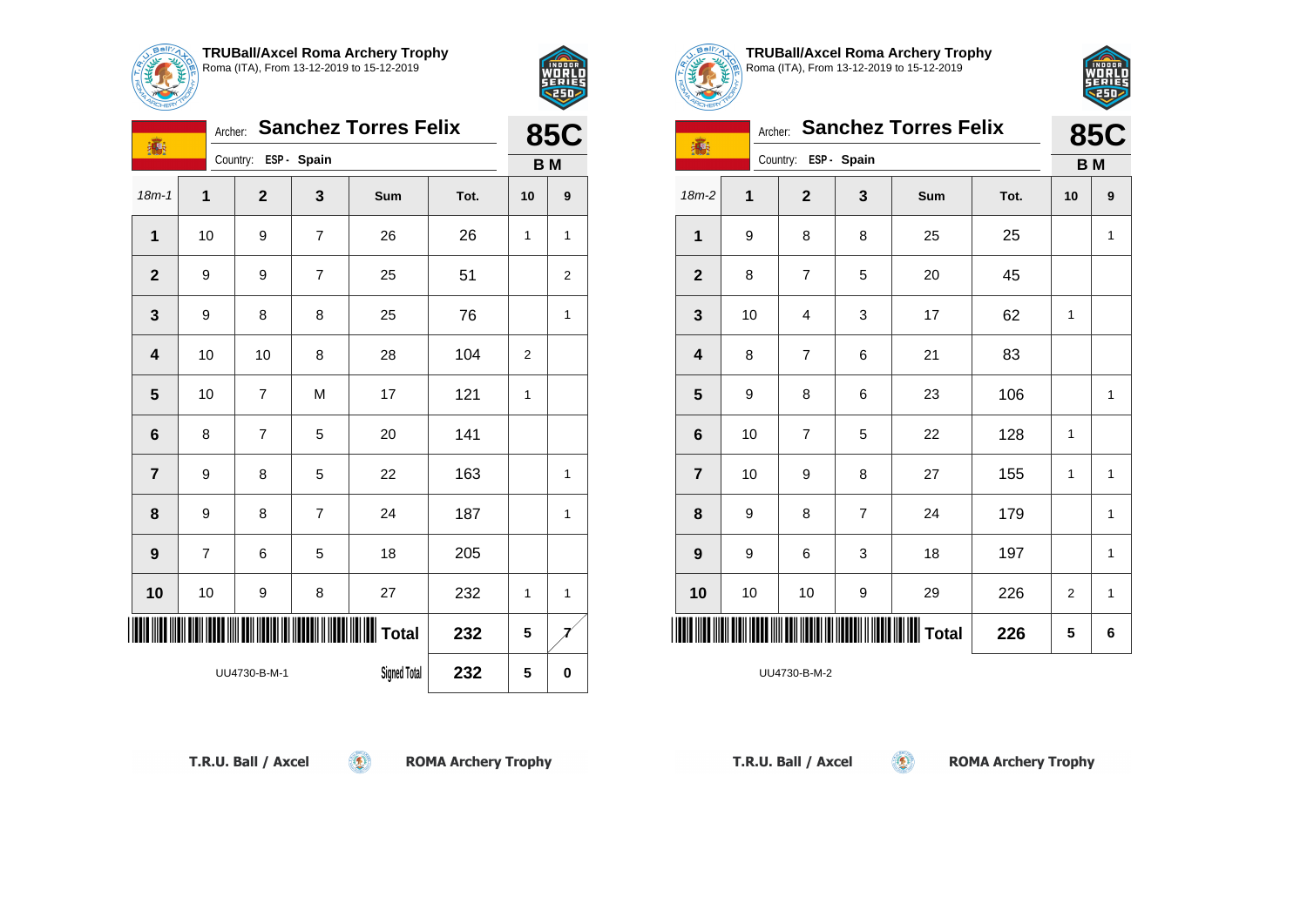

1.

### **TRUBall/Axcel Roma Archery Trophy** Roma (ITA), From 13-12-2019 to 15-12-2019

Country: **ESP - Spain**

Archer: **Sanchez Torres Felix**

18m-1 **1 2 3 Sum Tot. 10 9**

**1** | 10 | 9 | 7 | 26 | 26 | 1 | 1

**2** | 9 | 9 | 7 | 25 | 51 | | 2

**3** | 9 | 8 | 8 | 25 | 76 | 1

**7** | 9 | 8 | 5 | 22 | 163 | |1

**8** | 9 | 8 | 7 | 24 | 187 | | 1

**10** | 10 | 9 | 8 | 27 | 232 | 1 | 1

 $\circledcirc$ 

**4** | 10 | 10 | 8 | 28 | 104 | 2

**5** | 10 | 7 | M | 17 | 121 | 1

**6** 8 7 5 20 141

**9** | 7 | 6 | 5 | 18 | 205



**85C B M**

|  | <b>TRUBall/Axcel Roma Archery Trophy</b><br>Alp Roma (ITA), From 13-12-2019 to 15-12-2019 |  |
|--|-------------------------------------------------------------------------------------------|--|



| <b>HOHERY</b>           |         |                      |                |                             |      |                |            |
|-------------------------|---------|----------------------|----------------|-----------------------------|------|----------------|------------|
| <b>高</b>                | Archer: |                      |                | <b>Sanchez Torres Felix</b> |      |                | <b>85C</b> |
|                         |         | Country: ESP - Spain |                |                             |      | B <sub>M</sub> |            |
| $18m-2$                 | 1       | $\overline{2}$       | 3              | Sum                         | Tot. | 10             | 9          |
| $\mathbf{1}$            | 9       | 8                    | 8              | 25                          | 25   |                | 1          |
| $\mathbf{2}$            | 8       | $\overline{7}$       | 5              | 20                          | 45   |                |            |
| 3                       | 10      | 4                    | 3              | 17                          | 62   | 1              |            |
| $\overline{\mathbf{4}}$ | 8       | $\overline{7}$       | 6              | 21                          | 83   |                |            |
| 5                       | 9       | 8                    | 6              | 23                          | 106  |                | 1          |
| 6                       | 10      | 7                    | 5              | 22                          | 128  | 1              |            |
| $\overline{7}$          | 10      | 9                    | 8              | 27                          | 155  | 1              | 1          |
| 8                       | 9       | 8                    | $\overline{7}$ | 24                          | 179  |                | 1          |
| $\boldsymbol{9}$        | 9       | 6                    | 3              | 18                          | 197  |                | 1          |
| 10                      | 10      | 10                   | 9              | 29                          | 226  | 2              | 1          |
|                         |         |                      |                | <b>Total</b>                | 226  | 5              | 6          |

 $\circledcirc$ 

UU4730-B-M-2

| T.R.U. Ball / Axcel |  |  |
|---------------------|--|--|

\*UU470-B-M-1\*UU470-B-M-1\*UU470-B-M-1\*UU470-B-M-1\*UU470-B-M-1\*UU470-B-M-1\*UU470-B-M-1\*UU470-B-M-1\*UU470-B-M-1\*U

UU4730-B-M-1

**ROMA Archery Trophy** 

**Total 232 5 7**

**Signed Total 232 5 0**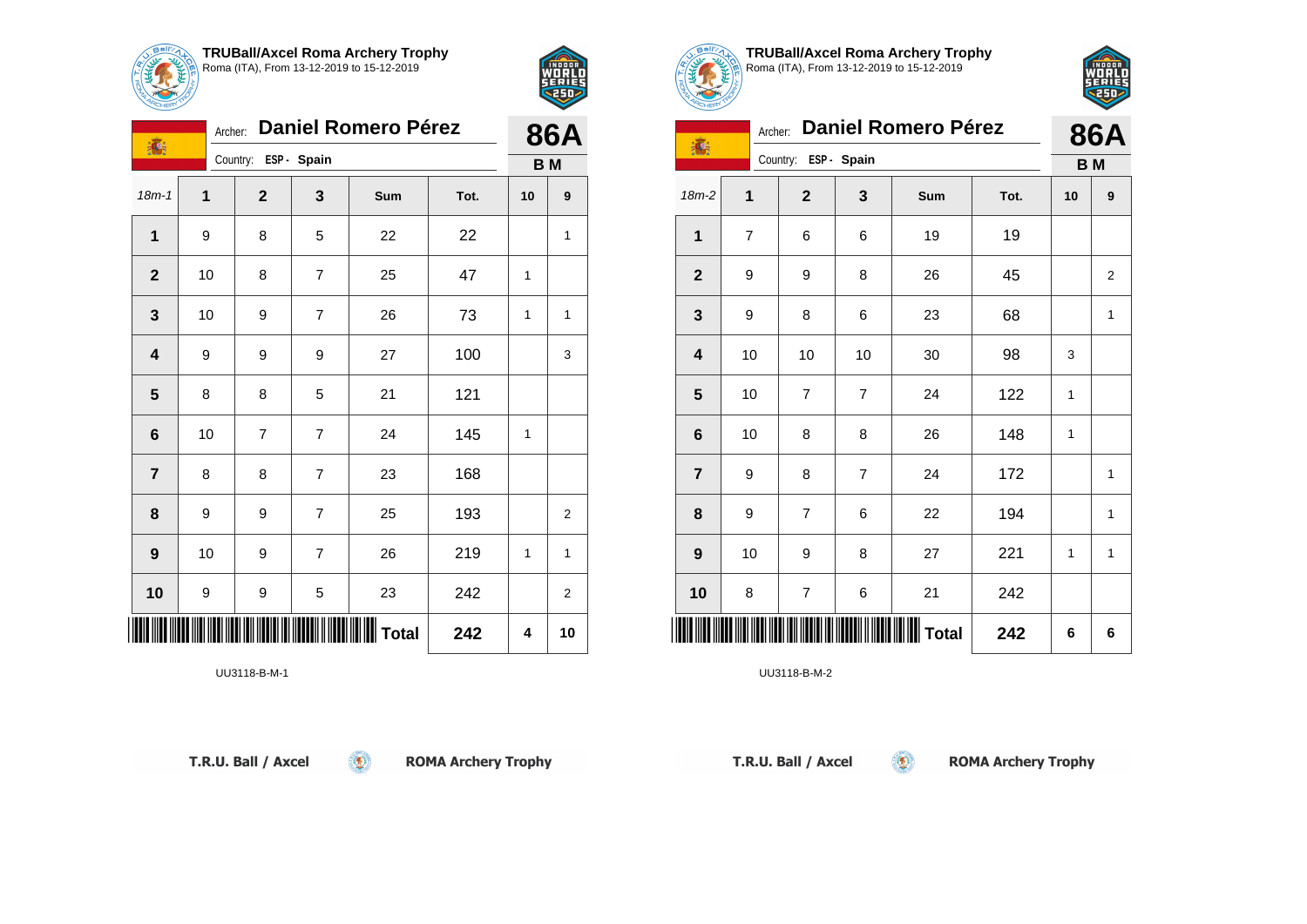

**TRUBall/Axcel Roma Archery Trophy** Roma (ITA), From 13-12-2019 to 15-12-2019

Country: **ESP - Spain**

Archer: **Daniel Romero Pérez**

18m-1 **1 2 3 Sum Tot. 10 9**

**1** | 9 | 8 | 5 | 22 | 22 | 1

**3** | 10 | 9 | 7 | 26 | 73 | 1 | 1

**4** | 9 | 9 | 9 | 27 | 100 | | 3

**8** | 9 | 9 | 7 | 25 | 193 | | 2

**9** | 10 | 9 | 7 | 26 | 219 | 1 | 1

**10** | 9 | 9 | 5 | 23 | 242 | | 2

**2** | 10 | 8 | 7 | 25 | 47 | 1

**6** | 10 | 7 | 7 | 24 | 145 | 1

**5** 8 8 8 5 21 21

**7** 8 8 7 23 168



**86A B M**

| <b>TRUBall/Axcel Roma Archery Trophy</b>  |
|-------------------------------------------|
| Roma (ITA), From 13-12-2019 to 15-12-2019 |
|                                           |
|                                           |

|                         | Archer:        |                      |                | <b>Daniel Romero Pérez</b> |      |              | <b>86A</b>   |
|-------------------------|----------------|----------------------|----------------|----------------------------|------|--------------|--------------|
| <b>高</b>                |                | Country: ESP - Spain |                |                            |      |              | <b>BM</b>    |
| $18m-2$                 | 1              | $\mathbf 2$          | 3              | Sum                        | Tot. | 10           | 9            |
| $\mathbf{1}$            | $\overline{7}$ | 6                    | 6              | 19                         | 19   |              |              |
| $\mathbf{2}$            | 9              | 9                    | 8              | 26                         | 45   |              | 2            |
| 3                       | 9              | 8                    | 6              | 23                         | 68   |              | $\mathbf{1}$ |
| 4                       | 10             | 10                   | 10             | 30                         | 98   | 3            |              |
| 5                       | 10             | $\overline{7}$       | $\overline{7}$ | 24                         | 122  | $\mathbf{1}$ |              |
| 6                       | 10             | 8                    | 8              | 26                         | 148  | 1            |              |
| $\overline{\mathbf{r}}$ | 9              | 8                    | $\overline{7}$ | 24                         | 172  |              | $\mathbf{1}$ |
| 8                       | 9              | 7                    | 6              | 22                         | 194  |              | 1            |
| 9                       | 10             | 9                    | 8              | 27                         | 221  | $\mathbf{1}$ | $\mathbf{1}$ |
| 10                      | 8              | 7                    | 6              | 21                         | 242  |              |              |
|                         |                |                      |                | <b>Total</b>               | 242  | 6            | 6            |

 $\circledcirc$ 

UU3118-B-M-2

| T.R.U. Ball / Axcel |  |  |
|---------------------|--|--|

\*UU3118-B-M-1\*UU3118-B-M-1\*UU3118-B-M-1\*UU3118-B-M-1\*UU3118-B-M-1\*UU3118-B-M-1\*UU3118-B-M-1\*UU3118-B-M-1\*UU311

UU3118-B-M-1

**ROMA Archery Trophy** 

**Total 242 4 10**

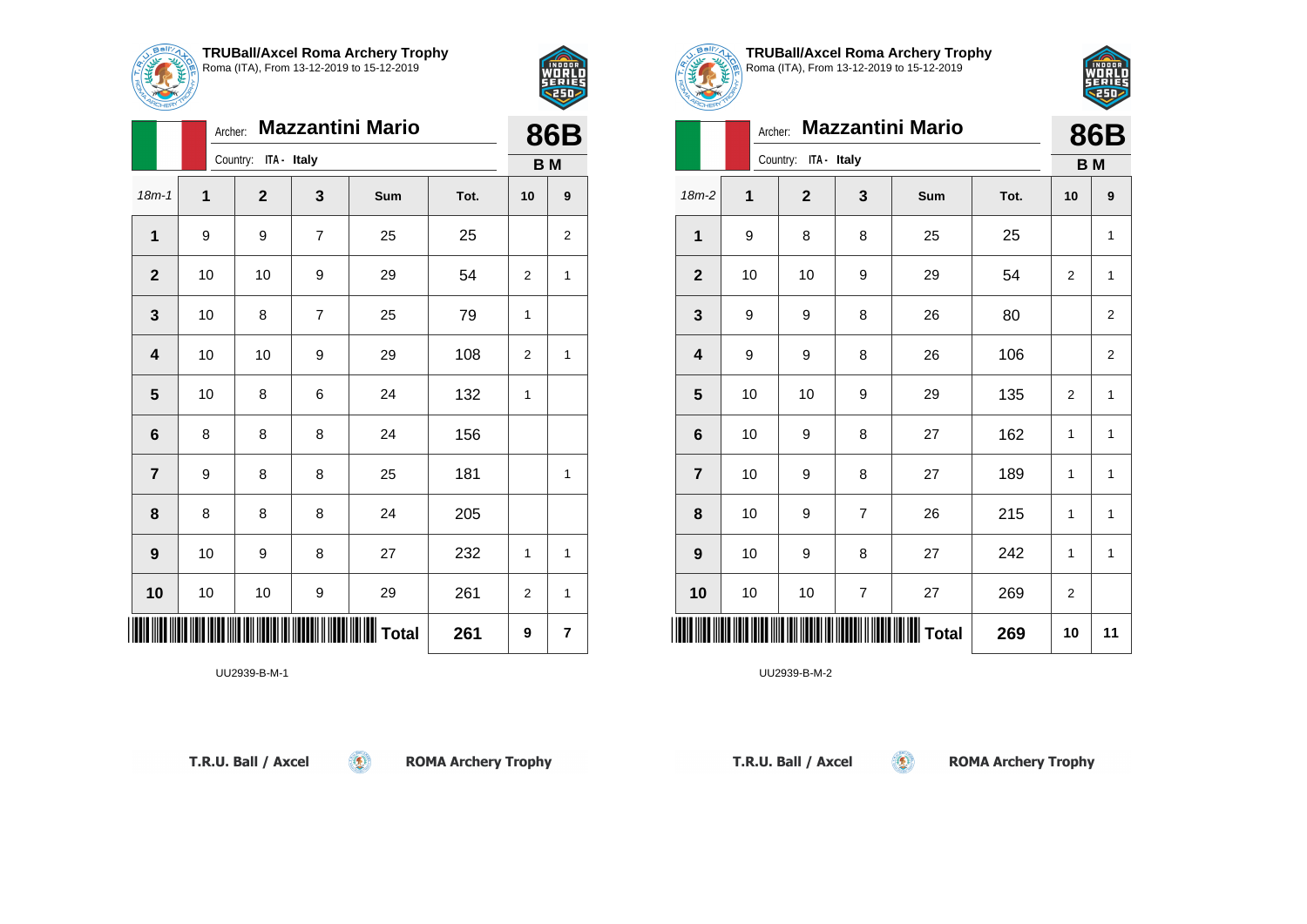

Archer: **Mazzantini Mario**

18m-1 **1 2 3 Sum Tot. 10 9**

**1** | 9 | 9 | 7 | 25 | 25 | 2

**2** | 10 | 10 | 9 | 29 | 54 | 2 | 1

**4** | 10 | 10 | 9 | 29 | 108 | 2 | 1

**7** | 9 | 8 | 8 | 25 | 181 | | 1

**9** | 10 | 9 | 8 | 27 | 232 | 1 | 1

**10** | 10 | 10 | 9 | 29 | 261 | 2 | 1

 $\circledcirc$ 

**3** | 10 | 8 | 7 | 25 | 79 | 1

**5** | 10 | 8 | 6 | 24 | 132 | 1

**6** 8 8 8 24 156

**8** 8 8 8 24 205

Country: **ITA - Italy**



**86B B M**

| <b>TRUBall/Axcel Roma Archery Trophy</b><br>Roma (ITA), From 13-12-2019 to 15-12-2019 |
|---------------------------------------------------------------------------------------|



| <b>POHERY</b>           |         |                      |                |                         |      |                |                         |
|-------------------------|---------|----------------------|----------------|-------------------------|------|----------------|-------------------------|
|                         | Archer: |                      |                | <b>Mazzantini Mario</b> |      |                | 86B                     |
|                         |         | Country: ITA - Italy |                |                         |      |                | <b>BM</b>               |
| $18m-2$                 | 1       | $\mathbf{2}$         | 3              | Sum                     | Tot. | 10             | 9                       |
| $\mathbf{1}$            | 9       | 8                    | 8              | 25                      | 25   |                | 1                       |
| $\mathbf{2}$            | 10      | 10                   | 9              | 29                      | 54   | 2              | 1                       |
| $\mathbf 3$             | 9       | 9                    | 8              | 26                      | 80   |                | 2                       |
| $\overline{\mathbf{4}}$ | 9       | 9                    | 8              | 26                      | 106  |                | $\overline{\mathbf{c}}$ |
| 5                       | 10      | 10                   | 9              | 29                      | 135  | $\overline{2}$ | $\mathbf{1}$            |
| $6\phantom{1}6$         | 10      | 9                    | 8              | 27                      | 162  | $\mathbf{1}$   | $\mathbf{1}$            |
| $\overline{7}$          | 10      | 9                    | 8              | 27                      | 189  | $\mathbf{1}$   | 1                       |
| 8                       | 10      | 9                    | $\overline{7}$ | 26                      | 215  | 1              | 1                       |
| $\boldsymbol{9}$        | 10      | 9                    | 8              | 27                      | 242  | $\mathbf{1}$   | 1                       |
| 10                      | 10      | 10                   | $\overline{7}$ | 27                      | 269  | $\overline{2}$ |                         |
|                         |         |                      |                | <b>Total</b>            | 269  | 10             | 11                      |

 $\circledcirc$ 

UU2939-B-M-2

| T.R.U. Ball / Axcel |
|---------------------|
|---------------------|

\*UU2039-B-M-1\*UU2939-B-M-1\*UU2939-B-M-1\*UU2939-B-M-1\*UU2939-B-M-1\*UU2939-B-M-1\*UU2939-B-M-1\*UU2939-B-M-1\*UU293

UU2939-B-M-1

**ROMA Archery Trophy** 

**Total 261 9 7**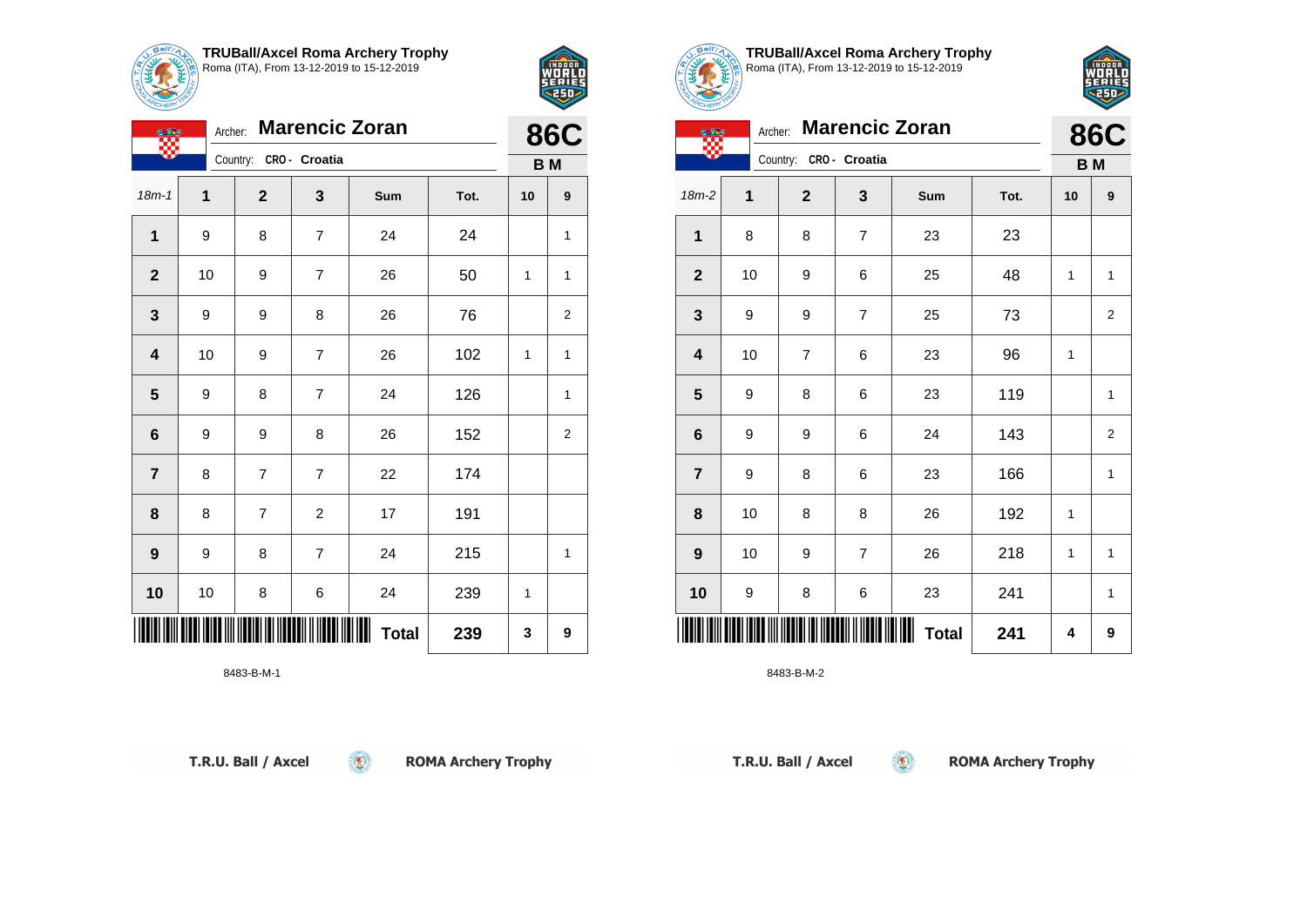

₩.

**TRUBall/Axcel Roma Archery Trophy** Roma (ITA), From 13-12-2019 to 15-12-2019

Archer: **Marencic Zoran**

18m-1 **1 2 3 Sum Tot. 10 9**

**1** | 9 | 8 | 7 | 24 | 24 | 1

**2** | 10 | 9 | 7 | 26 | 50 | 1 | 1

**3** | 9 | 9 | 8 | 26 | 76 | | 2

**4** | 10 | 9 | 7 | 26 | 102 | 1 | 1

**5** | 9 | 8 | 7 | 24 | 126 | | 1

**6** | 9 | 9 | 8 | 26 | 152 | | 2

**9** | 9 | 8 | 7 | 24 | 215 | | 1

**10** | 10 | 8 | 6 | 24 | 239 | 1

 $\sqrt{\| \mathbf{u} \|}$ 

**7** | 8 | 7 | 7 | 22 | 174

**8** | 8 | 7 | 2 | 17 | 191

Country: **CRO - Croatia**



**86C B M**

| TRUBall/Axcel Roma Archery Trophy<br>Roma (ITA), From 13-12-2019 to 15-12-2019 |
|--------------------------------------------------------------------------------|

| <b>Marencic Zoran</b><br>Archer: |    |                        |                | <b>86C</b>   |      |    |                |
|----------------------------------|----|------------------------|----------------|--------------|------|----|----------------|
|                                  |    | Country: CRO - Croatia |                |              |      |    | B <sub>M</sub> |
| $18m-2$                          | 1  | $\mathbf{2}$           | 3              | Sum          | Tot. | 10 | 9              |
| $\mathbf{1}$                     | 8  | 8                      | $\overline{7}$ | 23           | 23   |    |                |
| $\mathbf{2}$                     | 10 | 9                      | 6              | 25           | 48   | 1  | $\mathbf{1}$   |
| 3                                | 9  | 9                      | $\overline{7}$ | 25           | 73   |    | $\overline{2}$ |
| $\overline{\mathbf{4}}$          | 10 | $\overline{7}$         | 6              | 23           | 96   | 1  |                |
| 5                                | 9  | 8                      | 6              | 23           | 119  |    | 1              |
| 6                                | 9  | 9                      | 6              | 24           | 143  |    | $\overline{2}$ |
| $\overline{7}$                   | 9  | 8                      | 6              | 23           | 166  |    | 1              |
| 8                                | 10 | 8                      | 8              | 26           | 192  | 1  |                |
| 9                                | 10 | 9                      | $\overline{7}$ | 26           | 218  | 1  | 1              |
| 10                               | 9  | 8                      | 6              | 23           | 241  |    | 1              |
|                                  |    |                        |                | <b>Total</b> | 241  | 4  | 9              |

 $\circledcirc$ 

8483-B-M-2

| T.R.U. Ball / Axcel |  |  |  |  |
|---------------------|--|--|--|--|
|---------------------|--|--|--|--|

8483-B-M-1

**ROMA Archery Trophy** 

**Total 239 3 9**

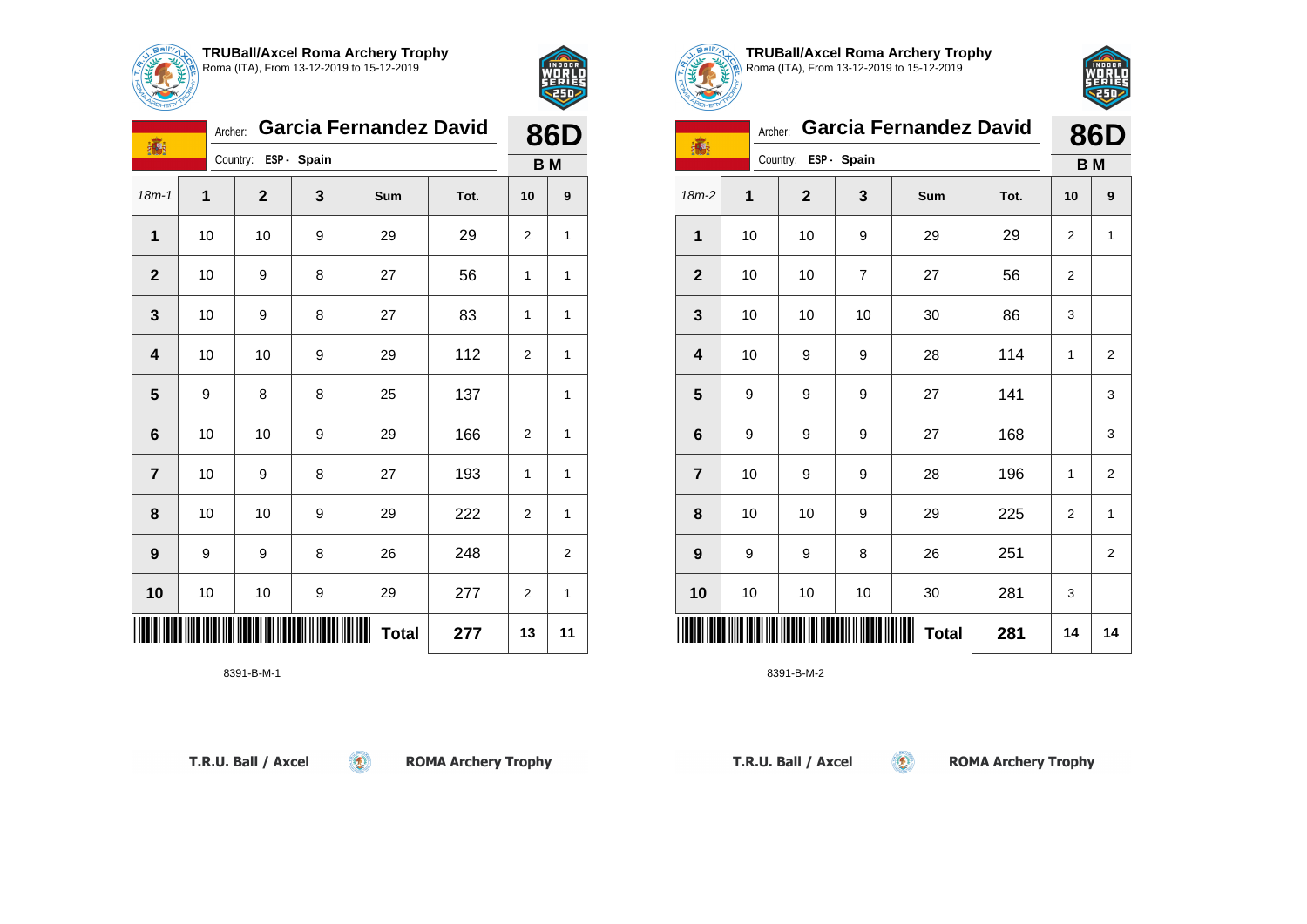

# **TRUBall/Axcel Roma Archery Trophy** Roma (ITA), From 13-12-2019 to 15-12-2019

Country: **ESP - Spain**

Archer: **Garcia Fernandez David** 

18m-1 **1 2 3 Sum Tot. 10 9**

**1** | 10 | 10 | 9 | 29 | 29 | 2 | 1

**2** | 10 | 9 | 8 | 27 | 56 | 1 | 1

**3** | 10 | 9 | 8 | 27 | 83 | 1 | 1

**4** | 10 | 10 | 9 | 29 | 112 | 2 | 1

**5** | 9 | 8 | 8 | 25 | 137 | | 1

**6** | 10 | 10 | 9 | 29 | 166 | 2 | 1

**7** | 10 | 9 | 8 | 27 | 193 | 1 | 1

**8** | 10 | 10 | 9 | 29 | 222 | 2 | 1

**9** | 9 | 8 | 26 | 248 | | 2

**10** | 10 | 10 | 9 | 29 | 277 | 2 | 1

\*8391-B-M-1\*



**86D B M**

| <b>TRUBall/Axcel Roma Archery Trophy</b>                                               |
|----------------------------------------------------------------------------------------|
| <b>IRUBAII/AXCEI ROMA Archery Tro</b><br>Policide (ITA), From 13-12-2019 to 15-12-2019 |



| 16              |    | Archer:              |                | <b>Garcia Fernandez David</b> |      |                | 86D            |
|-----------------|----|----------------------|----------------|-------------------------------|------|----------------|----------------|
|                 |    | Country: ESP - Spain |                |                               |      |                | <b>BM</b>      |
| $18m-2$         | 1  | $\overline{2}$       | 3              | Sum                           | Tot. | 10             | 9              |
| 1               | 10 | 10                   | 9              | 29                            | 29   | 2              | 1              |
| $\overline{2}$  | 10 | 10                   | $\overline{7}$ | 27                            | 56   | 2              |                |
| 3               | 10 | 10                   | 10             | 30                            | 86   | 3              |                |
| 4               | 10 | 9                    | 9              | 28                            | 114  | 1              | $\overline{2}$ |
| 5               | 9  | 9                    | 9              | 27                            | 141  |                | 3              |
| $6\phantom{1}6$ | 9  | 9                    | 9              | 27                            | 168  |                | 3              |
| $\overline{7}$  | 10 | 9                    | 9              | 28                            | 196  | 1              | $\overline{2}$ |
| 8               | 10 | 10                   | 9              | 29                            | 225  | $\overline{2}$ | 1              |
| 9               | 9  | 9                    | 8              | 26                            | 251  |                | $\overline{2}$ |
| 10              | 10 | 10                   | 10             | 30                            | 281  | 3              |                |
|                 |    |                      |                | <b>Total</b>                  | 281  | 14             | 14             |

 $\circledcirc$ 

8391-B-M-2

T.R.U. Ball / Axcel

8391-B-M-1

**ROMA Archery Trophy** 

**Total 277 13 11**

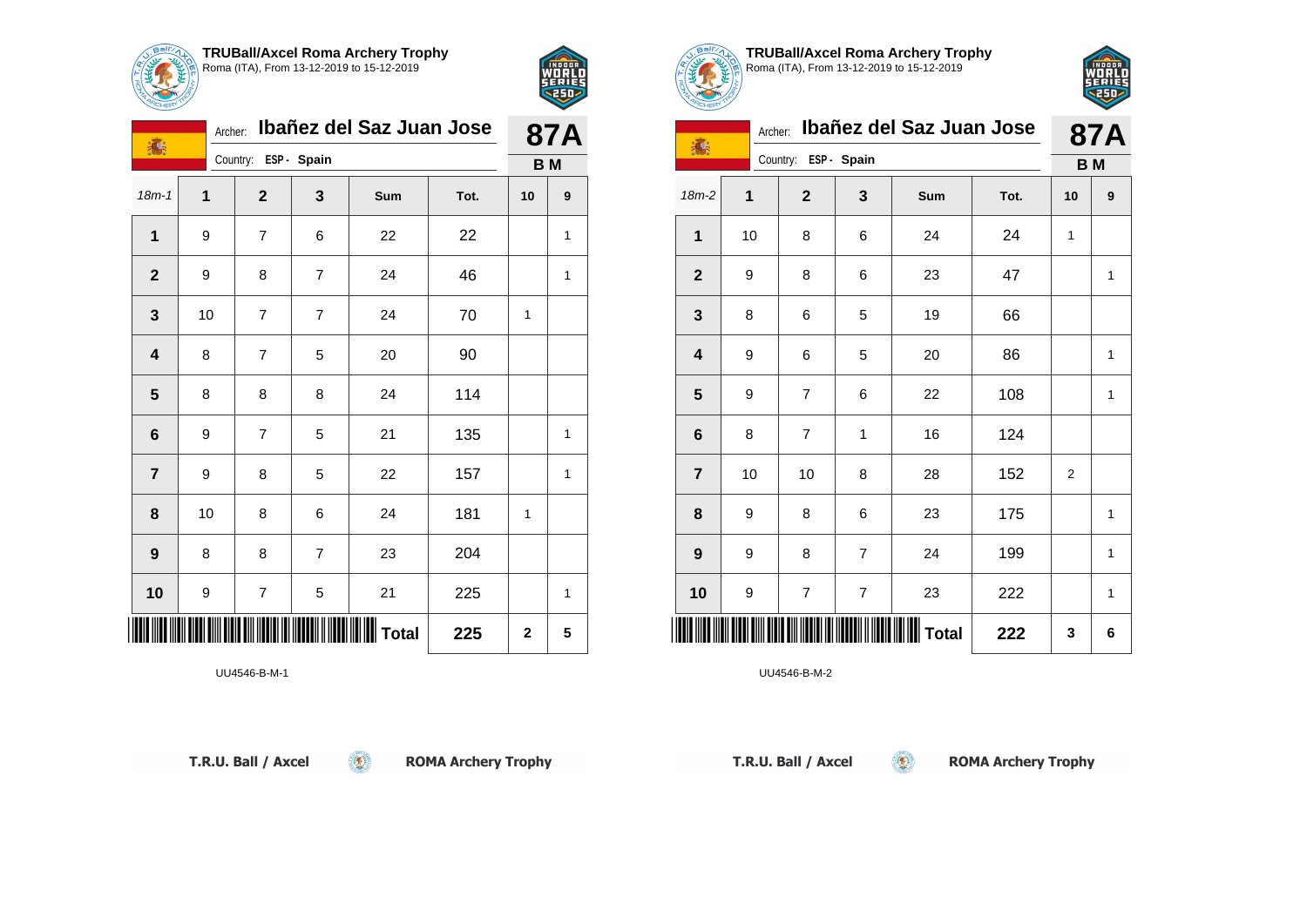

**TRUBall/Axcel Roma Archery Trophy** Roma (ITA), From 13-12-2019 to 15-12-2019

Country: **ESP - Spain**

Archer: **Ibañez del Saz Juan Jose**

18m-1 **1 2 3 Sum Tot. 10 9**

**1** | 9 | 7 | 6 | 22 | 22 | 1

**2** | 9 | 8 | 7 | 24 | 46 | | 1

**6** | 9 | 7 | 5 | 21 | 135 | | 1

**7** | 9 | 8 | 5 | 22 | 157 | | 1

**10** | 9 | 7 | 5 | 21 | 225 | | 1

 $\left( \begin{matrix} 0 \\ 1 \end{matrix} \right)$ 

**8** | 10 | 8 | 6 | 24 | 181 | 1

**3** | 10 | 7 | 7 | 24 | 70 | 1

**4** | 8 | 7 | 5 | 20 | 90

**5** 8 8 8 24 114

**9** | 8 | 8 | 7 | 23 | 204



**87A B M**

| <b>TRUBall/Axcel Roma Archery Trophy</b><br>Roma (ITA), From 13-12-2019 to 15-12-2019 |
|---------------------------------------------------------------------------------------|
|                                                                                       |



| 瀛                       |    | Ibañez del Saz Juan Jose<br>Archer: |                |           |      |                |   |  |
|-------------------------|----|-------------------------------------|----------------|-----------|------|----------------|---|--|
|                         |    | Country: ESP - Spain                |                |           |      | <b>BM</b>      |   |  |
| $18m-2$                 | 1  | $\overline{2}$                      | 3              | Sum       | Tot. | 10             | 9 |  |
| 1                       | 10 | 8                                   | 6              | 24        | 24   | 1              |   |  |
| $\mathbf{2}$            | 9  | 8                                   | 6              | 23        | 47   |                | 1 |  |
| $\mathbf{3}$            | 8  | 6                                   | 5              | 19        | 66   |                |   |  |
| $\overline{\mathbf{4}}$ | 9  | 6                                   | 5              | 20        | 86   |                | 1 |  |
| 5                       | 9  | 7                                   | 6              | 22        | 108  |                | 1 |  |
| 6                       | 8  | $\overline{7}$                      | 1              | 16        | 124  |                |   |  |
| $\overline{7}$          | 10 | 10                                  | 8              | 28        | 152  | $\overline{2}$ |   |  |
| 8                       | 9  | 8                                   | 6              | 23        | 175  |                | 1 |  |
| $\boldsymbol{9}$        | 9  | 8                                   | $\overline{7}$ | 24        | 199  |                | 1 |  |
| 10                      | 9  | 7                                   | 7              | 23        | 222  |                | 1 |  |
|                         |    |                                     |                | $ $ Total | 222  | 3              | 6 |  |

 $\circledcirc$ 

UU4546-B-M-2

|  | T.R.U. Ball / Axcel |
|--|---------------------|
|  |                     |

\*UU464-B-M-1\*UU46-B-M-1\*UU46-B-M-1\*UU46-B-M-1\*UU46-B-M-1\*UU46-B-M-1\*UU46-B-M-1\*UU46-B-M-1\*UU46-B-M-1\*UU46-B-M-

UU4546-B-M-1

**ROMA Archery Trophy** 

**Total 225 2 5**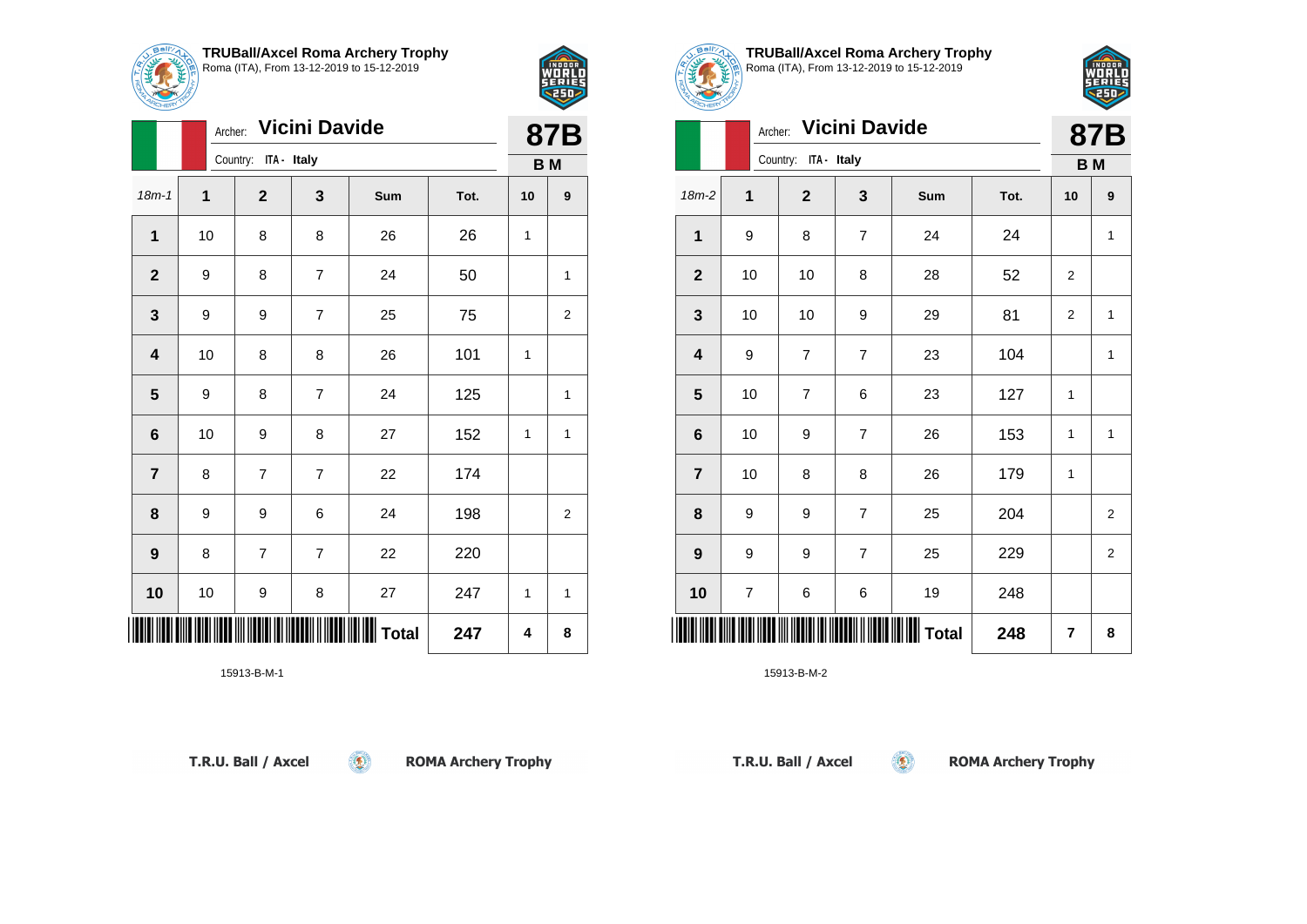

18m-1 **1 2 3 Sum Tot. 10 9**

**2** | 9 | 8 | 7 | 24 | 50 | | 1

**3** | 9 | 9 | 7 | 25 | 75 | | 2

**5** | 9 | 8 | 7 | 24 | 125 | | 1

**6** | 10 | 9 | 8 | 27 | 152 | 1 | 1

**8** | 9 | 9 | 6 | 24 | 198 | | 2

**10** | 10 | 9 | 8 | 27 | 247 | 1 | 1

**1** | 10 | 8 | 8 | 26 | 26 | 1

**4** | 10 | 8 | 8 | 26 | 101 | 1

**7** | 8 | 7 | 7 | 22 | 174

**9** 8 7 7 7 22 220

Archer: **Vicini Davide**

Country: **ITA - Italy**



**87B B M**

| TRUBall/Axcel Roma Archery Trophy<br>Roma (ITA), From 13-12-2019 to 15-12-2019 |
|--------------------------------------------------------------------------------|

|                         | <b>87B</b>              |                |                |              |      |    |                |  |  |
|-------------------------|-------------------------|----------------|----------------|--------------|------|----|----------------|--|--|
|                         | Country:<br>ITA - Italy |                |                |              |      |    |                |  |  |
| 18m-2                   | 1                       | $\mathbf{2}$   | 3              | Sum          | Tot. | 10 | 9              |  |  |
| 1                       | 9                       | 8              | $\overline{7}$ | 24           | 24   |    | 1              |  |  |
| $\mathbf{2}$            | 10                      | 10             | 8              | 28           | 52   | 2  |                |  |  |
| 3                       | 10                      | 10             | 9              | 29           | 81   | 2  | 1              |  |  |
| $\overline{\mathbf{4}}$ | 9                       | $\overline{7}$ | $\overline{7}$ | 23           | 104  |    | 1              |  |  |
| 5                       | 10                      | 7              | 6              | 23           | 127  | 1  |                |  |  |
| 6                       | 10                      | 9              | $\overline{7}$ | 26           | 153  | 1  | 1              |  |  |
| $\overline{7}$          | 10                      | 8              | 8              | 26           | 179  | 1  |                |  |  |
| 8                       | 9                       | 9              | $\overline{7}$ | 25           | 204  |    | $\overline{c}$ |  |  |
| $\boldsymbol{9}$        | 9                       | 9              | $\overline{7}$ | 25           | 229  |    | $\overline{c}$ |  |  |
| 10                      | $\boldsymbol{7}$        | 6              | 6              | 19           | 248  |    |                |  |  |
|                         |                         |                |                | <b>Total</b> | 248  | 7  | 8              |  |  |

 $\circledcirc$ 

15913-B-M-2

\***15913-B-M-1\*15-B-M-1\*15-B-M-1\*15-B-M-1\*15-B-M-1\*15-B-M-1\*15-B-M-1\*15-B-M-1\*15-B-M-1\*15-B-M-1\*15-B-M-1\*15-B-M-**

15913-B-M-1

**ROMA Archery Trophy** 

 $\vert$  Total  $\vert$  247  $\vert$  4  $\vert$  8

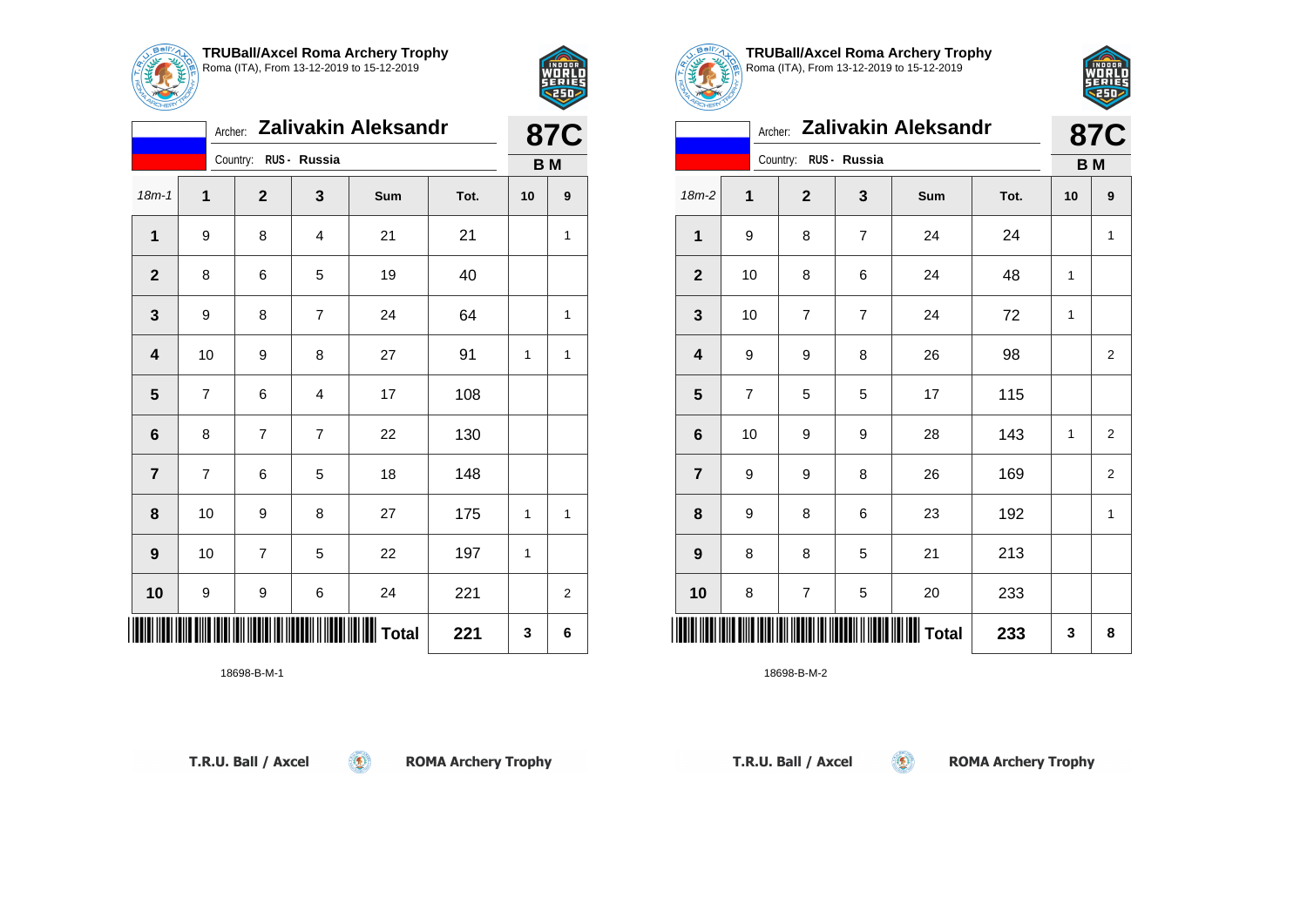



|                | <b>87C</b>            |                |                |            |      |    |              |
|----------------|-----------------------|----------------|----------------|------------|------|----|--------------|
|                | Country: RUS - Russia |                |                |            |      |    |              |
| $18m - 1$      | 1                     | $\mathbf{2}$   | 3              | <b>Sum</b> | Tot. | 10 | 9            |
| $\mathbf{1}$   | 9                     | 8              | 4              | 21         | 21   |    | $\mathbf{1}$ |
| $\overline{2}$ | 8                     | 6              | 5              | 19         | 40   |    |              |
| 3              | 9                     | 8              | $\overline{7}$ | 24         | 64   |    | 1            |
| 4              | 10                    | 9              | 8              | 27         | 91   | 1  | $\mathbf{1}$ |
| 5              | $\overline{7}$        | 6              | 4              | 17         | 108  |    |              |
| 6              | 8                     | $\overline{7}$ | $\overline{7}$ | 22         | 130  |    |              |
| $\overline{7}$ | $\overline{7}$        | 6              | 5              | 18         | 148  |    |              |
| 8              | 10                    | 9              | 8              | 27         | 175  | 1  | 1            |
| 9              | 10                    | 7              | 5              | 22         | 197  | 1  |              |
| 10             | 9                     | 9              | 6              | 24         | 221  |    | 2            |
|                |                       |                |                | $\ $ Total | 221  | 3  | 6            |

 $\circledcirc$ 



|                |                |                       |                | Archer: Zalivakin Aleksandr |      |    | <b>87C</b>     |
|----------------|----------------|-----------------------|----------------|-----------------------------|------|----|----------------|
|                |                | Country: RUS - Russia |                |                             |      |    | B M            |
| $18m-2$        | 1              | $\mathbf{2}$          | 3              | Sum                         | Tot. | 10 | 9              |
| $\mathbf{1}$   | 9              | 8                     | $\overline{7}$ | 24                          | 24   |    | 1              |
| $\mathbf{2}$   | 10             | 8                     | 6              | 24                          | 48   | 1  |                |
| $\mathbf{3}$   | 10             | $\overline{7}$        | $\overline{7}$ | 24                          | 72   | 1  |                |
| 4              | 9              | 9                     | 8              | 26                          | 98   |    | 2              |
| 5              | $\overline{7}$ | 5                     | 5              | 17                          | 115  |    |                |
| $6\phantom{1}$ | 10             | 9                     | 9              | 28                          | 143  | 1  | $\overline{2}$ |
| $\overline{7}$ | 9              | 9                     | 8              | 26                          | 169  |    | $\overline{2}$ |
| 8              | 9              | 8                     | 6              | 23                          | 192  |    | 1              |

,250.

**TRUBall/Axcel Roma Archery Trophy** Roma (ITA), From 13-12-2019 to 15-12-2019

18698-B-M-2

**9** | 8 | 8 | 5 | 21 | 213

**10** 8 7 5 20 233

**TOTAL INC. 233 3** 8

 $\left( 0\right)$ 

T.R.U. Ball / Axcel

**ROMA Archery Trophy**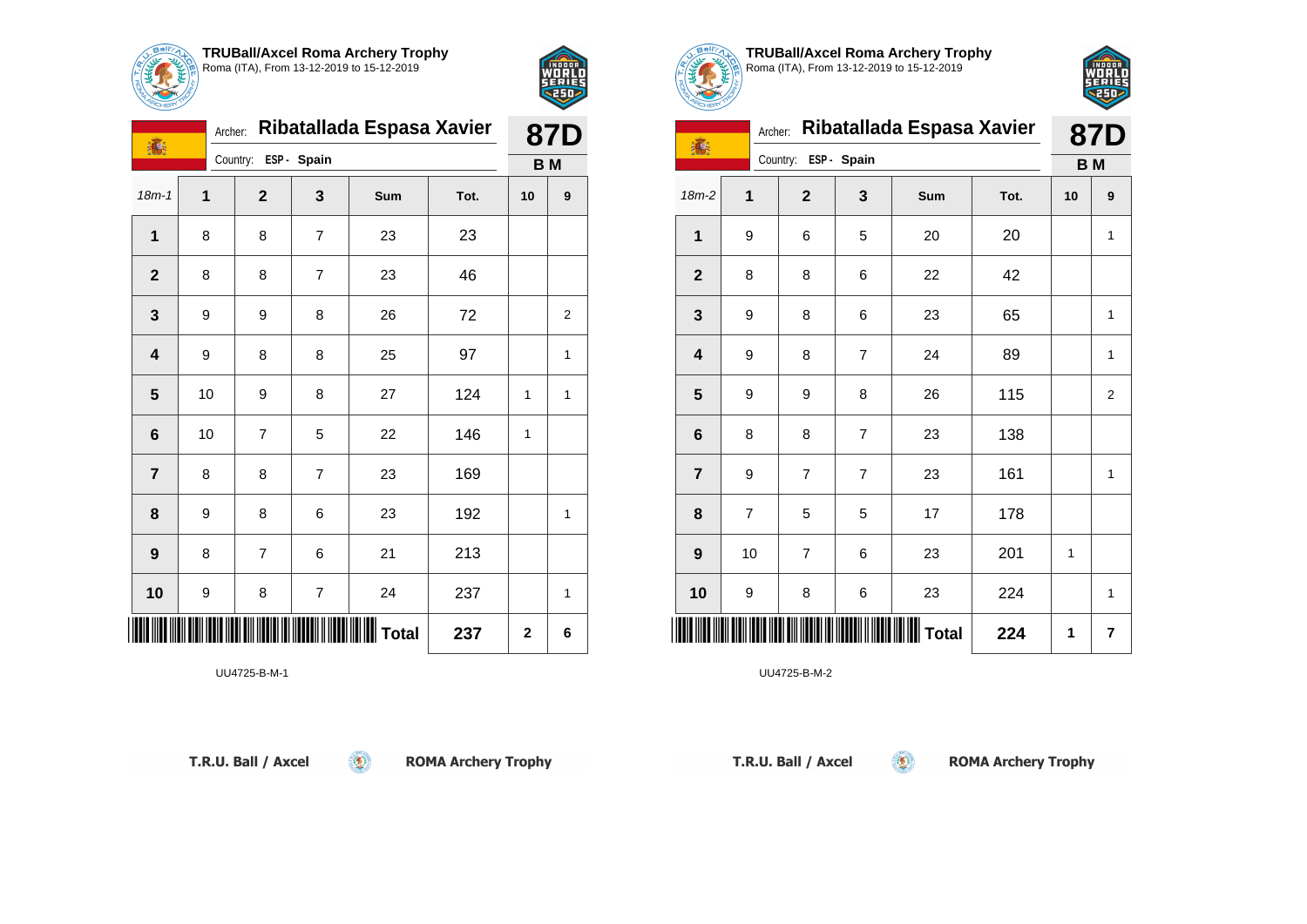

1

# **TRUBall/Axcel Roma Archery Trophy** Roma (ITA), From 13-12-2019 to 15-12-2019

**1** | 8 | 8 | 7 | 23 | 23

**2** | 8 | 8 | 7 | 23 | 46

Country: **ESP - Spain**

Archer: **Ribatallada Espasa Xavier**

18m-1 **1 2 3 Sum Tot. 10 9**

**3** | 9 | 9 | 8 | 26 | 72 | | 2

**4** | 9 | 8 | 8 | 25 | 97 | 1

**5** | 10 | 9 | 8 | 27 | 124 | 1 | 1

**8** | 9 | 8 | 6 | 23 | 192 | |1

**10** | 9 | 8 | 7 | 24 | 237 | | 1

**6** | 10 | 7 | 5 | 22 | 146 | 1

**7** | 8 | 8 | 7 | 23 | 169

**9** | 8 | 7 | 6 | 21 | 213



**87D B M**

| <b>TRUBall/Axcel Roma Archery Trophy</b>     |
|----------------------------------------------|
| $\mathbb{R}$ ROBall/Axcel Rollia Archery Tro |



| <u>Company and</u>      |                          |                |                |              |                                                                                                                                                                                                                                   |              |              |
|-------------------------|--------------------------|----------------|----------------|--------------|-----------------------------------------------------------------------------------------------------------------------------------------------------------------------------------------------------------------------------------|--------------|--------------|
|                         | Archer:                  |                |                |              |                                                                                                                                                                                                                                   |              |              |
| 瀛                       |                          | Country:       | ESP - Spain    |              | Ribatallada Espasa Xavier<br><b>87D</b><br><b>BM</b><br>Sum<br>Tot.<br>10<br>9<br>20<br>20<br>$\mathbf{1}$<br>42<br>22<br>65<br>23<br>$\mathbf{1}$<br>89<br>24<br>1<br>115<br>26<br>$\overline{c}$<br>23<br>138<br>161<br>23<br>1 |              |              |
| $18m-2$                 | $\mathbf 1$              | $\mathbf{2}$   | 3              |              |                                                                                                                                                                                                                                   |              |              |
| 1                       | 9                        | 6              | 5              |              |                                                                                                                                                                                                                                   |              |              |
| $\mathbf 2$             | 8                        | 8              | 6              |              |                                                                                                                                                                                                                                   |              |              |
| 3                       | 9                        | 8              | 6              |              |                                                                                                                                                                                                                                   |              |              |
| 4                       | 9                        | 8              | $\overline{7}$ |              |                                                                                                                                                                                                                                   |              |              |
| 5                       | 9                        | 9              | 8              |              |                                                                                                                                                                                                                                   |              |              |
| 6                       | 8                        | 8              | $\overline{7}$ |              |                                                                                                                                                                                                                                   |              |              |
| $\overline{\mathbf{r}}$ | 9                        | $\overline{7}$ | $\overline{7}$ |              |                                                                                                                                                                                                                                   |              |              |
| 8                       | $\overline{\mathcal{I}}$ | 5              | 5              | 17           | 178                                                                                                                                                                                                                               |              |              |
| 9                       | 10                       | $\overline{7}$ | 6              | 23           | 201                                                                                                                                                                                                                               | $\mathbf{1}$ |              |
| 10                      | 9                        | 8              | 6              | 23           | 224                                                                                                                                                                                                                               |              | $\mathbf{1}$ |
|                         |                          |                |                | <b>Total</b> | 224                                                                                                                                                                                                                               | 1            | 7            |

 $\circledcirc$ 

UU4725-B-M-2

|  |  | T.R.U. Ball / Axcel |  |
|--|--|---------------------|--|
|  |  |                     |  |

\*UU4725-B-M-1\*UU4725-B-M-1\*UU4725-B-M-1\*UU4725-B-M-1\*UU4725-B-M-1\*UU4725-B-M-1\*UU4725-B-M-1\*UU4725-B-M-1\*UU472

UU4725-B-M-1

**ROMA Archery Trophy** 

**Total 237 2 6**

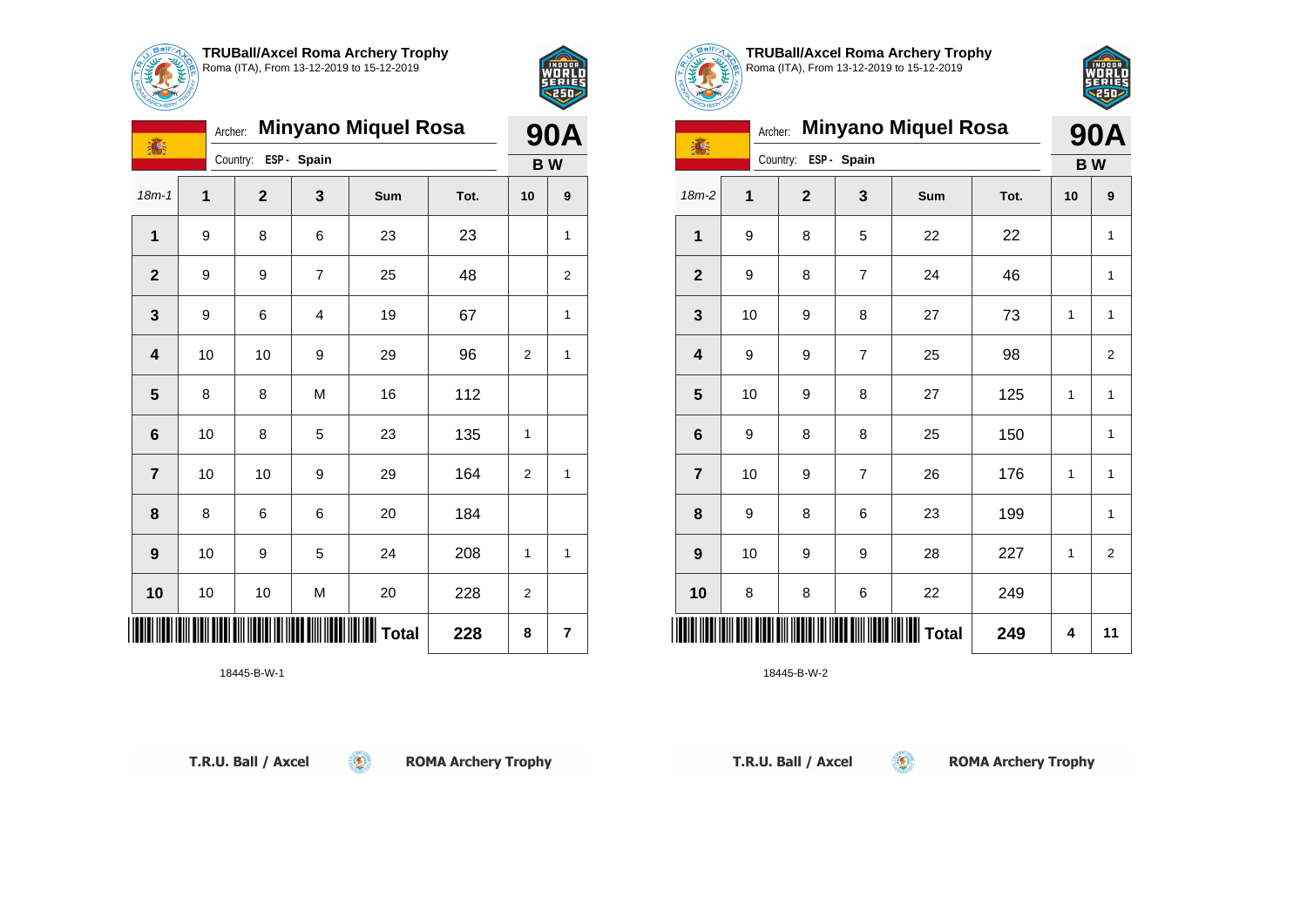

**TRUBall/Axcel Roma Archery Trophy** Roma (ITA), From 13-12-2019 to 15-12-2019

Country: **ESP - Spain**

Archer: **Minyano Miquel Rosa**

18m-1 **1 2 3 Sum Tot. 10 9**

**1** | 9 | 8 | 6 | 23 | 23 | 1

**2** | 9 | 9 | 7 | 25 | 48 | | 2

**3** | 9 | 6 | 4 | 19 | 67 | | 1

**4** | 10 | 10 | 9 | 29 | 96 | 2 | 1

**7** | 10 | 10 | 9 | 29 | 164 | 2 | 1

**9** | 10 | 9 | 5 | 24 | 208 | 1 | 1

 $\circledcirc$ 

**10** | 10 | M | 20 | 228 | 2

**5** | 8 | 8 | M | 16 | 112

**8** | 8 | 6 | 6 | 20 | 184

**6** | 10 | 8 | 5 | 23 | 135 | 1



**90A B W**

**TRUBall/Axcel Roma Archery Trophy** Roma (ITA), From 13-12-2019 to 15-12-2019



| $V$ <sub>UHEH</sub>     |              |                      |                |                            |      |           |                         |  |
|-------------------------|--------------|----------------------|----------------|----------------------------|------|-----------|-------------------------|--|
| 瀛                       | Archer:      |                      |                | <b>Minyano Miquel Rosa</b> |      |           | <b>90A</b>              |  |
|                         |              | Country: ESP - Spain |                |                            |      | <b>BW</b> |                         |  |
| $18m-2$                 | $\mathbf{1}$ | $\overline{2}$       | 3              | Sum                        | Tot. | 10        | 9                       |  |
| 1                       | 9            | 8                    | 5              | 22                         | 22   |           | 1                       |  |
| $\overline{2}$          | 9            | 8                    | $\overline{7}$ | 24                         | 46   |           | 1                       |  |
| 3                       | 10           | 9                    | 8              | 27                         | 73   | 1         | 1                       |  |
| $\overline{\mathbf{4}}$ | 9            | 9                    | $\overline{7}$ | 25                         | 98   |           | $\overline{\mathbf{c}}$ |  |
| 5                       | 10           | 9                    | 8              | 27                         | 125  | 1         | $\mathbf{1}$            |  |
| $6\phantom{1}$          | 9            | 8                    | 8              | 25                         | 150  |           | $\mathbf{1}$            |  |
| $\overline{7}$          | 10           | 9                    | $\overline{7}$ | 26                         | 176  | 1         | 1                       |  |
| 8                       | 9            | 8                    | 6              | 23                         | 199  |           | $\mathbf{1}$            |  |
| $\boldsymbol{9}$        | 10           | 9                    | 9              | 28                         | 227  | 1         | $\overline{2}$          |  |
| 10                      | 8            | 8                    | 6              | 22                         | 249  |           |                         |  |
|                         |              |                      |                | <b>Total</b>               | 249  | 4         | 11                      |  |

 $\circledcirc$ 

18445-B-W-2

|  |  | T.R.U. Ball / Axcel |
|--|--|---------------------|

\***1844 B-W-1945 B-W-1945 B-W-1945 B-W-1945 B-W-W-1945 B-W-W-194** 

18445-B-W-1

**ROMA Archery Trophy** 

**Total 228 8 7**

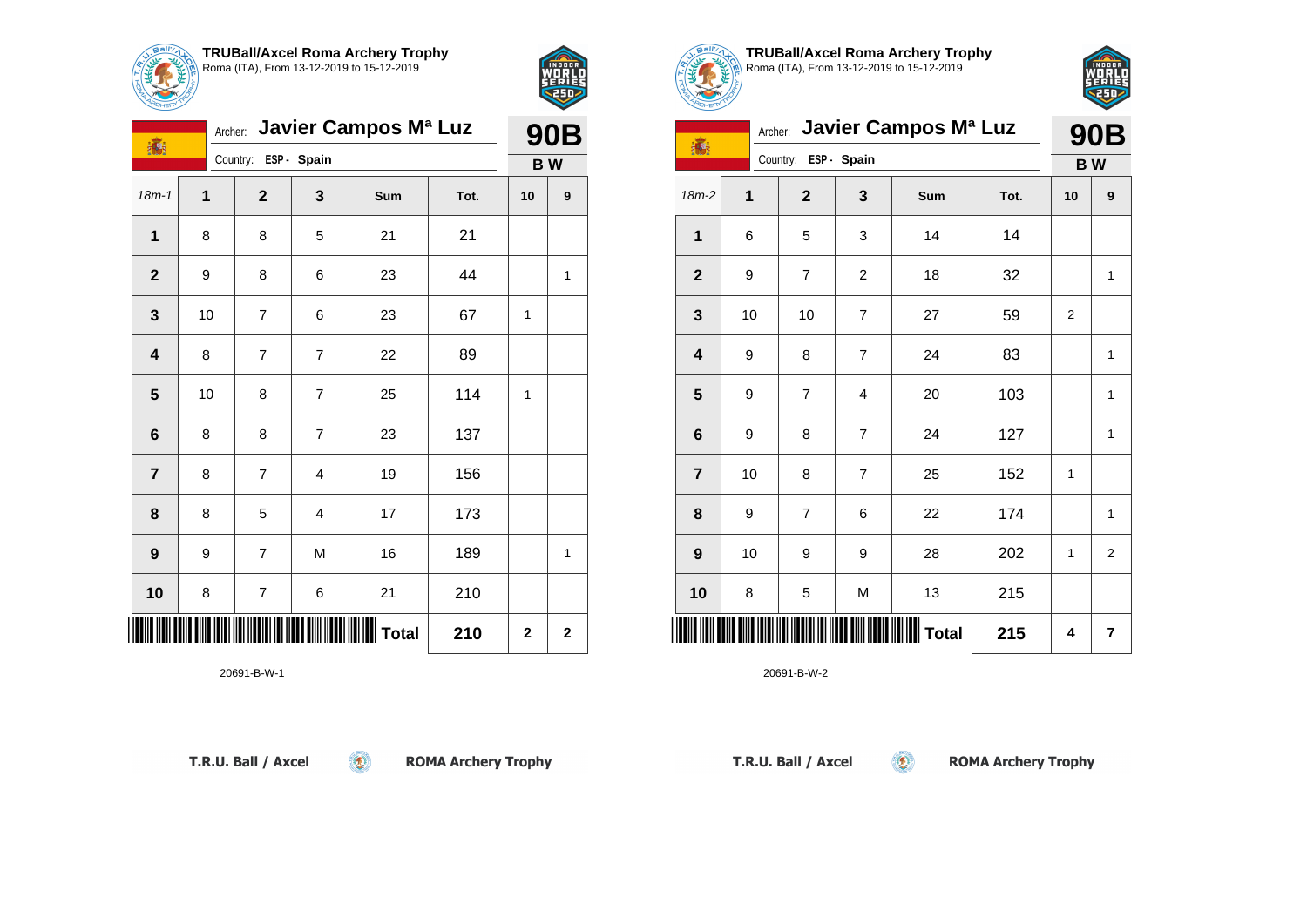

#### **TRUBall/Axcel Roma Archery Trophy** Roma (ITA), From 13-12-2019 to 15-12-2019

**1** | 8 | 8 | 5 | 21 | 21

**4** | 8 | 7 | 7 | 22 | 89

**6** 8 8 7 23 137

**7** | 8 | 7 | 4 | 19 | 156

**8** | 8 | 5 | 4 | 17 | 173

**10** 8 7 6 21 210

Country: **ESP - Spain**

Archer: **Javier Campos Mª Luz**

18m-1 **1 2 3 Sum Tot. 10 9**

**2** | 9 | 8 | 6 | 23 | 44 | |1

**3** | 10 | 7 | 6 | 23 | 67 | 1

**5** | 10 | 8 | 7 | 25 | 114 | 1

**9** | 9 | 7 | M | 16 | 189 | | 1

 $\circledast$ 



**90B B W**

| <b>TRUBall/Axcel Roma Archery Trophy</b>                                                           |  |
|----------------------------------------------------------------------------------------------------|--|
| T <b>RUBall/Axcel Roma Archery Tro</b><br><sub>(a)</sub> Roma (ITA), From 13-12-2019 to 15-12-2019 |  |



| $\sim$ ner $\sim$       |    |                                 |                |                   |      |                |                |  |  |
|-------------------------|----|---------------------------------|----------------|-------------------|------|----------------|----------------|--|--|
| 瀛                       |    | Javier Campos Ma Luz<br>Archer: |                |                   |      |                |                |  |  |
|                         |    | Country: ESP - Spain            |                |                   |      | <b>BW</b>      |                |  |  |
| $18m-2$                 | 1  | $\mathbf{2}$                    | 3              | Sum               | Tot. | 10             | 9              |  |  |
| 1                       | 6  | 5                               | 3              | 14                | 14   |                |                |  |  |
| $\overline{2}$          | 9  | $\overline{7}$                  | $\overline{c}$ | 18                | 32   |                | 1              |  |  |
| $\mathbf{3}$            | 10 | 10                              | $\overline{7}$ | 27                | 59   | $\overline{2}$ |                |  |  |
| $\overline{\mathbf{4}}$ | 9  | 8                               | $\overline{7}$ | 24                | 83   |                | 1              |  |  |
| $5\phantom{1}$          | 9  | $\overline{7}$                  | 4              | 20                | 103  |                | 1              |  |  |
| 6                       | 9  | 8                               | $\overline{7}$ | 24                | 127  |                | 1              |  |  |
| $\overline{7}$          | 10 | 8                               | $\overline{7}$ | 25                | 152  | 1              |                |  |  |
| 8                       | 9  | $\overline{7}$                  | 6              | 22                | 174  |                | 1              |  |  |
| $\boldsymbol{9}$        | 10 | 9                               | 9              | 28                | 202  | 1              | $\overline{2}$ |  |  |
| 10                      | 8  | 5                               | M              | 13                | 215  |                |                |  |  |
|                         |    |                                 |                | $\parallel$ Total | 215  | 4              | 7              |  |  |

 $\circledcirc$ 

20691-B-W-2

\*20691-B-W-1\*

20691-B-W-1

**ROMA Archery Trophy** 

 $| 7$ otal  $| 210 | 2 | 2$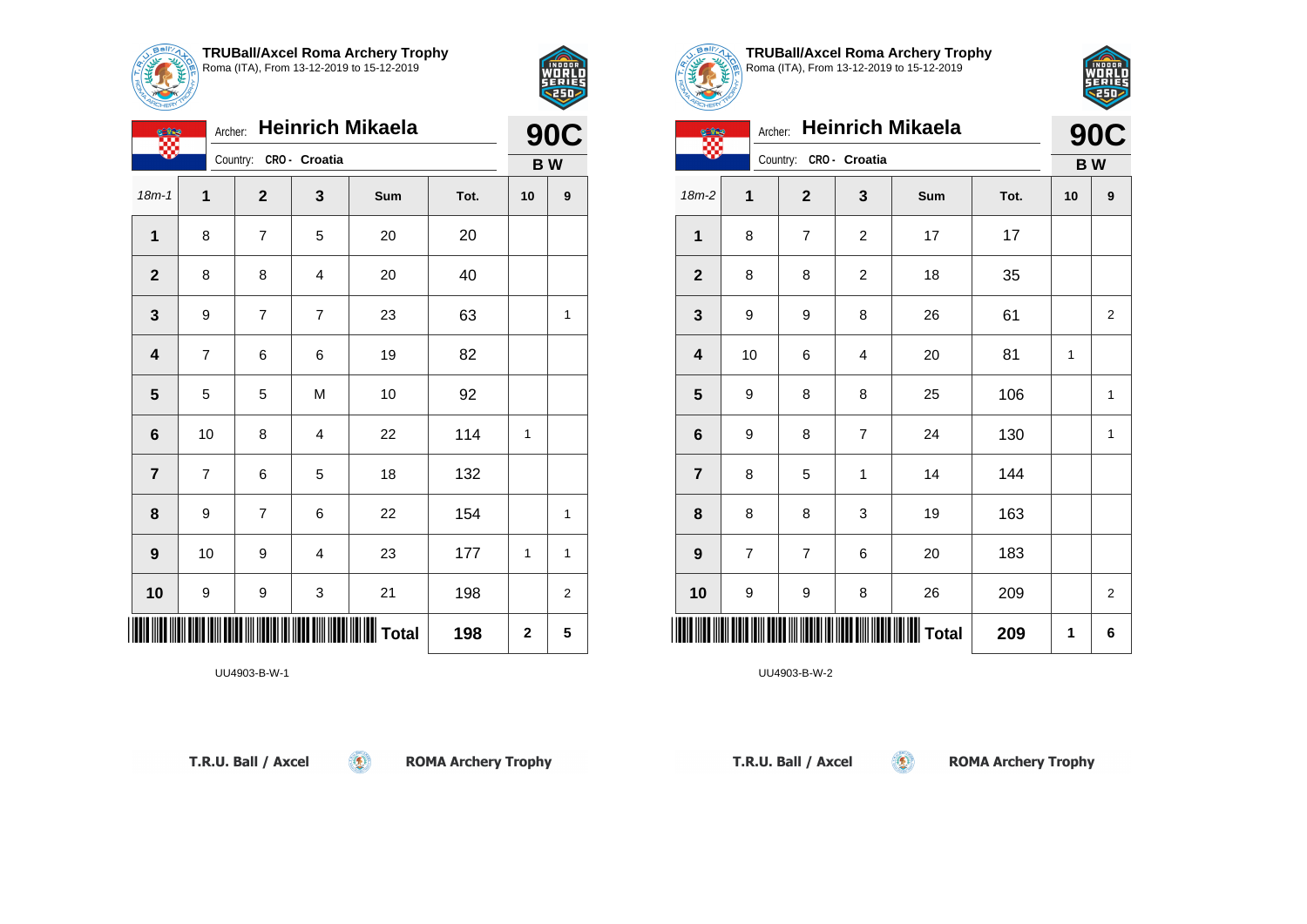

₩.

**TRUBall/Axcel Roma Archery Trophy** Roma (ITA), From 13-12-2019 to 15-12-2019

Archer: **Heinrich Mikaela**

**1** | 8 | 7 | 5 | 20 | 20

**2** | 8 | 8 | 4 | 20 | 40

**4** | 7 | 6 | 6 | 19 | 82

**5** | 5 | M | 10 | 92

**7** | 7 | 6 | 5 | 18 | 132

**6** | 10 | 8 | 4 | 22 | 114 | 1

**8** | 9 | 7 | 6 | 22 | 154 | | 1

**9** | 10 | 9 | 4 | 23 | 177 | 1 | 1

**10** | 9 | 9 | 3 | 21 | 198 | | 2

 $\circledcirc$ 

18m-1 **1 2 3 Sum Tot. 10 9**

**3** | 9 | 7 | 7 | 23 | 63 | |1

Country: **CRO - Croatia**



**90C B W**

**TRUBall/Axcel Roma Archery Trophy** Roma (ITA), From 13-12-2019 to 15-12-2019



|                         | <b>Heinrich Mikaela</b><br>Archer: |                        |                |              |      |    |                |  |
|-------------------------|------------------------------------|------------------------|----------------|--------------|------|----|----------------|--|
|                         |                                    | Country: CRO - Croatia |                |              |      |    | <b>BW</b>      |  |
| $18m-2$                 | 1                                  | $\mathbf{2}$           | 3              | Sum          | Tot. | 10 | 9              |  |
| $\mathbf{1}$            | 8                                  | 7                      | $\overline{c}$ | 17           | 17   |    |                |  |
| $\mathbf{2}$            | 8                                  | 8                      | $\overline{c}$ | 18           | 35   |    |                |  |
| $\mathbf{3}$            | 9                                  | 9                      | 8              | 26           | 61   |    | $\overline{2}$ |  |
| $\overline{\mathbf{4}}$ | 10                                 | 6                      | $\overline{4}$ | 20           | 81   | 1  |                |  |
| $5\phantom{1}$          | 9                                  | 8                      | 8              | 25           | 106  |    | $\mathbf{1}$   |  |
| $\bf 6$                 | 9                                  | 8                      | 7              | 24           | 130  |    | 1              |  |
| $\overline{7}$          | 8                                  | 5                      | 1              | 14           | 144  |    |                |  |
| 8                       | 8                                  | 8                      | 3              | 19           | 163  |    |                |  |
| $\boldsymbol{9}$        | $\overline{7}$                     | $\overline{7}$         | 6              | 20           | 183  |    |                |  |
| 10                      | 9                                  | 9                      | 8              | 26           | 209  |    | $\overline{2}$ |  |
|                         |                                    |                        |                | <b>Total</b> | 209  | 1  | 6              |  |

 $\circledcirc$ 

UU4903-B-W-2

| T.R.U. Ball / Axcel |
|---------------------|
|---------------------|

\*UU4903-B-W-1\*UU4903-B-W-1\*UU4903-B-W-1\*UU4903-B-W-1\*UU490-B-W-1\*UU490-B-W-1\*UU490-B-W-

UU4903-B-W-1

**ROMA Archery Trophy** 

**Total 198 2 5**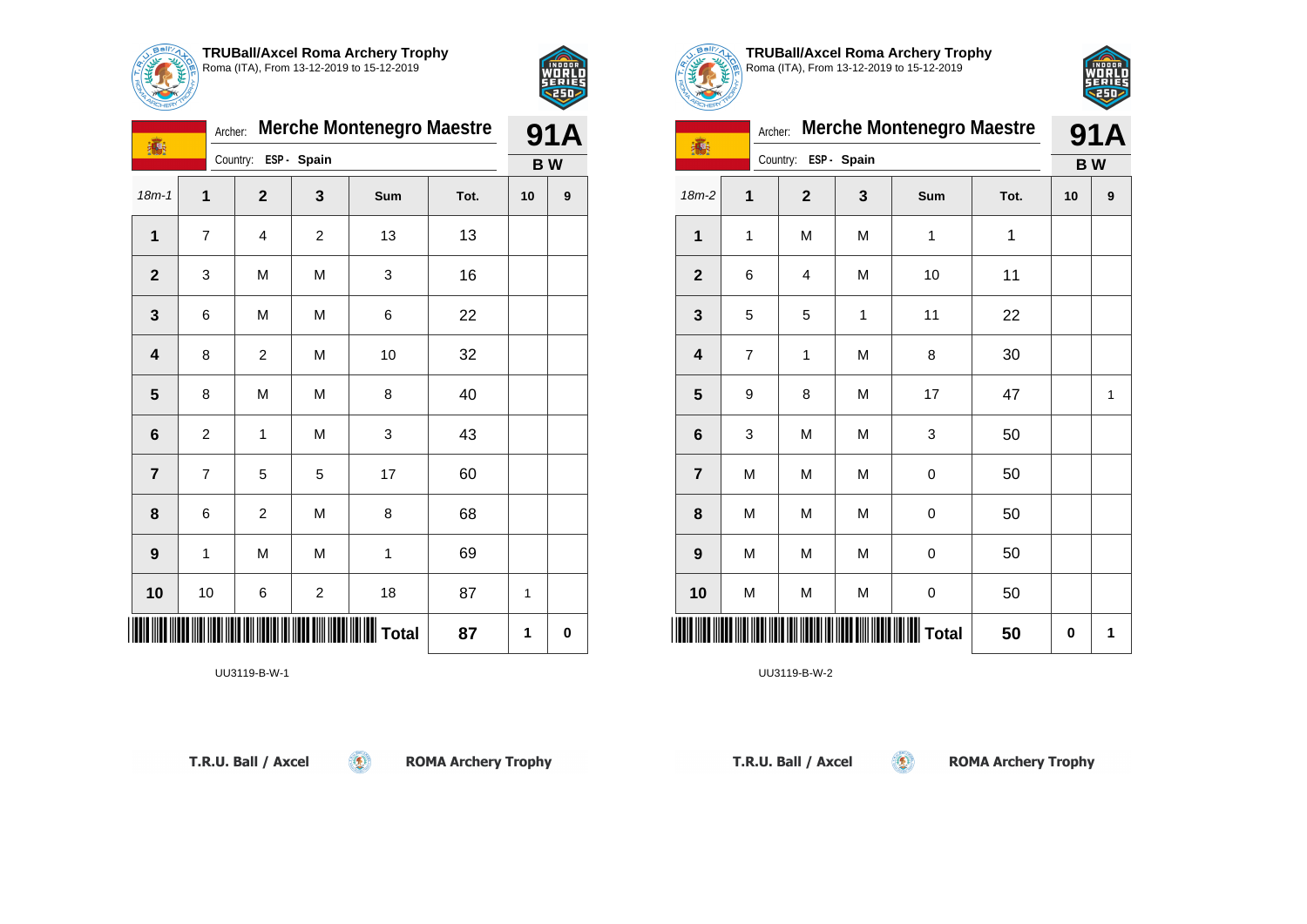

1

# **TRUBall/Axcel Roma Archery Trophy** Roma (ITA), From 13-12-2019 to 15-12-2019

**1** | 7 | 4 | 2 | 13 | 13

**2** | 3 | M | M | 3 | 16

**3** | 6 | M | M | 6 | 22

**4** | 8 | 2 | M | 10 | 32

**5** | 8 | M | M | 8 | 40

**6** | 2 | 1 | M | 3 | 43

**7** | 7 | 5 | 5 | 17 | 60

**8** | 6 | 2 | M | 8 | 68

**9** 1 M M 1 69

**10** | 10 | 6 | 2 | 18 | 87 | 1

**TOTAL TOTAL TELEVISION IN THE EXISTENCY OF A LIGHT OF A LIGHT OF A LIGHT OF A LIGHT OF A LIGHT OF A LIGHT OF A LIGHT OF A LIGHT OF A LIGHT OF A LIGHT OF A LIGHT OF A LIGHT OF A LIGHT OF A LIGHT OF A LIGHT OF A LIGHT OF A** 

 $\circledcirc$ 

Country: **ESP - Spain**

Archer: **Merche Montenegro Maestre**

18m-1 **1 2 3 Sum Tot. 10 9**



**91A B W**

| <b>TRUBall/Axcel Roma Archery Trophy</b><br>$\frac{1}{2}$ Roma (ITA), From 13-12-2019 to 15-12-2019 |
|-----------------------------------------------------------------------------------------------------|



| $C$ HEM $C$    |                |                |                                  |              |      |    |                         |
|----------------|----------------|----------------|----------------------------------|--------------|------|----|-------------------------|
|                |                | Archer:        | <b>Merche Montenegro Maestre</b> |              |      |    |                         |
| 欁              |                | Country:       | ESP - Spain                      |              |      |    | <b>91A</b><br><b>BW</b> |
| $18m-2$        | 1              | $\overline{2}$ | 3                                | Sum          | Tot. | 10 | 9                       |
| 1              | 1              | M              | M                                | 1            | 1    |    |                         |
| $\mathbf{2}$   | 6              | 4              | M                                | 10           | 11   |    |                         |
| 3              | 5              | 5              | 1                                | 11           | 22   |    |                         |
| 4              | $\overline{7}$ | 1              | M                                | 8            | 30   |    |                         |
| 5              | 9              | 8              | M                                | 17           | 47   |    | 1                       |
| 6              | 3              | M              | M                                | 3            | 50   |    |                         |
| $\overline{7}$ | M              | M              | M                                | 0            | 50   |    |                         |
| 8              | M              | M              | M                                | 0            | 50   |    |                         |
| 9              | M              | M              | M                                | 0            | 50   |    |                         |
| 10             | M              | M              | M                                | 0            | 50   |    |                         |
|                |                |                |                                  | <b>Total</b> | 50   | 0  | 1                       |

 $\circledcirc$ 

UU3119-B-W-2

|  |  | T.R.U. Ball / Axcel |
|--|--|---------------------|

UU3119-B-W-1

**ROMA Archery Trophy** 

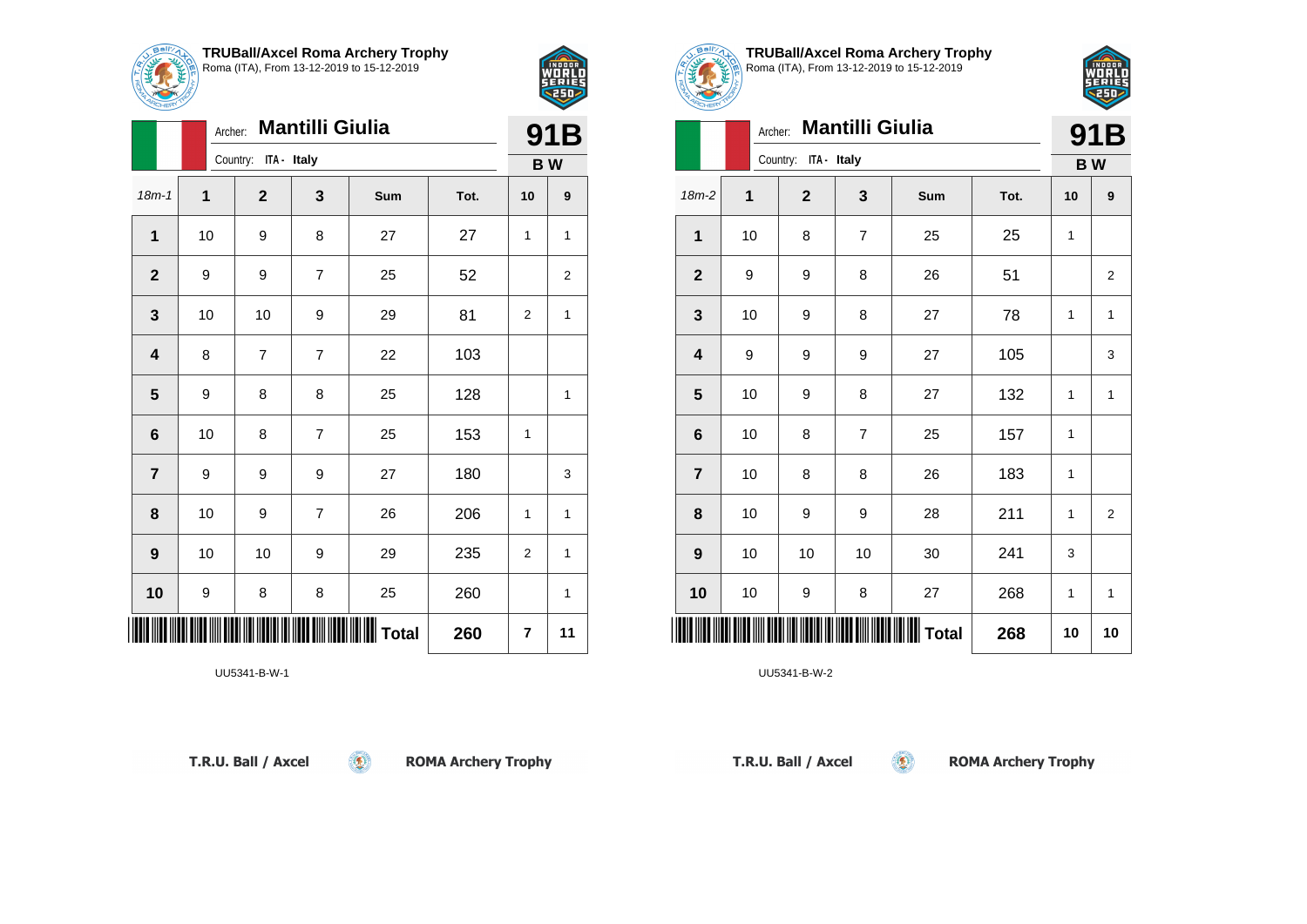



|                         |   | <b>Mantilli Giulia</b><br>Archer: |              |                |                                       |      |                |                |
|-------------------------|---|-----------------------------------|--------------|----------------|---------------------------------------|------|----------------|----------------|
|                         |   | ITA - Italy<br>Country:           |              |                |                                       |      |                |                |
| $18m - 1$               | 1 |                                   | $\mathbf{2}$ | 3              | Sum                                   | Tot. | 10             | 9              |
| $\mathbf{1}$            |   | 10                                | 9            | 8              | 27                                    | 27   | 1              | 1              |
| $\mathbf{2}$            | 9 |                                   | 9            | $\overline{7}$ | 25                                    | 52   |                | $\overline{2}$ |
| 3                       |   | 10                                | 10           | 9              | 29                                    | 81   | 2              | 1              |
| $\overline{\mathbf{4}}$ | 8 |                                   | 7            | $\overline{7}$ | 22                                    | 103  |                |                |
| $5\phantom{1}$          | 9 |                                   | 8            | 8              | 25                                    | 128  |                | 1              |
| 6                       |   | 10                                | 8            | $\overline{7}$ | 25                                    | 153  | $\mathbf{1}$   |                |
| $\overline{7}$          | 9 |                                   | 9            | 9              | 27                                    | 180  |                | 3              |
| 8                       |   | 10                                | 9            | 7              | 26                                    | 206  | 1              | 1              |
| 9                       |   | 10                                | 10           | 9              | 29                                    | 235  | $\overline{2}$ | $\mathbf{1}$   |
| 10                      | 9 |                                   | 8            | 8              | 25                                    | 260  |                | 1              |
|                         |   |                                   |              |                | <b>     </b>                    Total | 260  | 7              | 11             |

 $\left( 9\right)$ 

UU5341-B-W-1



 $5250.$ 

| <b>POHERY</b>           |                                   |              |                |              |      |              |                |  |  |  |
|-------------------------|-----------------------------------|--------------|----------------|--------------|------|--------------|----------------|--|--|--|
|                         | <b>Mantilli Giulia</b><br>Archer: |              |                |              |      |              |                |  |  |  |
|                         | Country: ITA - Italy              |              | <b>BW</b>      |              |      |              |                |  |  |  |
| $18m-2$                 | 1                                 | $\mathbf{2}$ | 3              | Sum          | Tot. | 10           | 9              |  |  |  |
| 1                       | 10                                | 8            | $\overline{7}$ | 25           | 25   | $\mathbf{1}$ |                |  |  |  |
| $\overline{2}$          | 9                                 | 9            | 8              | 26           | 51   |              | $\overline{2}$ |  |  |  |
| 3                       | 10                                | 9            | 8              | 27           | 78   | $\mathbf{1}$ | 1              |  |  |  |
| 4                       | 9                                 | 9            | 9              | 27           | 105  |              | 3              |  |  |  |
| 5                       | 10                                | 9            | 8              | 27           | 132  | $\mathbf{1}$ | 1              |  |  |  |
| 6                       | 10                                | 8            | 7              | 25           | 157  | 1            |                |  |  |  |
| $\overline{\mathbf{r}}$ | 10                                | 8            | 8              | 26           | 183  | 1            |                |  |  |  |
| 8                       | 10                                | 9            | 9              | 28           | 211  | 1            | $\overline{2}$ |  |  |  |
| 9                       | 10                                | 10           | 10             | 30           | 241  | 3            |                |  |  |  |
| 10                      | 10                                | 9            | 8              | 27           | 268  | 1            | 1              |  |  |  |
|                         |                                   |              |                | <b>Total</b> | 268  | 10           | 10             |  |  |  |

 $\left( 5\right)$ 

Roma (ITA), From 13-12-2019 to 15-12-2019

UU5341-B-W-2

T.R.U. Ball / Axcel

**ROMA Archery Trophy**